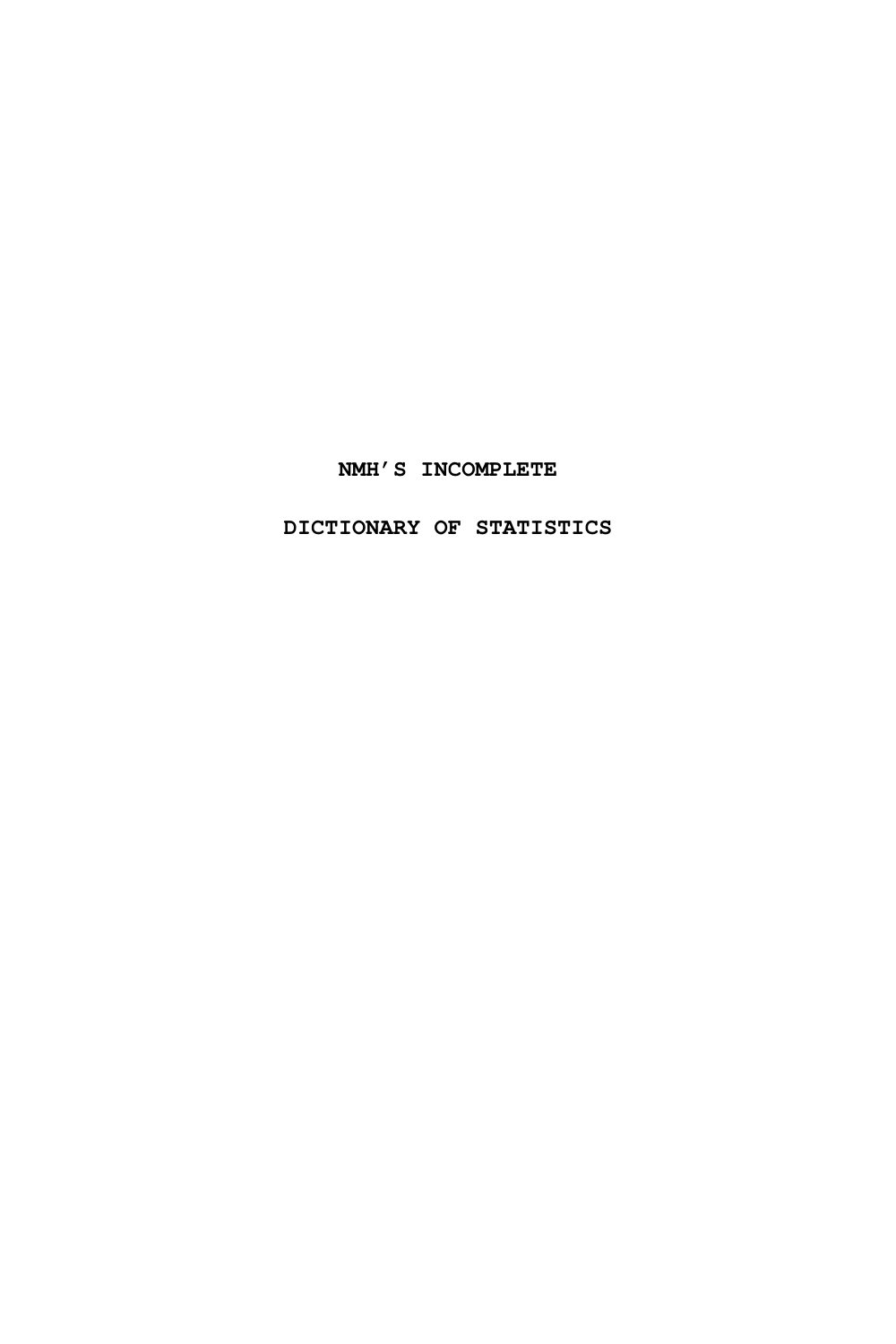#### **NMH'S INCOMPLETE**

**DICTIONARY OF STATISTICS**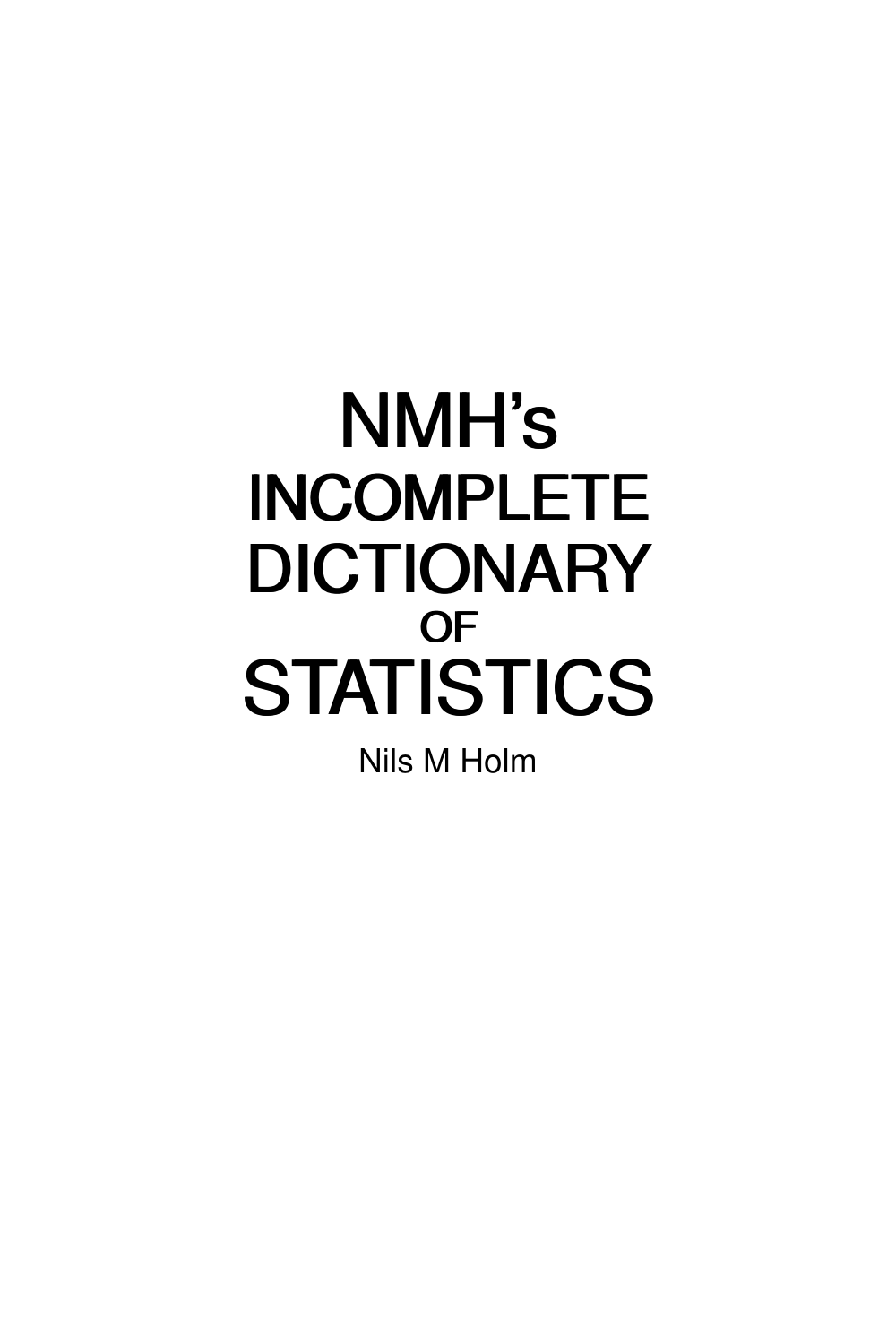# NMH's NMH's INCOMPLETE INCOMPLETE DICTIONARY DICTIONARY OF OF STATISTICS STATISTICS

Nils M Holm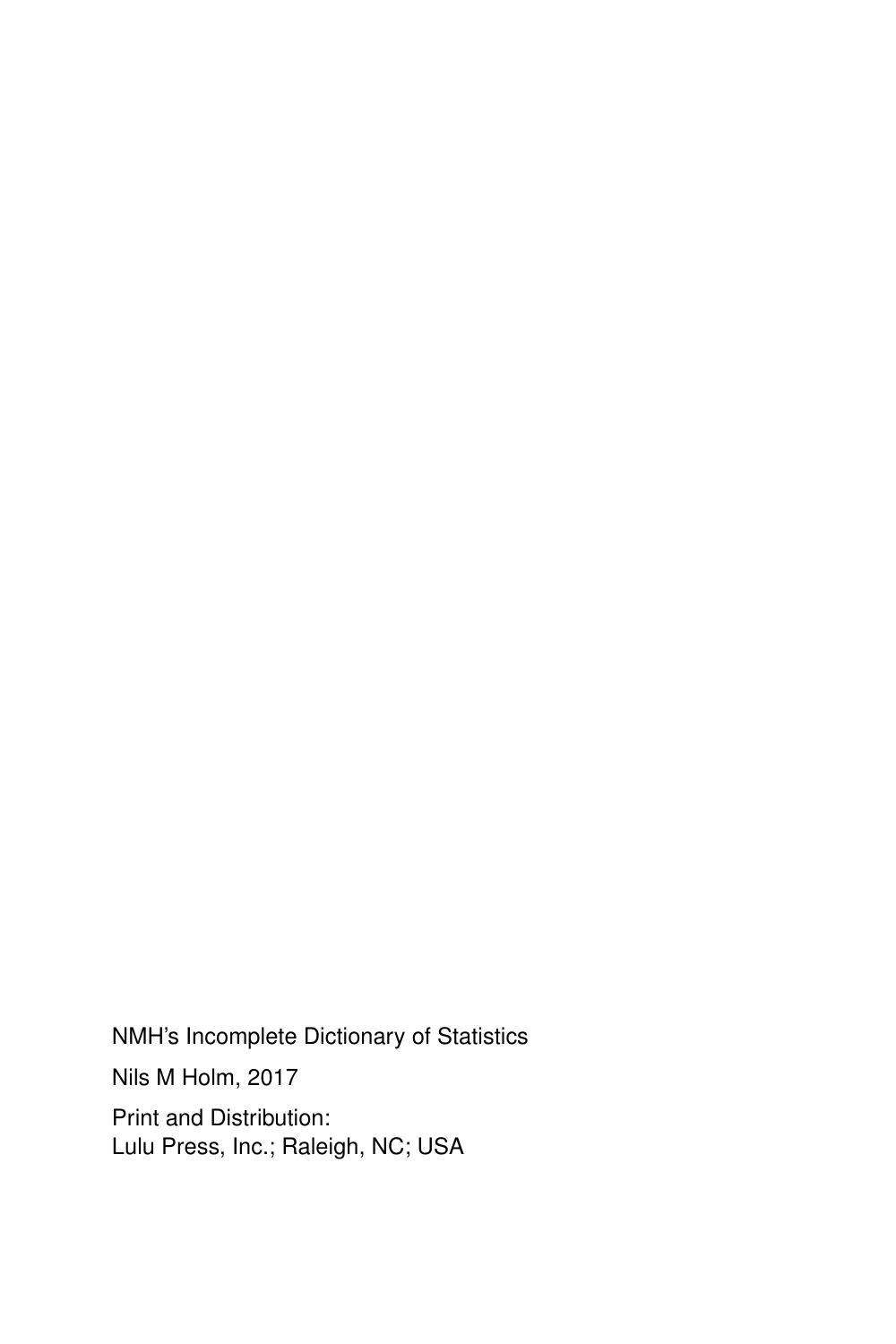NMH's Incomplete Dictionary of Statistics

Nils M Holm, 2017

Print and Distribution: Lulu Press, Inc.; Raleigh, NC; USA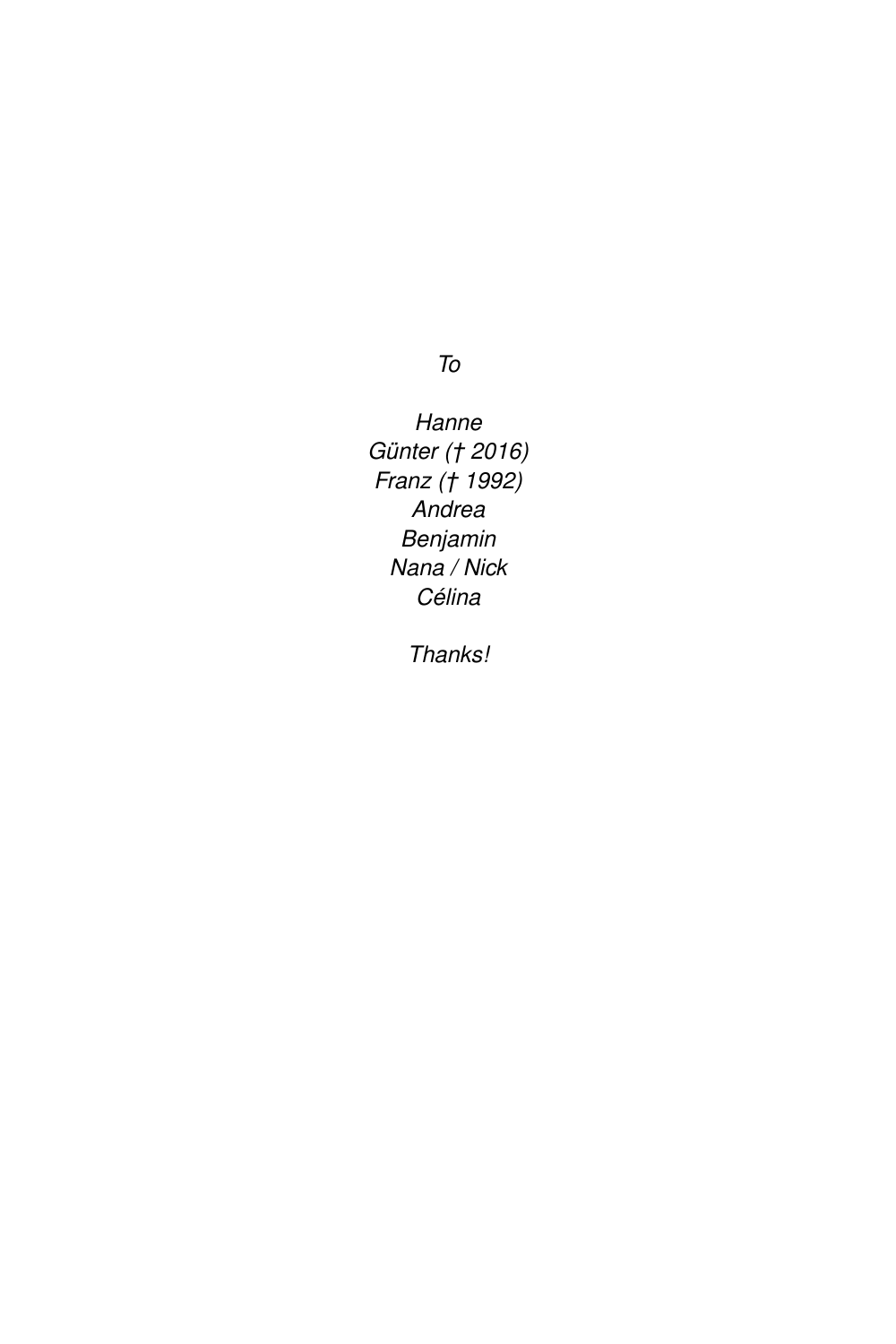To

Hanne Günter († 2016) Franz († 1992) Andrea Benjamin Nana / Nick Célina

Thanks!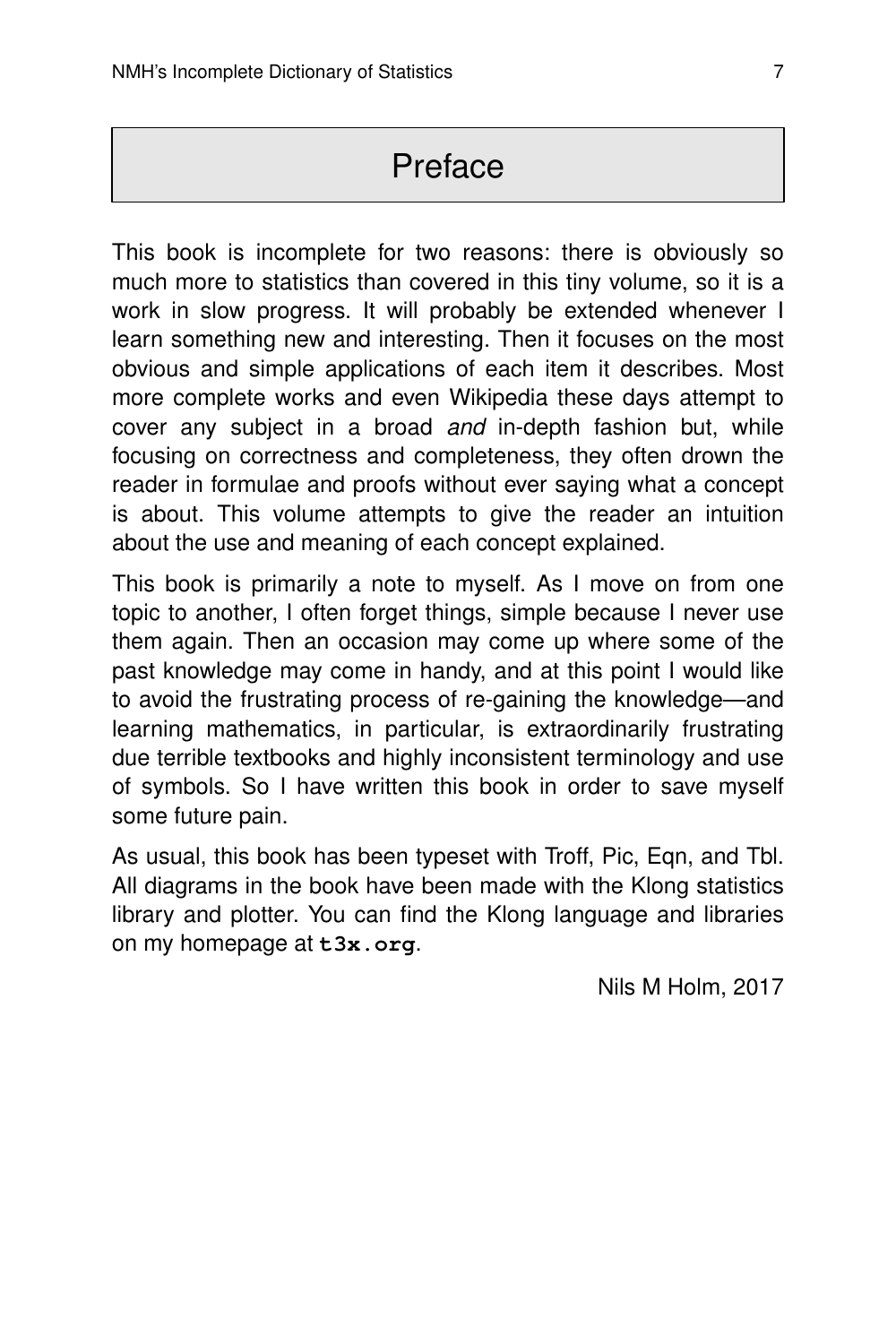# Preface

This book is incomplete for two reasons: there is obviously so much more to statistics than covered in this tiny volume, so it is a work in slow progress. It will probably be extended whenever I learn something new and interesting. Then it focuses on the most obvious and simple applications of each item it describes. Most more complete works and even Wikipedia these days attempt to cover any subject in a broad and in-depth fashion but, while focusing on correctness and completeness, they often drown the reader in formulae and proofs without ever saying what a concept is about. This volume attempts to give the reader an intuition about the use and meaning of each concept explained.

This book is primarily a note to myself. As I move on from one topic to another, I often forget things, simple because I never use them again. Then an occasion may come up where some of the past knowledge may come in handy, and at this point I would like to avoid the frustrating process of re-gaining the knowledge—and learning mathematics, in particular, is extraordinarily frustrating due terrible textbooks and highly inconsistent terminology and use of symbols. So I have written this book in order to save myself some future pain.

As usual, this book has been typeset with Troff, Pic, Eqn, and Tbl. All diagrams in the book have been made with the Klong statistics library and plotter. You can find the Klong language and libraries on my homepage at **t3x.org**.

Nils M Holm, 2017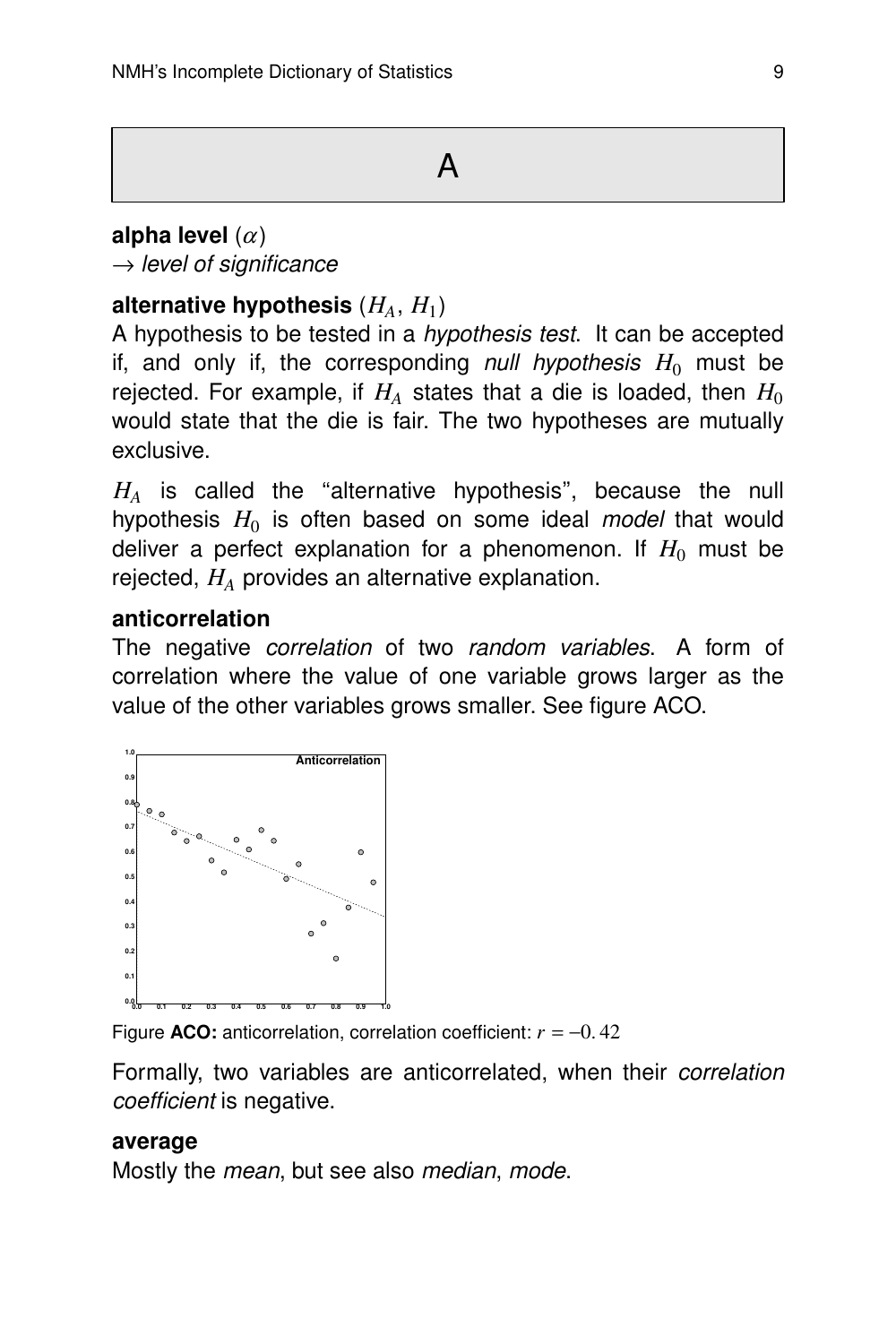#### **alpha level**  $(\alpha)$

 $\rightarrow$  level of significance

#### alternative hypothesis  $(H_A,\,H_1)$

A hypothesis to be tested in a hypothesis test. It can be accepted if, and only if, the corresponding *null hypothesis*  $H_0$  must be rejected. For example, if  $H_A$  states that a die is loaded, then  $H_0$ would state that the die is fair. The two hypotheses are mutually exclusive.

 $H_A$  is called the "alternative hypothesis", because the null hypothesis  $H_0$  is often based on some ideal *model* that would deliver a perfect explanation for a phenomenon. If  $H_0$  must be rejected, *H<sup>A</sup>* provides an alternative explanation.

#### **anticorrelation**

The negative correlation of two random variables. A form of correlation where the value of one variable grows larger as the value of the other variables grows smaller. See figure ACO.



Figure **ACO:** anticorrelation, correlation coefficient:  $r = -0.42$ 

Formally, two variables are anticorrelated, when their *correlation* coefficient is negative.

#### **average**

Mostly the *mean*, but see also *median, mode*.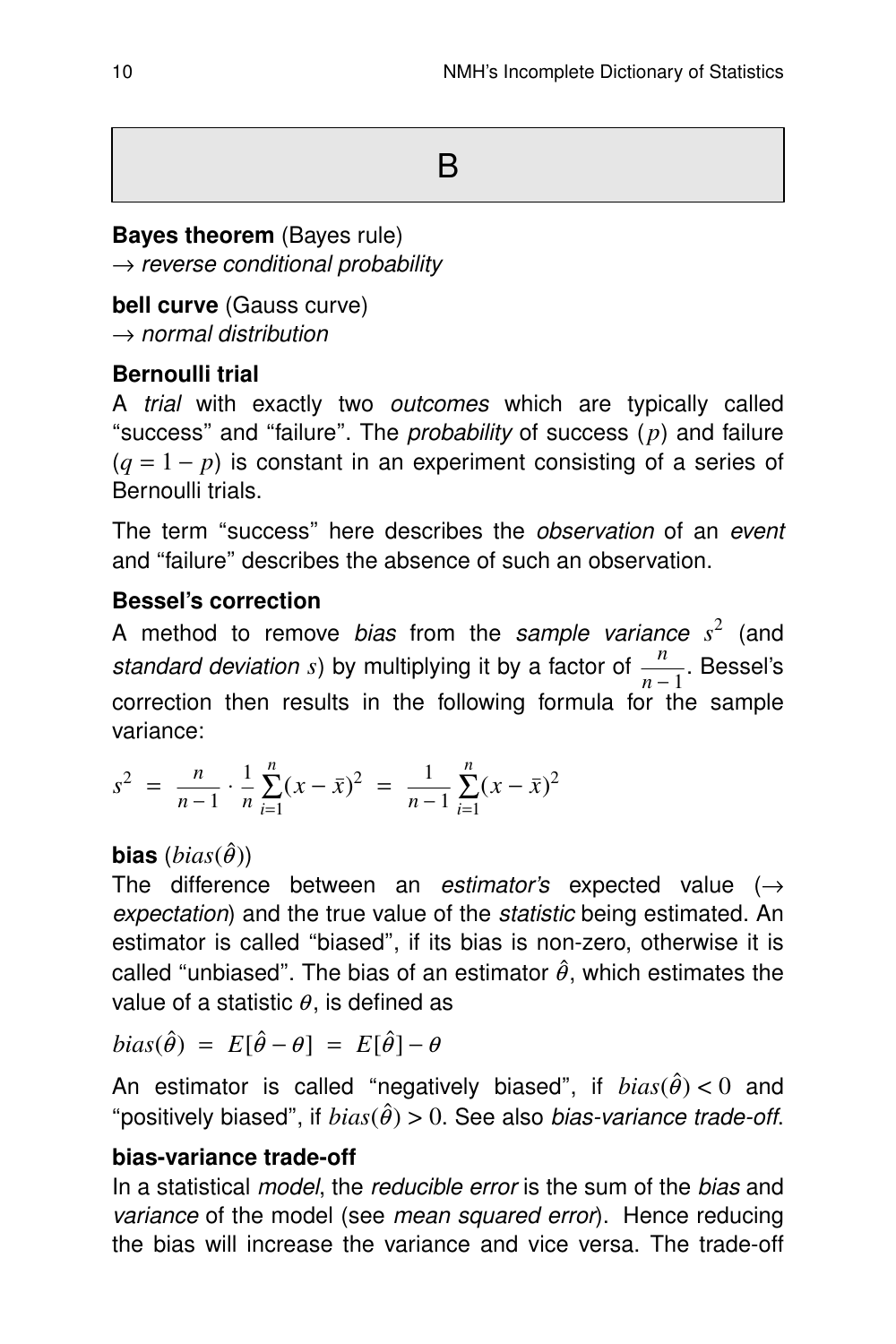B

#### **Bayes theorem** (Bayes rule)

 $\rightarrow$  reverse conditional probability

**bell curve** (Gauss curve)  $\rightarrow$  normal distribution

#### **Bernoulli trial**

A trial with exactly two outcomes which are typically called "success" and "failure". The *probability* of success  $(p)$  and failure  $(q = 1 - p)$  is constant in an experiment consisting of a series of Bernoulli trials.

The term "success" here describes the *observation* of an event and "failure" describes the absence of such an observation.

#### **Bessel's correction**

A method to remove *bias* from the sample variance  $s^2$  (and standard deviation *s*) by multiplying it by a factor of  $\frac{n}{n-1}$ . Bessel's correction then results in the following formula for the sample variance:

$$
s^{2} = \frac{n}{n-1} \cdot \frac{1}{n} \sum_{i=1}^{n} (x - \bar{x})^{2} = \frac{1}{n-1} \sum_{i=1}^{n} (x - \bar{x})^{2}
$$

#### **bias**  $(bias(\hat{\theta}))$

The difference between an estimator's expected value  $(\rightarrow$ expectation) and the true value of the *statistic* being estimated. An estimator is called ''biased'', if its bias is non-zero, otherwise it is called "unbiased". The bias of an estimator  $\hat{\theta}$ , which estimates the value of a statistic  $\theta$ , is defined as

$$
bias(\hat{\theta}) = E[\hat{\theta} - \theta] = E[\hat{\theta}] - \theta
$$

An estimator is called "negatively biased", if  $bias(\hat{\theta}) < 0$  and "positively biased", if  $bias(\hat{\theta}) > 0$ . See also *bias-variance trade-off.* 

#### **bias-variance trade-off**

In a statistical *model*, the *reducible error* is the sum of the *bias* and variance of the model (see mean squared error). Hence reducing the bias will increase the variance and vice versa. The trade-off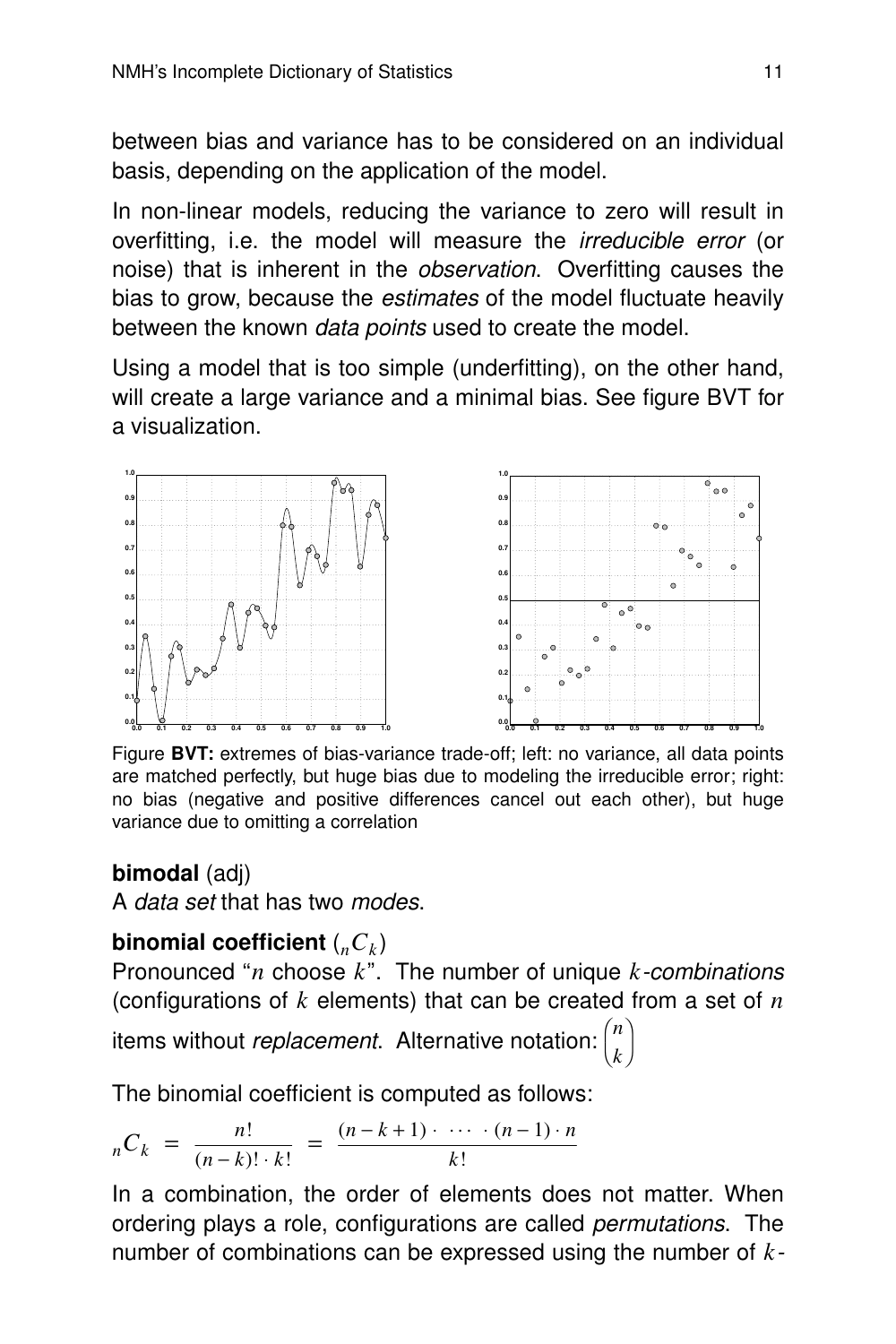between bias and variance has to be considered on an individual basis, depending on the application of the model.

In non-linear models, reducing the variance to zero will result in overfitting, i.e. the model will measure the irreducible error (or noise) that is inherent in the *observation*. Overfitting causes the bias to grow, because the estimates of the model fluctuate heavily between the known *data points* used to create the model.

Using a model that is too simple (underfitting), on the other hand, will create a large variance and a minimal bias. See figure BVT for a visualization.



Figure **BVT:** extremes of bias-variance trade-off; left: no variance, all data points are matched perfectly, but huge bias due to modeling the irreducible error; right: no bias (negative and positive differences cancel out each other), but huge variance due to omitting a correlation

#### **bimodal** (adj)

A data set that has two modes.

#### **binomial coefficient**  $({}_nC_k)$

Pronounced ''*n* choose *k*''. The number of unique *k*-combinations (configurations of *k* elements) that can be created from a set of *n*

> $\lambda$  $\overline{1}$

items without replacement. Alternative notation: l *n k*

The binomial coefficient is computed as follows:

$$
{}_{n}C_{k} = \frac{n!}{(n-k)! \cdot k!} = \frac{(n-k+1) \cdot \cdots \cdot (n-1) \cdot n}{k!}
$$

In a combination, the order of elements does not matter. When ordering plays a role, configurations are called *permutations*. The number of combinations can be expressed using the number of *k*-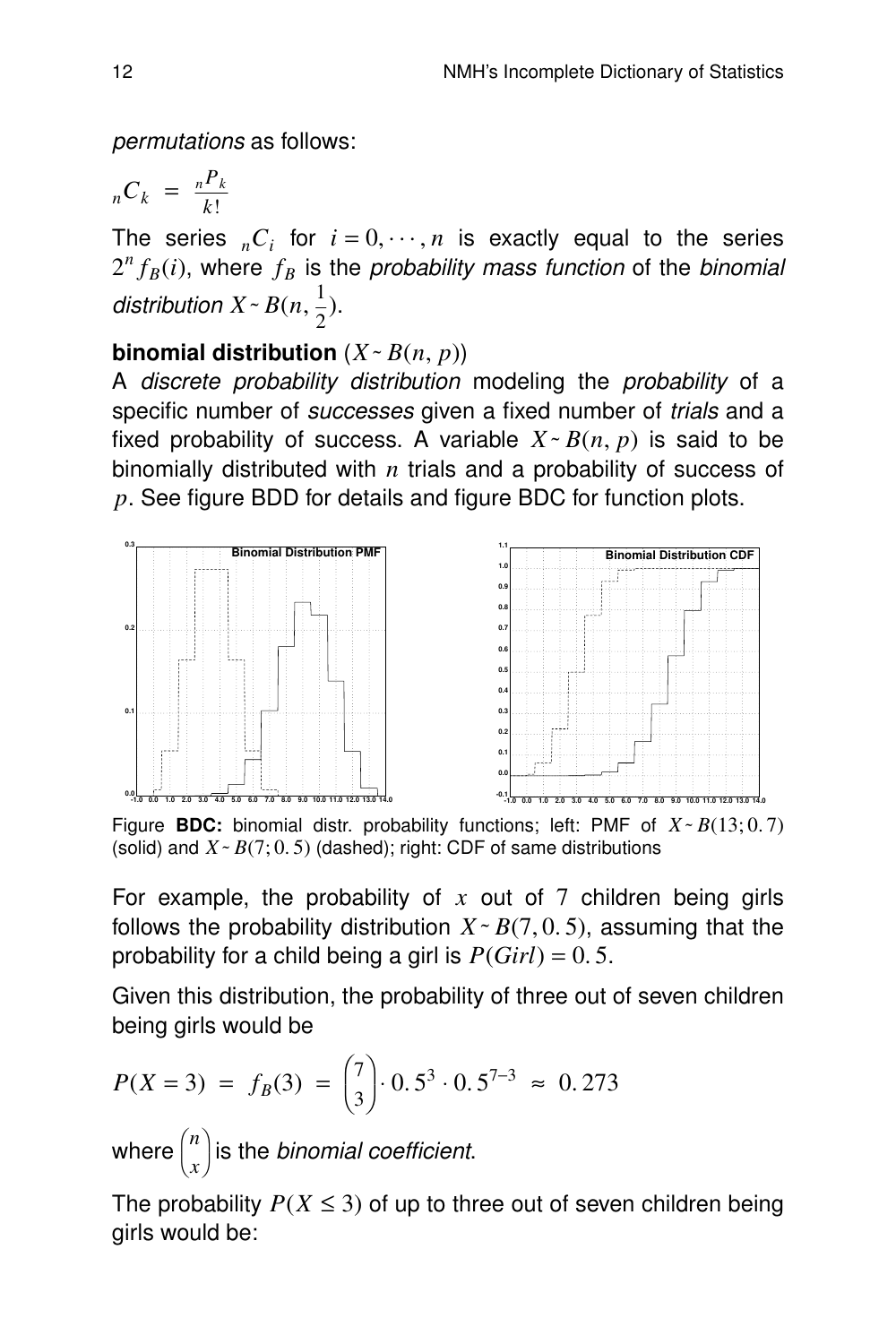permutations as follows:

$$
{}_{n}C_{k} = \frac{{}_{n}P_{k}}{k!}
$$

The series  ${}_{n}C_{i}$  for  $i = 0, \dots, n$  is exactly equal to the series  $2^{n} f_{B}(i)$ , where  $f_{B}$  is the *probability mass function* of the *binomial* distribution  $X \sim B(n, \frac{1}{2})$  $\frac{1}{2}$ ).

#### **binomial distribution**  $(X \sim B(n, p))$

A discrete probability distribution modeling the probability of a specific number of *successes* given a fixed number of *trials* and a fixed probability of success. A variable  $X \sim B(n, p)$  is said to be binomially distributed with *n* trials and a probability of success of *p*. See figure BDD for details and figure BDC for function plots.



Figure **BDC:** binomial distr. probability functions; left: PMF of *X˜ B*(13; 0. 7) (solid) and  $X \sim B(7; 0.5)$  (dashed); right: CDF of same distributions

For example, the probability of *x* out of 7 children being girls follows the probability distribution  $X \sim B(7, 0, 5)$ , assuming that the probability for a child being a girl is  $P(Girl) = 0.5$ .

Given this distribution, the probability of three out of seven children being girls would be

$$
P(X = 3) = f_B(3) = {\binom{7}{3}} \cdot 0.5^3 \cdot 0.5^{7-3} \approx 0.273
$$

where  $\Big($ *n x*  $\overline{\phantom{a}}$  $\int$  is the *binomial coefficient.* 

The probability  $P(X \le 3)$  of up to three out of seven children being girls would be: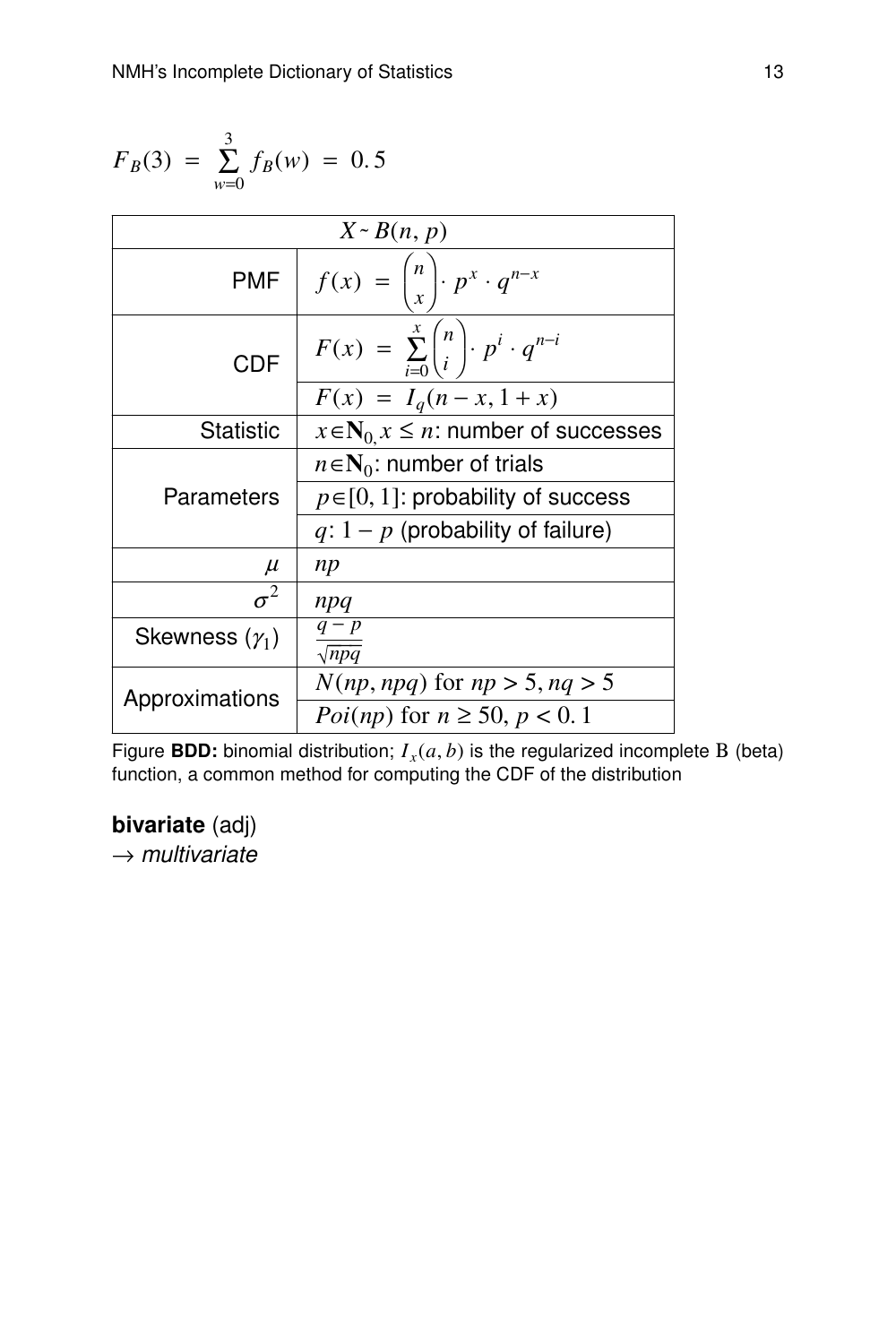$$
F_B(3) = \sum_{w=0}^{3} f_B(w) = 0.5
$$
  
\n**PMF**  $f(x) = {n \choose x} \cdot p^x \cdot q^{n-x}$   
\n**CDF**  $F(x) = \sum_{i=0}^{x} {n \choose i} \cdot p^i \cdot q^{n-i}$   
\n $F(x) = I_q(n-x, 1+x)$   
\n**Statistic**  $x \in N_0, x \le n$ : number of successes  
\n $n \in N_0$ : number of trials  
\nParameters  $p \in [0, 1]$ : probability of success  
\n $q: 1 - p$  (probability of failures)  
\n $\mu$  np  
\n $\sigma^2$  npq  
\nSkewness ( $\gamma_1$ )  $\frac{q-p}{\sqrt{npq}}$   
\nApproximations  $\frac{N(np, npq) \text{ for } np > 5, nq > 5}{Poi(np) \text{ for } n \ge 50, p < 0.1}$ 

Figure **BDD:** binomial distribution; *I <sup>x</sup>* (*a*, *b*) is the regularized incomplete Β (beta) function, a common method for computing the CDF of the distribution

#### **bivariate** (adj)

 $\rightarrow$  multivariate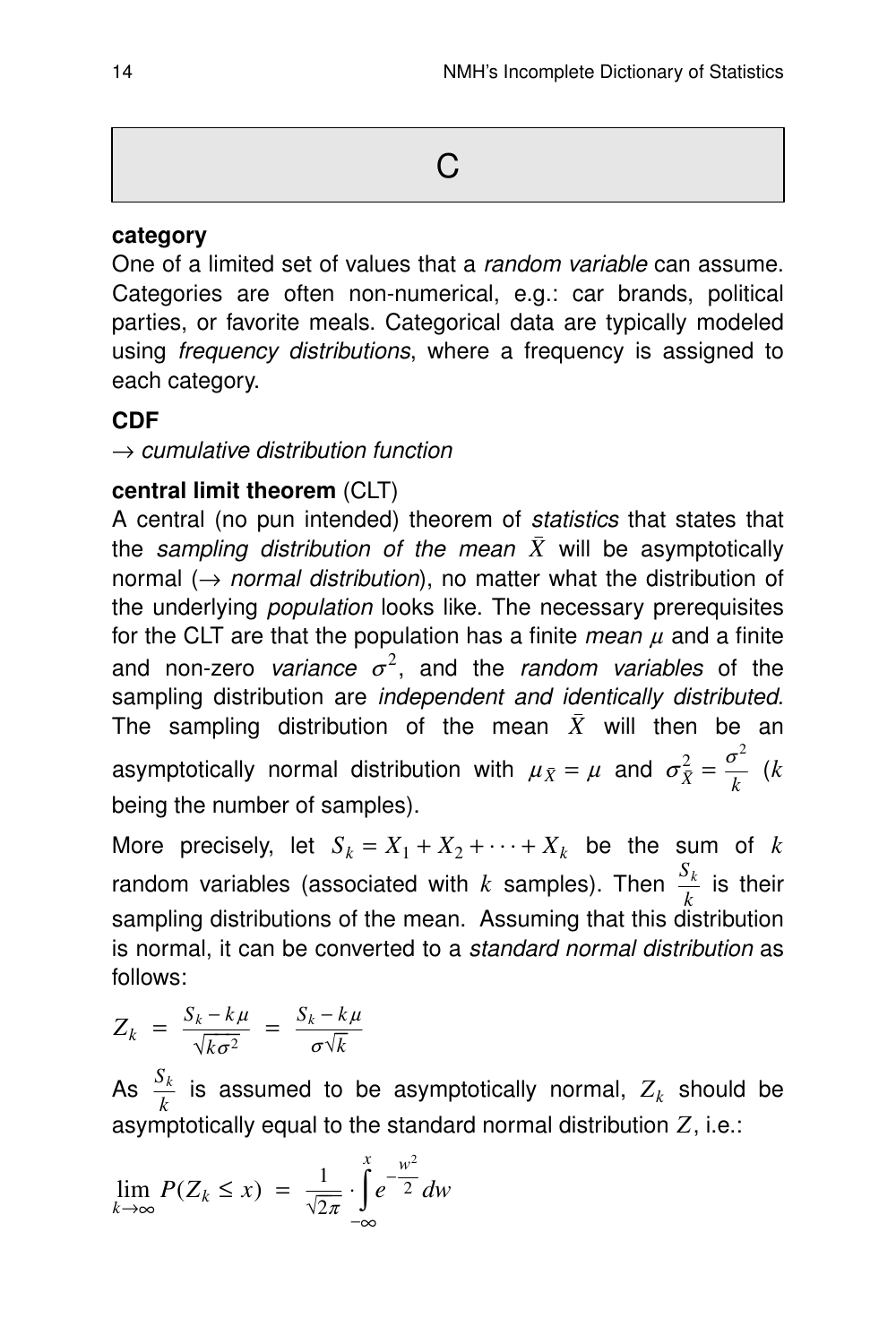#### **categor y**

One of a limited set of values that a *random variable* can assume. Categories are often non-numerical, e.g.: car brands, political parties, or favorite meals. Categorical data are typically modeled using *frequency distributions*, where a frequency is assigned to each category.

#### **CDF**

 $\rightarrow$  cumulative distribution function

#### **central limit theorem** (CLT)

A central (no pun intended) theorem of statistics that states that the sampling distribution of the mean  $\bar{X}$  will be asymptotically normal ( $\rightarrow$  normal distribution), no matter what the distribution of the underlying population looks like. The necessary prerequisites for the CLT are that the population has a finite *mean*  $\mu$  and a finite and non-zero variance  $\sigma^2$ , and the random variables of the sampling distribution are *independent and identically distributed*. The sampling distribution of the mean  $\bar{X}$  will then be an asymptotically normal distribution with  $\mu_{\bar{X}} = \mu$  and  $\sigma_{\bar{X}}^2$  $\frac{2}{\bar{X}} = \frac{\sigma^2}{k}$ *k* (*k* being the number of samples).

More precisely, let  $S_k = X_1 + X_2 + \cdots + X_k$  be the sum of *k* random variables (associated with *k* samples). Then  $\frac{S_k}{k}$  is their sampling distributions of the mean. Assuming that this distribution is normal, it can be converted to a standard normal distribution as follows:

$$
Z_k = \frac{S_k - k\mu}{\sqrt{k\sigma^2}} = \frac{S_k - k\mu}{\sigma\sqrt{k}}
$$

As  $\frac{S_k}{k}$  is assumed to be asymptotically normal,  $Z_k$  should be asymptotically equal to the standard normal distribution *Z*, i.e.:

$$
\lim_{k \to \infty} P(Z_k \le x) = \frac{1}{\sqrt{2\pi}} \cdot \int_{-\infty}^{x} e^{-\frac{w^2}{2}} dw
$$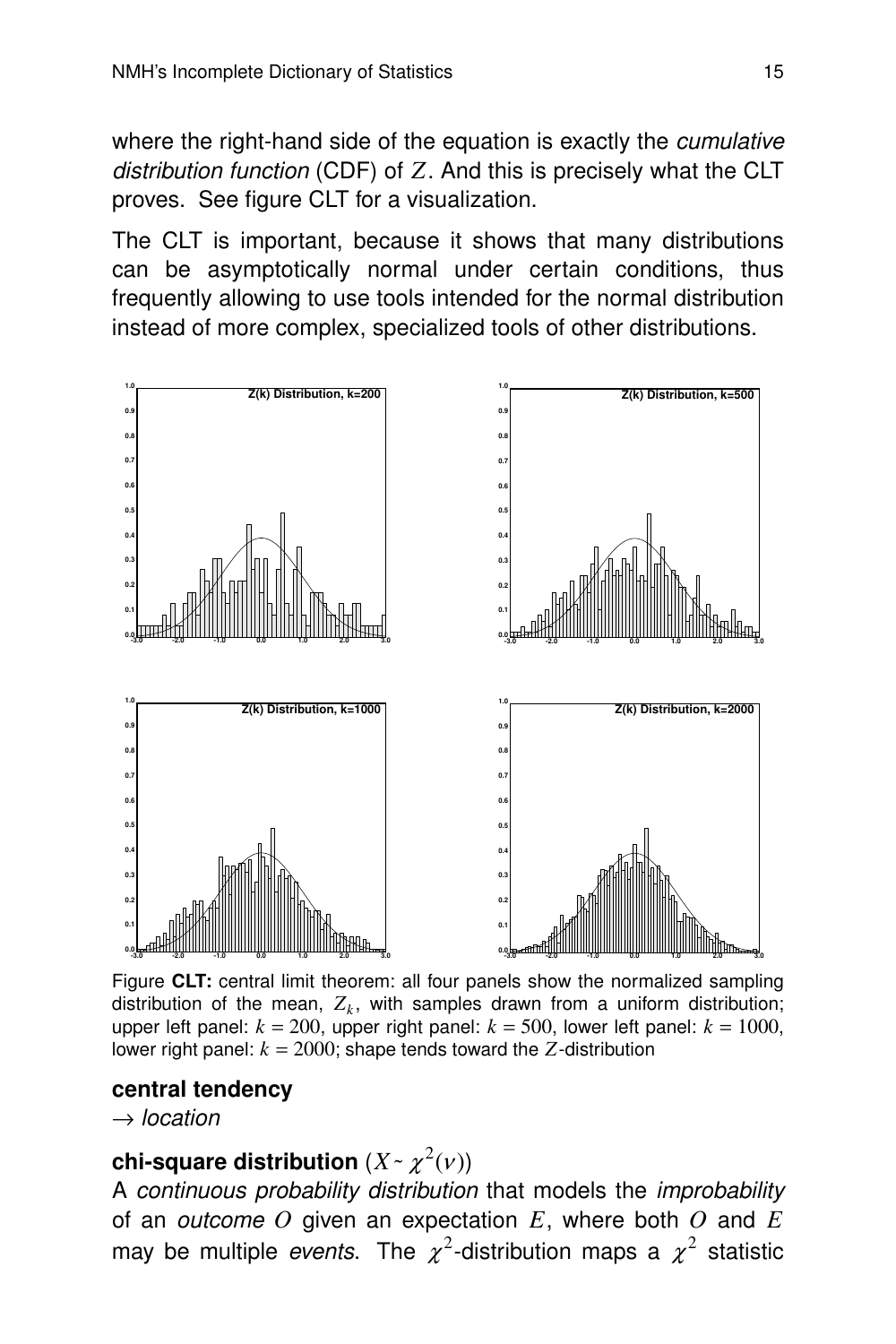where the right-hand side of the equation is exactly the *cumulative* distribution function (CDF) of Z. And this is precisely what the CLT proves. See figure CLT for a visualization.

The CLT is important, because it shows that many distributions can be asymptotically normal under certain conditions, thus frequently allowing to use tools intended for the normal distribution instead of more complex, specialized tools of other distributions.



Figure **CLT:** central limit theorem: all four panels show the normalized sampling distribution of the mean,  $Z_k$ , with samples drawn from a uniform distribution; upper left panel:  $k = 200$ , upper right panel:  $k = 500$ , lower left panel:  $k = 1000$ , lower right panel:  $k = 2000$ ; shape tends toward the  $Z$ -distribution

#### **central tendency**

 $\rightarrow$  location

# chi-square distribution  $(X \cdot \chi^2(\nu))$

A continuous probability distribution that models the improbability of an outcome *O* given an expectation *E*, where both *O* and *E* may be multiple events. The  $\chi^2$ -distribution maps a  $\chi^2$  statistic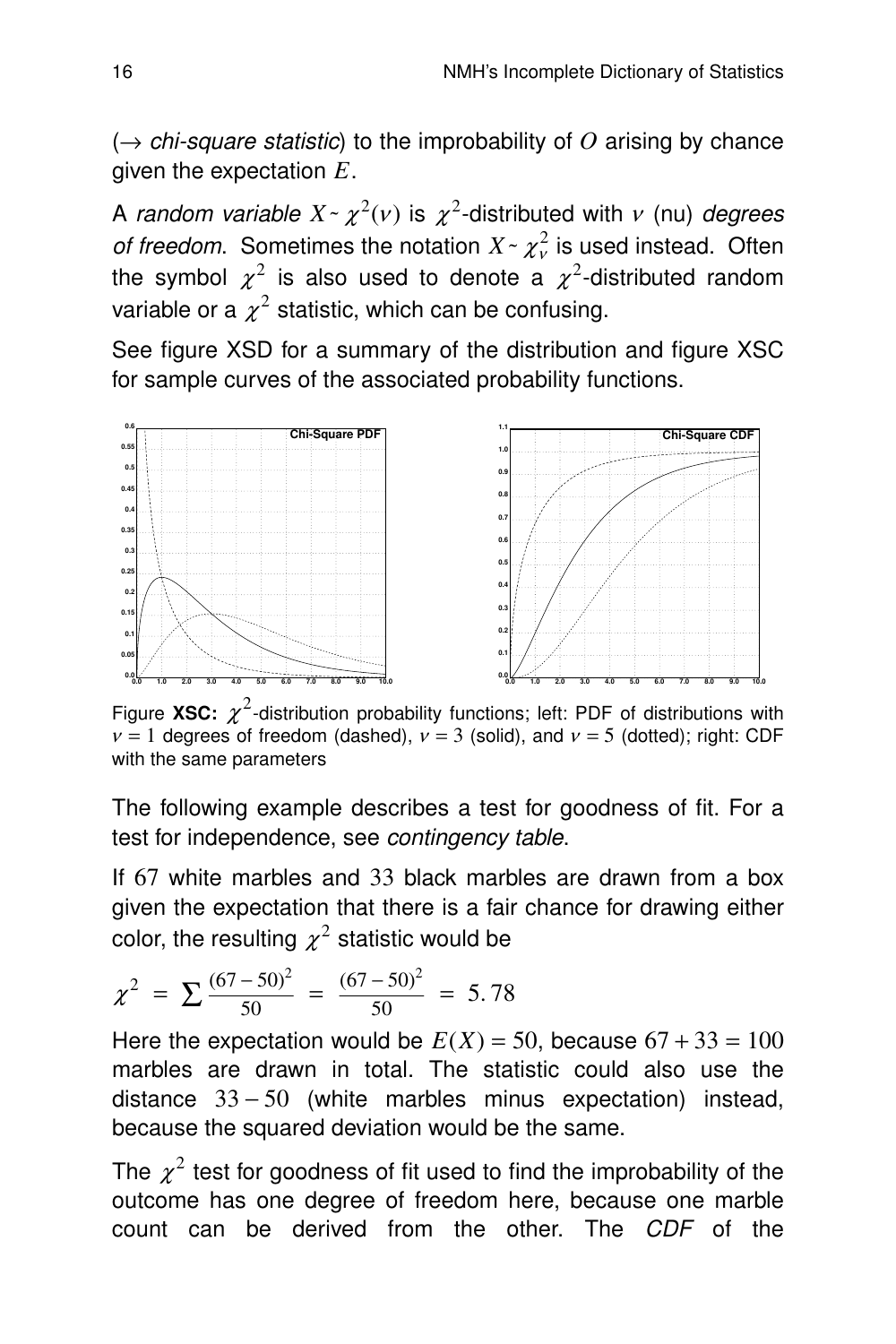$\rightarrow$  chi-square statistic) to the improbability of O arising by chance given the expectation *E*.

A random variable  $X \sim \chi^2(\nu)$  is  $\chi^2$ -distributed with  $\nu$  (nu) degrees *of freedom.* Sometimes the notation  $X \sim \chi^2$  is used instead. Often the symbol  $\chi^2$  is also used to denote a  $\chi^2$ -distributed random variable or a  $\chi^2$  statistic, which can be confusing.

See figure XSD for a summary of the distribution and figure XSC for sample curves of the associated probability functions.



Figure XSC:  $\chi^2$ -distribution probability functions; left: PDF of distributions with  $v = 1$  degrees of freedom (dashed),  $v = 3$  (solid), and  $v = 5$  (dotted); right: CDF with the same parameters

The following example describes a test for goodness of fit. For a test for independence, see contingency table.

If 67 white marbles and 33 black marbles are drawn from a box given the expectation that there is a fair chance for drawing either color, the resulting  $\chi^2$  statistic would be

$$
\chi^2 = \sum \frac{(67-50)^2}{50} = \frac{(67-50)^2}{50} = 5.78
$$

Here the expectation would be  $E(X) = 50$ , because  $67 + 33 = 100$ marbles are drawn in total. The statistic could also use the distance  $33 - 50$  (white marbles minus expectation) instead, because the squared deviation would be the same.

The  $\chi^2$  test for goodness of fit used to find the improbability of the outcome has one degree of freedom here, because one marble count can be derived from the other. The CDF of the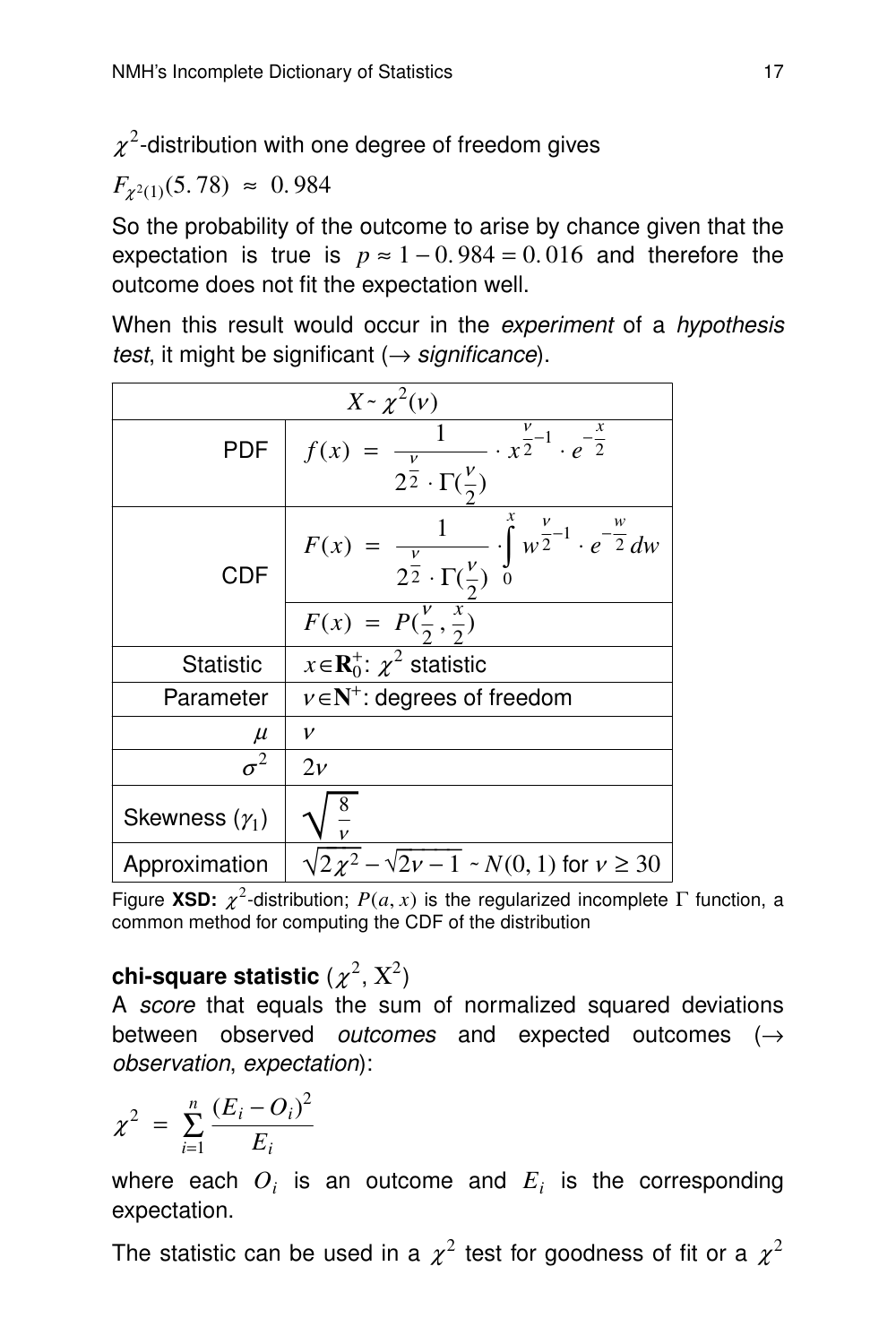$\chi^2$ -distribution with one degree of freedom gives

 $F_{\chi^2(1)}(5.78) \approx 0.984$ 

So the probability of the outcome to arise by chance given that the expectation is true is  $p \approx 1 - 0.984 = 0.016$  and therefore the outcome does not fit the expectation well.

When this result would occur in the experiment of a hypothesis test, it might be significant ( $\rightarrow$  significance).

| $X \sim \chi^2(\nu)$  |                                                                                                                             |  |  |
|-----------------------|-----------------------------------------------------------------------------------------------------------------------------|--|--|
| PDF                   | $f(x) = \frac{1}{2^{\frac{v}{2}} \cdot \Gamma(\frac{v}{2})} \cdot x^{\frac{v}{2}-1} \cdot e^{-\frac{x}{2}}$                 |  |  |
| <b>CDF</b>            | $F(x) = \frac{1}{2^{\frac{v}{2}} \cdot \Gamma(\frac{v}{2})} \cdot \int_{0}^{x} w^{\frac{v}{2}-1} \cdot e^{-\frac{w}{2}} dw$ |  |  |
|                       | $F(x) = P(\frac{v}{2}, \frac{x}{2})$                                                                                        |  |  |
| <b>Statistic</b>      | $x \in \mathbf{R}_0^+$ : $\chi^2$ statistic                                                                                 |  |  |
| Parameter             | $v \in N^+$ : degrees of freedom                                                                                            |  |  |
| $\mu$                 | v                                                                                                                           |  |  |
| $\sigma^2$            | $2\nu$                                                                                                                      |  |  |
| Skewness $(\gamma_1)$ |                                                                                                                             |  |  |
| Approximation         | $2\chi^2 - \sqrt{2}\nu - 1 \sim N(0, 1)$ for $\nu \ge 30$                                                                   |  |  |

Figure XSD:  $\chi^2$ -distribution;  $P(a, x)$  is the regularized incomplete Γ function, a common method for computing the CDF of the distribution

#### $\mathsf{chi}\text{-}\mathsf{square}$  statistic  $(\chi^2,\, \mathrm{X}^2)$

A score that equals the sum of normalized squared deviations between observed outcomes and expected outcomes  $(\rightarrow$ obser vation, expectation):

$$
\chi^2 = \sum_{i=1}^n \frac{(E_i - O_i)^2}{E_i}
$$

where each  $O_i$  is an outcome and  $E_i$  is the corresponding expectation.

The statistic can be used in a  $\chi^2$  test for goodness of fit or a  $\chi^2$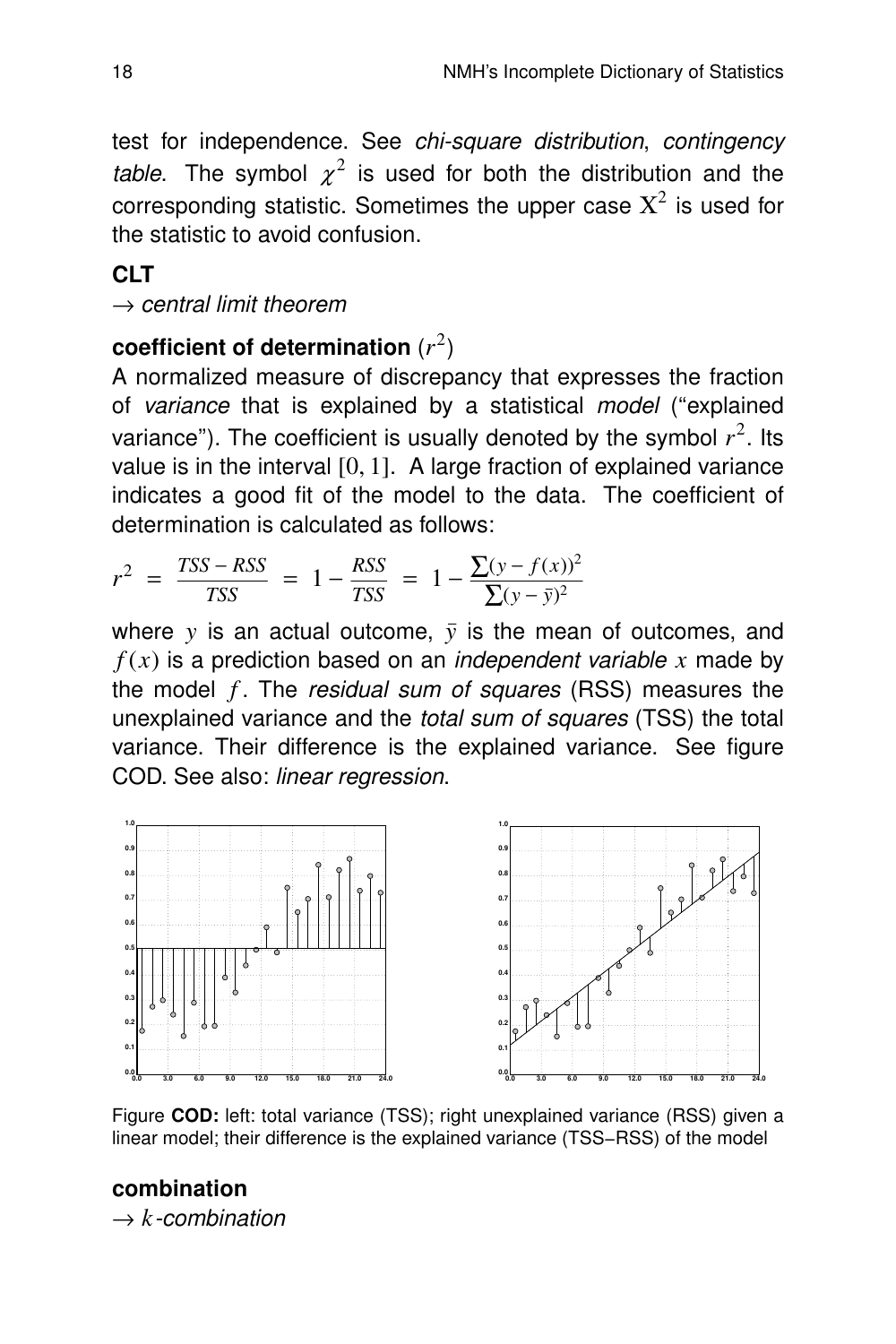test for independence. See chi-square distribution, contingency table. The symbol  $\chi^2$  is used for both the distribution and the corresponding statistic. Sometimes the upper case  $\mathrm{X}^2$  is used for the statistic to avoid confusion.

#### **CLT**

 $\rightarrow$  central limit theorem

#### **coefficient of determination** (*r* 2 )

A normalized measure of discrepancy that expresses the fraction of variance that is explained by a statistical model ("explained variance"). The coefficient is usually denoted by the symbol  $r^2$ . Its value is in the interval  $[0, 1]$ . A large fraction of explained variance indicates a good fit of the model to the data. The coefficient of determination is calculated as follows:

$$
r^{2} = \frac{TSS - RSS}{TSS} = 1 - \frac{RSS}{TSS} = 1 - \frac{\sum(y - f(x))^{2}}{\sum(y - \bar{y})^{2}}
$$

where  $y$  is an actual outcome,  $\bar{y}$  is the mean of outcomes, and  $f(x)$  is a prediction based on an *independent variable x* made by the model *f* . The residual sum of squares (RSS) measures the unexplained variance and the *total sum of squares* (TSS) the total variance. Their difference is the explained variance. See figure COD. See also: linear regression.



Figure **COD:** left: total variance (TSS); right unexplained variance (RSS) given a linear model; their difference is the explained variance (TSS-RSS) of the model

# **combination**

 $\rightarrow k$ -combination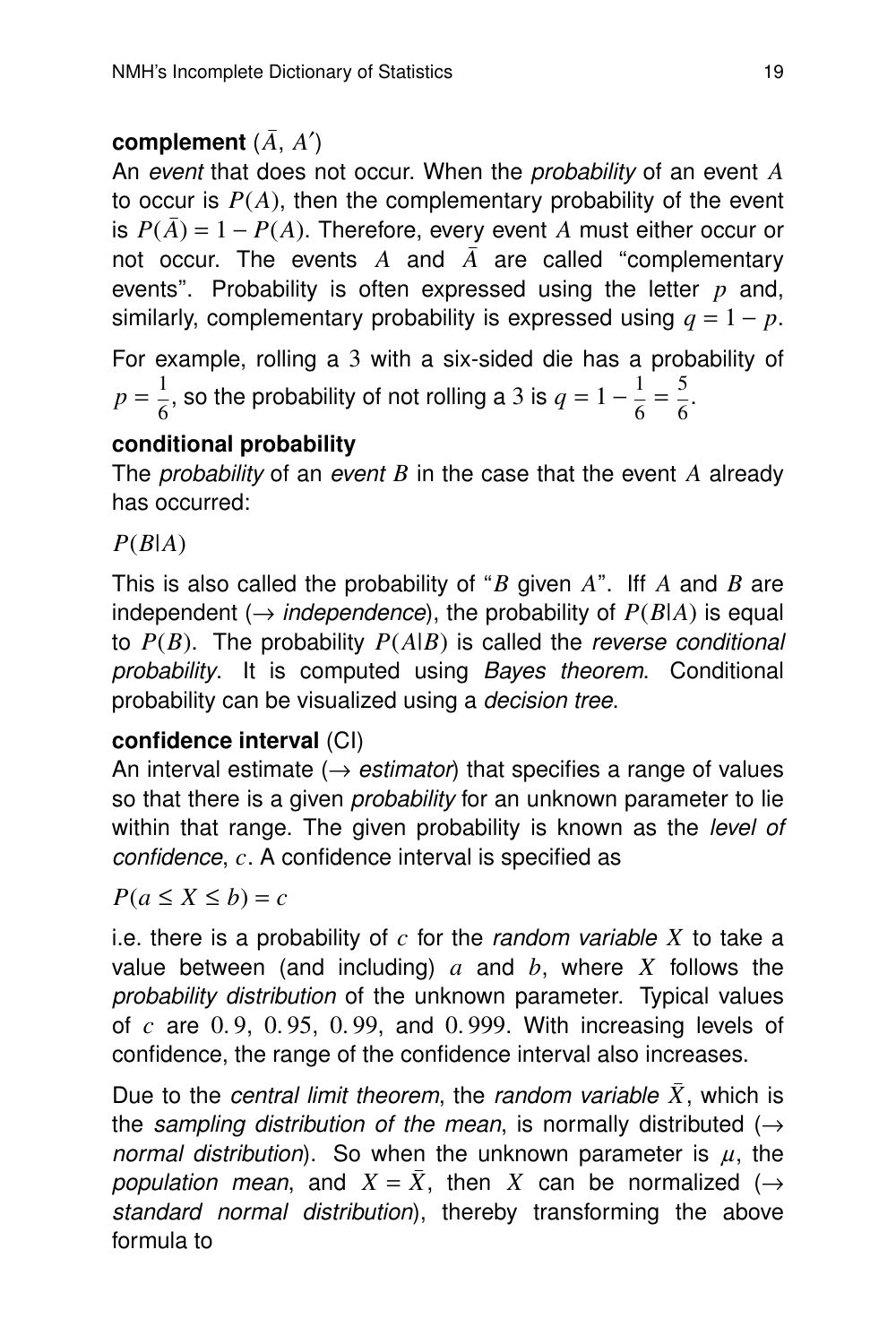#### **complement** (*A*, *A*′)

An event that does not occur. When the *probability* of an event A to occur is  $P(A)$ , then the complementary probability of the event is  $P(\overline{A}) = 1 - P(A)$ . Therefore, every event A must either occur or not occur. The events  $A$  and  $\overline{A}$  are called "complementary events". Probability is often expressed using the letter *p* and, similarly, complementary probability is expressed using  $q = 1 - p$ .

For example, rolling a 3 with a six-sided die has a probability of  $p=\frac{1}{\epsilon}$  $\frac{1}{6}$ , so the probability of not rolling a 3 is  $q = 1 - \frac{1}{6}$  $\frac{1}{6} = \frac{5}{6}$  $\frac{5}{6}$ .

#### **conditional probability**

The *probability* of an *event B* in the case that the event  $A$  already has occurred:

*P*(*B*|*A*)

This is also called the probability of ''*B* given *A*''. Iff *A* and *B* are independent ( $\rightarrow$  *independence*), the probability of  $P(B|A)$  is equal to  $P(B)$ . The probability  $P(A|B)$  is called the reverse conditional probability. It is computed using Bayes theorem. Conditional probability can be visualized using a decision tree.

#### **confidence interval** (CI)

An interval estimate ( $\rightarrow$  estimator) that specifies a range of values so that there is a given *probability* for an unknown parameter to lie within that range. The given probability is known as the level of confidence, c. A confidence interval is specified as

 $P(a \leq X \leq b) = c$ 

i.e. there is a probability of  $c$  for the *random variable X* to take a value between (and including) *a* and *b*, where *X* follows the probability distribution of the unknown parameter. Typical values of *c* are 0. 9, 0. 95, 0. 99, and 0. 999. With increasing levels of confidence, the range of the confidence interval also increases.

Due to the *central limit theorem*, the *random variable*  $\bar{X}$ , which is the sampling distribution of the mean, is normally distributed ( $\rightarrow$ normal distribution). So when the unknown parameter is  $\mu$ , the population mean, and  $X = \overline{X}$ , then X can be normalized ( $\rightarrow$ standard normal distribution), thereby transforming the above formula to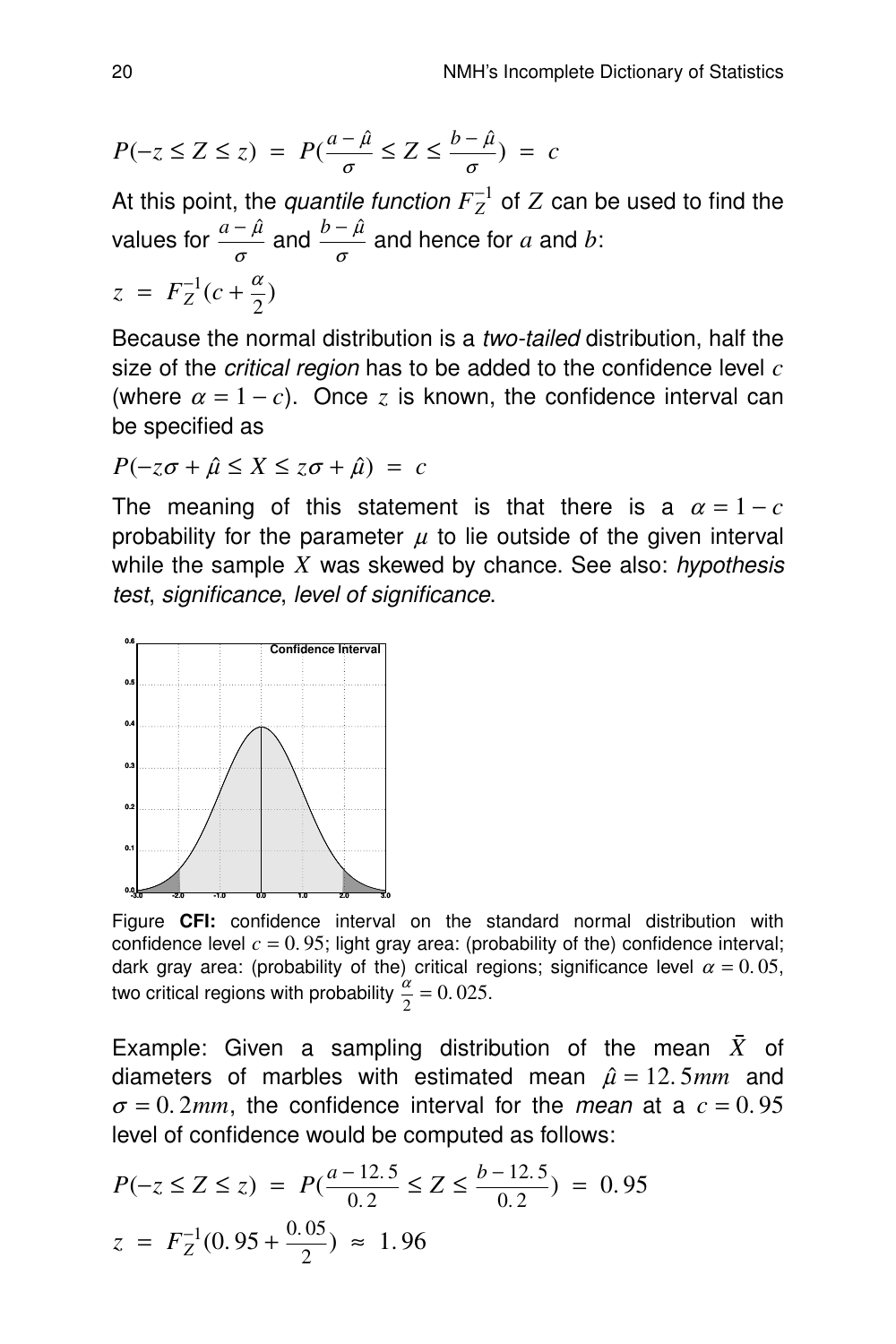$$
P(-z \le Z \le z) = P(\frac{a-\hat{\mu}}{\sigma} \le Z \le \frac{b-\hat{\mu}}{\sigma}) = c
$$

At this point, the *quantile function*  $F_Z^{-1}$  of  $Z$  can be used to find the values for  $\frac{a-\hat{\mu}}{\sigma}$  and  $\frac{b-\hat{\mu}}{\sigma}$  and hence for  $a$  and  $b$ :  $z = F_Z^{-1}(c + \frac{\alpha}{2})$ 

Because the normal distribution is a *two-tailed* distribution, half the size of the *critical region* has to be added to the confidence level *c* (where 
$$
\alpha = 1 - c
$$
). Once *z* is known, the confidence interval can be specified as

$$
P(-z\sigma + \hat{\mu} \le X \le z\sigma + \hat{\mu}) = c
$$

The meaning of this statement is that there is a  $\alpha = 1 - c$ probability for the parameter  $\mu$  to lie outside of the given interval while the sample  $X$  was skewed by chance. See also: hypothesis test, significance, level of significance.



Figure **CFI:** confidence interval on the standard normal distribution with confidence level  $c = 0.95$ ; light gray area: (probability of the) confidence interval; dark gray area: (probability of the) critical regions; significance level  $\alpha = 0.05$ , two critical regions with probability  $\frac{\alpha}{2} = 0.025$ .

Example: Given a sampling distribution of the mean  $\bar{X}$  of diameters of marbles with estimated mean  $\hat{\mu} = 12.5$ *mm* and  $\sigma = 0.2$ *mm*, the confidence interval for the *mean* at a  $c = 0.95$ level of confidence would be computed as follows:

$$
P(-z \le Z \le z) = P(\frac{a - 12.5}{0.2} \le Z \le \frac{b - 12.5}{0.2}) = 0.95
$$
  

$$
z = F_Z^{-1}(0.95 + \frac{0.05}{2}) \approx 1.96
$$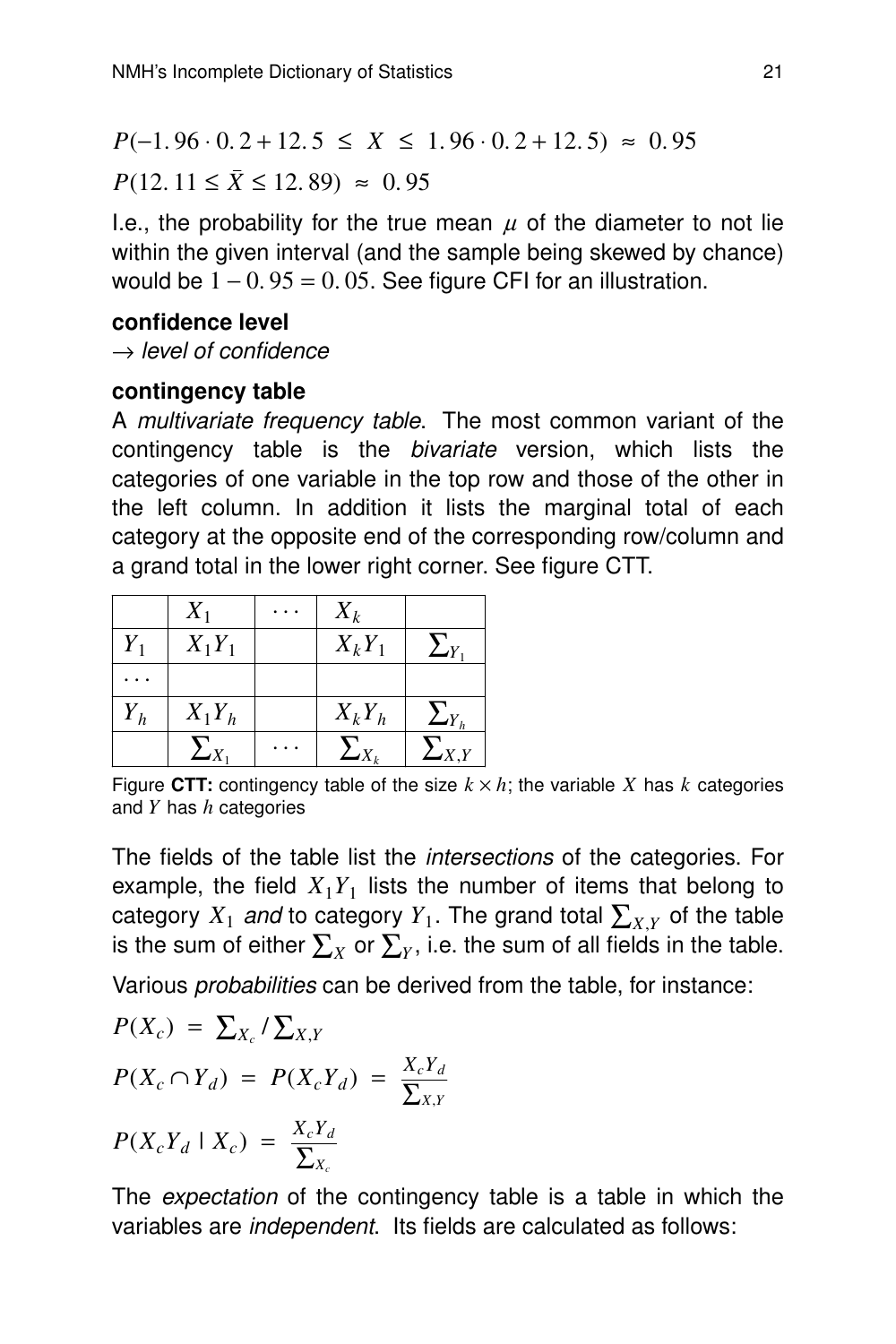$P(-1.96 \cdot 0.2 + 12.5 \leq X \leq 1.96 \cdot 0.2 + 12.5) \approx 0.95$ 

 $P(12. 11 \le \bar{X} \le 12.89) \approx 0.95$ 

I.e., the probability for the true mean  $\mu$  of the diameter to not lie within the given interval (and the sample being skewed by chance) would be  $1 - 0.95 = 0.05$ . See figure CFI for an illustration.

#### **confidence level**

 $\rightarrow$  level of confidence

#### **conting ency table**

A multivariate frequency table. The most common variant of the contingency table is the *bivariate* version, which lists the categories of one variable in the top row and those of the other in the left column. In addition it lists the marginal total of each category at the opposite end of the corresponding row/column and a grand total in the lower right corner. See figure CTT.

|       | $X_1$        | $X_k$        |                                |
|-------|--------------|--------------|--------------------------------|
| $Y_1$ | $X_1Y_1$     | $X_kY_1$     | $^{\prime}$ $_{\mathcal{N}}$ . |
|       |              |              |                                |
| $Y_h$ | $X_1Y_h$     | $X_k Y_h$    | $\sum_{Y_h}$                   |
|       | $\sum_{X_1}$ | $\sum_{X_k}$ | $\sum_{X,Y}$                   |

Figure CTT: contingency table of the size  $k \times h$ ; the variable X has k categories and *Y* has *h* categories

The fields of the table list the intersections of the categories. For example, the field  $X_1 Y_1$  lists the number of items that belong to category  $X_1$  and to category  $Y_1$ . The grand total  $\sum_{X,Y}$  of the table is the sum of either  $\sum_X$  or  $\sum_Y$ , i.e. the sum of all fields in the table.

Various probabilities can be derived from the table, for instance:

$$
P(X_c) = \sum_{X_c} / \sum_{X,Y}
$$
  
\n
$$
P(X_c \cap Y_d) = P(X_c Y_d) = \frac{X_c Y_d}{\sum_{X,Y}}
$$
  
\n
$$
P(X_c Y_d | X_c) = \frac{X_c Y_d}{\sum_{X_c}}
$$

The *expectation* of the contingency table is a table in which the variables are independent. Its fields are calculated as follows: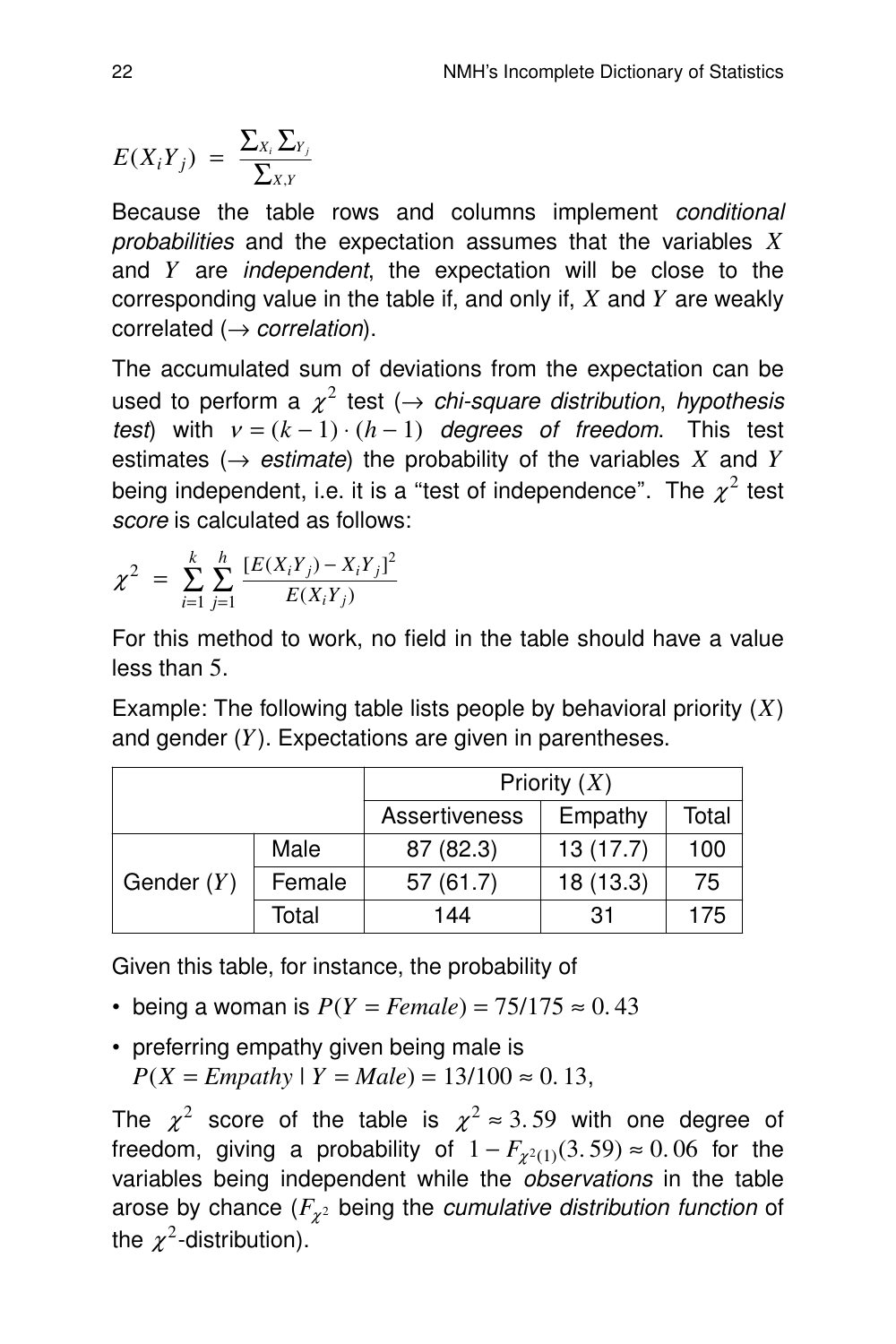$$
E(X_i Y_j) = \frac{\sum_{X_i} \sum_{Y_j}}{\sum_{X,Y}}
$$

Because the table rows and columns implement conditional probabilities and the expectation assumes that the variables X and *Y* are independent, the expectation will be close to the corresponding value in the table if, and only if, *X* and *Y* are weakly correlated  $(\rightarrow correlation)$ .

The accumulated sum of deviations from the expectation can be used to perform a  $\chi^2$  test ( $\rightarrow$  chi-square distribution, hypothesis test) with  $v = (k - 1) \cdot (h - 1)$  degrees of freedom. This test estimates ( $\rightarrow$  *estimate*) the probability of the variables *X* and *Y* being independent, i.e. it is a "test of independence". The  $\chi^2$  test score is calculated as follows:

$$
\chi^2 = \sum_{i=1}^k \sum_{j=1}^h \frac{[E(X_i Y_j) - X_i Y_j]^2}{E(X_i Y_j)}
$$

For this method to work, no field in the table should have a value less than 5.

Example: The following table lists people by behavioral priority  $(X)$ and gender (*Y*). Expectations are given in parentheses.

|              |        | Priority $(X)$ |          |       |  |
|--------------|--------|----------------|----------|-------|--|
|              |        | Assertiveness  | Empathy  | Total |  |
| Gender $(Y)$ | Male   | 87 (82.3)      | 13(17.7) | 100   |  |
|              | Female | 57(61.7)       | 18(13.3) | 75    |  |
|              | Total  | 144            | .31      | 175   |  |

Given this table, for instance, the probability of

- being a woman is  $P(Y = Female) = 75/175 \approx 0.43$
- preferring empathy given being male is  $P(X = Empathy | Y = Male) = 13/100 \approx 0.13$ ,

The  $\chi^2$  score of the table is  $\chi^2 \approx 3.59$  with one degree of freedom, giving a probability of  $1-F_{\chi^2(1)}(3.59) \approx 0.06$  for the variables being independent while the observations in the table arose by chance ( $F_{\chi^2}$  being the *cumulative distribution function* of the  $\chi^2$ -distribution).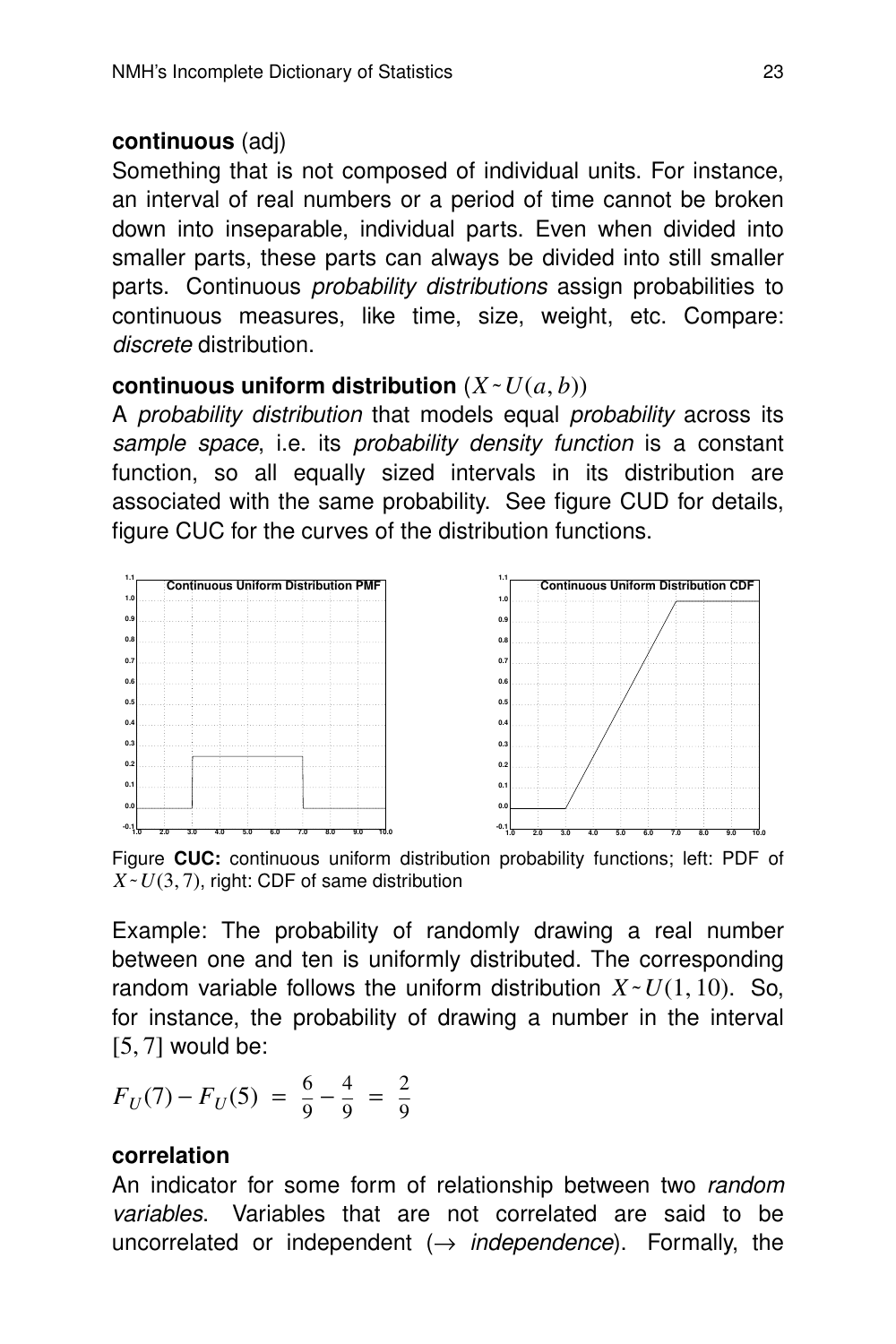#### **continuous** (adj)

Something that is not composed of individual units. For instance, an interval of real numbers or a period of time cannot be broken down into inseparable, individual parts. Even when divided into smaller parts, these parts can always be divided into still smaller parts. Continuous *probability distributions* assign probabilities to continuous measures, like time, size, weight, etc. Compare: discrete distribution.

#### **continuous uniform distribution**  $(X \sim U(a, b))$

A probability distribution that models equal probability across its sample space, i.e. its probability density function is a constant function, so all equally sized intervals in its distribution are associated with the same probability. See figure CUD for details, figure CUC for the curves of the distribution functions.



Figure CUC: continuous uniform distribution probability functions; left: PDF of  $X \sim U(3, 7)$ , right: CDF of same distribution

Example: The probability of randomly drawing a real number between one and ten is uniformly distributed. The corresponding random variable follows the uniform distribution  $X \sim U(1, 10)$ . So, for instance, the probability of drawing a number in the interval  $[5, 7]$  would be:

$$
F_U(7) - F_U(5) = \frac{6}{9} - \frac{4}{9} = \frac{2}{9}
$$

#### **correlation**

An indicator for some form of relationship between two random variables. Variables that are not correlated are said to be uncorrelated or independent  $(\rightarrow$  *independence*). Formally, the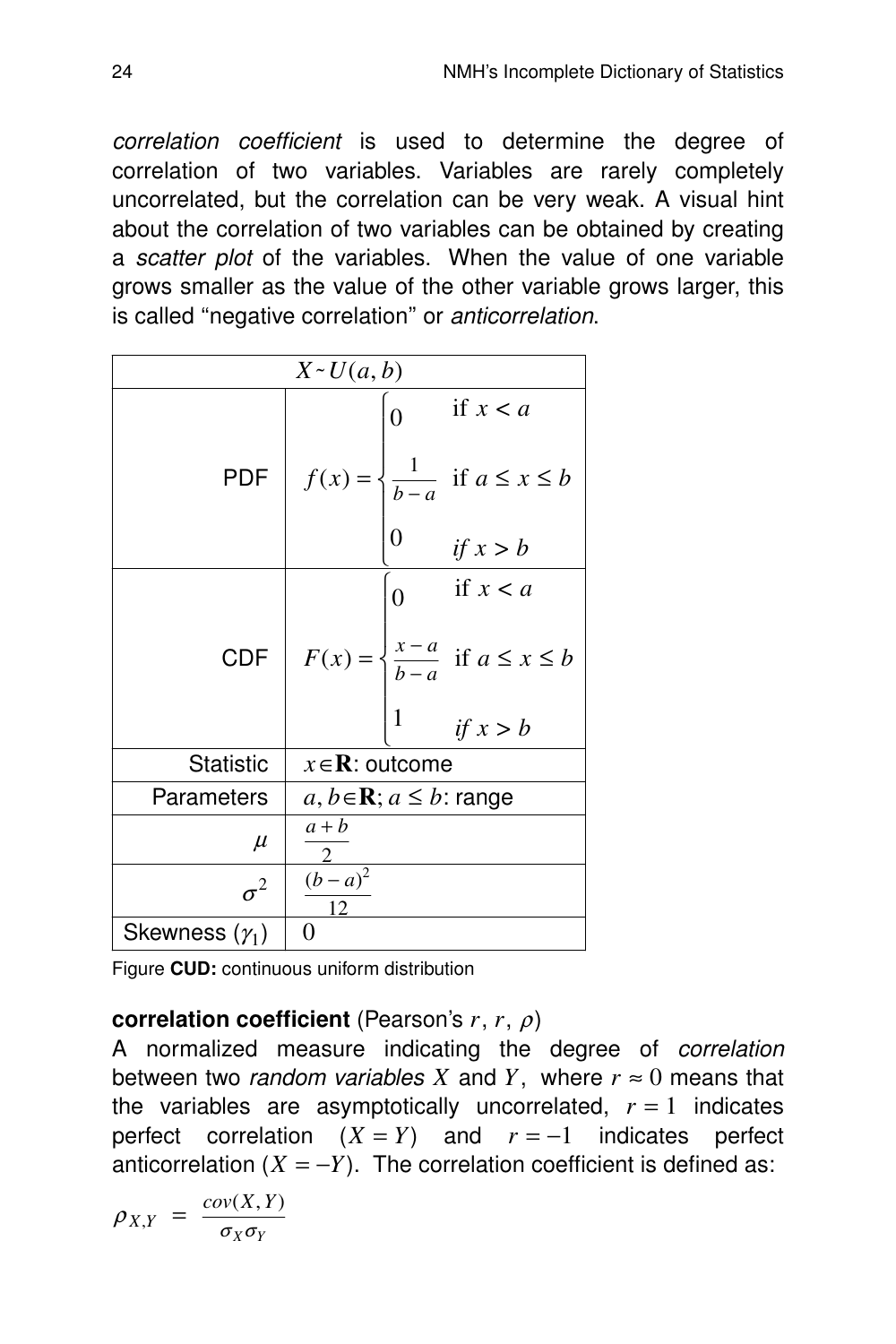correlation coefficient is used to determine the degree of correlation of two variables. Variables are rarely completely uncorrelated, but the correlation can be very weak. A visual hint about the correlation of two variables can be obtained by creating a scatter plot of the variables. When the value of one variable grows smaller as the value of the other variable grows larger, this is called "negative correlation" or anticorrelation.

| $X \sim U(a, b)$      |                                                                                                             |  |  |
|-----------------------|-------------------------------------------------------------------------------------------------------------|--|--|
|                       | if $x < a$<br>$\overline{0}$                                                                                |  |  |
|                       | PDF $f(x) = \begin{cases} \frac{1}{b-a} & \text{if } a \leq x \leq b \\ 0 & \text{if } x > b \end{cases}$   |  |  |
|                       |                                                                                                             |  |  |
|                       | if $x < a$<br>$\overline{0}$                                                                                |  |  |
|                       | CDF $F(x) = \begin{cases} \frac{x-a}{b-a} & \text{if } a \leq x \leq b \\ 1 & \text{if } x > b \end{cases}$ |  |  |
|                       |                                                                                                             |  |  |
| <b>Statistic</b>      | $x \in \mathbb{R}$ : outcome                                                                                |  |  |
| Parameters            | $a, b \in \mathbf{R}; a \leq b$ : range                                                                     |  |  |
| $\mu$                 | $a + b$                                                                                                     |  |  |
| $\sigma^2$            | $(b-a)^2$<br>12                                                                                             |  |  |
| Skewness $(\gamma_1)$ | $\theta$                                                                                                    |  |  |

Figure **CUD:** continuous uniform distribution

#### **correlation coefficient** (Pearson's *r*, *r*, <sup>ρ</sup>)

A normalized measure indicating the degree of *correlation* between two *random variables X* and *Y*, where  $r \approx 0$  means that the variables are asymptotically uncorrelated,  $r = 1$  indicates perfect correlation  $(X = Y)$  and  $r = -1$  indicates perfect anticorrelation  $(X = -Y)$ . The correlation coefficient is defined as:

$$
\rho_{X,Y} = \frac{cov(X,Y)}{\sigma_X \sigma_Y}
$$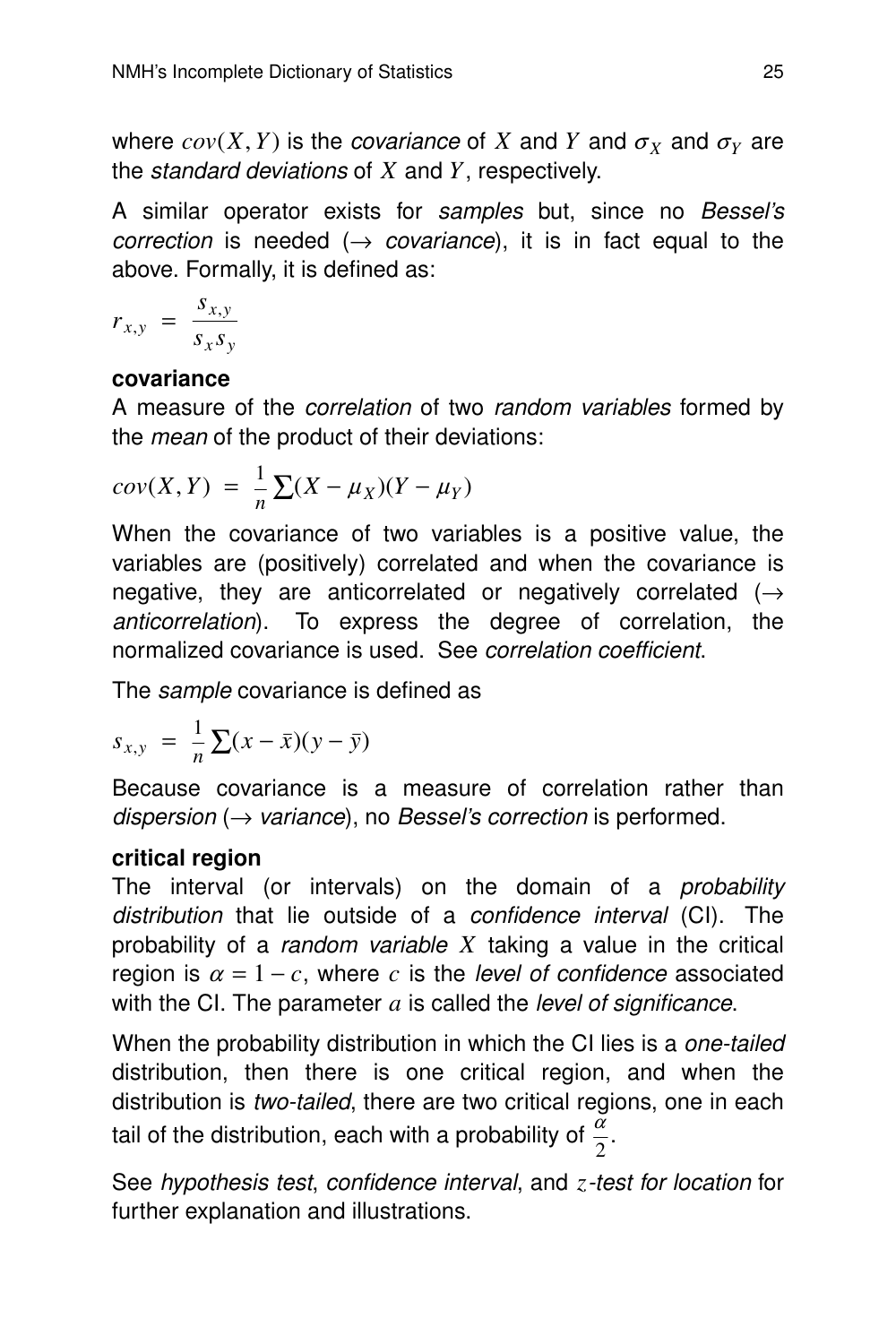where  $cov(X, Y)$  is the *covariance* of X and Y and  $\sigma_Y$  and  $\sigma_Y$  are the standard deviations of *X* and *Y*, respectively.

A similar operator exists for samples but, since no Bessel's correction is needed  $(\rightarrow$  covariance), it is in fact equal to the above. Formally, it is defined as:

$$
r_{x,y} = \frac{s_{x,y}}{s_x s_y}
$$

#### **covariance**

A measure of the *correlation* of two random variables formed by the *mean* of the product of their deviations:

$$
cov(X,Y) = \frac{1}{n} \sum (X - \mu_X)(Y - \mu_Y)
$$

When the covariance of two variables is a positive value, the variables are (positively) correlated and when the covariance is negative, they are anticorrelated or negatively correlated  $($   $\rightarrow$ anticorrelation). To express the degree of correlation, the normalized covariance is used. See *correlation coefficient*.

The *sample* covariance is defined as

$$
s_{x,y} = \frac{1}{n} \sum (x - \bar{x})(y - \bar{y})
$$

Because covariance is a measure of correlation rather than dispersion ( $\rightarrow$  variance), no Bessel's correction is performed.

#### **critical region**

The interval (or intervals) on the domain of a *probability* distribution that lie outside of a *confidence interval* (CI). The probability of a *random variable X* taking a value in the critical region is  $\alpha = 1 - c$ , where *c* is the *level of confidence* associated with the CI. The parameter *a* is called the level of significance.

When the probability distribution in which the CI lies is a *one-tailed* distribution, then there is one critical region, and when the distribution is two-tailed, there are two critical regions, one in each tail of the distribution, each with a probability of  $\frac{\alpha}{2}$ .

See hypothesis test, confidence interval, and *z*-test for location for further explanation and illustrations.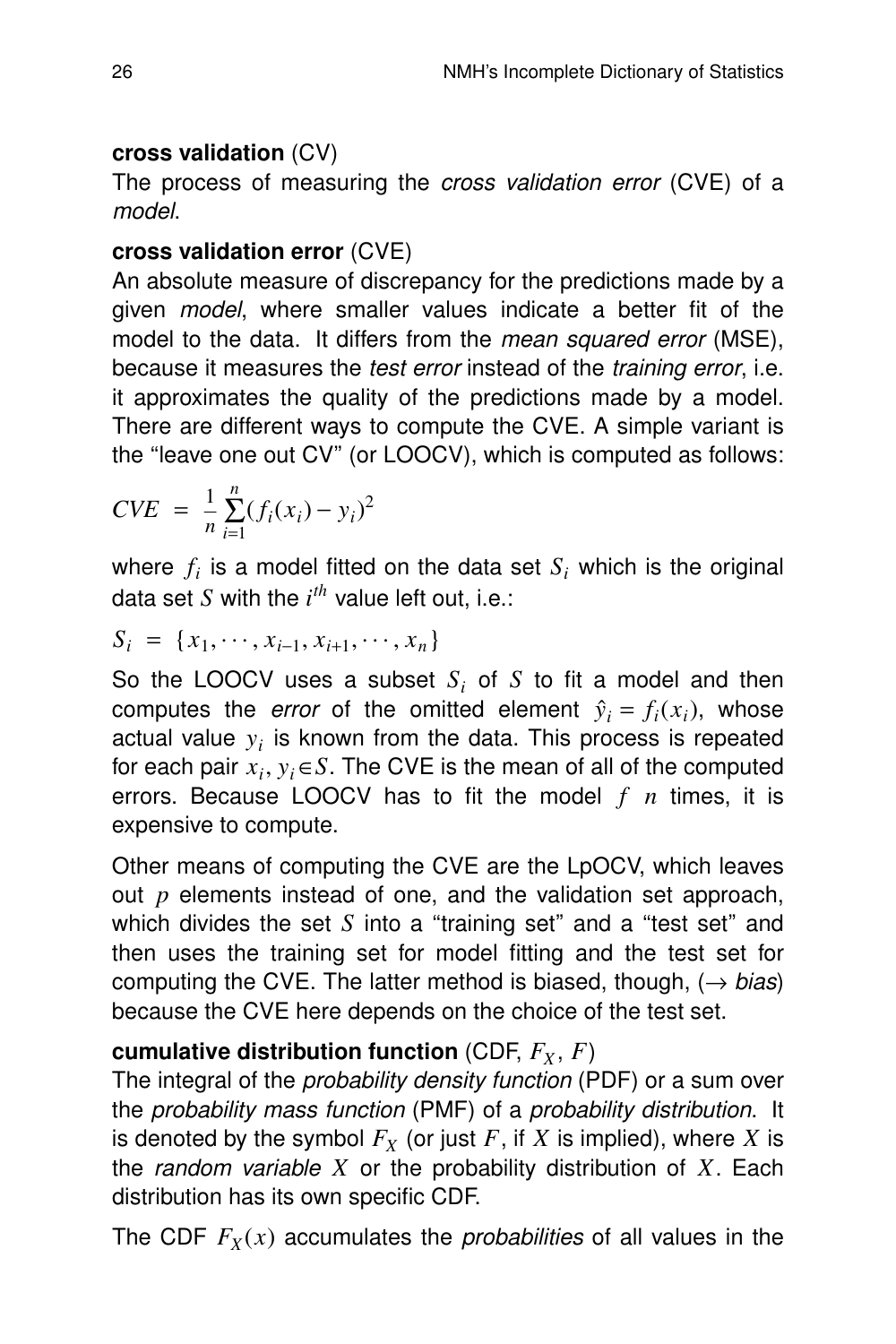#### **cross validation** (CV)

The process of measuring the cross validation error (CVE) of a model.

#### **cross validation error** (CVE)

An absolute measure of discrepancy for the predictions made by a given model, where smaller values indicate a better fit of the model to the data. It differs from the *mean squared error* (MSE), because it measures the *test error* instead of the *training error*, *i.e.* it approximates the quality of the predictions made by a model. There are different ways to compute the CVE. A simple variant is the ''leave one out CV'' (or LOOCV), which is computed as follows:

$$
CVE = \frac{1}{n} \sum_{i=1}^{n} (f_i(x_i) - y_i)^2
$$

where  $f_i$  is a model fitted on the data set  $S_i$  which is the original data set  $S$  with the  $i^{th}$  value left out, i.e.:

$$
S_i = \{x_1, \cdots, x_{i-1}, x_{i+1}, \cdots, x_n\}
$$

So the LOOCV uses a subset *S<sup>i</sup>* of *S* to fit a model and then computes the *error* of the omitted element  $\hat{y}_i = f_i(x_i)$ , whose actual value  $y_i$  is known from the data. This process is repeated for each pair  $x_i, y_i \in S$ . The CVE is the mean of all of the computed errors. Because LOOCV has to fit the model *f n* times, it is expensive to compute.

Other means of computing the CVE are the LpOCV, which leaves out *p* elements instead of one, and the validation set approach, which divides the set  $S$  into a "training set" and a "test set" and then uses the training set for model fitting and the test set for computing the CVE. The latter method is biased, though,  $(\rightarrow$  bias) because the CVE here depends on the choice of the test set.

#### **cumulative distribution function** (CDF,  $F_X$ ,  $F$ )

The integral of the probability density function (PDF) or a sum over the probability mass function (PMF) of a probability distribution. It is denoted by the symbol  $F_Y$  (or just  $F$ , if  $X$  is implied), where  $X$  is the *random variable X* or the probability distribution of  $X$ . Each distribution has its own specific CDF.

The CDF  $F_X(x)$  accumulates the *probabilities* of all values in the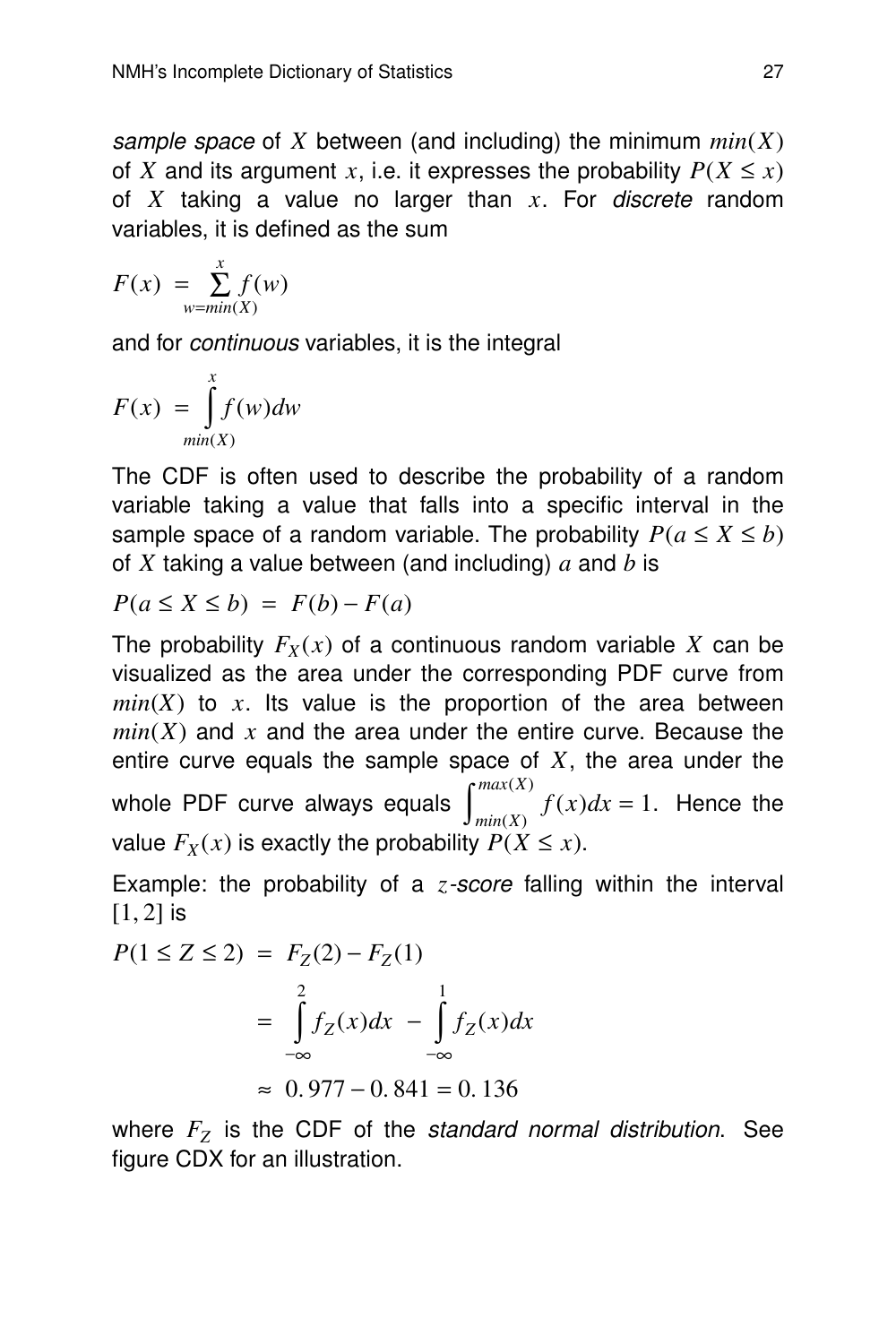sample space of *X* between (and including) the minimum *min*(*X*) of *X* and its argument *x*, i.e. it expresses the probability  $P(X \leq x)$ of *X* taking a value no larger than *x*. For discrete random variables, it is defined as the sum

$$
F(x) = \sum_{w = min(X)}^{x} f(w)
$$

and for continuous variables, it is the integral

$$
F(x) = \int_{min(X)}^{x} f(w)dw
$$

The CDF is often used to describe the probability of a random variable taking a value that falls into a specific interval in the sample space of a random variable. The probability  $P(a \le X \le b)$ of *X* taking a value between (and including) *a* and *b* is

$$
P(a \le X \le b) = F(b) - F(a)
$$

The probability  $F_X(x)$  of a continuous random variable X can be visualized as the area under the corresponding PDF curve from  $min(X)$  to x. Its value is the proportion of the area between  $min(X)$  and x and the area under the entire curve. Because the entire curve equals the sample space of *X*, the area under the whole PDF curve always equals  $\int_{min(X)}^{max(X)}$  $f(x)dx = 1$ . Hence the value  $F_X(x)$  is exactly the probability  $P(X \leq x)$ .

Example: the probability of a *z*-score falling within the interval  $[1, 2]$  is

$$
P(1 \le Z \le 2) = F_Z(2) - F_Z(1)
$$
  
= 
$$
\int_{-\infty}^{2} f_Z(x) dx - \int_{-\infty}^{1} f_Z(x) dx
$$
  

$$
\approx 0.977 - 0.841 = 0.136
$$

where *F<sup>Z</sup>* is the CDF of the standard normal distribution. See figure CDX for an illustration.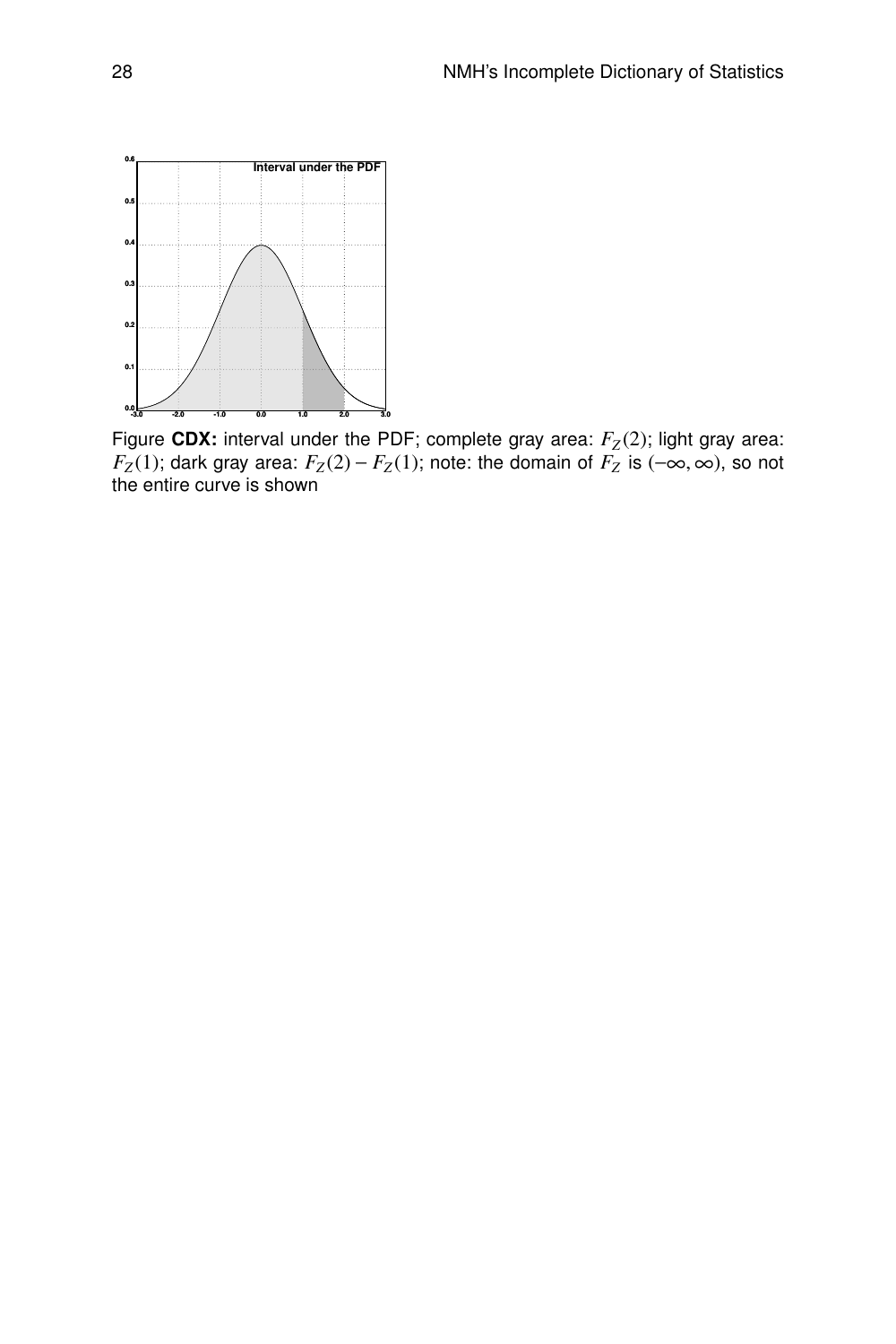

Figure CDX: interval under the PDF; complete gray area:  $F_Z(2)$ ; light gray area: *F*<sub>Z</sub>(1); dark gray area:  $F_Z(2) - F_Z(1)$ ; note: the domain of  $F_Z$  is (−∞, ∞), so not the entire curve is shown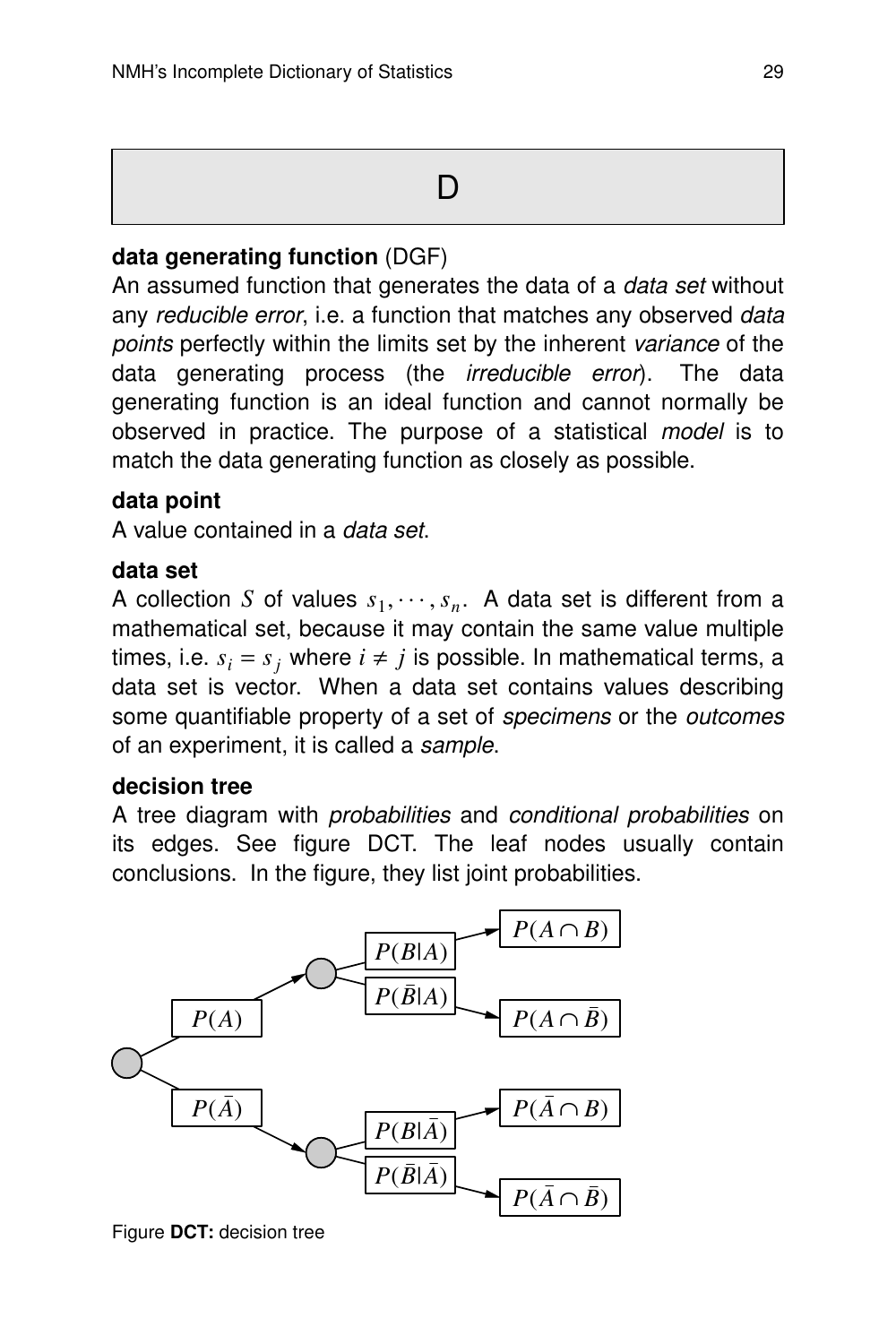# D<sub>1</sub>

#### **data generating function** (DGF)

An assumed function that generates the data of a data set without any reducible error, i.e. a function that matches any observed data points perfectly within the limits set by the inherent variance of the data generating process (the irreducible error). The data generating function is an ideal function and cannot normally be observed in practice. The purpose of a statistical *model* is to match the data generating function as closely as possible.

#### **data point**

A value contained in a data set.

#### **data set**

A collection *S* of values  $s_1, \dots, s_n$ . A data set is different from a mathematical set, because it may contain the same value multiple times, i.e.  $s_i = s_j$  where  $i \neq j$  is possible. In mathematical terms, a data set is vector. When a data set contains values describing some quantifiable property of a set of *specimens* or the *outcomes* of an experiment, it is called a sample.

#### **decision tree**

A tree diagram with probabilities and conditional probabilities on its edges. See figure DCT. The leaf nodes usually contain conclusions. In the figure, they list joint probabilities.



Figure **DCT:** decision tree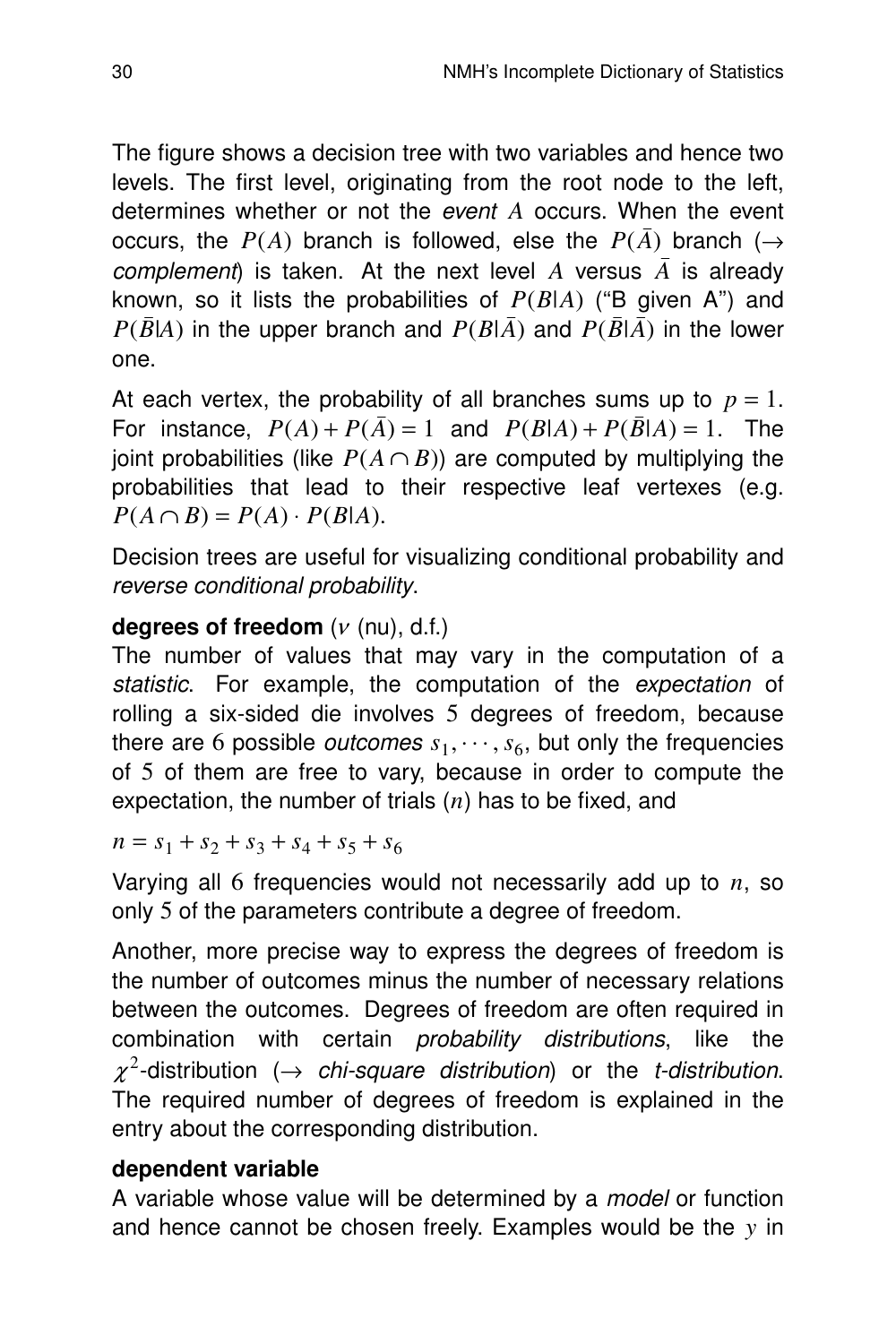The figure shows a decision tree with two variables and hence two levels. The first level, originating from the root node to the left, determines whether or not the event *A* occurs. When the event occurs, the  $P(A)$  branch is followed, else the  $P(\bar{A})$  branch ( $\rightarrow$ *complement*) is taken. At the next level A versus  $\overline{A}$  is already known, so it lists the probabilities of  $P(B|A)$  ("B given A") and  $P(\bar{B}|A)$  in the upper branch and  $P(B|\bar{A})$  and  $P(\bar{B}|\bar{A})$  in the lower one.

At each vertex, the probability of all branches sums up to  $p = 1$ . For instance,  $P(A) + P(\bar{A}) = 1$  and  $P(B|A) + P(\bar{B}|A) = 1$ . The joint probabilities (like  $P(A \cap B)$ ) are computed by multiplying the probabilities that lead to their respective leaf vertexes (e.g.  $P(A \cap B) = P(A) \cdot P(B|A).$ 

Decision trees are useful for visualizing conditional probability and reverse conditional probability.

#### **degrees of freedom** (<sup>ν</sup> (nu), d.f.)

The number of values that may vary in the computation of a statistic. For example, the computation of the expectation of rolling a six-sided die involves 5 degrees of freedom, because there are 6 possible *outcomes*  $s_1, \cdots, s_6$ , but only the frequencies of  $5$  of them are free to vary, because in order to compute the expectation, the number of trials (*n*) has to be fixed, and

 $n = s_1 + s_2 + s_3 + s_4 + s_5 + s_6$ 

Varying all 6 frequencies would not necessarily add up to *n*, so only 5 of the parameters contribute a degree of freedom.

Another, more precise way to express the degrees of freedom is the number of outcomes minus the number of necessary relations between the outcomes. Degrees of freedom are often required in combination with certain probability distributions, like the  $\chi^2$ -distribution ( $\rightarrow$  chi-square distribution) or the t-distribution. The required number of degrees of freedom is explained in the entry about the corresponding distribution.

#### **dependent variable**

A variable whose value will be determined by a *model* or function and hence cannot be chosen freely. Examples would be the *y* in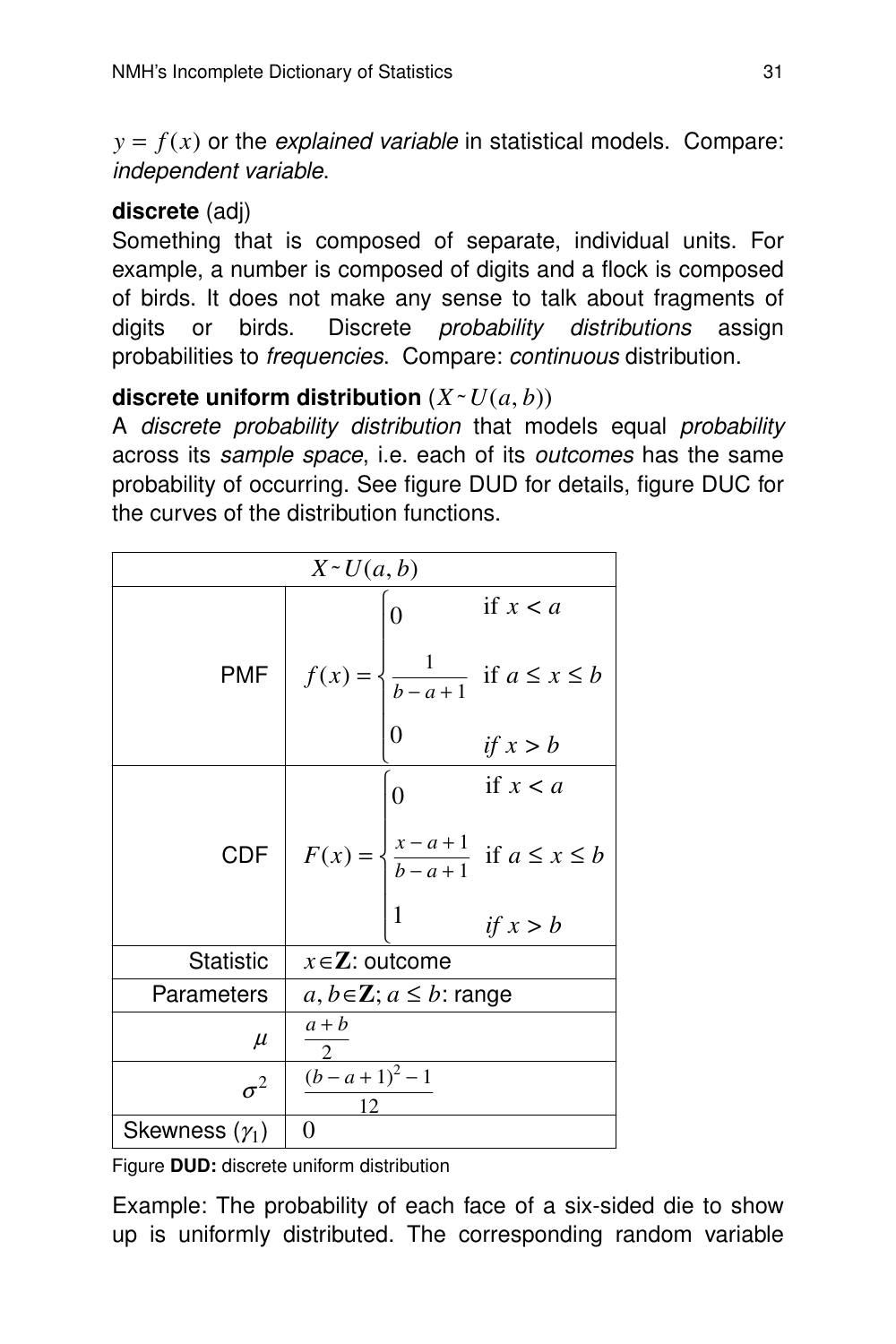$y = f(x)$  or the *explained variable* in statistical models. Compare: independent variable.

#### **discrete** (adj)

Something that is composed of separate, individual units. For example, a number is composed of digits and a flock is composed of birds. It does not make any sense to talk about fragments of digits or birds. Discrete *probability distributions* assign probabilities to *frequencies*. Compare: *continuous* distribution.

#### discrete uniform distribution  $(X \sim U(a, b))$

A discrete probability distribution that models equal probability across its sample space, i.e. each of its outcomes has the same probability of occurring. See figure DUD for details, figure DUC for the curves of the distribution functions.

| $X \sim U(a, b)$      |                                                                                         |  |  |
|-----------------------|-----------------------------------------------------------------------------------------|--|--|
|                       | if $x < a$<br>$\overline{0}$                                                            |  |  |
| <b>PMF</b>            | $f(x) = \begin{cases} \frac{1}{b-a+1} & \text{if } a \leq x \leq b \end{cases}$         |  |  |
|                       | if $x > b$                                                                              |  |  |
|                       | if $x < a$<br>$\overline{0}$                                                            |  |  |
|                       | CDF $F(x) = \begin{cases} \frac{x-a+1}{b-a+1} & \text{if } a \leq x \leq b \end{cases}$ |  |  |
|                       | 1<br>if $x > b$                                                                         |  |  |
| <b>Statistic</b>      | $x \in \mathbf{Z}$ : outcome                                                            |  |  |
| Parameters            | $a, b \in \mathbb{Z}$ ; $a \leq b$ : range                                              |  |  |
| $\mu$                 | $a + b$                                                                                 |  |  |
| $\sigma^2$            | $(b-a+1)^2-1$<br>12                                                                     |  |  |
| Skewness $(\gamma_1)$ | $\overline{0}$                                                                          |  |  |

Figure **DUD:** discrete uniform distribution

Example: The probability of each face of a six-sided die to show up is uniformly distributed. The corresponding random variable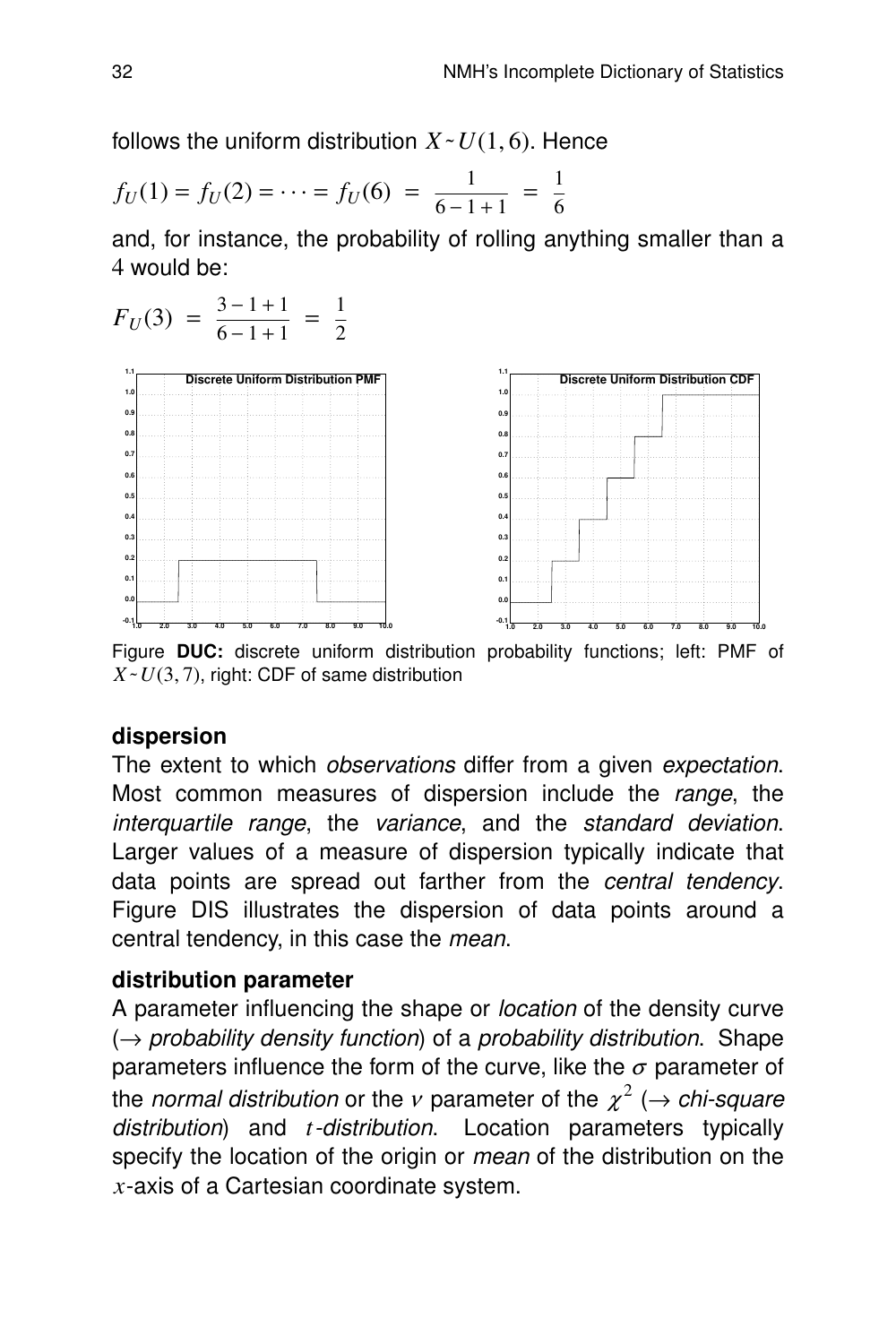follows the uniform distribution  $X \sim U(1, 6)$ . Hence

$$
f_U(1) = f_U(2) = \dots = f_U(6) = \frac{1}{6 - 1 + 1} = \frac{1}{6}
$$

and, for instance, the probability of rolling anything smaller than a 4 would be:



Figure DUC: discrete uniform distribution probability functions; left: PMF of  $X \sim U(3, 7)$ , right: CDF of same distribution

#### **dispersion**

The extent to which *observations* differ from a given *expectation*. Most common measures of dispersion include the range, the interquartile range, the variance, and the standard deviation. Larger values of a measure of dispersion typically indicate that data points are spread out farther from the central tendency. Figure DIS illustrates the dispersion of data points around a central tendency, in this case the mean.

#### **distribution parameter**

A parameter influencing the shape or location of the density curve  $(\rightarrow$  probability density function) of a probability distribution. Shape parameters influence the form of the curve, like the  $\sigma$  parameter of the *normal distribution* or the v parameter of the  $\chi^2$  ( $\rightarrow$  chi-square distribution) and *t*-distribution. Location parameters typically specify the location of the origin or *mean* of the distribution on the *x*-axis of a Cartesian coordinate system.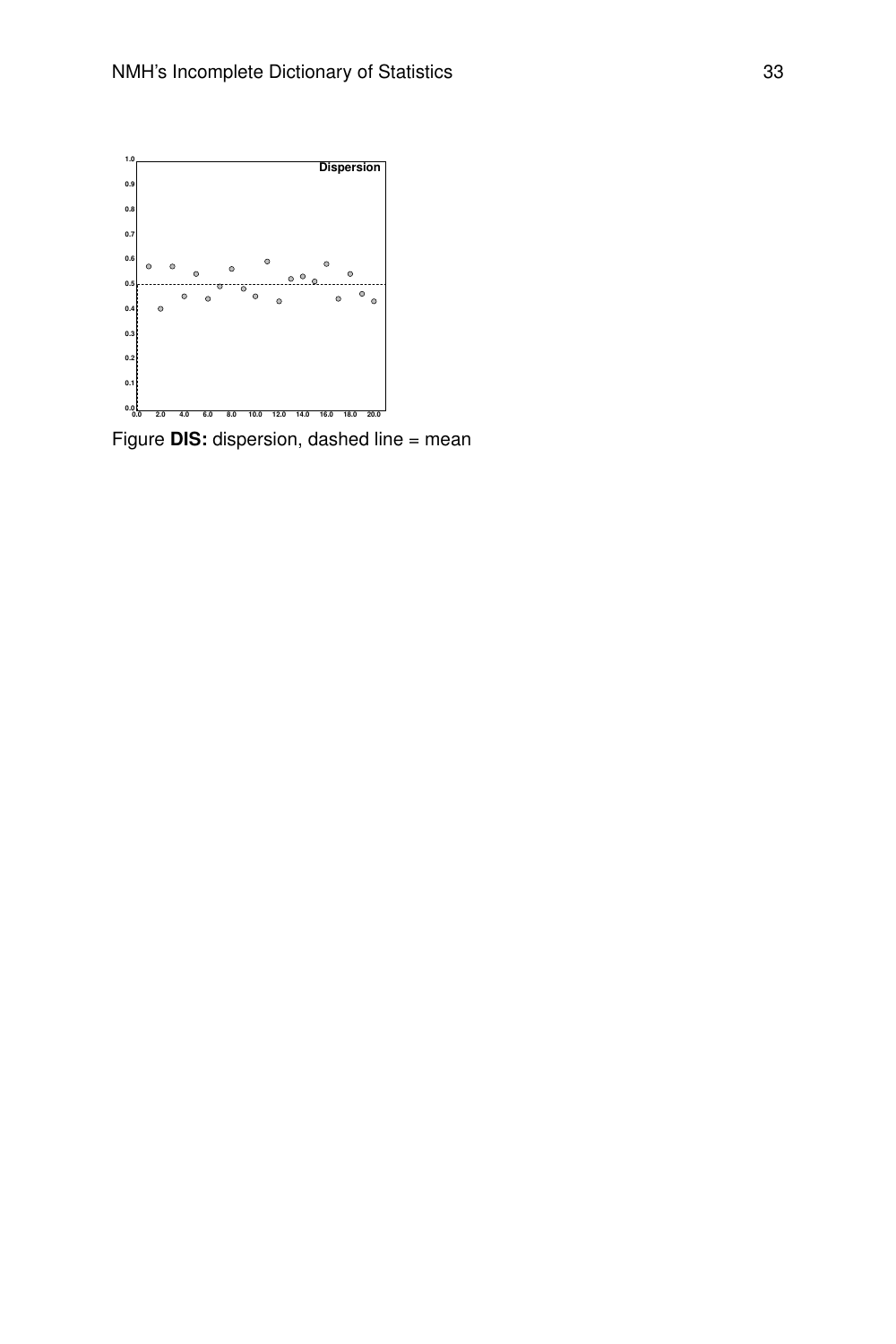

Figure **DIS:** dispersion, dashed line = mean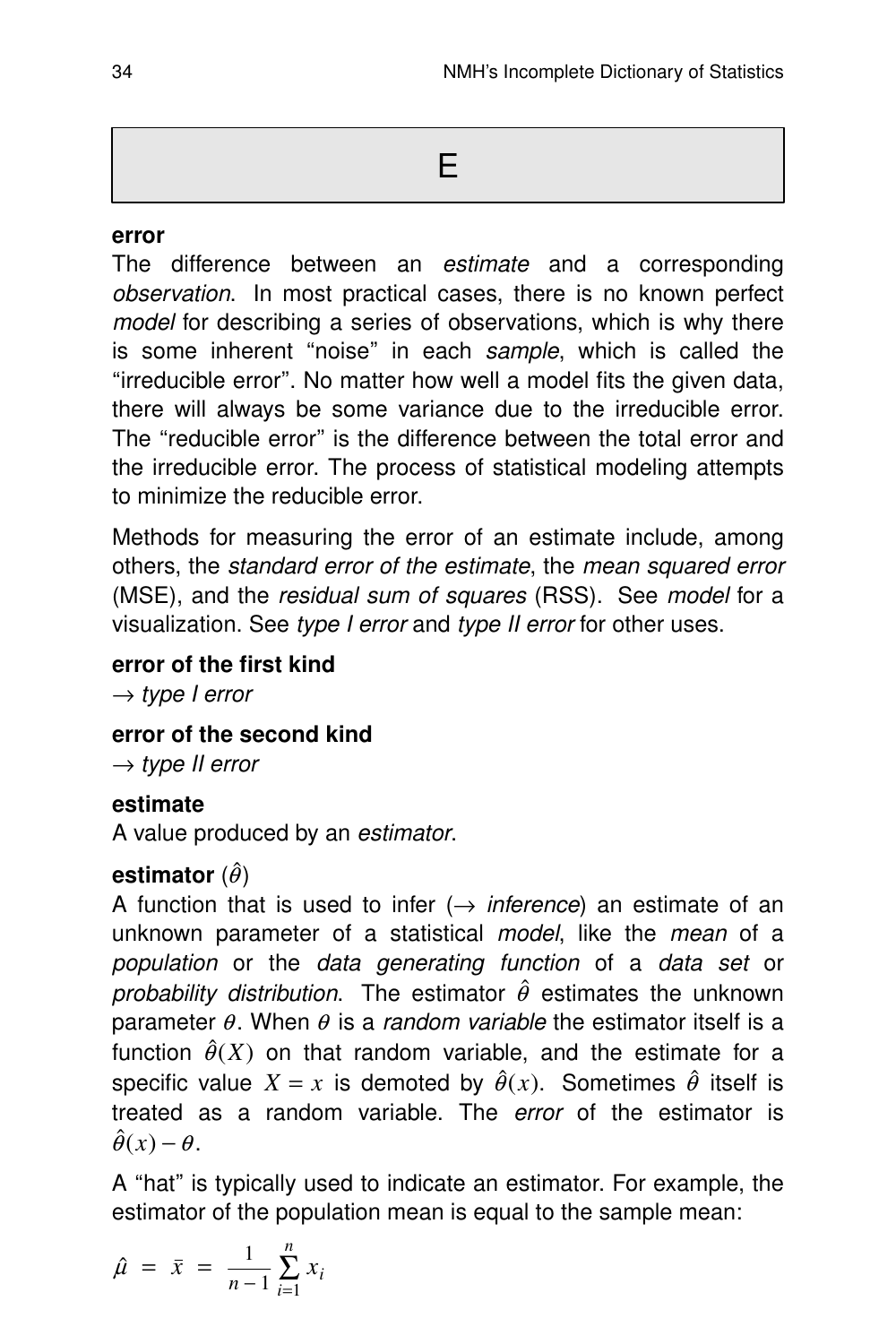#### **error**

The difference between an estimate and a corresponding observation. In most practical cases, there is no known perfect model for describing a series of observations, which is why there is some inherent "noise" in each sample, which is called the ''irreducible error''. No matter how well a model fits the given data, there will always be some variance due to the irreducible error. The ''reducible error'' is the difference between the total error and the irreducible error. The process of statistical modeling attempts to minimize the reducible error.

Methods for measuring the error of an estimate include, among others, the standard error of the estimate, the mean squared error (MSE), and the residual sum of squares (RSS). See model for a visualization. See type I error and type II error for other uses.

#### **error of the first kind**

 $\rightarrow$  type I error

**error of the second kind**

 $\rightarrow$  type II error

#### **estimate**

A value produced by an estimator.

#### **estimator**  $(\hat{\theta})$

A function that is used to infer  $(\rightarrow$  *inference*) an estimate of an unknown parameter of a statistical *model*, like the *mean* of a population or the data generating function of a data set or probability distribution. The estimator  $\hat{\theta}$  estimates the unknown parameter  $\theta$ . When  $\theta$  is a random variable the estimator itself is a function  $\hat{\theta}(X)$  on that random variable, and the estimate for a specific value  $X = x$  is demoted by  $\hat{\theta}(x)$ . Sometimes  $\hat{\theta}$  itself is treated as a random variable. The *error* of the estimator is  $\hat{\theta}(x) - \theta$ .

A ''hat'' is typically used to indicate an estimator. For example, the estimator of the population mean is equal to the sample mean:

$$
\hat{\mu} = \bar{x} = \frac{1}{n-1} \sum_{i=1}^{n} x_i
$$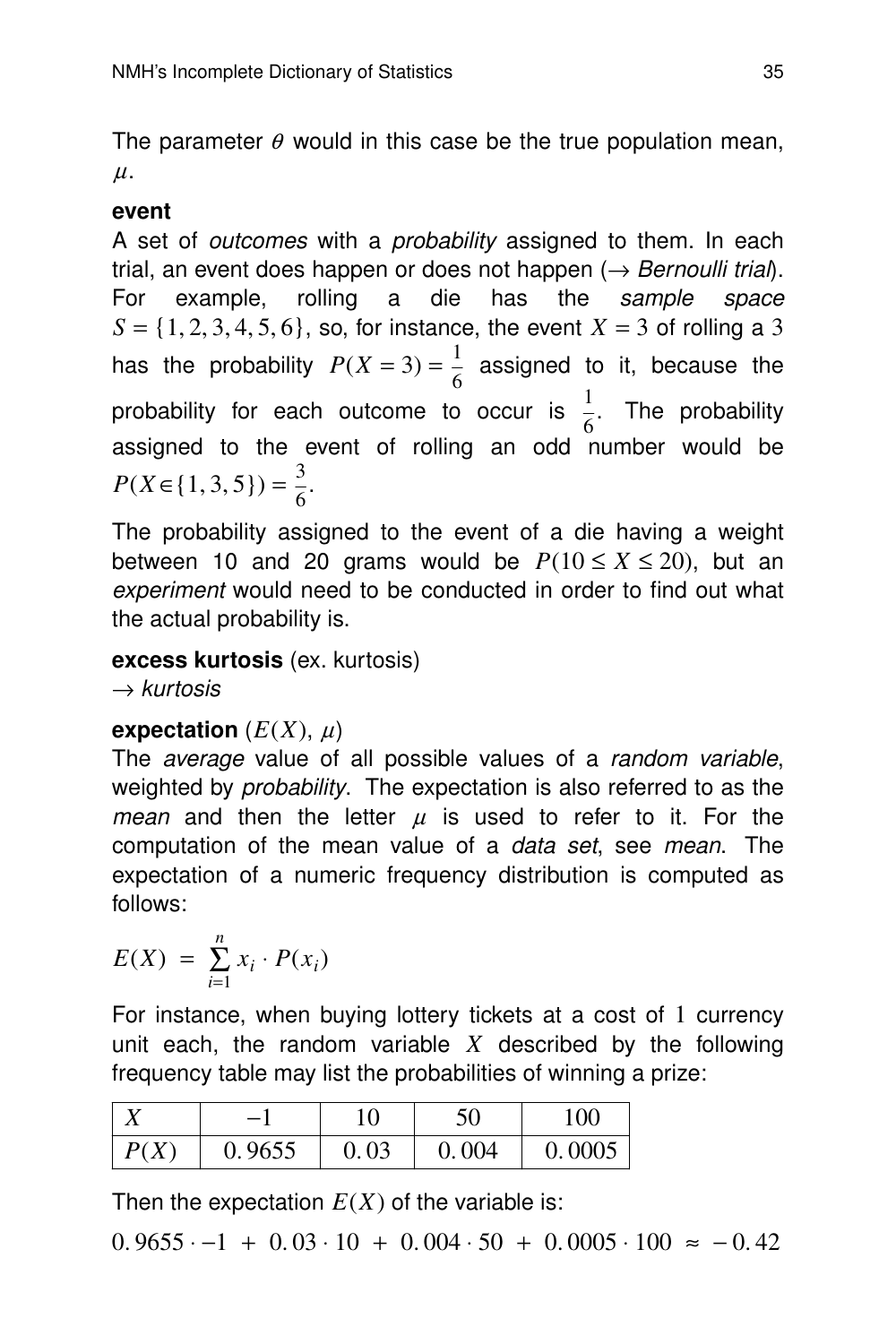The parameter  $\theta$  would in this case be the true population mean,  $\mu$ .

#### **event**

A set of *outcomes* with a *probability* assigned to them. In each trial, an event does happen or does not happen  $(\rightarrow$  Bernoulli trial). For example, rolling a die has the sample space  $S = \{1, 2, 3, 4, 5, 6\}$ , so, for instance, the event  $X = 3$  of rolling a 3 has the probability  $P(X = 3) = \frac{1}{6}$  $\frac{1}{6}$  assigned to it, because the probability for each outcome to occur is  $\frac{1}{6}$ . The probability assigned to the event of rolling an odd number would be  $P(X \in \{1, 3, 5\}) = \frac{3}{6}$  $\frac{5}{6}$ .

The probability assigned to the event of a die having a weight between 10 and 20 grams would be  $P(10 \le X \le 20)$ , but an experiment would need to be conducted in order to find out what the actual probability is.

**excess kurtosis** (ex. kurtosis)

 $\rightarrow$  kurtosis

#### **expectation**  $(E(X), \mu)$

The *average* value of all possible values of a *random variable*. weighted by *probability*. The expectation is also referred to as the mean and then the letter  $\mu$  is used to refer to it. For the computation of the mean value of a *data set*, see *mean*. The expectation of a numeric frequency distribution is computed as follows:

$$
E(X) = \sum_{i=1}^{n} x_i \cdot P(x_i)
$$

For instance, when buying lottery tickets at a cost of 1 currency unit each, the random variable  $X$  described by the following frequency table may list the probabilities of winning a prize:

|      | $\overline{\phantom{0}}$ |      | 50    | 100    |
|------|--------------------------|------|-------|--------|
| P(X) | 0.9655                   | 0.03 | 0.004 | 0.0005 |

Then the expectation  $E(X)$  of the variable is:

 $0.9655 - 1 + 0.03 \cdot 10 + 0.004 \cdot 50 + 0.0005 \cdot 100 \approx -0.42$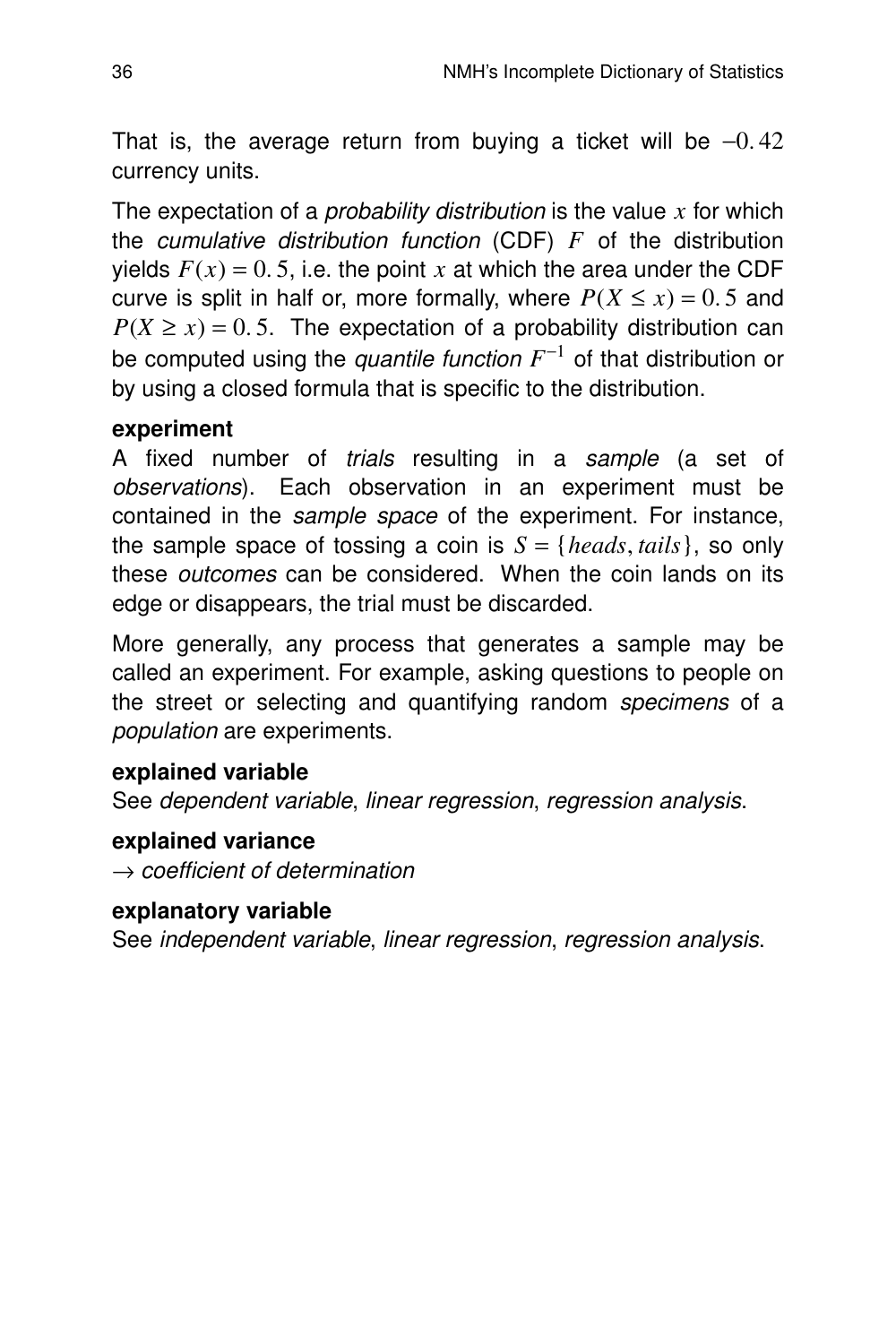That is, the average return from buying a ticket will be  $-0.42$ currency units.

The expectation of a probability distribution is the value *x* for which the *cumulative distribution function* (CDF)  $F$  of the distribution yields  $F(x) = 0.5$ , i.e. the point x at which the area under the CDF curve is split in half or, more formally, where  $P(X \le x) = 0.5$  and  $P(X \ge x) = 0.5$ . The expectation of a probability distribution can be computed using the *quantile function F*<sup>-1</sup> of that distribution or by using a closed formula that is specific to the distribution.

#### **experiment**

A fixed number of *trials* resulting in a sample (a set of observations). Each observation in an experiment must be contained in the *sample space* of the experiment. For instance, the sample space of tossing a coin is  $S = \{heads, tails\}$ , so only these outcomes can be considered. When the coin lands on its edge or disappears, the trial must be discarded.

More generally, any process that generates a sample may be called an experiment. For example, asking questions to people on the street or selecting and quantifying random specimens of a population are experiments.

#### **explained variable**

See dependent variable, linear regression, regression analysis.

#### **explained variance**

 $\rightarrow$  coefficient of determination

#### **explanatory variable**

See independent variable, linear regression, regression analysis.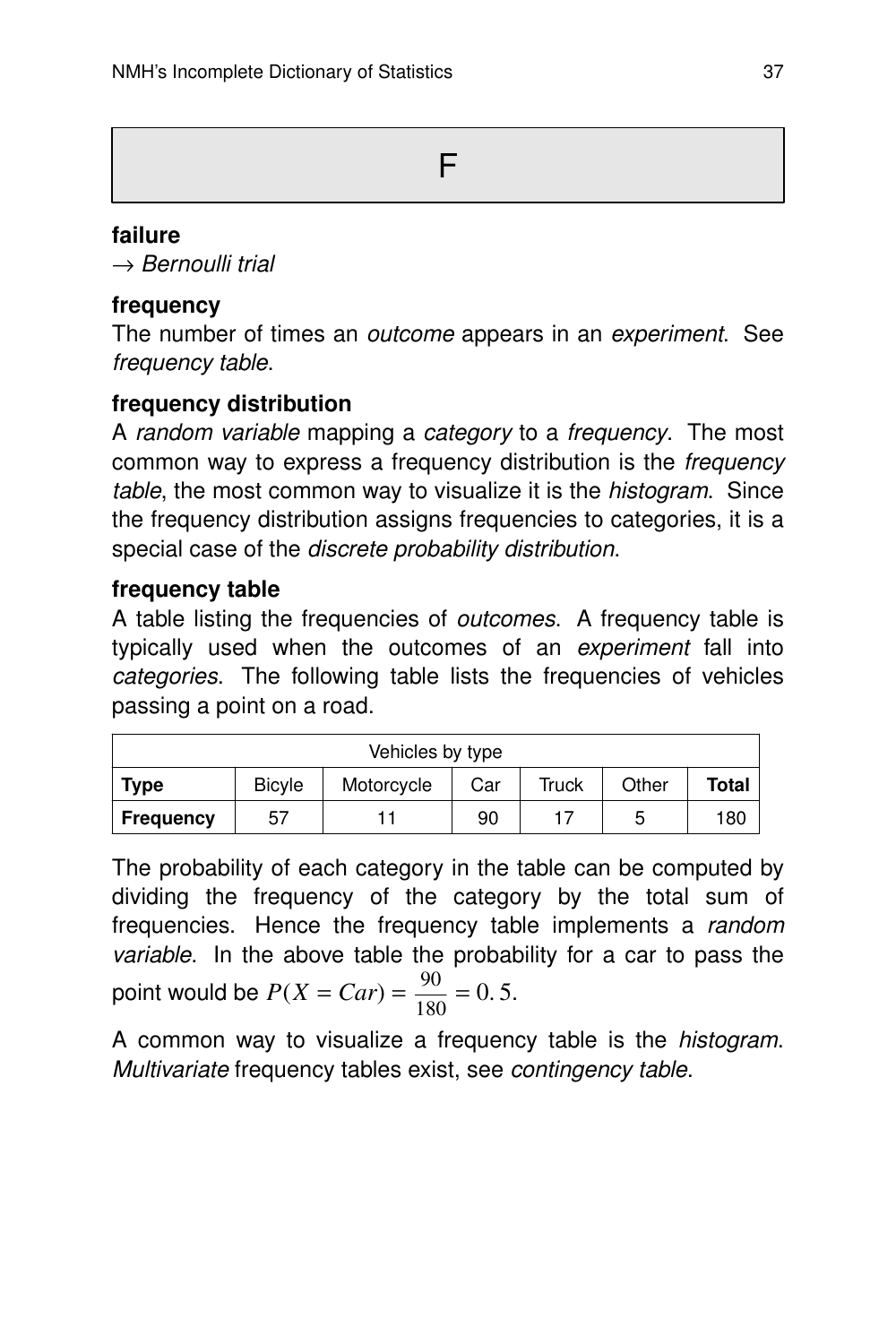F

## **failure**

 $\rightarrow$  Bernoulli trial

## **frequency**

The number of times an *outcome* appears in an *experiment*. See frequency table.

# **frequency distribution**

A random variable mapping a category to a frequency. The most common way to express a frequency distribution is the frequency table, the most common way to visualize it is the *histogram*. Since the frequency distribution assigns frequencies to categories, it is a special case of the discrete probability distribution.

## **frequency table**

A table listing the frequencies of outcomes. A frequency table is typically used when the outcomes of an experiment fall into categories. The following table lists the frequencies of vehicles passing a point on a road.

| Vehicles by type |                                                                      |  |    |  |   |     |  |
|------------------|----------------------------------------------------------------------|--|----|--|---|-----|--|
| <b>Type</b>      | <b>Total</b><br><b>Bicyle</b><br>Other<br>Truck<br>Motorcycle<br>Car |  |    |  |   |     |  |
| <b>Frequency</b> | 57                                                                   |  | 90 |  | b | 180 |  |

The probability of each category in the table can be computed by dividing the frequency of the category by the total sum of frequencies. Hence the frequency table implements a random variable. In the above table the probability for a car to pass the point would be  $P(X = Car) = \frac{90}{180}$  $\frac{56}{180} = 0.5$ .

A common way to visualize a frequency table is the histogram. Multivariate frequency tables exist, see contingency table.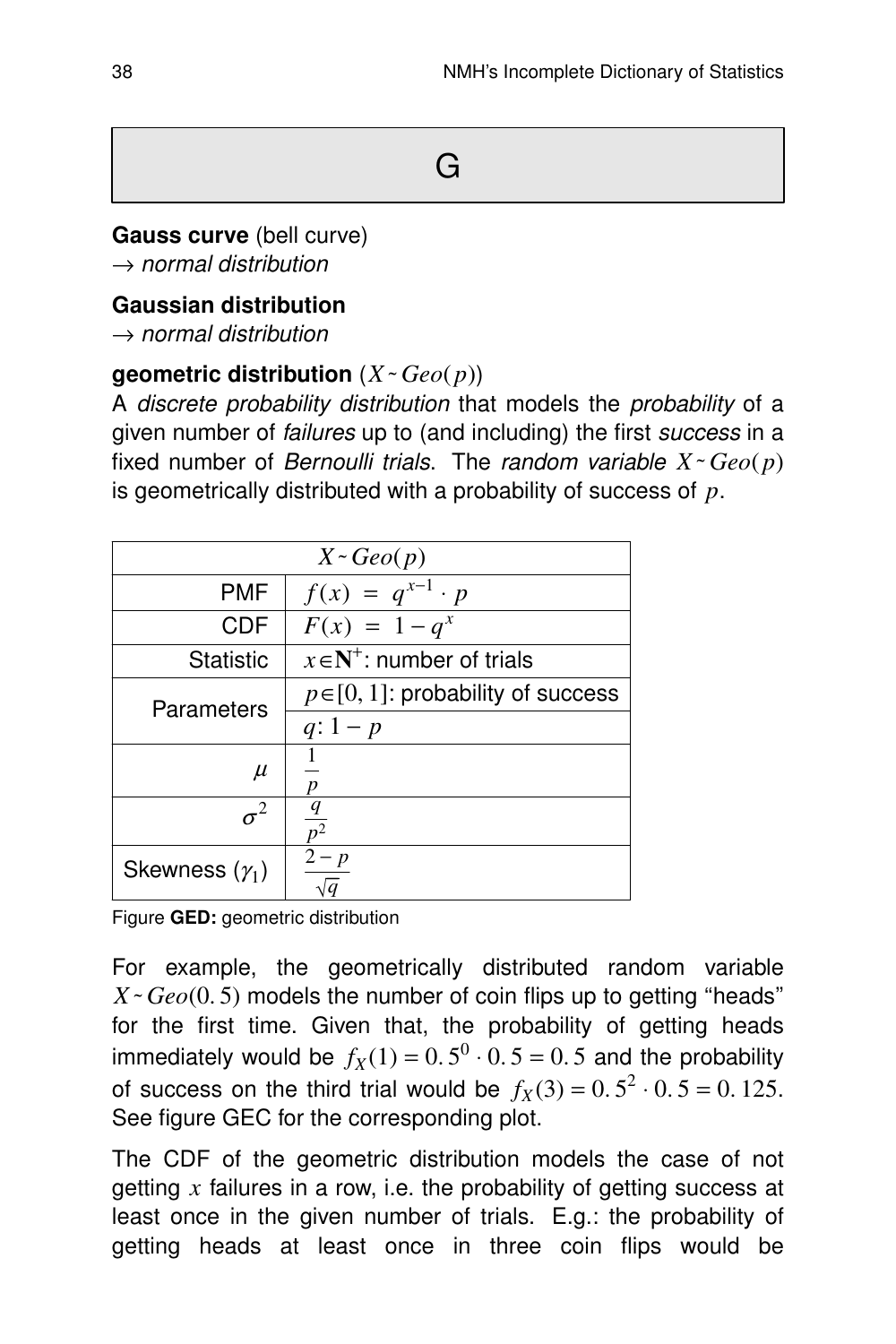# G

#### **Gauss curve** (bell curve)

 $\rightarrow$  normal distribution

#### **Gaussian distribution**

 $\rightarrow$  normal distribution

## **geometric distribution**  $(X \sim Geo(p))$

A discrete probability distribution that models the probability of a given number of failures up to (and including) the first success in a fixed number of *Bernoulli trials*. The *random variable*  $X \sim Geo(p)$ is geometrically distributed with a probability of success of *p*.

| $X \sim \text{Geo}(p)$ |                                         |  |  |  |  |  |  |
|------------------------|-----------------------------------------|--|--|--|--|--|--|
| PMF                    | $f(x) = q^{x-1} \cdot p$                |  |  |  |  |  |  |
| <b>CDF</b>             | $F(x) = 1 - q^x$                        |  |  |  |  |  |  |
| Statistic              | $x \in N^+$ : number of trials          |  |  |  |  |  |  |
| Parameters             | $p \in [0, 1]$ : probability of success |  |  |  |  |  |  |
|                        | $q: 1-p$                                |  |  |  |  |  |  |
| $\mu$                  |                                         |  |  |  |  |  |  |
| $\sigma^2$             | $\overline{p^2}$                        |  |  |  |  |  |  |
| Skewness $(\gamma_1)$  | $2-p$                                   |  |  |  |  |  |  |

Figure **GED:** geometric distribution

For example, the geometrically distributed random variable *X˜ Geo*(0. 5) models the number of coin flips up to getting ''heads'' for the first time. Given that, the probability of getting heads immediately would be  $f_X(1) = 0.5^0 \cdot 0.5 = 0.5$  and the probability of success on the third trial would be  $f_X(3) = 0.5^2 \cdot 0.5 = 0.125$ . See figure GEC for the corresponding plot.

The CDF of the geometric distribution models the case of not getting *x* failures in a row, i.e. the probability of getting success at least once in the given number of trials. E.g.: the probability of getting heads at least once in three coin flips would be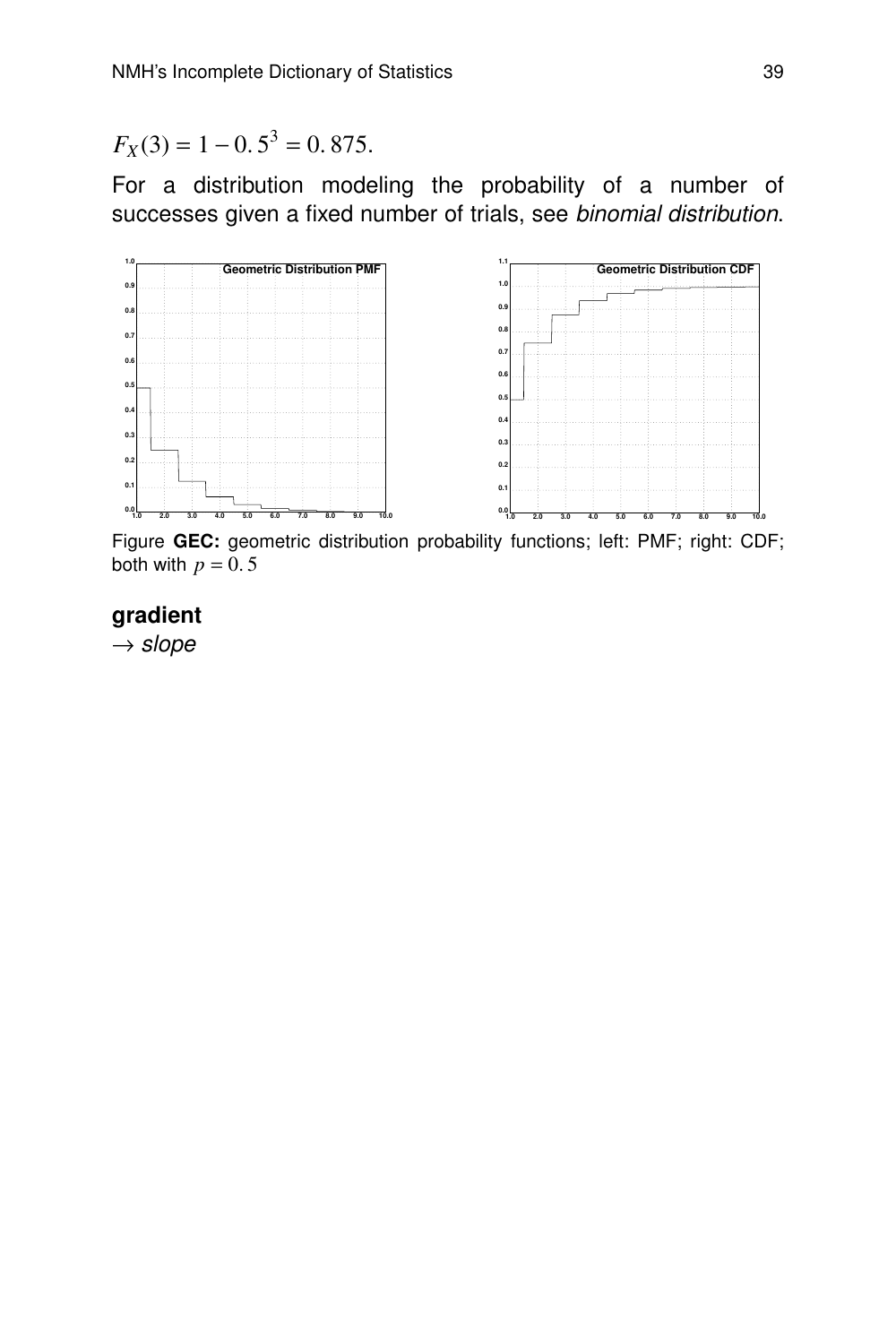$F_X(3) = 1 - 0.5^3 = 0.875.$ 

For a distribution modeling the probability of a number of successes given a fixed number of trials, see binomial distribution.



Figure **GEC:** geometric distribution probability functions; left: PMF; right: CDF; both with  $p = 0.5$ 

#### **gradient**

 $\rightarrow$  slope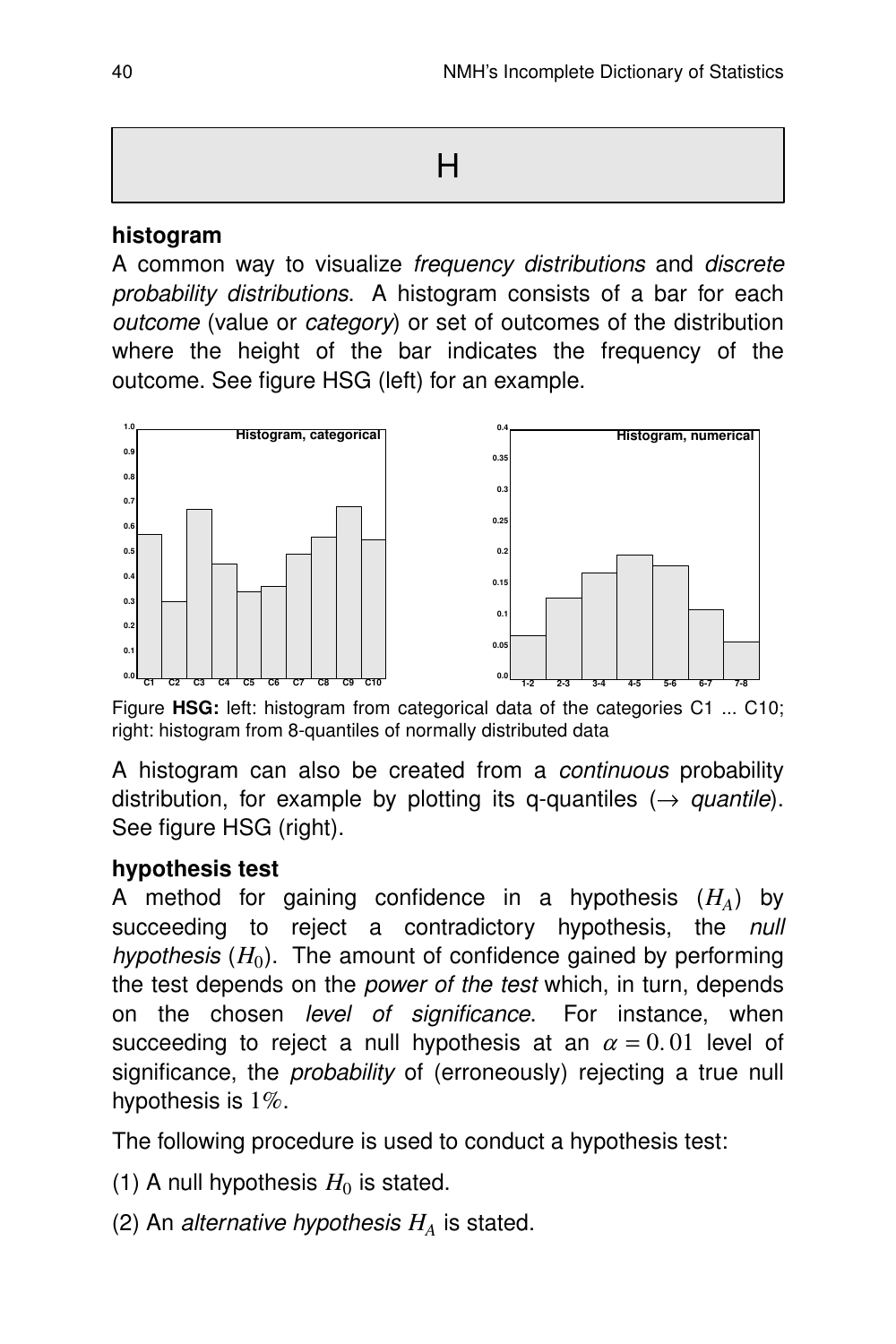#### **histogram**

A common way to visualize frequency distributions and discrete probability distributions. A histogram consists of a bar for each  $outcome$  (value or *category*) or set of outcomes of the distribution where the height of the bar indicates the frequency of the outcome. See figure HSG (left) for an example.



Figure **HSG:** left: histogram from categorical data of the categories C1 ... C10; right: histogram from 8-quantiles of normally distributed data

A histogram can also be created from a continuous probability distribution, for example by plotting its q-quantiles ( $\rightarrow$  quantile). See figure HSG (right).

#### **hypothesis test**

A method for gaining confidence in a hypothesis  $(H_A)$  by succeeding to reject a contradictory hypothesis, the null  $h$ ypothesis  $(H_0)$ . The amount of confidence gained by performing the test depends on the *power of the test* which, in turn, depends on the chosen level of significance. For instance, when succeeding to reject a null hypothesis at an  $\alpha = 0.01$  level of significance, the *probability* of (erroneously) rejecting a true null hypothesis is  $1\%$ .

The following procedure is used to conduct a hypothesis test:

- (1) A null hypothesis  $H_0$  is stated.
- (2) An alternative hypothesis  $H_A$  is stated.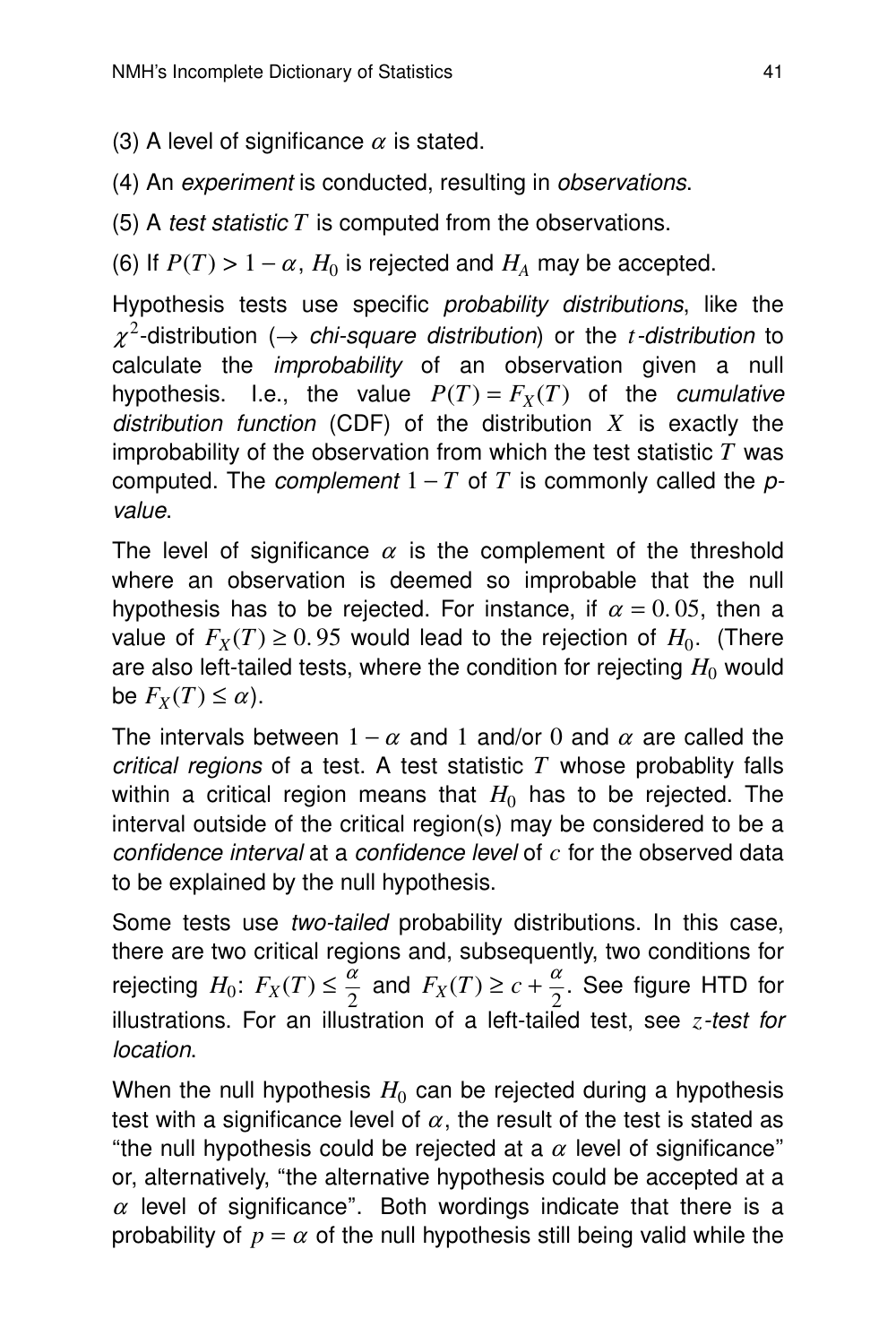- (3) A level of significance  $\alpha$  is stated.
- (4) An experiment is conducted, resulting in *observations*.
- (5) A test statistic *T* is computed from the observations.

(6) If  $P(T) > 1 - \alpha$ ,  $H_0$  is rejected and  $H_A$  may be accepted.

Hypothesis tests use specific probability distributions, like the  $\chi^2$ -distribution ( $\rightarrow$  *chi-square distribution*) or the *t*-distribution to calculate the *improbability* of an observation given a null hypothesis. I.e., the value  $P(T) = F_X(T)$  of the *cumulative* distribution function (CDF) of the distribution  $X$  is exactly the improbability of the observation from which the test statistic *T* was computed. The *complement*  $1 - T$  of *T* is commonly called the *p*value.

The level of significance  $\alpha$  is the complement of the threshold where an observation is deemed so improbable that the null hypothesis has to be rejected. For instance, if  $\alpha = 0.05$ , then a value of  $F_X(T) \geq 0.95$  would lead to the rejection of  $H_0$ . (There are also left-tailed tests, where the condition for rejecting  $H_0$  would be  $F_X(T) \leq \alpha$ ).

The intervals between  $1 - \alpha$  and 1 and/or 0 and  $\alpha$  are called the critical regions of a test. A test statistic  $T$  whose probablity falls within a critical region means that  $H_0$  has to be rejected. The interval outside of the critical region(s) may be considered to be a confidence interval at a confidence level of *c* for the observed data to be explained by the null hypothesis.

Some tests use two-tailed probability distributions. In this case, there are two critical regions and, subsequently, two conditions for rejecting  $H_0: F_X(T) \leq \frac{\alpha}{2}$  $\frac{\alpha}{2}$  and  $F_X(T) \ge c + \frac{\alpha}{2}$  $\frac{\alpha}{2}$ . See figure HTD for illustrations. For an illustration of a left-tailed test, see *z*-test for location.

When the null hypothesis  $H_0$  can be rejected during a hypothesis test with a significance level of  $\alpha$ , the result of the test is stated as "the null hypothesis could be rejected at a  $\alpha$  level of significance" or, alternatively, "the alternative hypothesis could be accepted at a  $\alpha$  level of significance". Both wordings indicate that there is a probability of  $p = \alpha$  of the null hypothesis still being valid while the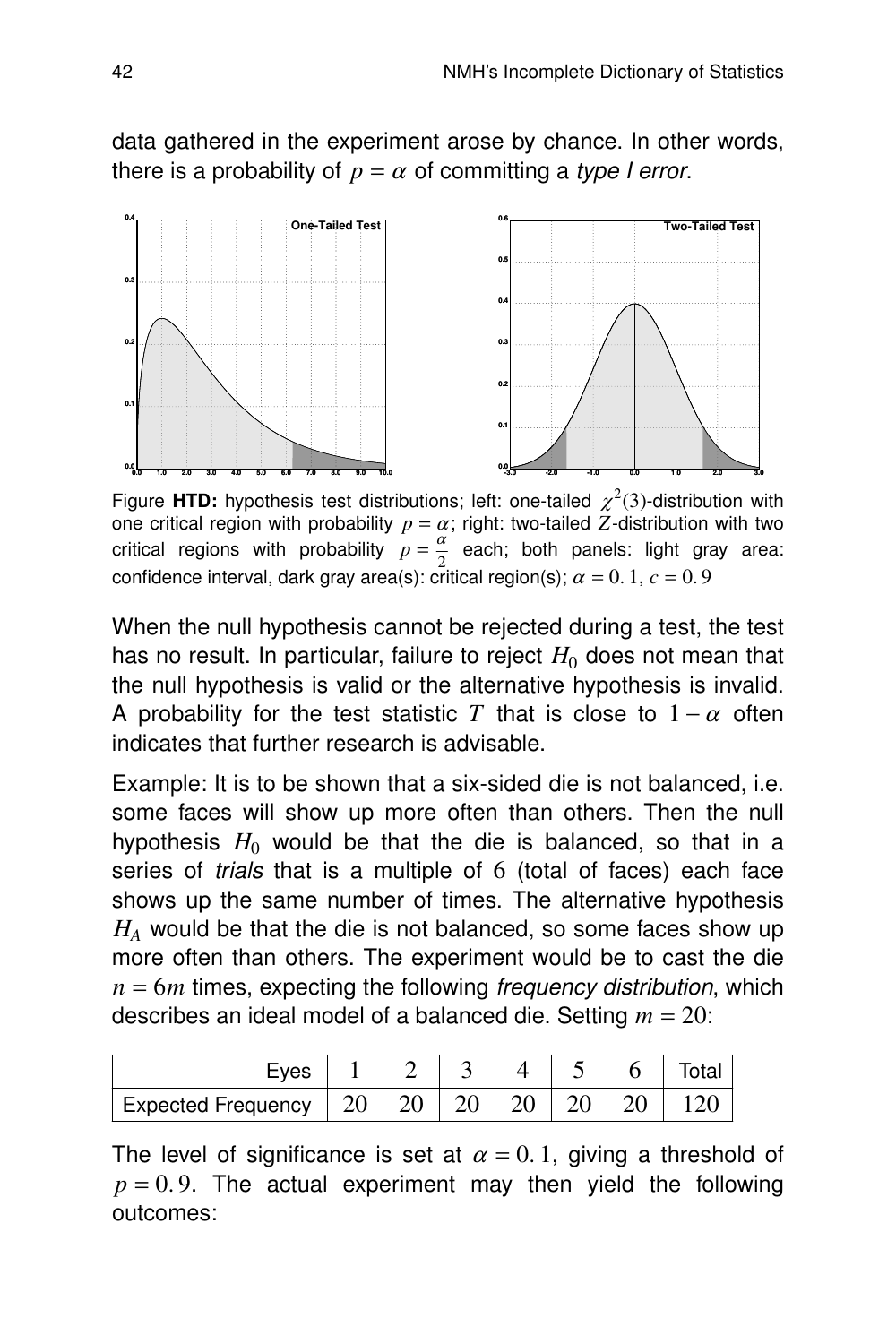data gathered in the experiment arose by chance. In other words, there is a probability of  $p = \alpha$  of committing a type I error.



Figure HTD: hypothesis test distributions; left: one-tailed  $\chi^2(3)$ -distribution with one critical region with probability  $p = \alpha$ ; right: two-tailed  $Z$ -distribution with two critical regions with probability  $p = \frac{\alpha}{2}$  each; both panels: light gray area: confidence interval, dark gray area(s): critical region(s);  $\alpha = 0.1$ ,  $c = 0.9$ 

When the null hypothesis cannot be rejected during a test, the test has no result. In particular, failure to reject  $H_0$  does not mean that the null hypothesis is valid or the alternative hypothesis is invalid. A probability for the test statistic *T* that is close to  $1 - \alpha$  often indicates that further research is advisable.

Example: It is to be shown that a six-sided die is not balanced, i.e. some faces will show up more often than others. Then the null hypothesis  $H_0$  would be that the die is balanced, so that in a series of trials that is a multiple of  $6$  (total of faces) each face shows up the same number of times. The alternative hypothesis *H<sup>A</sup>* would be that the die is not balanced, so some faces show up more often than others. The experiment would be to cast the die  $n = 6m$  times, expecting the following *frequency distribution*, which describes an ideal model of a balanced die. Setting  $m = 20$ :

| Eves                              |  |  |  |  |
|-----------------------------------|--|--|--|--|
| Expected Frequency $\parallel 20$ |  |  |  |  |

The level of significance is set at  $\alpha = 0.1$ , giving a threshold of  $p = 0.9$ . The actual experiment may then yield the following outcomes: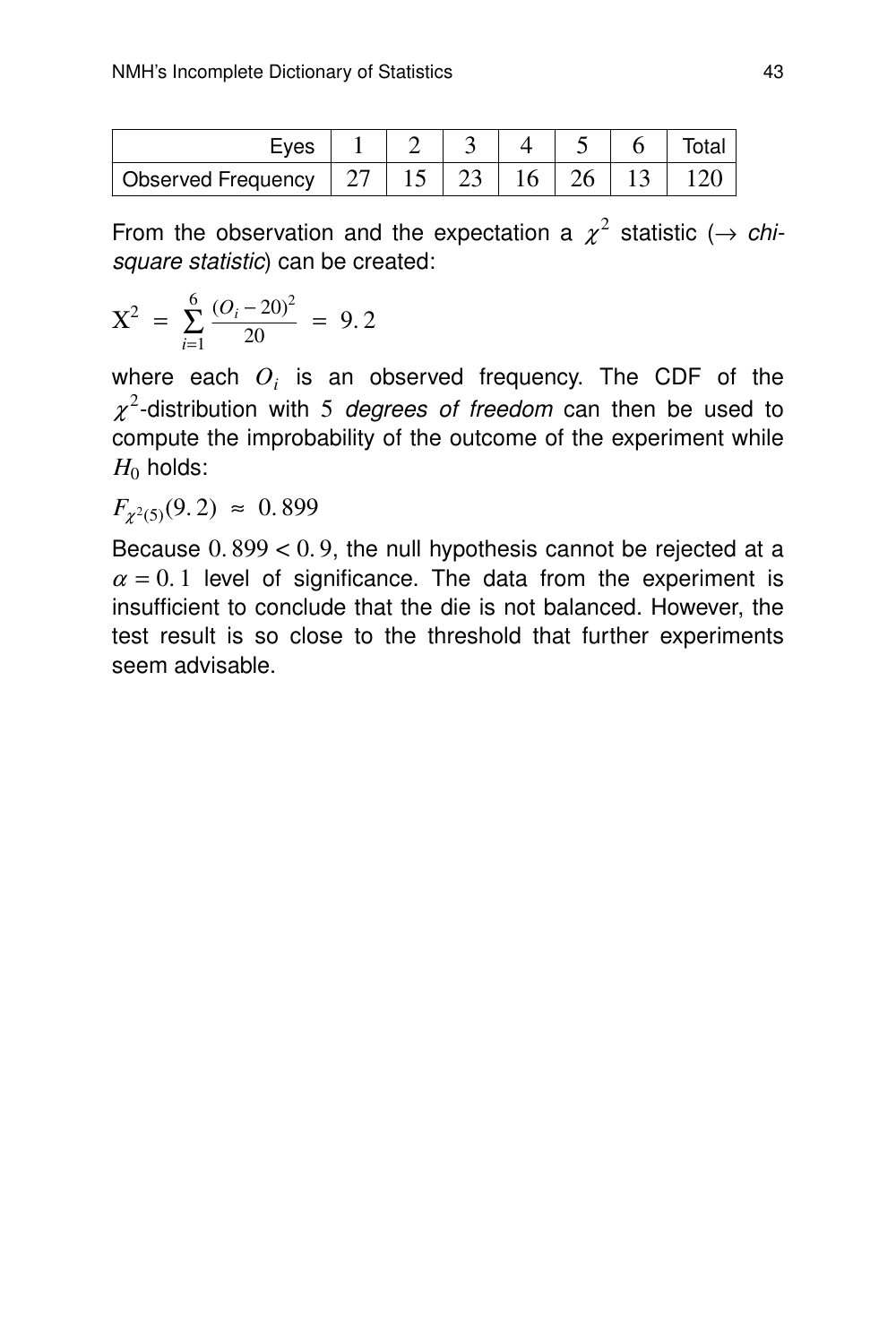| $\mathsf{\sim}$           |    |   |  |  |
|---------------------------|----|---|--|--|
| <b>Observed Frequency</b> | ⊥~ | ~ |  |  |

From the observation and the expectation a  $\chi^2$  statistic ( $\rightarrow$  chisquare statistic) can be created:

$$
X^2 = \sum_{i=1}^{6} \frac{(O_i - 20)^2}{20} = 9.2
$$

where each  $O_i$  is an observed frequency. The CDF of the  $\chi^2$ -distribution with 5 *degrees of freedom* can then be used to compute the improbability of the outcome of the experiment while  $H_0$  holds:

 $F_{\chi^2(5)}(9.2) \approx 0.899$ 

Because  $0.899 < 0.9$ , the null hypothesis cannot be rejected at a  $\alpha = 0.1$  level of significance. The data from the experiment is insufficient to conclude that the die is not balanced. However, the test result is so close to the threshold that further experiments seem advisable.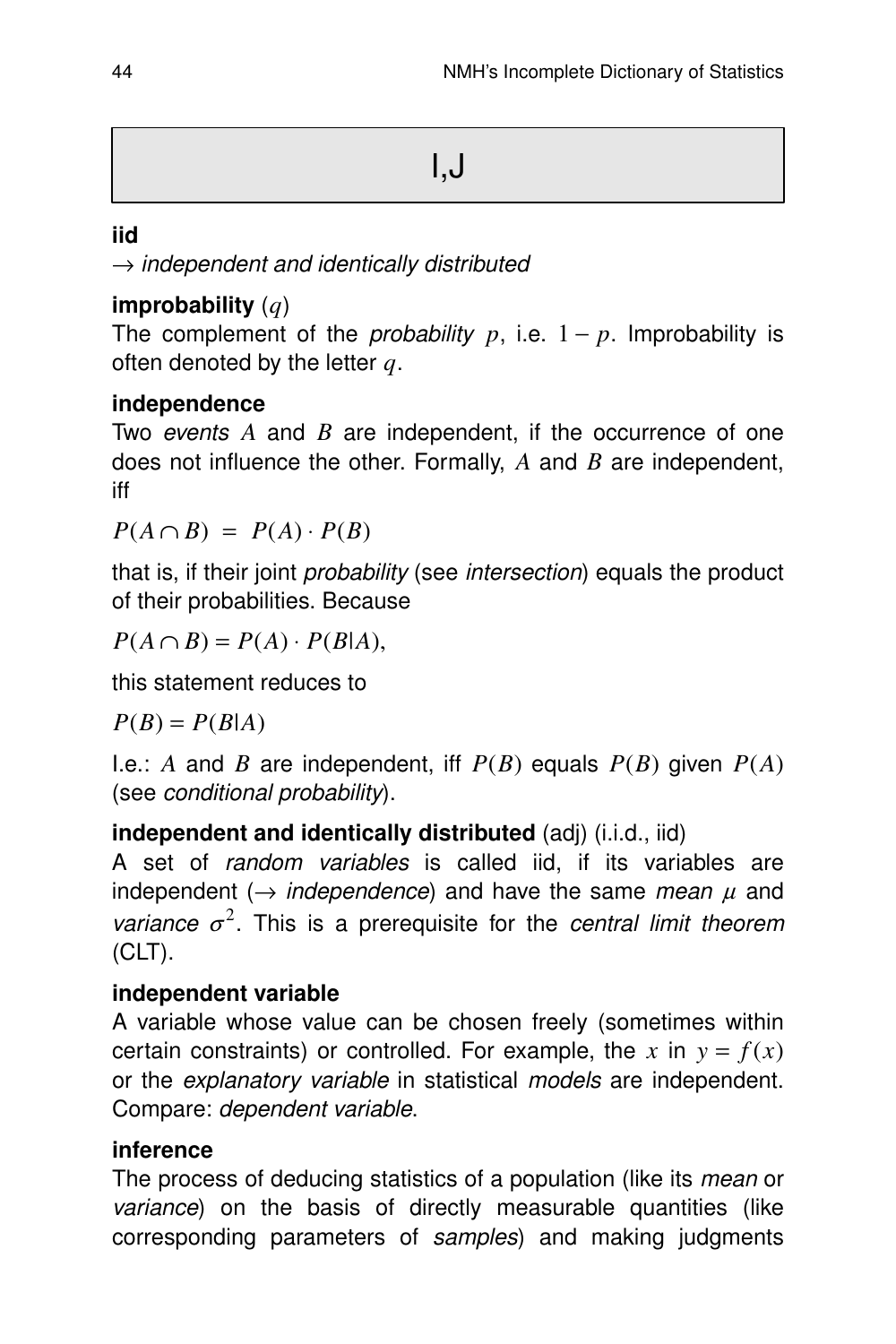## **iid**

 $\rightarrow$  independent and identically distributed

# **improbability** (*q*)

The complement of the *probability*  $p$ , i.e.  $1 - p$ . Improbability is often denoted by the letter *q*.

# **independence**

Two events A and B are independent, if the occurrence of one does not influence the other. Formally, A and B are independent, iff

 $P(A \cap B) = P(A) \cdot P(B)$ 

that is, if their joint probability (see intersection) equals the product of their probabilities. Because

 $P(A \cap B) = P(A) \cdot P(B|A),$ 

this statement reduces to

 $P(B) = P(B|A)$ 

I.e.: *A* and *B* are independent, iff *P*(*B*) equals *P*(*B*) given *P*(*A*) (see conditional probability).

## **independent and identically distributed** (adj) (i.i.d., iid)

A set of random variables is called iid, if its variables are independent ( $\rightarrow$  independence) and have the same mean  $\mu$  and variance  $\sigma^2$ . This is a prerequisite for the central limit theorem (CLT).

# **independent variable**

A variable whose value can be chosen freely (sometimes within certain constraints) or controlled. For example, the x in  $y = f(x)$ or the explanatory variable in statistical models are independent. Compare: dependent variable.

## **inference**

The process of deducing statistics of a population (like its *mean* or variance) on the basis of directly measurable quantities (like corresponding parameters of samples) and making judgments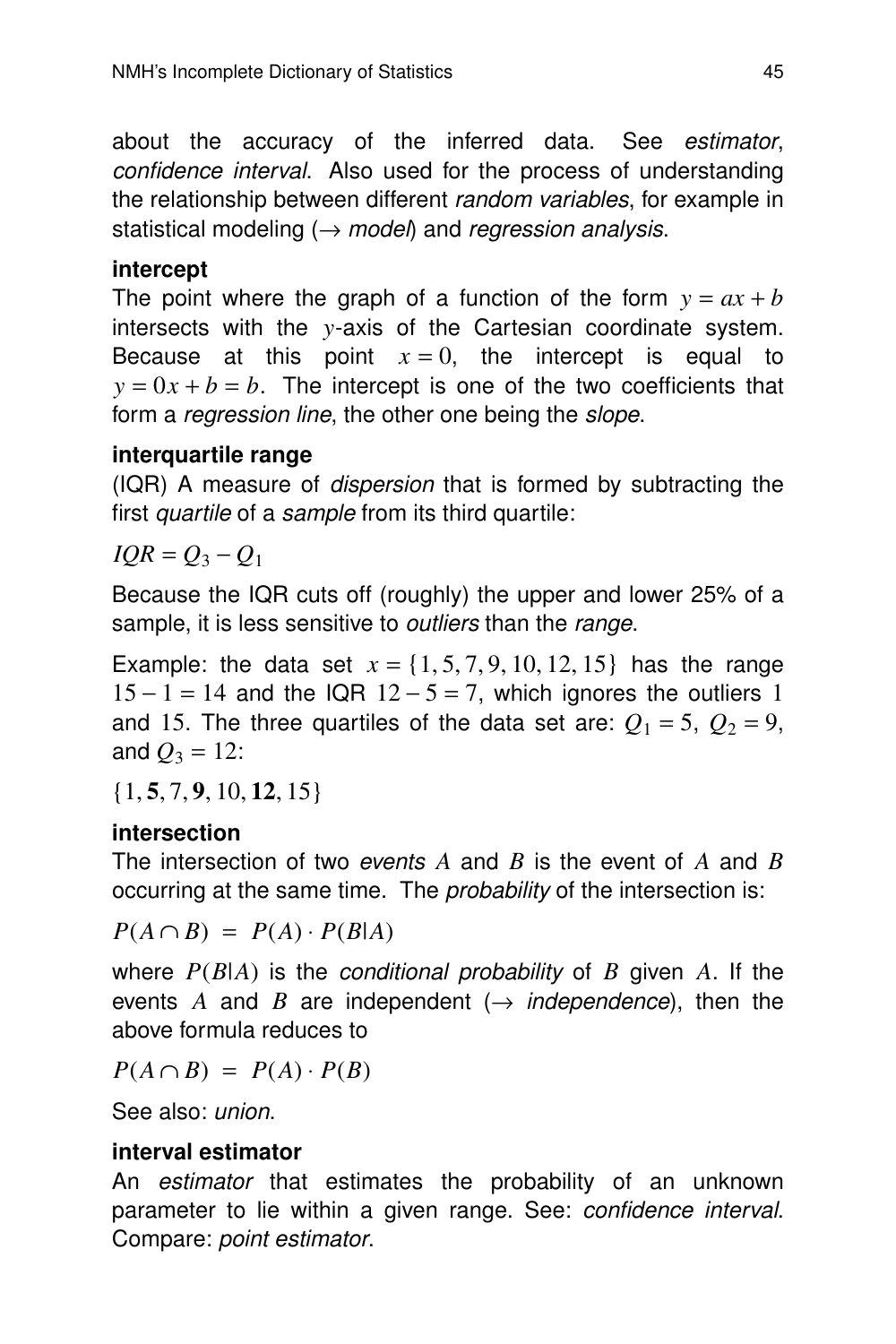about the accuracy of the inferred data. See estimator, confidence interval. Also used for the process of understanding the relationship between different *random variables*, for example in statistical modeling  $(\rightarrow$  model) and regression analysis.

# **intercept**

The point where the graph of a function of the form  $y = ax + b$ intersects with the *y*-axis of the Cartesian coordinate system. Because at this point  $x = 0$ , the intercept is equal to  $y = 0x + b = b$ . The intercept is one of the two coefficients that form a *regression line*, the other one being the *slope*.

# **interquar tile rang e**

(IQR) A measure of *dispersion* that is formed by subtracting the first *quartile* of a *sample* from its third quartile:

*IQR* =  $Q_3 - Q_1$ 

Because the IQR cuts off (roughly) the upper and lower 25% of a sample, it is less sensitive to *outliers* than the *range*.

Example: the data set  $x = \{1, 5, 7, 9, 10, 12, 15\}$  has the range  $15 - 1 = 14$  and the IQR  $12 - 5 = 7$ , which ignores the outliers 1 and 15. The three quartiles of the data set are:  $Q_1 = 5$ ,  $Q_2 = 9$ , and  $Q_3 = 12$ :

{1, **5**, 7, **9**, 10, **12**, 15}

# **intersection**

The intersection of two *events A* and *B* is the event of *A* and *B* occurring at the same time. The *probability* of the intersection is:

 $P(A \cap B) = P(A) \cdot P(B|A)$ 

where *P*(*B*|*A*) is the conditional probability of *B* given *A*. If the events *A* and *B* are independent ( $\rightarrow$  *independence*), then the above formula reduces to

 $P(A \cap B) = P(A) \cdot P(B)$ 

See also: union.

## **inter val estimator**

An estimator that estimates the probability of an unknown parameter to lie within a given range. See: confidence interval. Compare: point estimator.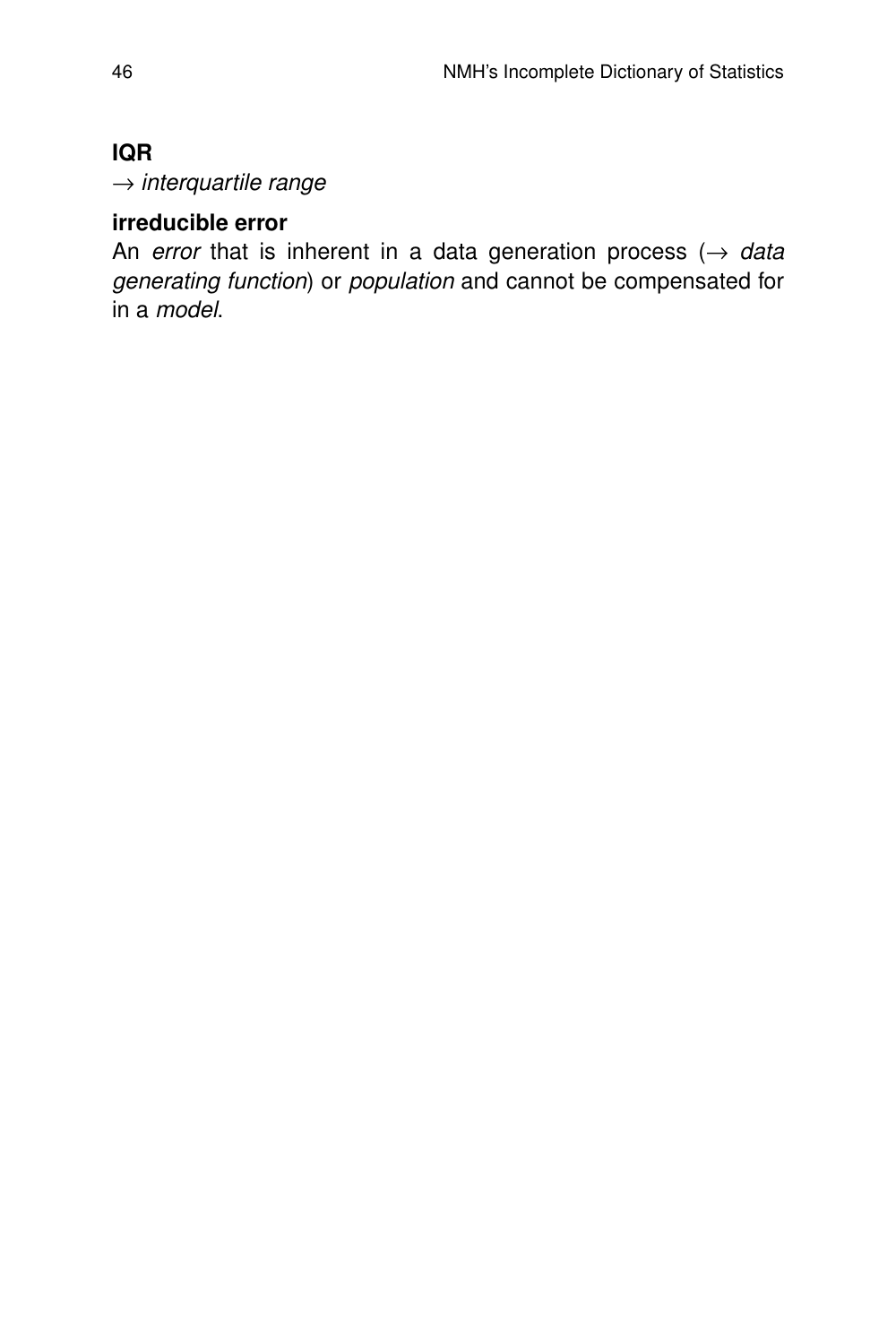# **IQR**

 $\rightarrow$  interquartile range

# **irreducible error**

An error that is inherent in a data generation process  $(\rightarrow)$  data generating function) or population and cannot be compensated for in a model.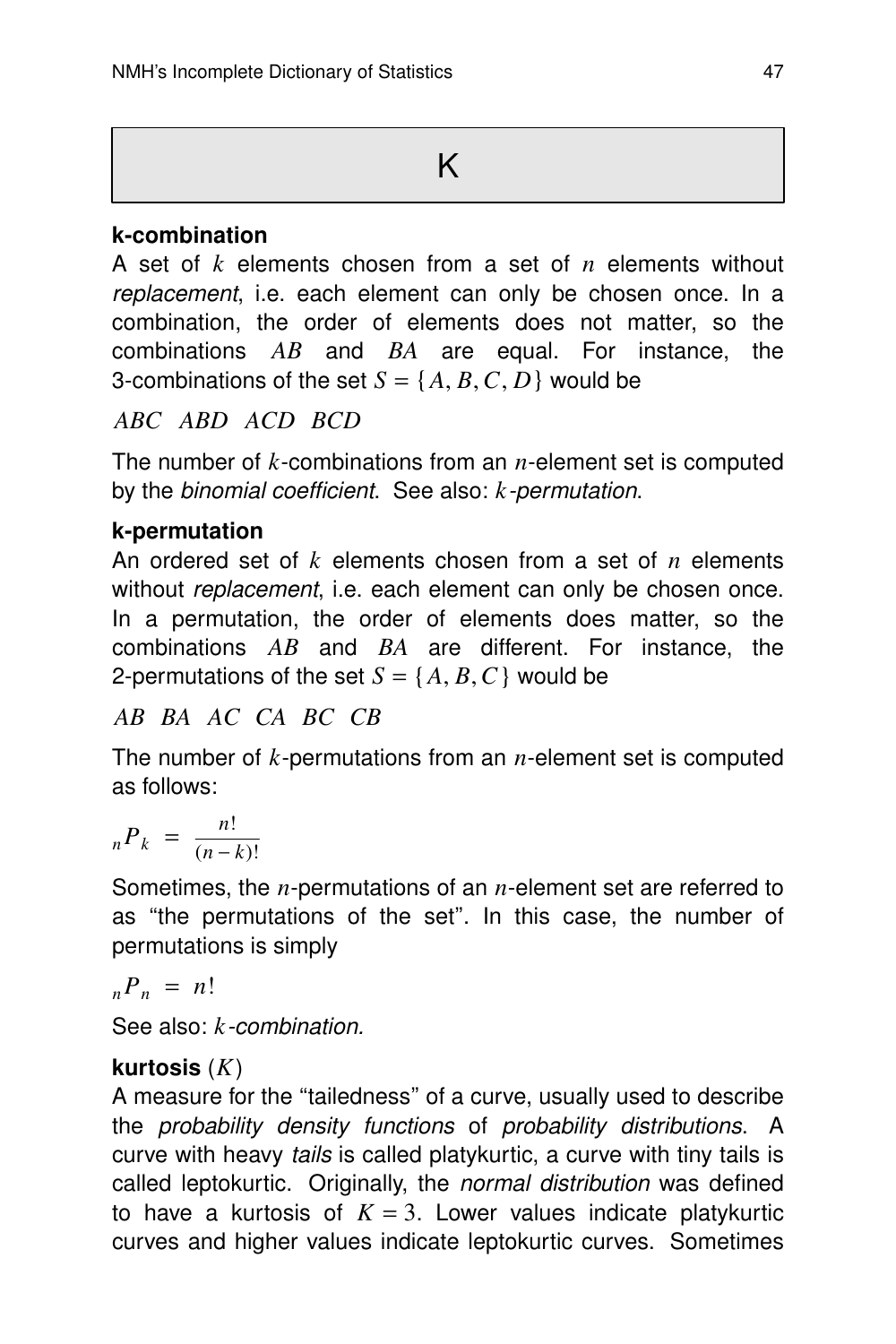# **k-combination**

A set of *k* elements chosen from a set of *n* elements without replacement, i.e. each element can only be chosen once. In a combination, the order of elements does not matter, so the combinations *AB* and *BA* are equal. For instance, the 3-combinations of the set  $S = \{A, B, C, D\}$  would be

*ABC ABD ACD BCD*

The number of *k*-combinations from an *n*-element set is computed by the *binomial coefficient*. See also: *k*-permutation.

# **k-permutation**

An ordered set of *k* elements chosen from a set of *n* elements without *replacement*, i.e. each element can only be chosen once. In a permutation, the order of elements does matter, so the combinations *AB* and *BA* are different. For instance, the 2-permutations of the set  $S = \{A, B, C\}$  would be

*AB BA AC CA BC CB*

The number of *k*-permutations from an *n*-element set is computed as follows:

$$
{}_{n}P_{k} = \frac{n!}{(n-k)!}
$$

Sometimes, the *n*-permutations of an *n*-element set are referred to as ''the permutations of the set''. In this case, the number of permutations is simply

$$
{}_{n}P_{n} = n!
$$

See also: *k*-combination.

# **kur tosis** (*K*)

A measure for the ''tailedness'' of a cur ve, usually used to describe the probability density functions of probability distributions. A curve with heavy *tails* is called platykurtic, a curve with tiny tails is called leptokurtic. Originally, the *normal distribution* was defined to have a kurtosis of  $K = 3$ . Lower values indicate platykurtic curves and higher values indicate leptokurtic curves. Sometimes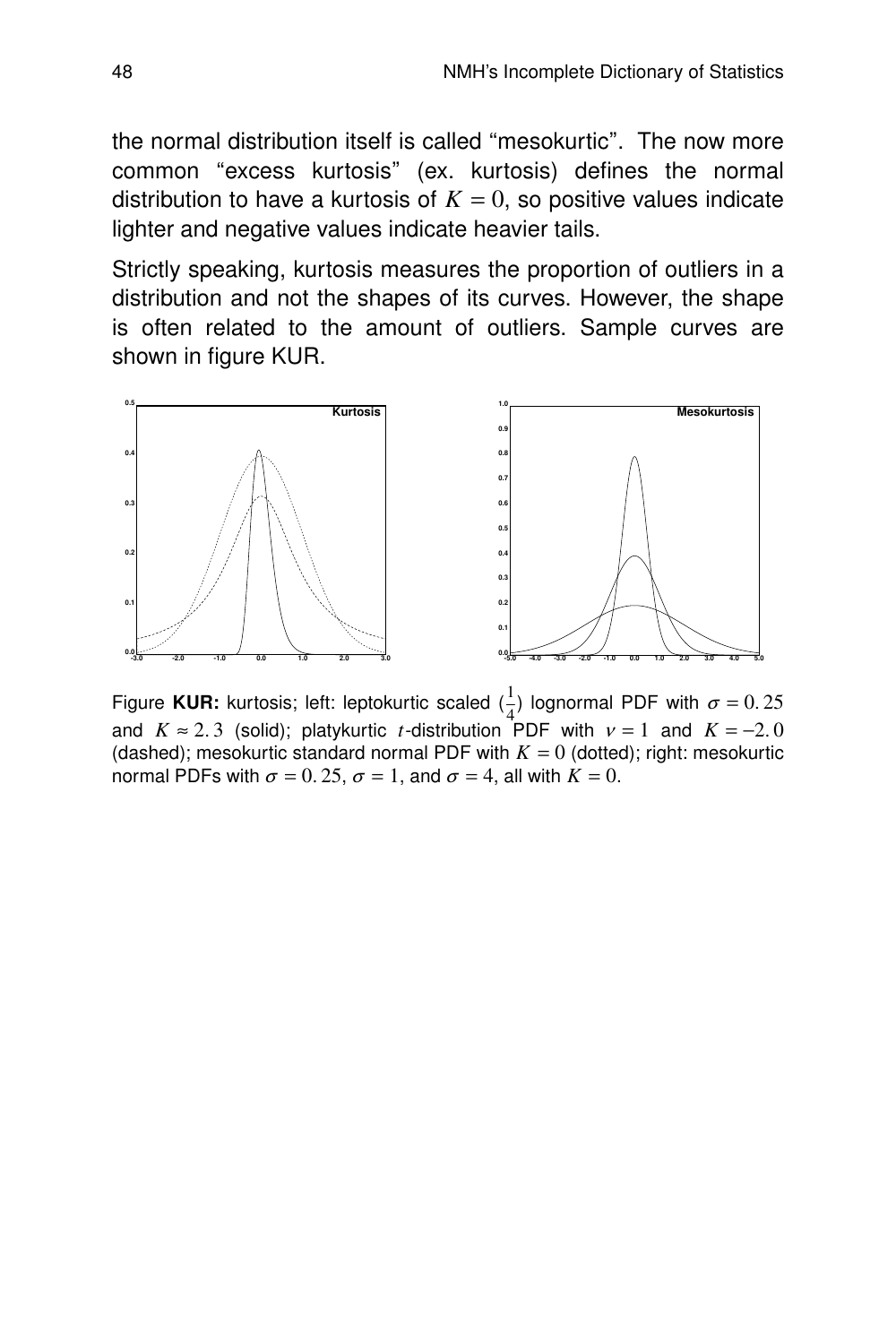the normal distribution itself is called ''mesokur tic''. The now more common "excess kurtosis" (ex. kurtosis) defines the normal distribution to have a kurtosis of  $K = 0$ , so positive values indicate lighter and negative values indicate heavier tails.

Strictly speaking, kurtosis measures the proportion of outliers in a distribution and not the shapes of its curves. However, the shape is often related to the amount of outliers. Sample curves are shown in figure KUR.



Figure **KUR:** kurtosis; left: leptokurtic scaled  $(\frac{1}{4})$  lognormal PDF with  $\sigma = 0.25$ and  $K \approx 2.3$  (solid); platykurtic *t*-distribution PDF with  $v = 1$  and  $K = -2.0$ (dashed); mesokurtic standard normal PDF with  $K = 0$  (dotted); right: mesokurtic normal PDFs with  $\sigma = 0.25$ ,  $\sigma = 1$ , and  $\sigma = 4$ , all with  $K = 0$ .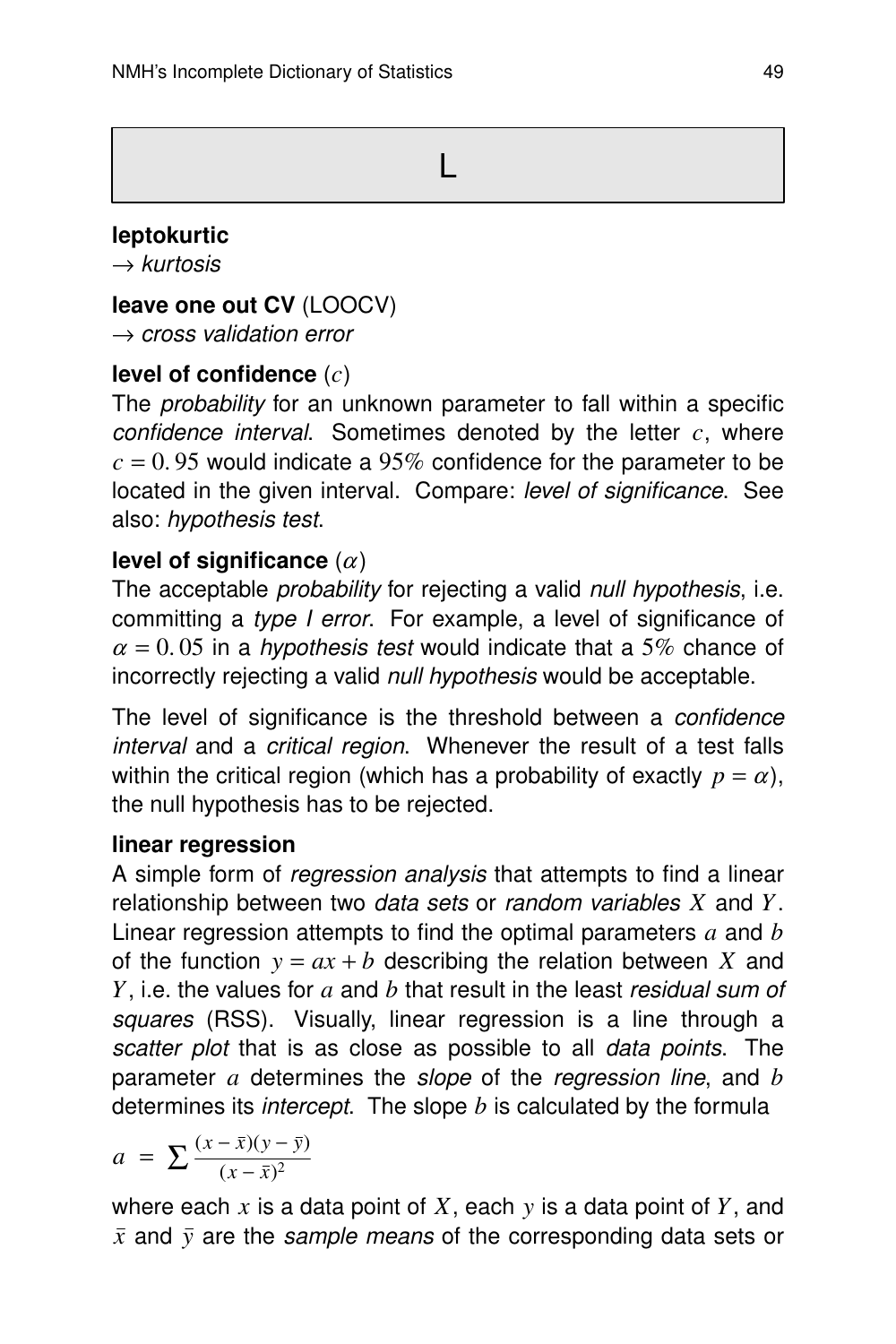$\mathsf{L}$ 

# **leptokur tic**

 $\rightarrow$  kurtosis

## **leave one out CV** (LOOCV)

 $\rightarrow$  cross validation error

# **level of confidence** (*c*)

The *probability* for an unknown parameter to fall within a specific confidence interval. Sometimes denoted by the letter *c*, where  $c = 0.95$  would indicate a 95% confidence for the parameter to be located in the given interval. Compare: level of significance. See also: hypothesis test.

# **level of significance**  $(\alpha)$

The acceptable *probability* for rejecting a valid null hypothesis, i.e. committing a type I error. For example, a level of significance of  $\alpha = 0.05$  in a *hypothesis test* would indicate that a 5% chance of incorrectly rejecting a valid null hypothesis would be acceptable.

The level of significance is the threshold between a *confidence* interval and a critical region. Whenever the result of a test falls within the critical region (which has a probability of exactly  $p = \alpha$ ), the null hypothesis has to be rejected.

## **linear regression**

A simple form of *regression analysis* that attempts to find a linear relationship between two *data sets* or *random variables X* and *Y*. Linear regression attempts to find the optimal parameters *a* and *b* of the function  $y = ax + b$  describing the relation between X and *Y*, i.e. the values for *a* and *b* that result in the least residual sum of squares (RSS). Visually, linear regression is a line through a scatter plot that is as close as possible to all data points. The parameter *a* determines the slope of the regression line, and *b* determines its *intercept*. The slope  $b$  is calculated by the formula

$$
a = \sum \frac{(x-\bar{x})(y-\bar{y})}{(x-\bar{x})^2}
$$

where each *x* is a data point of *X*, each *y* is a data point of *Y*, and  $\bar{x}$  and  $\bar{y}$  are the sample means of the corresponding data sets or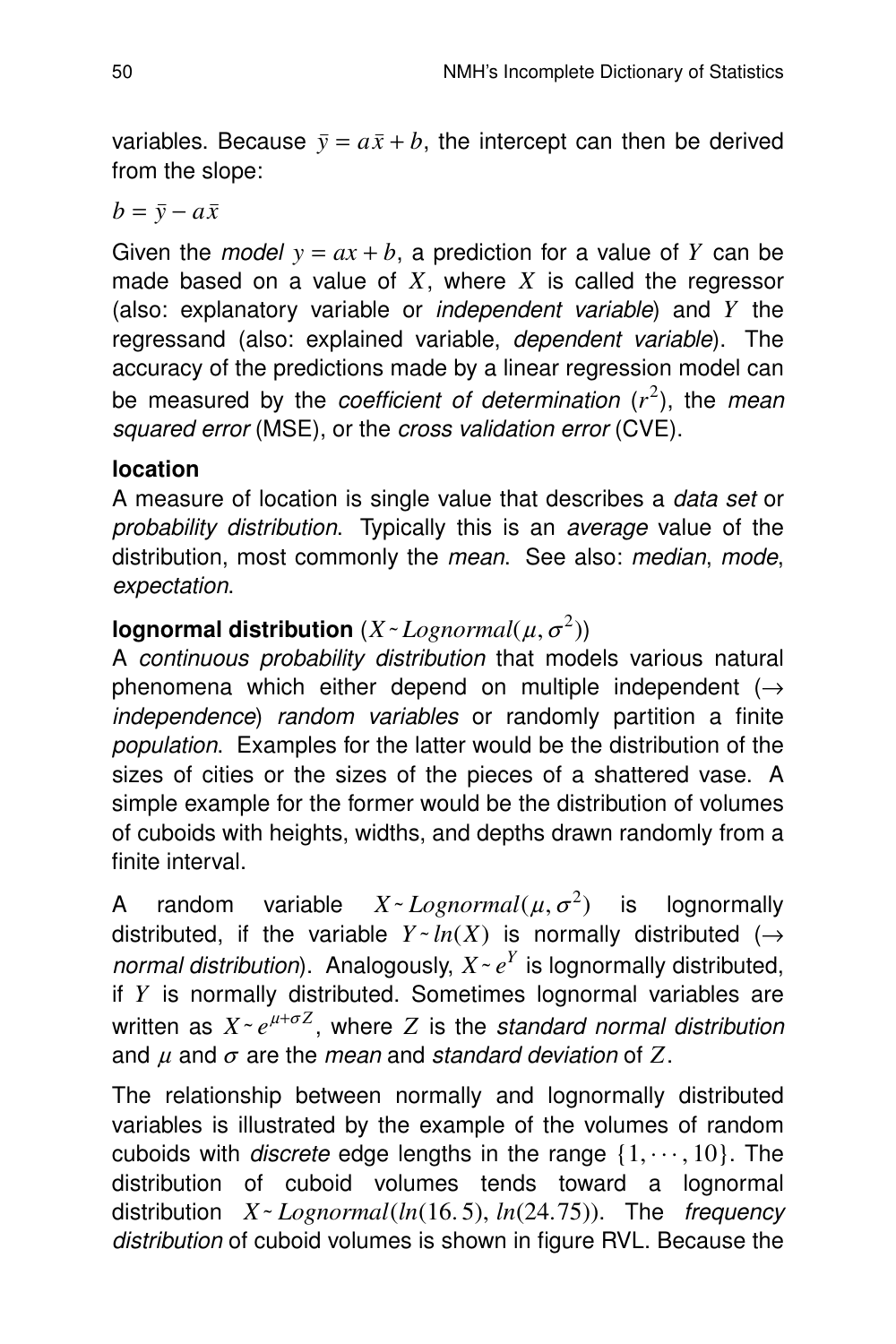variables. Because  $\bar{y} = a\bar{x} + b$ , the intercept can then be derived from the slope:

 $b = \overline{y} - a\overline{x}$ 

Given the *model*  $y = ax + b$ , a prediction for a value of *Y* can be made based on a value of *X*, where *X* is called the regressor (also: explanatory variable or *independent variable*) and  $Y$  the regressand (also: explained variable, *dependent variable*). The accuracy of the predictions made by a linear regression model can be measured by the *coefficient of determination* ( $r^2$ ), the *mean* squared error (MSE), or the cross validation error (CVE).

# **location**

A measure of location is single value that describes a data set or probability distribution. Typically this is an average value of the distribution, most commonly the mean. See also: median, mode, expectation.

# lognormal distribution  $(X$ *~ Lognormal*( $\mu, \sigma^2$ ))

A continuous probability distribution that models various natural phenomena which either depend on multiple independent  $($   $\rightarrow$ independence) random variables or randomly partition a finite population. Examples for the latter would be the distribution of the sizes of cities or the sizes of the pieces of a shattered vase. A simple example for the former would be the distribution of volumes of cuboids with heights, widths, and depths drawn randomly from a finite interval.

A random variable  $X \sim Lognormal(\mu, \sigma^2)$ **lognormally** distributed, if the variable  $Y \sim ln(X)$  is normally distributed ( $\rightarrow$ normal distribution). Analogously,  $X \sim e^Y$  is lognormally distributed, if  $Y$  is normally distributed. Sometimes lognormal variables are written as  $X \sim e^{\mu + \sigma Z}$ , where *Z* is the standard normal distribution and  $\mu$  and  $\sigma$  are the *mean* and standard deviation of Z.

The relationship between normally and lognormally distributed variables is illustrated by the example of the volumes of random cuboids with *discrete* edge lengths in the range  $\{1, \dots, 10\}$ . The distribution of cuboid volumes tends toward a lognormal distribution *X* - *Lognormal*(*ln*(16.5), *ln*(24.75)). The frequency distribution of cuboid volumes is shown in figure RVL. Because the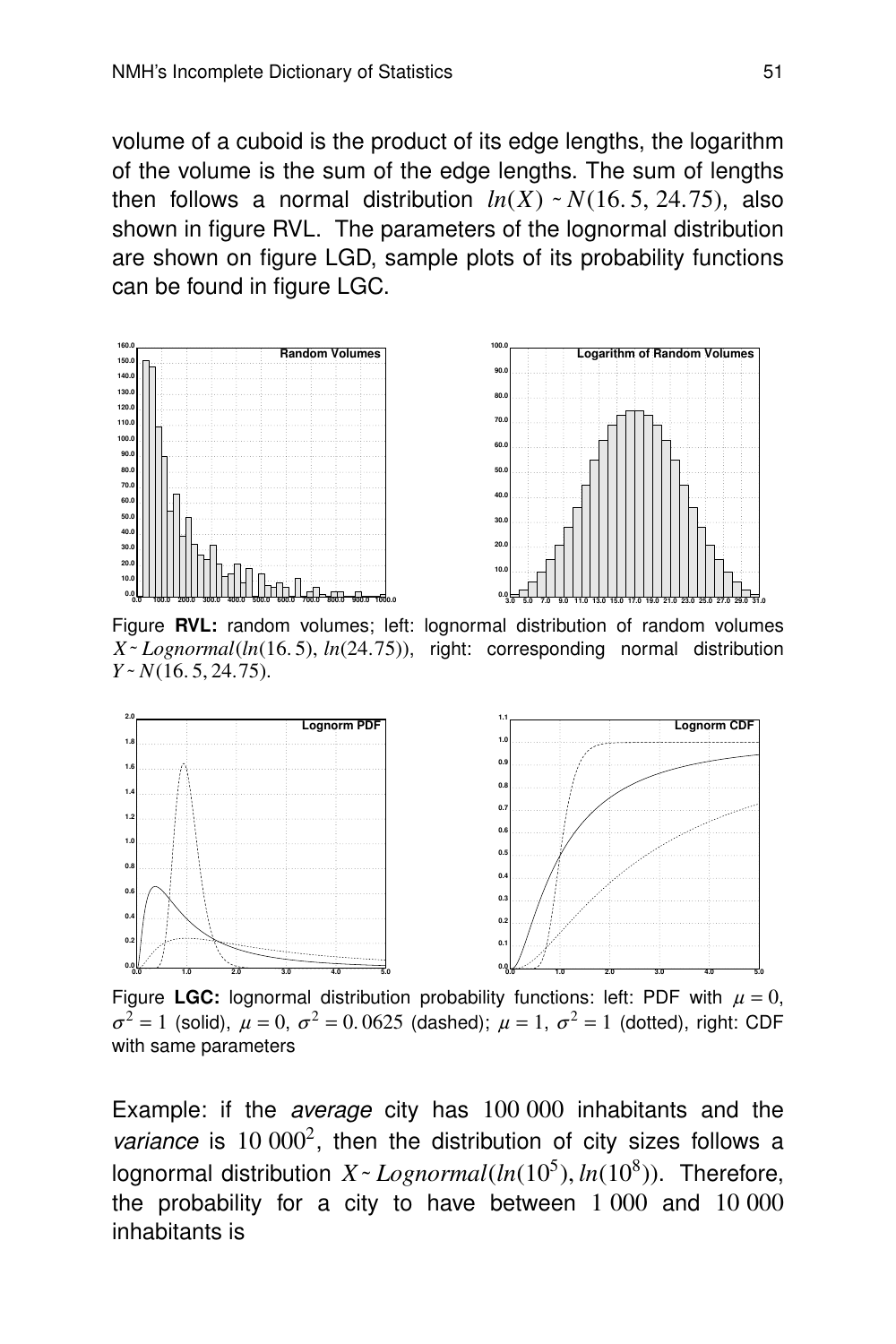volume of a cuboid is the product of its edge lengths, the logarithm of the volume is the sum of the edge lengths. The sum of lengths then follows a normal distribution  $ln(X) \sim N(16.5, 24.75)$ , also shown in figure RVL. The parameters of the lognormal distribution are shown on figure LGD, sample plots of its probability functions can be found in figure LGC.



Figure RVL: random volumes; left: lognormal distribution of random volumes *X˜ Lognormal*(*ln*(16. 5), *ln*(24. 75)), right: corresponding normal distribution *Y˜ N*(16. 5, 24.75).



Figure LGC: lognormal distribution probability functions: left: PDF with  $\mu = 0$ ,  $\sigma^2 = 1$  (solid),  $\mu = 0$ ,  $\sigma^2 = 0.0625$  (dashed);  $\mu = 1$ ,  $\sigma^2 = 1$  (dotted), right: CDF with same parameters

Example: if the average city has 100 000 inhabitants and the variance is  $10\ 000^2$ , then the distribution of city sizes follows a lognormal distribution  $X \sim Lognormal(ln(10^5), ln(10^8))$ . Therefore, the probability for a city to have between 1 000 and 10 000 inhabitants is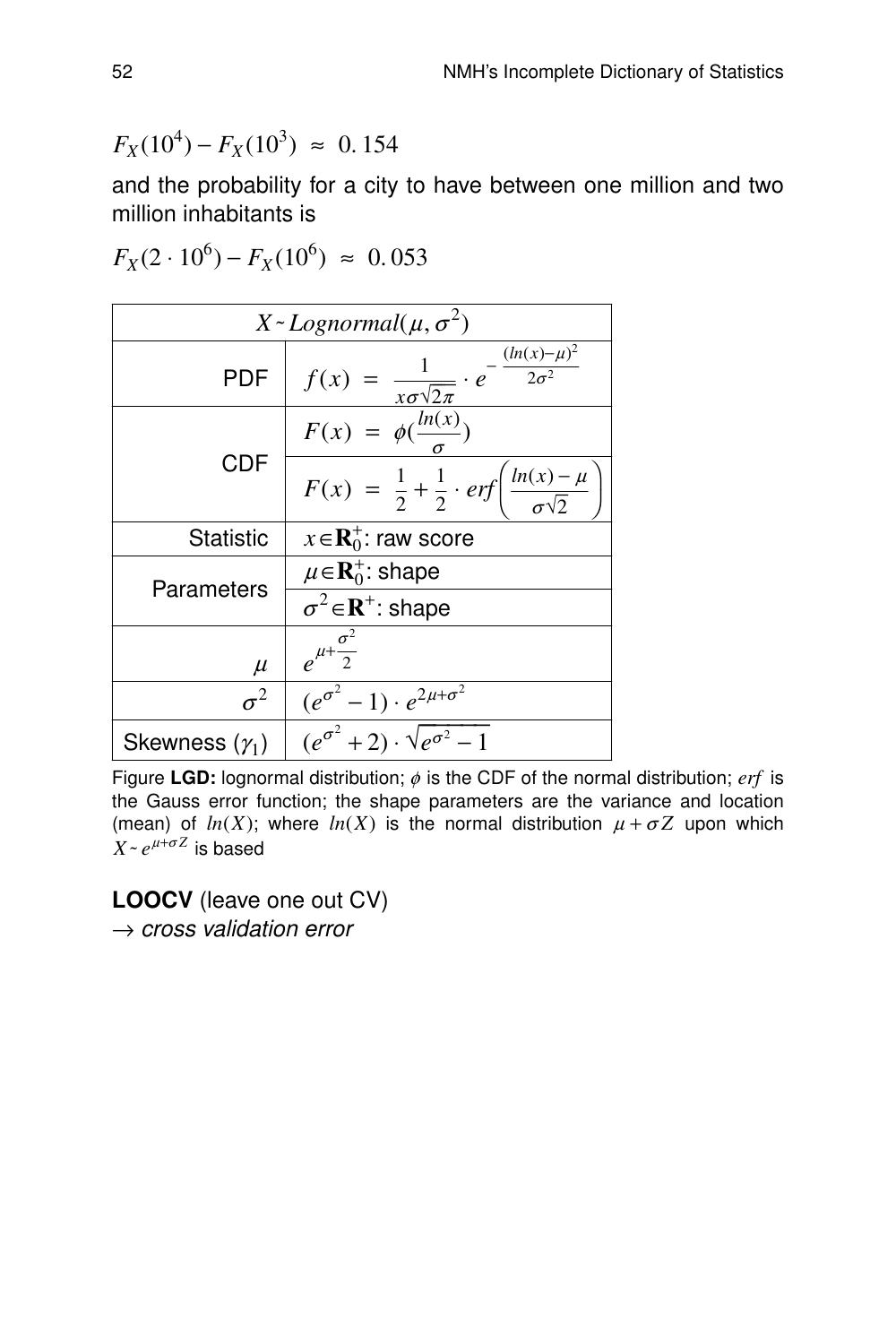$$
F_X(10^4) - F_X(10^3) \approx 0.154
$$

and the probability for a city to have between one million and two million inhabitants is

$$
F_X(2 \cdot 10^6) - F_X(10^6) \approx 0.053
$$

| $X \sim$ Lognormal( $\mu, \sigma^2$ ) |                                                                                        |  |  |  |  |  |  |
|---------------------------------------|----------------------------------------------------------------------------------------|--|--|--|--|--|--|
| <b>PDF</b>                            | $(ln(x) - \mu)^2$<br>$2\sigma^2$<br>$f(x) =$<br>$rac{1}{x\sigma\sqrt{2\pi}}\cdot e$    |  |  |  |  |  |  |
|                                       | $F(x) = \phi(\frac{ln(x)}{)}$                                                          |  |  |  |  |  |  |
| <b>CDF</b>                            | $\frac{\ln(x) - \mu}{\sigma \sqrt{2}}$<br>$F(x) = \frac{1}{2} + \frac{1}{2} \cdot erf$ |  |  |  |  |  |  |
| <b>Statistic</b>                      | $x \in \mathbf{R}_0^+$ : raw score                                                     |  |  |  |  |  |  |
| Parameters                            | $\mu \in \mathbf{R}_0^+$ : shape                                                       |  |  |  |  |  |  |
|                                       | $\sigma^2 \in \mathbb{R}^+$ : shape                                                    |  |  |  |  |  |  |
| $\mu$                                 | $e^{\mu+\frac{\sigma^2}{2}}$                                                           |  |  |  |  |  |  |
| $\sigma^2$                            | $(e^{\sigma^2}-1)\cdot e^{2\mu+\sigma^2}$                                              |  |  |  |  |  |  |
| Skewness $(\gamma_1)$                 | $(e^{\sigma^2}+2)\cdot\sqrt{e^{\sigma^2}}-1$                                           |  |  |  |  |  |  |

Figure LGD: lognormal distribution;  $\phi$  is the CDF of the normal distribution; *erf* is the Gauss error function; the shape parameters are the variance and location (mean) of  $ln(X)$ ; where  $ln(X)$  is the normal distribution  $\mu + \sigma Z$  upon which  $X \sim e^{\mu + \sigma Z}$  is based

**LOOCV** (leave one out CV)  $\rightarrow$  cross validation error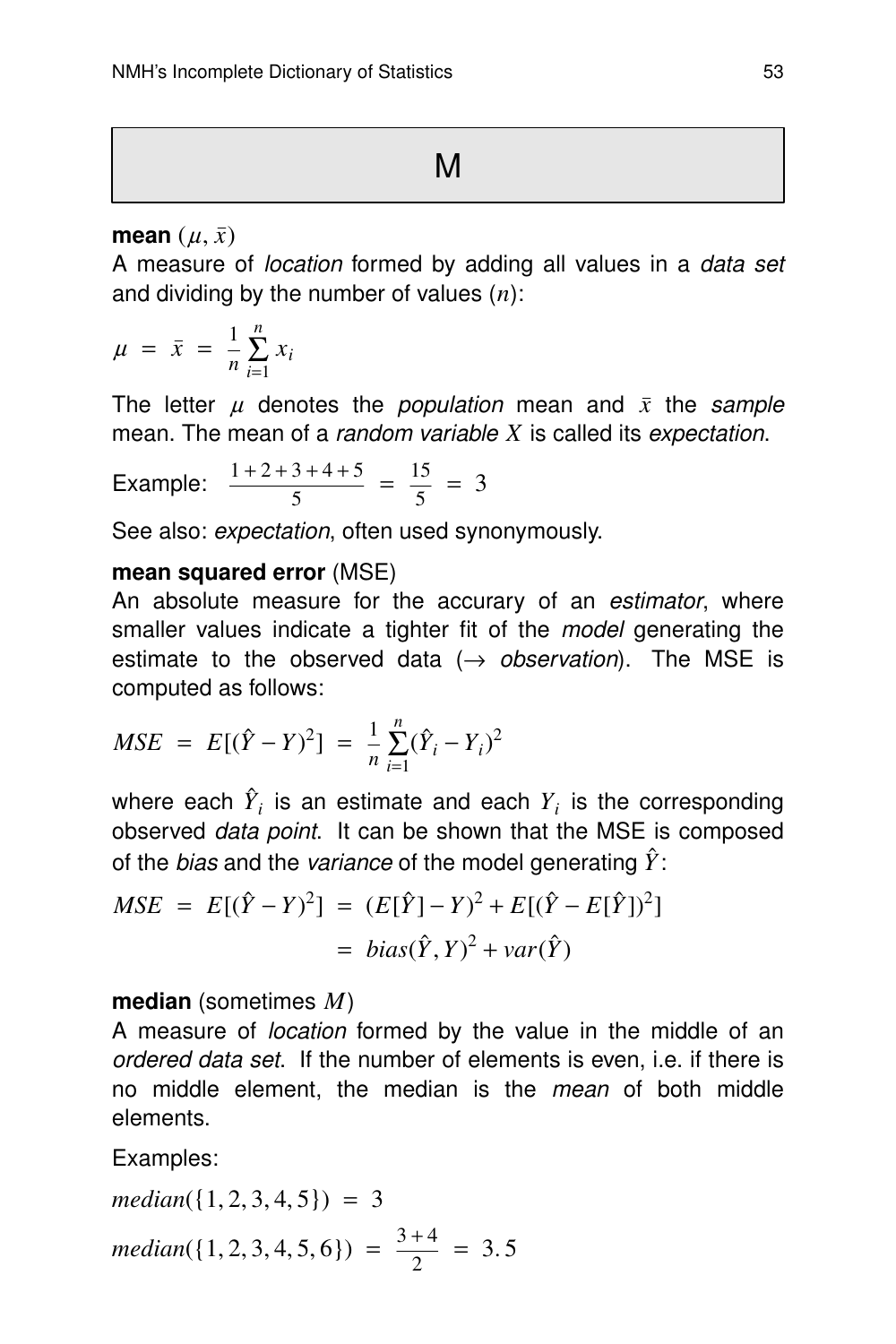#### **mean**  $(u, \bar{x})$

A measure of location formed by adding all values in a data set and dividing by the number of values (*n*):

$$
\mu = \bar{x} = \frac{1}{n} \sum_{i=1}^{n} x_i
$$

The letter  $\mu$  denotes the *population* mean and  $\bar{x}$  the sample mean. The mean of a *random variable X* is called its *expectation*.

Example: 
$$
\frac{1+2+3+4+5}{5} = \frac{15}{5} = 3
$$

See also: *expectation*, often used synonymously.

#### **mean squared error** (MSE)

An absolute measure for the accurary of an *estimator*, where smaller values indicate a tighter fit of the *model* generating the estimate to the observed data ( $\rightarrow$  observation). The MSE is computed as follows:

$$
MSE = E[(\hat{Y} - Y)^2] = \frac{1}{n} \sum_{i=1}^{n} (\hat{Y}_i - Y_i)^2
$$

where each  $\hat{Y}_i$  is an estimate and each  $Y_i$  is the corresponding observed *data point*. It can be shown that the MSE is composed of the *bias* and the *variance* of the model generating  $\hat{Y}$ :

$$
MSE = E[(\hat{Y} - Y)^2] = (E[\hat{Y}] - Y)^2 + E[(\hat{Y} - E[\hat{Y}])^2]
$$
  
= bias( $\hat{Y}, Y$ )<sup>2</sup> + var( $\hat{Y}$ )

#### **median** (sometimes *M*)

A measure of location formed by the value in the middle of an ordered data set. If the number of elements is even, i.e. if there is no middle element, the median is the mean of both middle elements.

Examples:

$$
median({1, 2, 3, 4, 5}) = 3
$$
  

$$
median({1, 2, 3, 4, 5, 6}) = \frac{3+4}{2} = 3.5
$$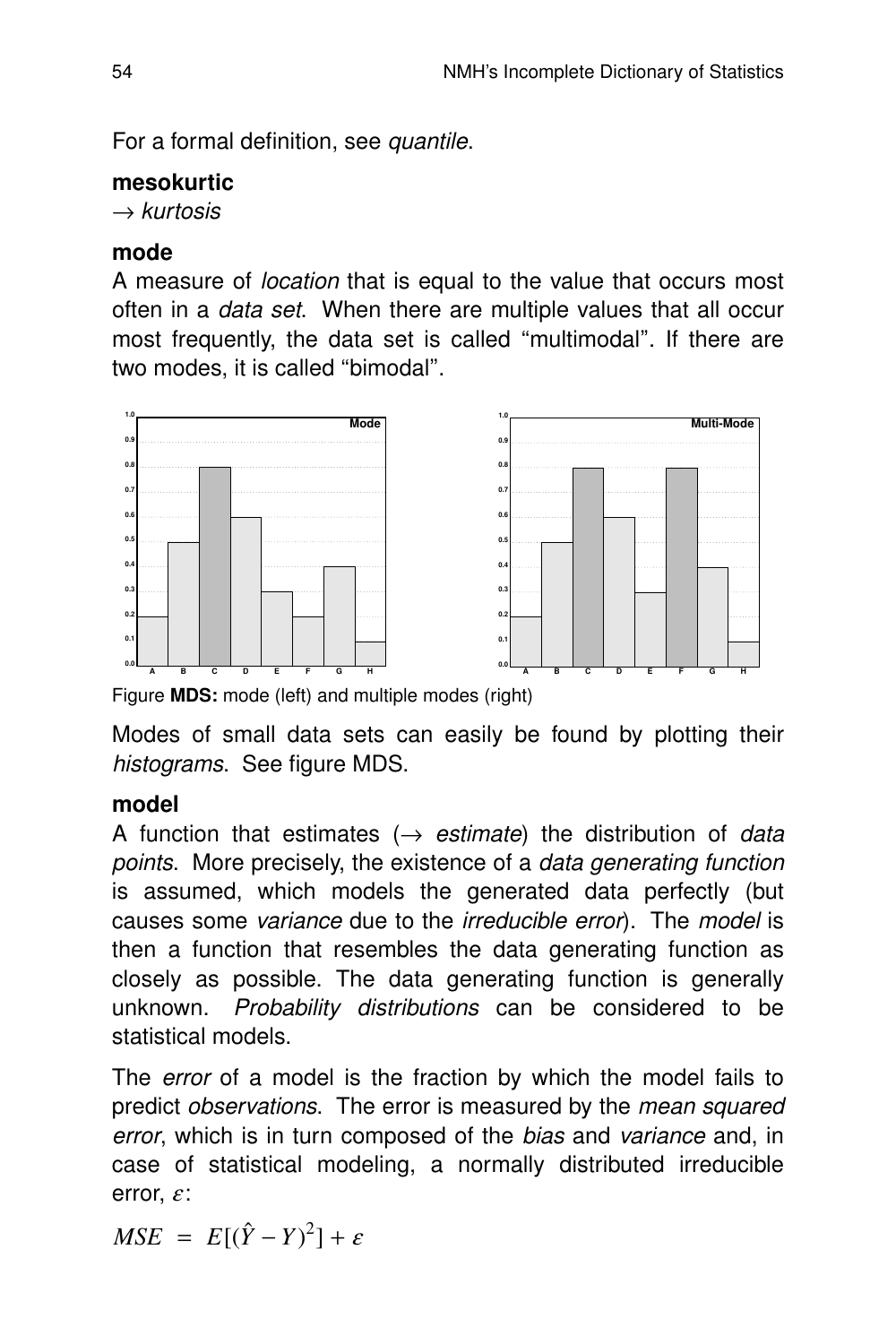For a formal definition, see quantile.

## **mesokurtic**

 $\rightarrow$  kurtosis

## **mode**

A measure of location that is equal to the value that occurs most often in a data set. When there are multiple values that all occur most frequently, the data set is called ''multimodal''. If there are two modes, it is called "bimodal".



Figure **MDS:** mode (left) and multiple modes (right)

Modes of small data sets can easily be found by plotting their histograms. See figure MDS.

# **model**

A function that estimates  $(\rightarrow$  estimate) the distribution of data points. More precisely, the existence of a data generating function is assumed, which models the generated data perfectly (but causes some variance due to the irreducible error). The model is then a function that resembles the data generating function as closely as possible. The data generating function is generally unknown. Probability distributions can be considered to be statistical models.

The error of a model is the fraction by which the model fails to predict observations. The error is measured by the mean squared error, which is in turn composed of the bias and variance and, in case of statistical modeling, a normally distributed irreducible error,  $\varepsilon$ :

 $MSE = E[(\hat{Y} - Y)^2] + \varepsilon$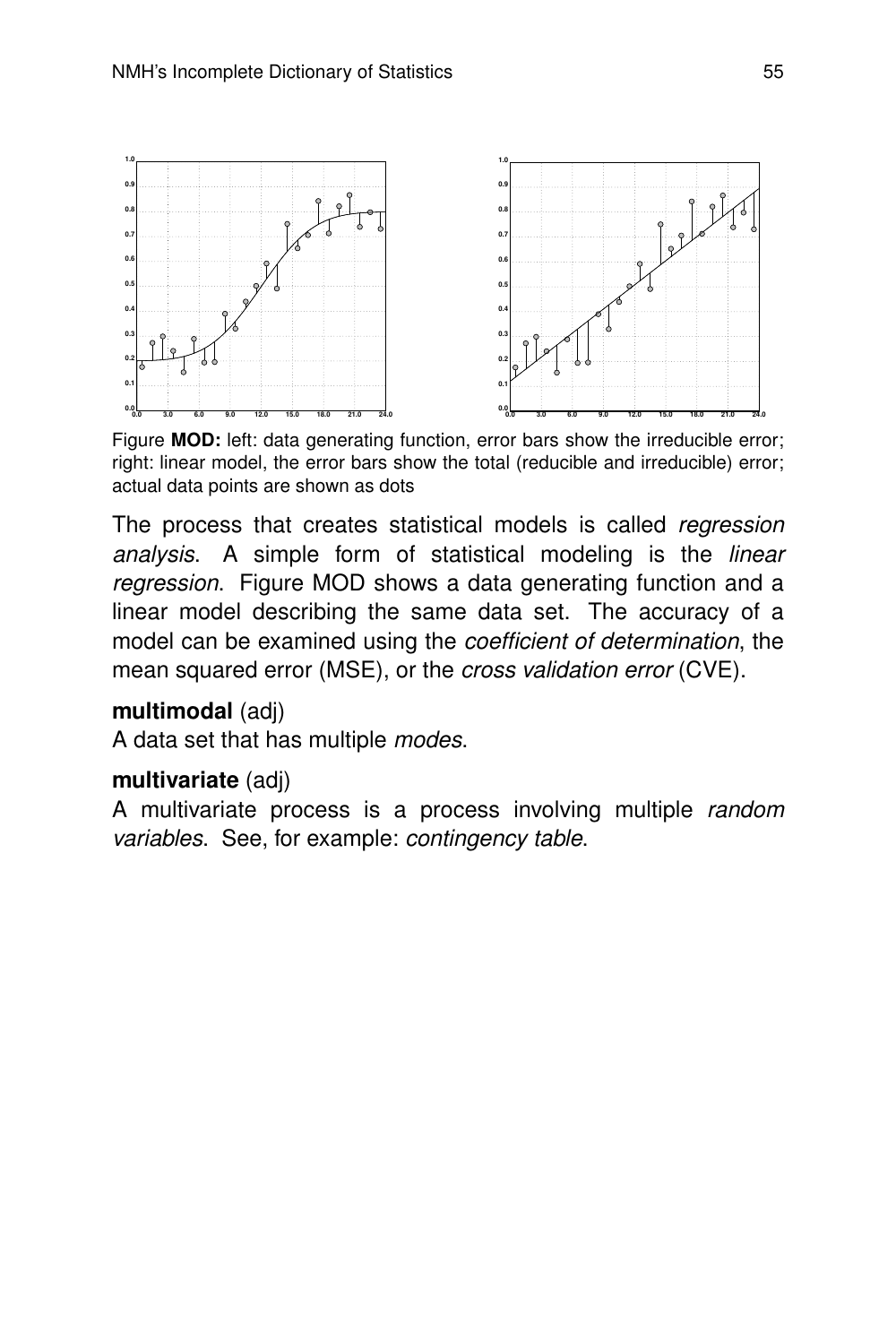

Figure **MOD:** left: data generating function, error bars show the irreducible error; right: linear model, the error bars show the total (reducible and irreducible) error; actual data points are shown as dots

The process that creates statistical models is called regression analysis. A simple form of statistical modeling is the *linear* regression. Figure MOD shows a data generating function and a linear model describing the same data set. The accuracy of a model can be examined using the coefficient of determination, the mean squared error (MSE), or the cross validation error (CVE).

## **multimodal** (adj)

A data set that has multiple modes.

## **multivariate** (adj)

A multivariate process is a process involving multiple random variables. See, for example: contingency table.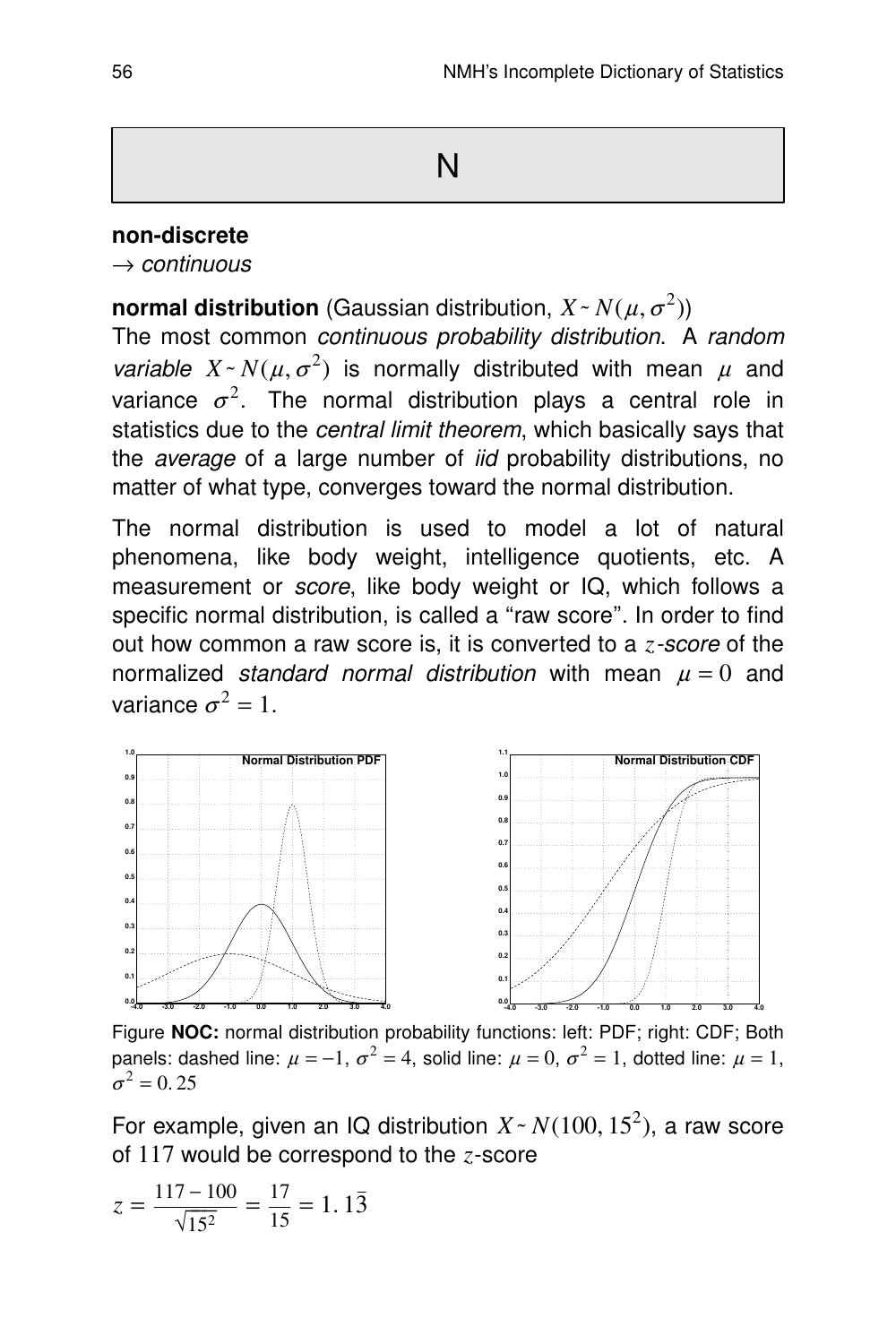#### **non-discrete**

 $\rightarrow$  continuous

**normal distribution** (Gaussian distribution,  $X \sim N(\mu, \sigma^2)$ )

The most common continuous probability distribution. A random *variable*  $X \sim N(\mu, \sigma^2)$  is normally distributed with mean  $\mu$  and variance  $\sigma^2$ . The normal distribution plays a central role in statistics due to the *central limit theorem*, which basically says that the average of a large number of iid probability distributions, no matter of what type, converges toward the normal distribution.

The normal distribution is used to model a lot of natural phenomena, like body weight, intelligence quotients, etc. A measurement or *score*, like body weight or IQ, which follows a specific normal distribution, is called a "raw score". In order to find out how common a raw score is, it is converted to a *z*-score of the normalized standard normal distribution with mean  $\mu = 0$  and variance  $\sigma^2 = 1$ .



Figure **NOC:** normal distribution probability functions: left: PDF; right: CDF; Both panels: dashed line:  $\mu = -1$ ,  $\sigma^2 = 4$ , solid line:  $\mu = 0$ ,  $\sigma^2 = 1$ , dotted line:  $\mu = 1$ ,  $\sigma^2 = 0.25$ 

For example, given an IQ distribution  $X \sim N(100, 15^2)$ , a raw score of 117 would be correspond to the *z*-score

$$
z = \frac{117 - 100}{\sqrt{15^2}} = \frac{17}{15} = 1.1\overline{3}
$$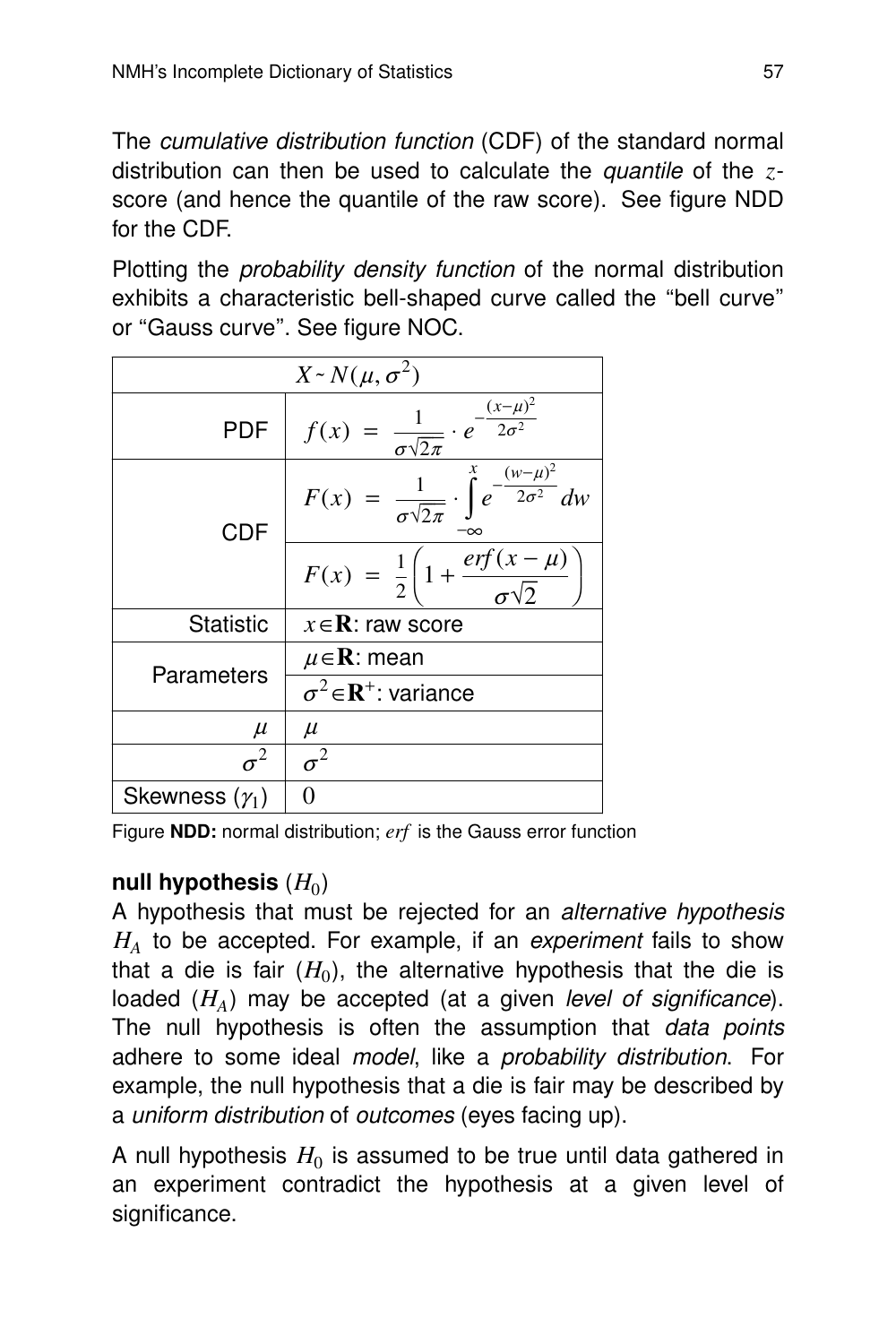The cumulative distribution function (CDF) of the standard normal distribution can then be used to calculate the *quantile* of the *z*score (and hence the quantile of the raw score). See figure NDD for the CDF.

Plotting the *probability density function* of the normal distribution exhibits a characteristic bell-shaped curve called the "bell curve" or "Gauss curve". See figure NOC.

|                       | $X \sim N(\mu, \sigma^2)$                                                                      |
|-----------------------|------------------------------------------------------------------------------------------------|
| <b>PDF</b>            | $f(x) = \frac{1}{\sigma \sqrt{2\pi}} \cdot e^{-\frac{(x-\mu)^2}{2\sigma^2}}$                   |
| <b>CDF</b>            | $F(x) = \frac{1}{\sigma \sqrt{2\pi}} \cdot \int_{0}^{x} e^{-\frac{(w - \mu)^2}{2\sigma^2}} dw$ |
|                       | $F(x) = \frac{1}{2} \left( 1 + \frac{erf(x - \mu)}{\sigma \sqrt{2}} \right)$                   |
| <b>Statistic</b>      | $x \in \mathbf{R}$ : raw score                                                                 |
|                       | $\mu \in \mathbf{R}$ : mean                                                                    |
| Parameters            | $\sigma^2 \in \mathbb{R}^+$ : variance                                                         |
| $\mu$                 | $\mu$                                                                                          |
|                       | $\sigma^2$                                                                                     |
| Skewness $(\gamma_1)$ |                                                                                                |

Figure **NDD:** normal distribution; *erf* is the Gauss error function

# null hypothesis  $(H_0)$

A hypothesis that must be rejected for an *alternative hypothesis*  $H_A$  to be accepted. For example, if an experiment fails to show that a die is fair  $(H_0)$ , the alternative hypothesis that the die is loaded ( $H_A$ ) may be accepted (at a given *level of significance*). The null hypothesis is often the assumption that *data points* adhere to some ideal model, like a probability distribution. For example, the null hypothesis that a die is fair may be described by a uniform distribution of outcomes (eyes facing up).

A null hypothesis  $H_0$  is assumed to be true until data gathered in an experiment contradict the hypothesis at a given level of significance.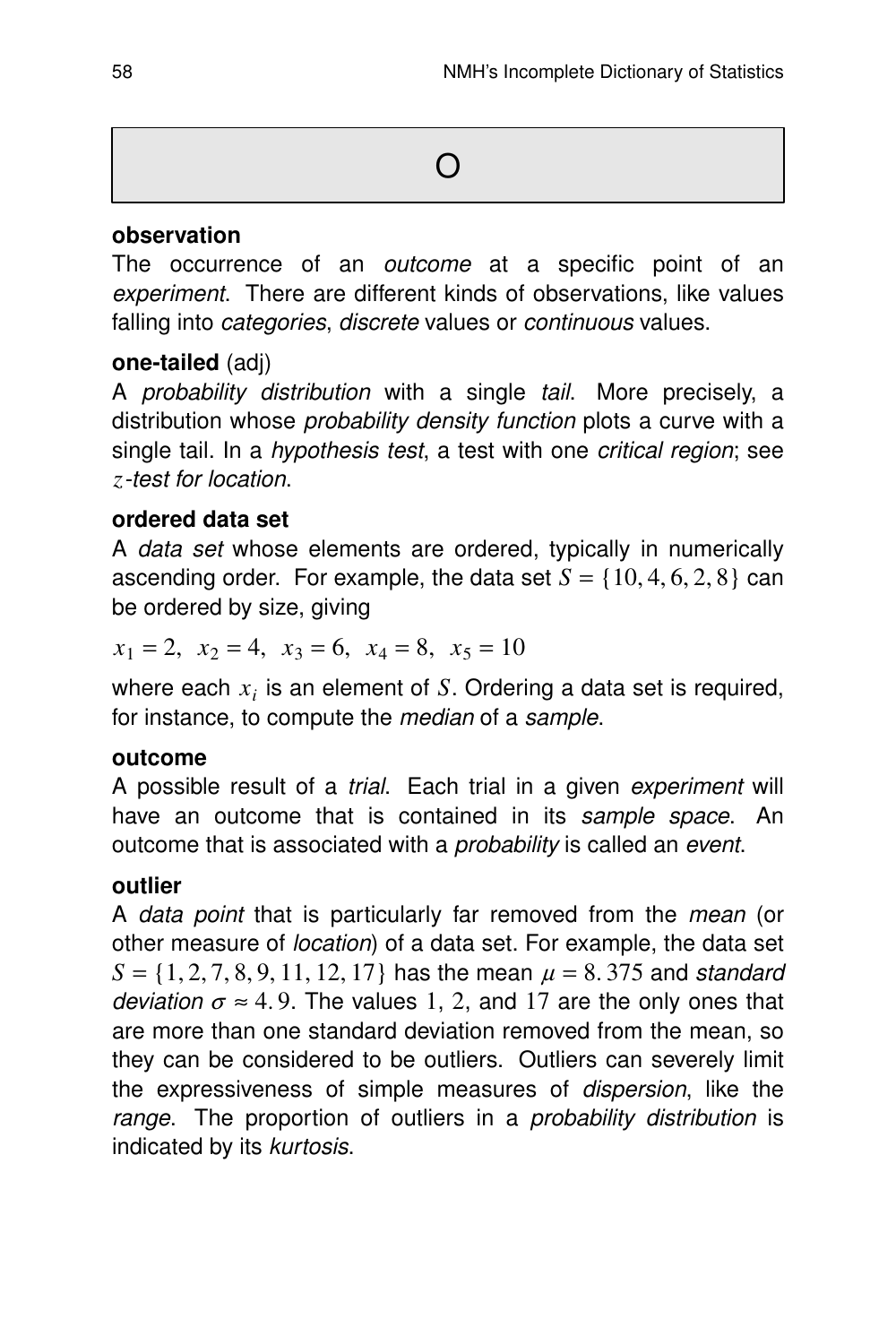#### **obser vation**

The occurrence of an outcome at a specific point of an experiment. There are different kinds of observations, like values falling into categories, discrete values or continuous values.

## **one-tailed** (adj)

A probability distribution with a single tail. More precisely, a distribution whose *probability density function* plots a curve with a single tail. In a *hypothesis test*, a test with one *critical region*; see *z*-test for location.

## **ordered data set**

A data set whose elements are ordered, typically in numerically ascending order. For example, the data set  $S = \{10, 4, 6, 2, 8\}$  can be ordered by size, giving

$$
x_1 = 2
$$
,  $x_2 = 4$ ,  $x_3 = 6$ ,  $x_4 = 8$ ,  $x_5 = 10$ 

where each  $x_i$  is an element of  $S$ . Ordering a data set is required, for instance, to compute the median of a sample.

#### **outcome**

A possible result of a trial. Each trial in a given experiment will have an outcome that is contained in its sample space. An outcome that is associated with a probability is called an event.

#### **outlier**

A data point that is particularly far removed from the *mean* (or other measure of location) of a data set. For example, the data set  $S = \{1, 2, 7, 8, 9, 11, 12, 17\}$  has the mean  $\mu = 8.375$  and standard deviation  $\sigma \approx 4.9$ . The values 1, 2, and 17 are the only ones that are more than one standard deviation removed from the mean, so they can be considered to be outliers. Outliers can severely limit the expressiveness of simple measures of dispersion, like the range. The proportion of outliers in a *probability distribution* is indicated by its kurtosis.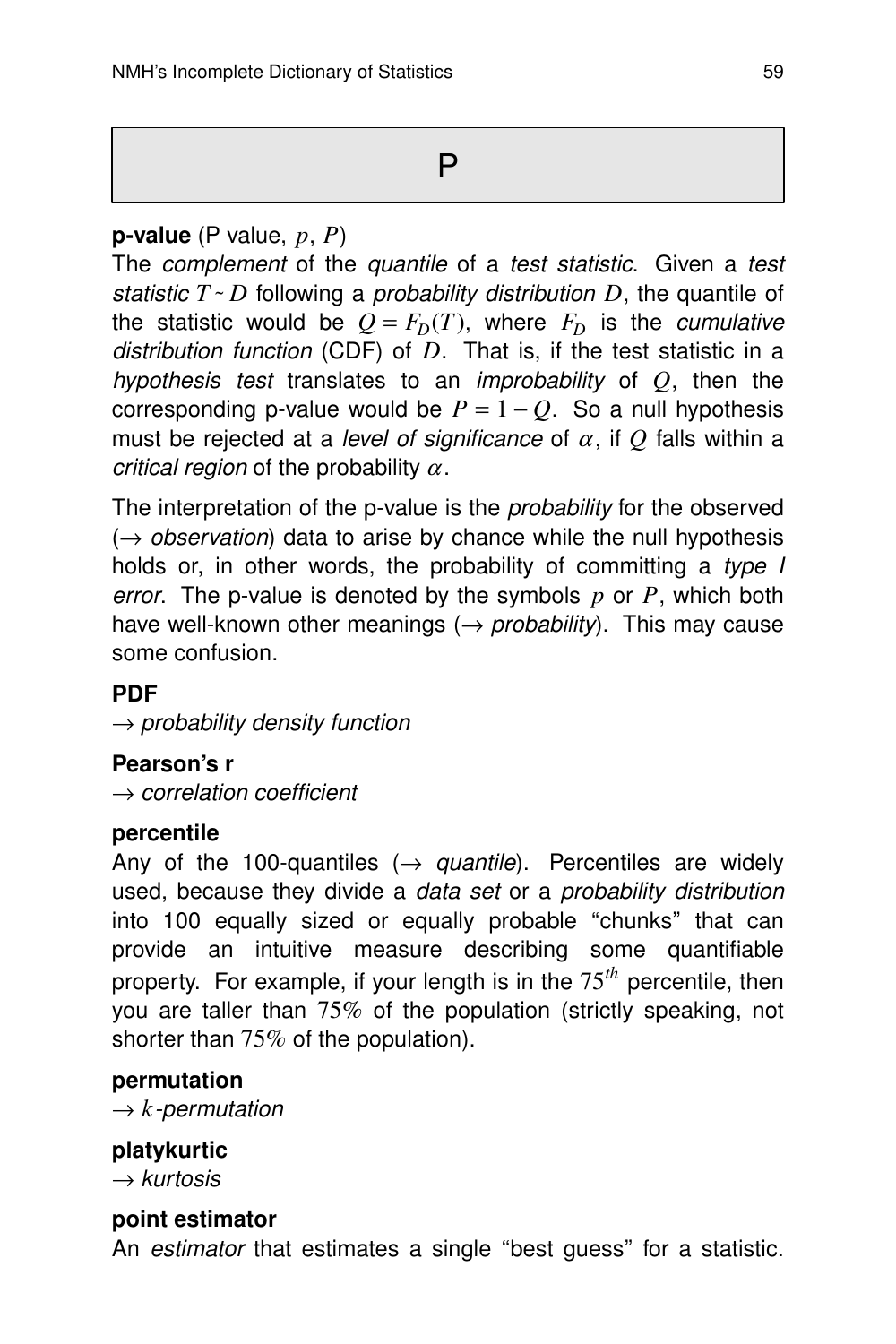# **p-value** (P value, *p*, *P*)

The complement of the quantile of a test statistic. Given a test statistic  $T \sim D$  following a *probability distribution D*, the quantile of the statistic would be  $Q = F_D(T)$ , where  $F_D$  is the *cumulative* distribution function (CDF) of  $D$ . That is, if the test statistic in a hypothesis test translates to an improbability of *Q*, then the corresponding p-value would be  $P = 1 - Q$ . So a null hypothesis must be rejected at a *level of significance* of  $\alpha$ , if  $\alpha$  falls within a critical region of the probability  $\alpha$ .

The interpretation of the p-value is the *probability* for the observed  $(\rightarrow$  observation) data to arise by chance while the null hypothesis holds or, in other words, the probability of committing a type I error. The p-value is denoted by the symbols *p* or *P*, which both have well-known other meanings  $(\rightarrow$  probability). This may cause some confusion.

## **PDF**

 $\rightarrow$  probability density function

## **Pearson's r**

 $\rightarrow$  correlation coefficient

#### **percentile**

Any of the 100-quantiles ( $\rightarrow$  quantile). Percentiles are widely used, because they divide a data set or a probability distribution into 100 equally sized or equally probable "chunks" that can provide an intuitive measure describing some quantifiable property. For example, if your length is in the  $75<sup>th</sup>$  percentile, then you are taller than 75% of the population (strictly speaking, not shorter than  $75\%$  of the population).

#### **permutation**

 $\rightarrow k$ -permutation

## **platykur tic**

 $\rightarrow$  kurtosis

#### **point estimator**

An estimator that estimates a single "best guess" for a statistic.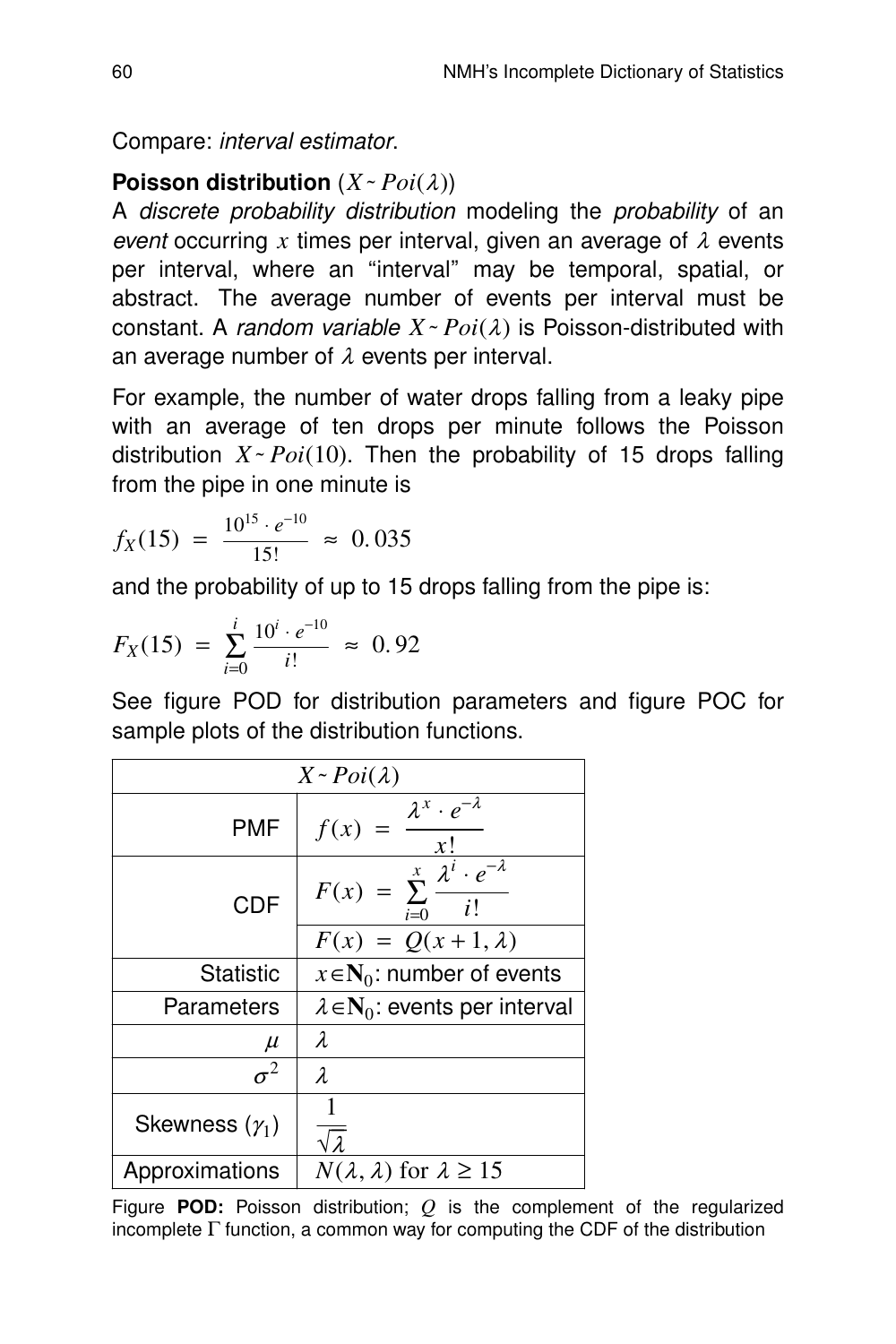Compare: interval estimator.

# **Poisson distribution**  $(X \sim Poi(\lambda))$

A discrete probability distribution modeling the probability of an event occurring x times per interval, given an average of  $\lambda$  events per interval, where an "interval" may be temporal, spatial, or abstract. The average number of events per interval must be constant. A *random variable*  $X \sim Poi(\lambda)$  is Poisson-distributed with an average number of  $\lambda$  events per interval.

For example, the number of water drops falling from a leaky pipe with an average of ten drops per minute follows the Poisson distribution  $X \sim Poi(10)$ . Then the probability of 15 drops falling from the pipe in one minute is

$$
f_X(15) = \frac{10^{15} \cdot e^{-10}}{15!} \approx 0.035
$$

and the probability of up to 15 drops falling from the pipe is:

$$
F_X(15) = \sum_{i=0}^{i} \frac{10^i \cdot e^{-10}}{i!} \approx 0.92
$$

See figure POD for distribution parameters and figure POC for sample plots of the distribution functions.

| $X \sim Poi(\lambda)$ |                                                                            |  |  |  |  |
|-----------------------|----------------------------------------------------------------------------|--|--|--|--|
| <b>PMF</b>            | $\lambda^x \cdot e^{-\lambda}$<br>f(x)<br>x!                               |  |  |  |  |
| <b>CDF</b>            | $F(x) = \sum_{n=1}^{x} \frac{\overline{\lambda^i} \cdot e^{-\lambda}}{n!}$ |  |  |  |  |
|                       | $F(x) = Q(x+1, \lambda)$                                                   |  |  |  |  |
| Statistic             | $x \in N_0$ : number of events                                             |  |  |  |  |
| Parameters            | $\lambda \in N_0$ : events per interval                                    |  |  |  |  |
| $\mu$                 | λ                                                                          |  |  |  |  |
| $\sigma^2$            | $\lambda$                                                                  |  |  |  |  |
| Skewness $(\gamma_1)$ | $\sqrt{\lambda}$                                                           |  |  |  |  |
| Approximations        | $N(\lambda, \lambda)$ for $\lambda \ge 15$                                 |  |  |  |  |

Figure **POD:** Poisson distribution; *Q* is the complement of the regularized incomplete  $\Gamma$  function, a common way for computing the CDF of the distribution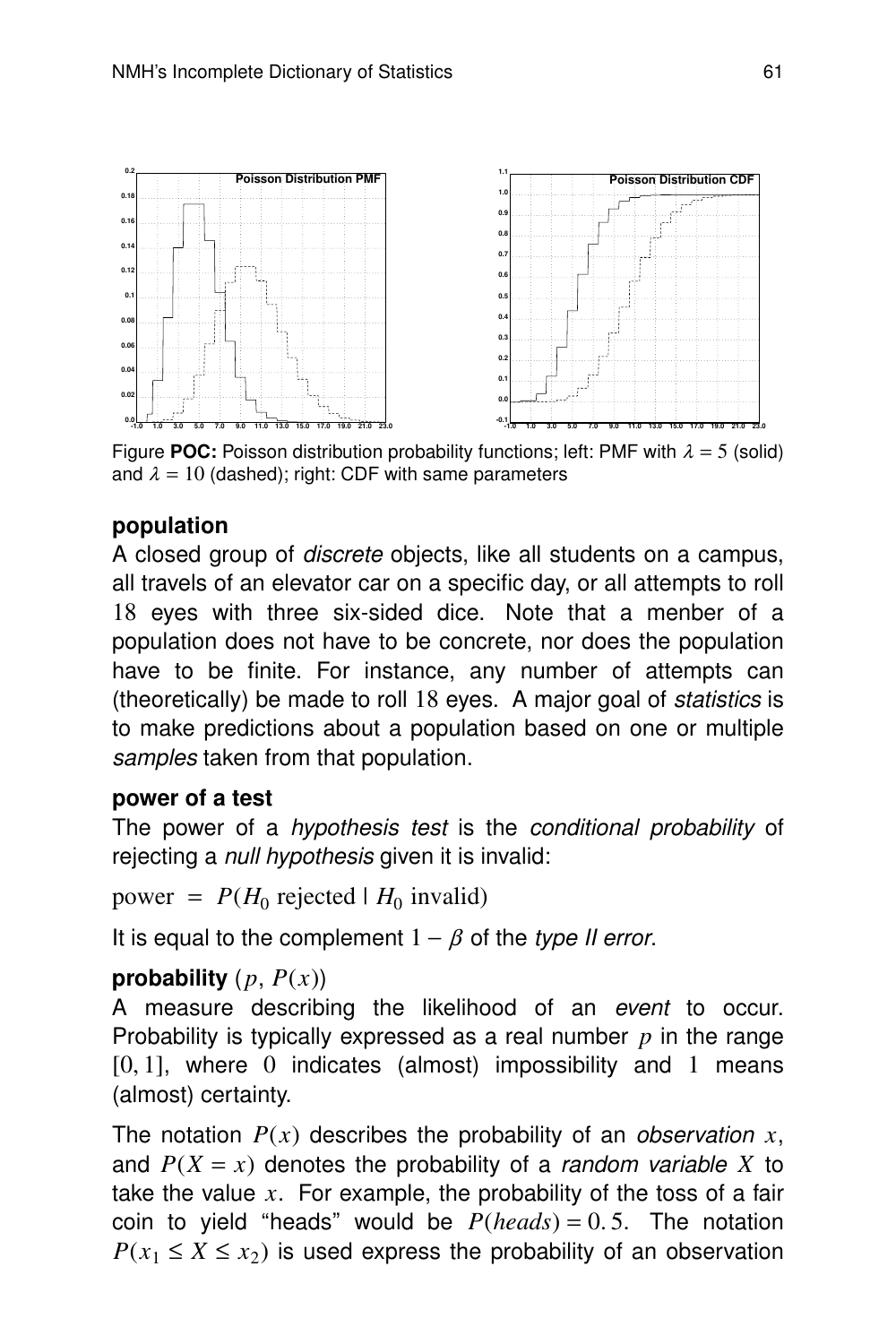

Figure **POC:** Poisson distribution probability functions; left: PMF with  $\lambda = 5$  (solid) and  $\lambda = 10$  (dashed); right: CDF with same parameters

## **population**

A closed group of discrete objects, like all students on a campus, all travels of an elevator car on a specific day, or all attempts to roll 18 eyes with three six-sided dice. Note that a menber of a population does not have to be concrete, nor does the population have to be finite. For instance, any number of attempts can (theoretically) be made to roll 18 eyes. A major goal of statistics is to make predictions about a population based on one or multiple samples taken from that population.

## **power of a test**

The power of a *hypothesis test* is the conditional probability of rejecting a *null hypothesis* given it is invalid:

power =  $P(H_0 \text{ rejected} | H_0 \text{ invalid})$ 

It is equal to the complement  $1 - \beta$  of the type II error.

## **probability**  $(p, P(x))$

A measure describing the likelihood of an event to occur. Probability is typically expressed as a real number *p* in the range  $[0, 1]$ , where  $0$  indicates (almost) impossibility and  $1$  means (almost) certainty.

The notation  $P(x)$  describes the probability of an *observation* x, and  $P(X = x)$  denotes the probability of a *random variable X* to take the value *x*. For example, the probability of the toss of a fair coin to yield ''heads'' would be *P*(*heads*) = 0. 5. The notation  $P(x_1 \leq X \leq x_2)$  is used express the probability of an observation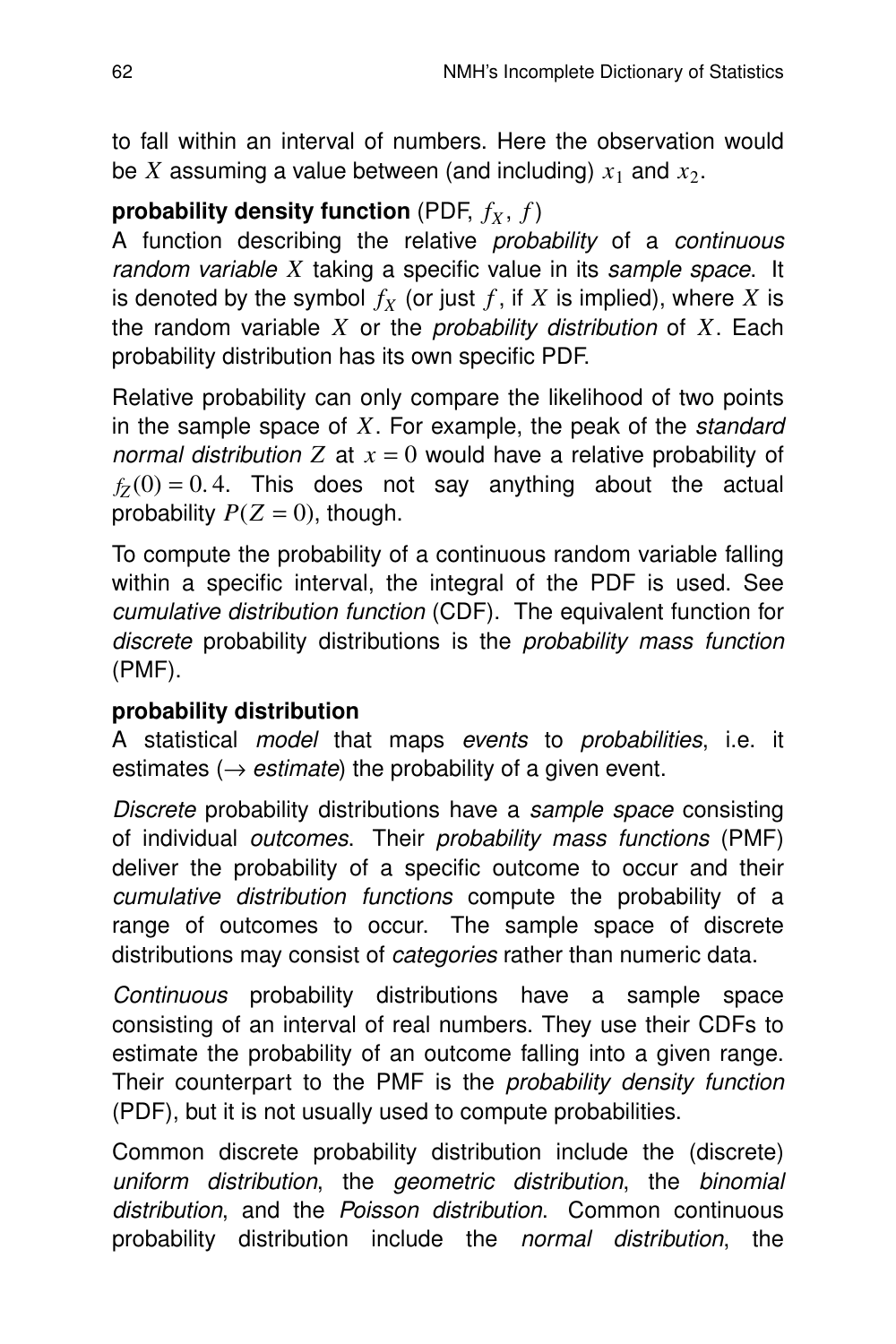to fall within an interval of numbers. Here the observation would be  $X$  assuming a value between (and including)  $x_1$  and  $x_2$ .

# **probability density function** (PDF,  $f_X$ ,  $f$ )

A function describing the relative probability of a continuous random variable *X* taking a specific value in its sample space. It is denoted by the symbol  $f_X$  (or just  $f$ , if  $X$  is implied), where  $X$  is the random variable  $X$  or the *probability distribution* of  $X$ . Each probability distribution has its own specific PDF.

Relative probability can only compare the likelihood of two points in the sample space of *X*. For example, the peak of the standard normal distribution  $Z$  at  $x = 0$  would have a relative probability of  $f_Z(0) = 0.4$ . This does not say anything about the actual probability  $P(Z = 0)$ , though.

To compute the probability of a continuous random variable falling within a specific interval, the integral of the PDF is used. See cumulative distribution function (CDF). The equivalent function for discrete probability distributions is the probability mass function (PMF).

# **probability distribution**

A statistical *model* that maps *events* to *probabilities*, i.e. it estimates ( $\rightarrow$  *estimate*) the probability of a given event.

Discrete probability distributions have a sample space consisting of individual outcomes. Their probability mass functions (PMF) deliver the probability of a specific outcome to occur and their cumulative distribution functions compute the probability of a range of outcomes to occur. The sample space of discrete distributions may consist of *categories* rather than numeric data.

Continuous probability distributions have a sample space consisting of an interval of real numbers. They use their CDFs to estimate the probability of an outcome falling into a given range. Their counterpart to the PMF is the *probability density function* (PDF), but it is not usually used to compute probabilities.

Common discrete probability distribution include the (discrete) uniform distribution, the geometric distribution, the binomial distribution, and the Poisson distribution. Common continuous probability distribution include the *normal distribution*, the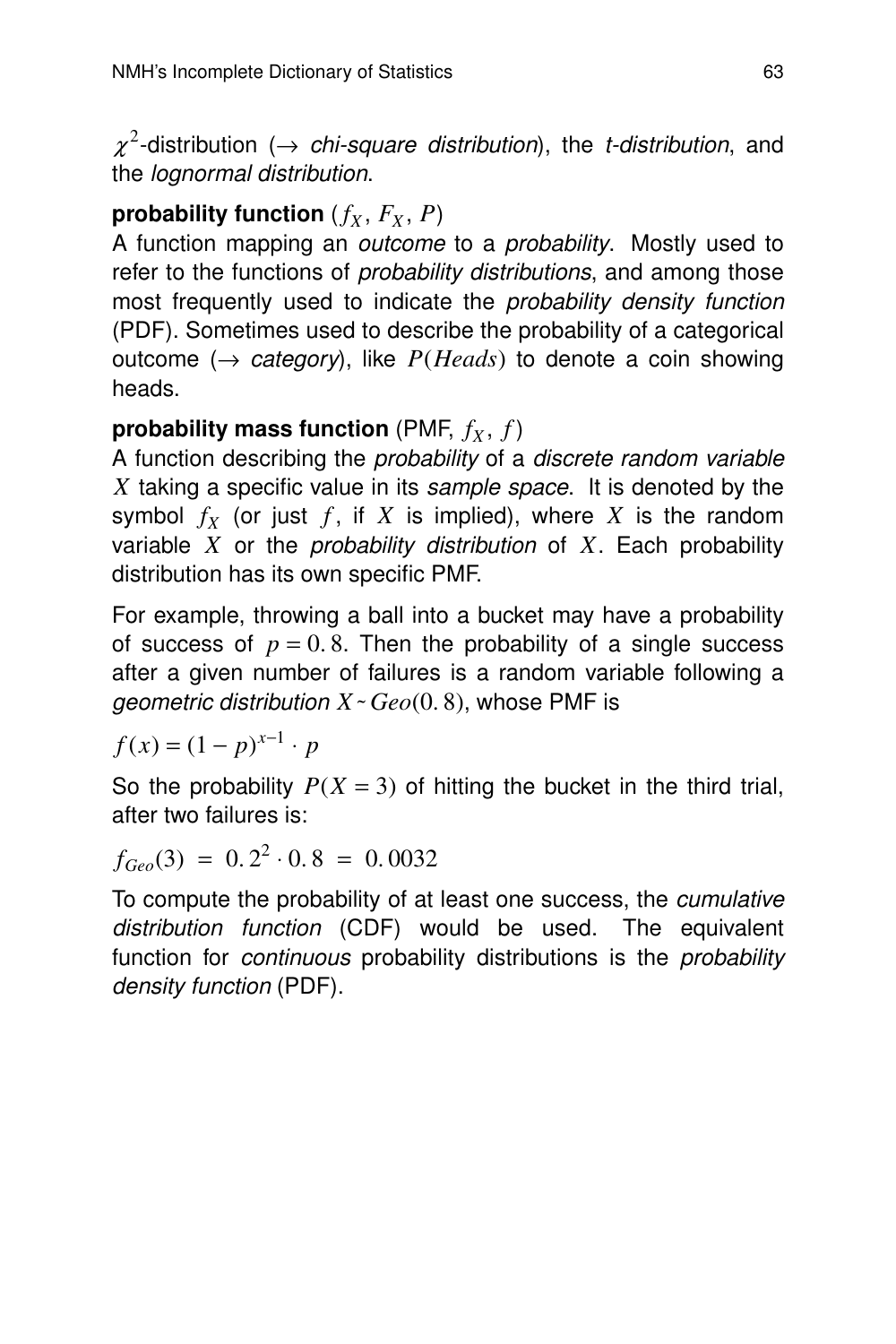$\chi^2$ -distribution ( $\rightarrow$  chi-square distribution), the t-distribution, and the *lognormal distribution*.

# **probability function**  $(f_X, F_X, P)$

A function mapping an outcome to a probability. Mostly used to refer to the functions of *probability distributions*, and among those most frequently used to indicate the probability density function (PDF). Sometimes used to describe the probability of a categorical outcome  $(\rightarrow$  *category*), like *P*(*Heads*) to denote a coin showing heads.

# **probability mass function** (PMF,  $f_X$ ,  $f$ )

A function describing the *probability* of a *discrete random variable X* taking a specific value in its sample space. It is denoted by the symbol  $f_X$  (or just  $f$ , if  $X$  is implied), where  $X$  is the random variable *X* or the probability distribution of *X*. Each probability distribution has its own specific PMF.

For example, throwing a ball into a bucket may have a probability of success of  $p = 0.8$ . Then the probability of a single success after a given number of failures is a random variable following a geometric distribution  $X \sim Geo(0, 8)$ , whose PMF is

 $f(x) = (1 - p)^{x-1} \cdot p$ 

So the probability  $P(X = 3)$  of hitting the bucket in the third trial, after two failures is:

 $f_{Geo}(3) = 0.2<sup>2</sup> \cdot 0.8 = 0.0032$ 

To compute the probability of at least one success, the cumulative distribution function (CDF) would be used. The equivalent function for *continuous* probability distributions is the *probability* density function (PDF).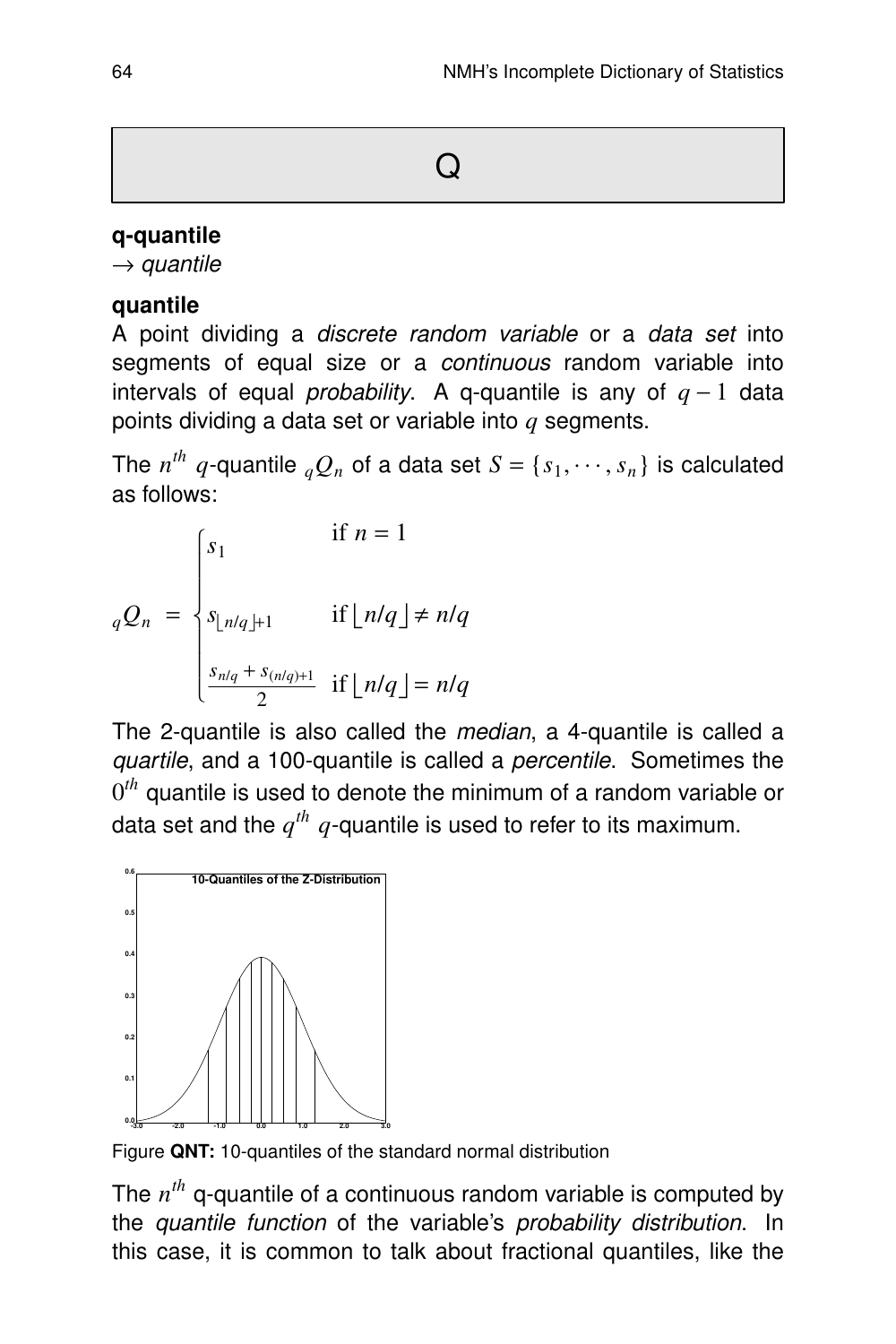## **q-quantile**

 $\rightarrow$  quantile

## **quantile**

A point dividing a *discrete random variable* or a *data set* into segments of equal size or a *continuous* random variable into intervals of equal *probability*. A q-quantile is any of  $q - 1$  data points dividing a data set or var iable into *q* segments.

The  $n^{th}$   $q$ -quantile  ${}_{q}Q_{n}$  of a data set  $S = \{s_{1}, \cdots, s_{n}\}$  is calculated as follows:

$$
{}_{q}Q_{n} = \begin{cases} s_{1} & \text{if } n = 1 \\ \begin{aligned} s_{\lfloor n/q \rfloor + 1} & \text{if } \lfloor n/q \rfloor \neq n/q \\ \frac{s_{n/q} + s_{(n/q)+1}}{2} & \text{if } \lfloor n/q \rfloor = n/q \end{aligned} \end{cases}
$$

The 2-quantile is also called the *median*, a 4-quantile is called a quartile, and a 100-quantile is called a percentile. Sometimes the  $0^{th}$  quantile is used to denote the minimum of a random variable or data set and the  $q^{th}$   $q$ -quantile is used to refer to its maximum.



Figure **QNT:** 10-quantiles of the standard normal distribution

The  $n^{th}$  q-quantile of a continuous random variable is computed by the quantile function of the variable's probability distribution. In this case, it is common to talk about fractional quantiles, like the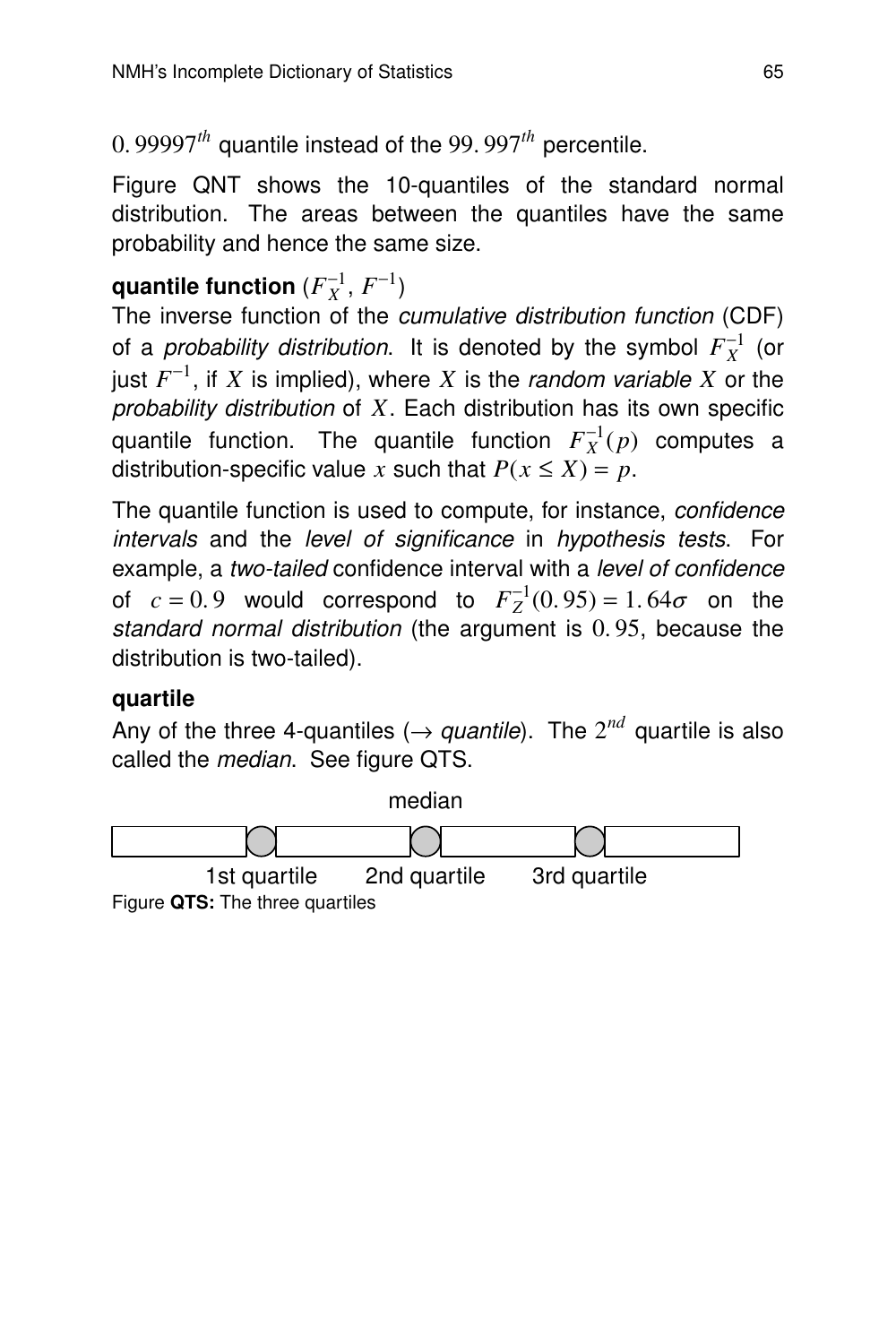0. 99997*th* quantile instead of the 99. 997*th* percentile.

Figure QNT shows the 10-quantiles of the standard normal distribution. The areas between the quantiles have the same probability and hence the same size.

# **quantile function**  $(F_X^{-1}, F^{-1})$

The inverse function of the cumulative distribution function (CDF) of a *probability distribution*. It is denoted by the symbol  $F_X^{-1}$  (or just  $F^{-1}$ , if  $X$  is implied), where  $X$  is the *random variable*  $X$  or the probability distribution of *X*. Each distribution has its own specific quantile function. The quantile function  $F_X^{-1}(p)$  computes a distribution-specific value *x* such that  $P(x \le X) = p$ .

The quantile function is used to compute, for instance, confidence intervals and the level of significance in hypothesis tests. For example, a two-tailed confidence interval with a level of confidence of  $c = 0.9$  would correspond to  $F_Z^{-1}(0.95) = 1.64\sigma$  on the standard normal distribution (the argument is 0. 95, because the distribution is two-tailed).

## **quar tile**

Any of the three 4-quantiles ( $\rightarrow$  quantile). The  $2^{nd}$  quartile is also called the median. See figure QTS.

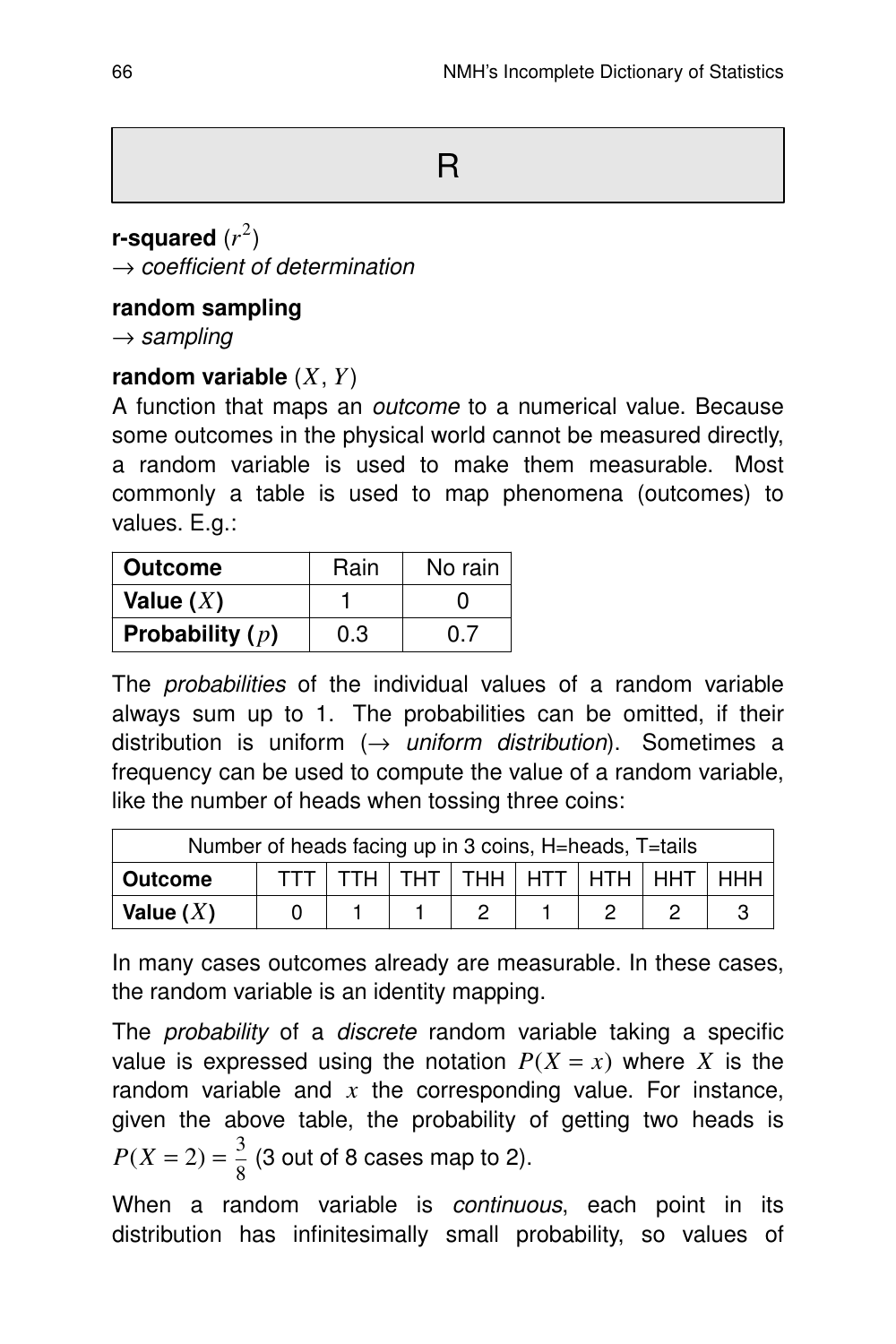**r-squared** (*r* 2 )  $\rightarrow$  coefficient of determination

## **random sampling**

 $\rightarrow$  sampling

## **random variable** (*X*, *Y*)

A function that maps an *outcome* to a numerical value. Because some outcomes in the physical world cannot be measured directly, a random variable is used to make them measurable. Most commonly a table is used to map phenomena (outcomes) to values. E.g.:

| <b>Outcome</b>    | Rain | No rain |
|-------------------|------|---------|
| Value $(X)$       |      |         |
| Probability $(p)$ | 0.3  | 0.7     |

The *probabilities* of the individual values of a random variable always sum up to 1. The probabilities can be omitted, if their distribution is uniform  $(\rightarrow$  uniform distribution). Sometimes a frequency can be used to compute the value of a random variable, like the number of heads when tossing three coins:

| Number of heads facing up in 3 coins, H=heads, T=tails          |  |  |  |  |  |  |  |  |
|-----------------------------------------------------------------|--|--|--|--|--|--|--|--|
| $TTH$   $THT$   $THH$   $HTT$   $HTH$   $HHT$<br><b>Outcome</b> |  |  |  |  |  |  |  |  |
| Value $(X)$                                                     |  |  |  |  |  |  |  |  |

In many cases outcomes already are measurable. In these cases, the random variable is an identity mapping.

The *probability* of a *discrete* random variable taking a specific value is expressed using the notation  $P(X = x)$  where *X* is the random variable and  $x$  the corresponding value. For instance, given the above table, the probability of getting two heads is  $P(X = 2) = \frac{3}{8}$  $\frac{5}{8}$  (3 out of 8 cases map to 2).

When a random variable is *continuous*, each point in its distribution has infinitesimally small probability, so values of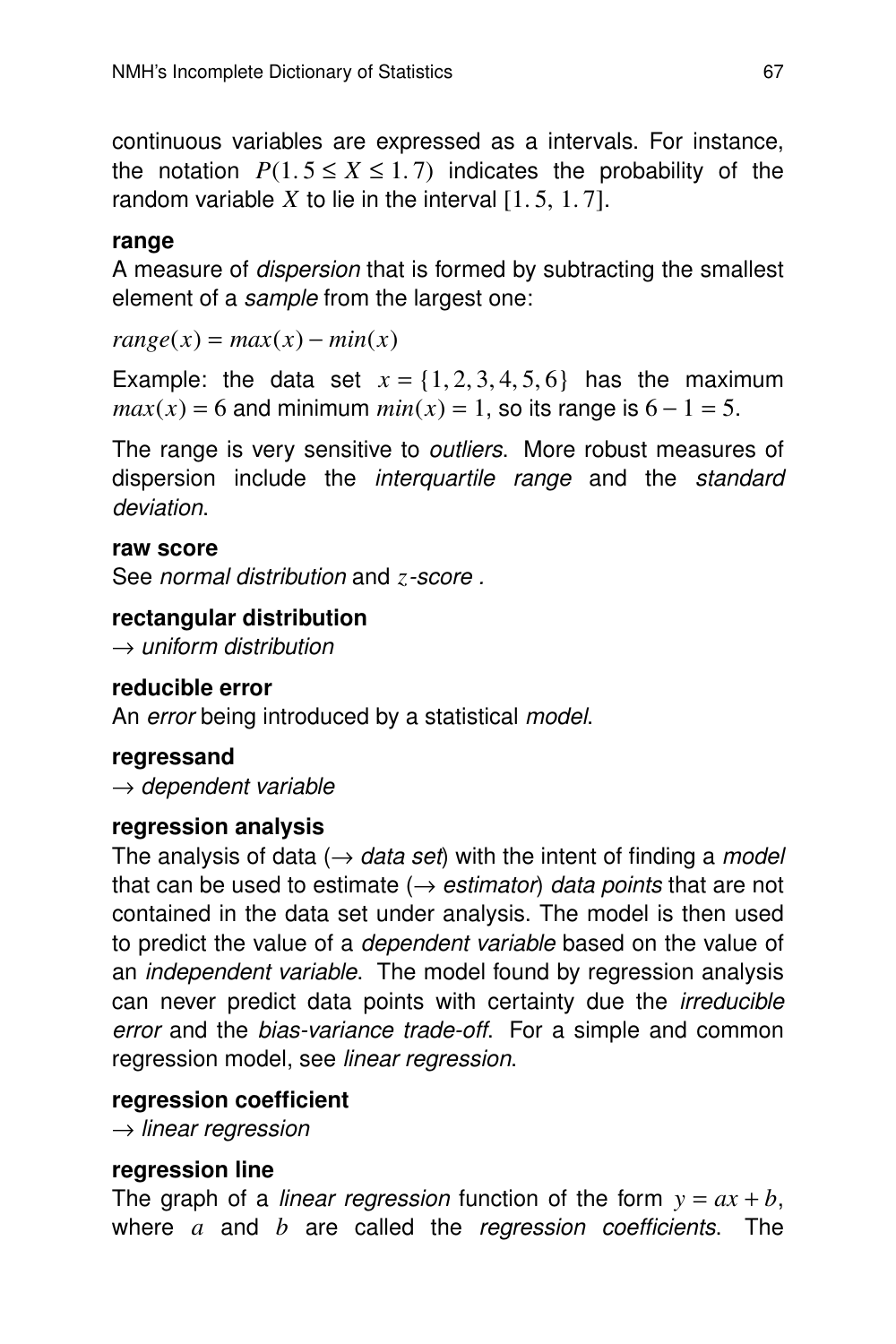continuous variables are expressed as a intervals. For instance, the notation  $P(1.5 \le X \le 1.7)$  indicates the probability of the random variable  $X$  to lie in the interval  $[1, 5, 1, 7]$ .

#### **rang e**

A measure of *dispersion* that is formed by subtracting the smallest element of a sample from the largest one:

 $range(x) = max(x) - min(x)$ 

Example: the data set  $x = \{1, 2, 3, 4, 5, 6\}$  has the maximum  $max(x) = 6$  and minimum  $min(x) = 1$ , so its range is  $6 - 1 = 5$ .

The range is very sensitive to *outliers*. More robust measures of dispersion include the *interquartile range* and the standard deviation.

#### **raw score**

See *normal distribution* and *z*-score.

#### **rectangular distribution**

 $\rightarrow$  uniform distribution

#### **reducible error**

An error being introduced by a statistical model.

#### **regressand**

 $\rightarrow$  dependent variable

#### **regression analysis**

The analysis of data ( $\rightarrow$  data set) with the intent of finding a *model* that can be used to estimate ( $\rightarrow$  estimator) data points that are not contained in the data set under analysis. The model is then used to predict the value of a *dependent variable* based on the value of an *independent variable*. The model found by regression analysis can never predict data points with certainty due the irreducible error and the bias-variance trade-off. For a simple and common regression model, see linear regression.

#### **regression coefficient**

 $\rightarrow$  linear regression

#### **regression line**

The graph of a *linear regression* function of the form  $y = ax + b$ , where *a* and *b* are called the regression coefficients. The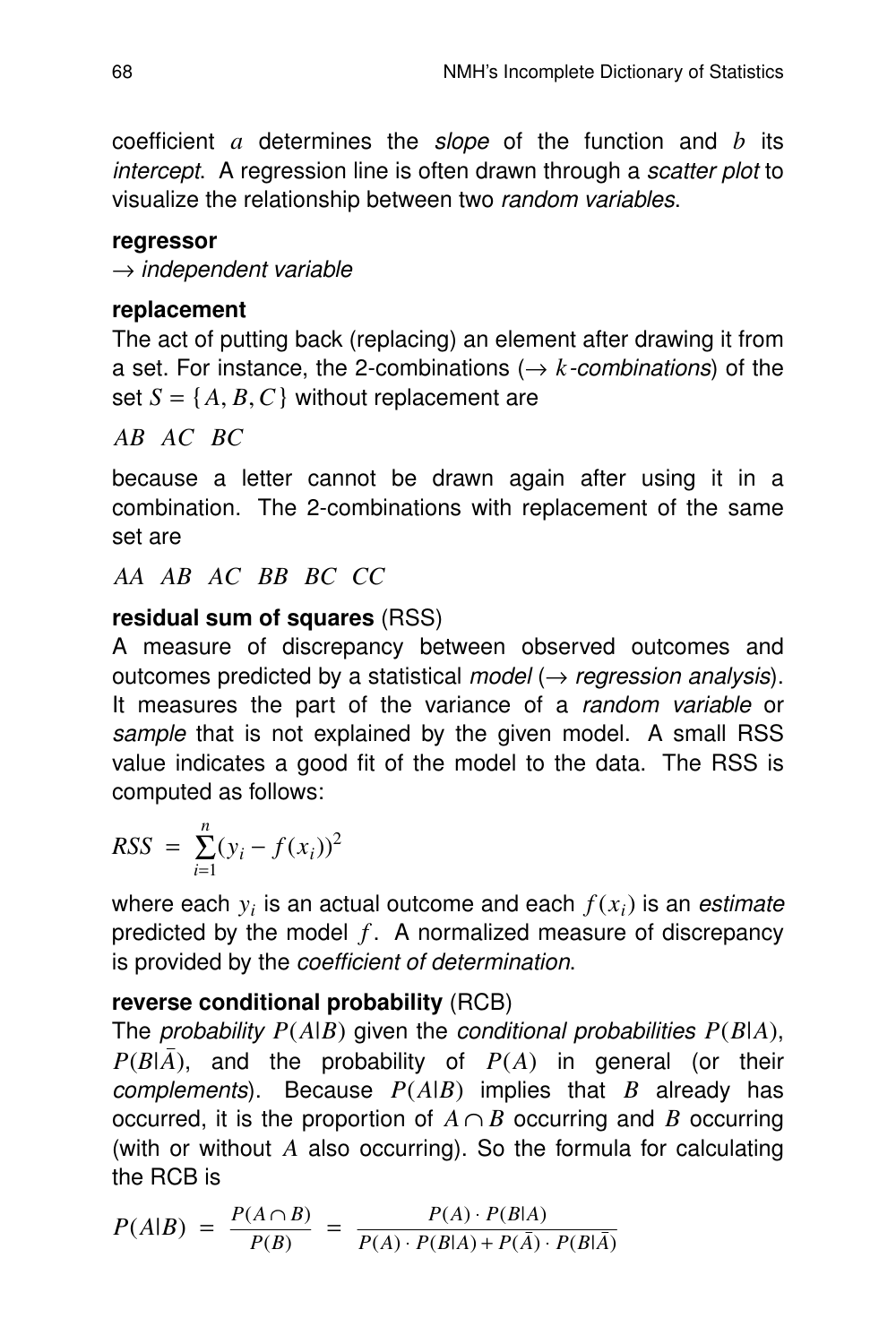coefficient  $a$  determines the slope of the function and  $b$  its intercept. A regression line is often drawn through a scatter plot to visualize the relationship between two random variables.

#### **regressor**

 $\rightarrow$  independent variable

## **replacement**

The act of putting back (replacing) an element after drawing it from a set. For instance, the 2-combinations ( $\rightarrow$  *k*-combinations) of the set  $S = \{A, B, C\}$  without replacement are

*AB AC BC*

because a letter cannot be drawn again after using it in a combination. The 2-combinations with replacement of the same set are

*AA AB AC BB BC CC*

# **residual sum of squares** (RSS)

A measure of discrepancy between observed outcomes and outcomes predicted by a statistical model ( $\rightarrow$  regression analysis). It measures the part of the variance of a random variable or sample that is not explained by the given model. A small RSS value indicates a good fit of the model to the data. The RSS is computed as follows:

$$
RSS = \sum_{i=1}^{n} (y_i - f(x_i))^2
$$

where each  $y_i$  is an actual outcome and each  $f(x_i)$  is an *estimate* predicted by the model  $f$ . A normalized measure of discrepancy is provided by the coefficient of determination.

# **reverse conditional probability** (RCB)

The probability  $P(A|B)$  given the conditional probabilities  $P(B|A)$ ,  $P(B|\overline{A})$ , and the probability of  $P(A)$  in general (or their *complements*). Because  $P(A|B)$  implies that *B* already has occurred, it is the proportion of  $A \cap B$  occurring and *B* occurring (with or without  $A$  also occurring). So the formula for calculating the RCB is

$$
P(A|B) = \frac{P(A \cap B)}{P(B)} = \frac{P(A) \cdot P(B|A)}{P(A) \cdot P(B|A) + P(\overline{A}) \cdot P(B|\overline{A})}
$$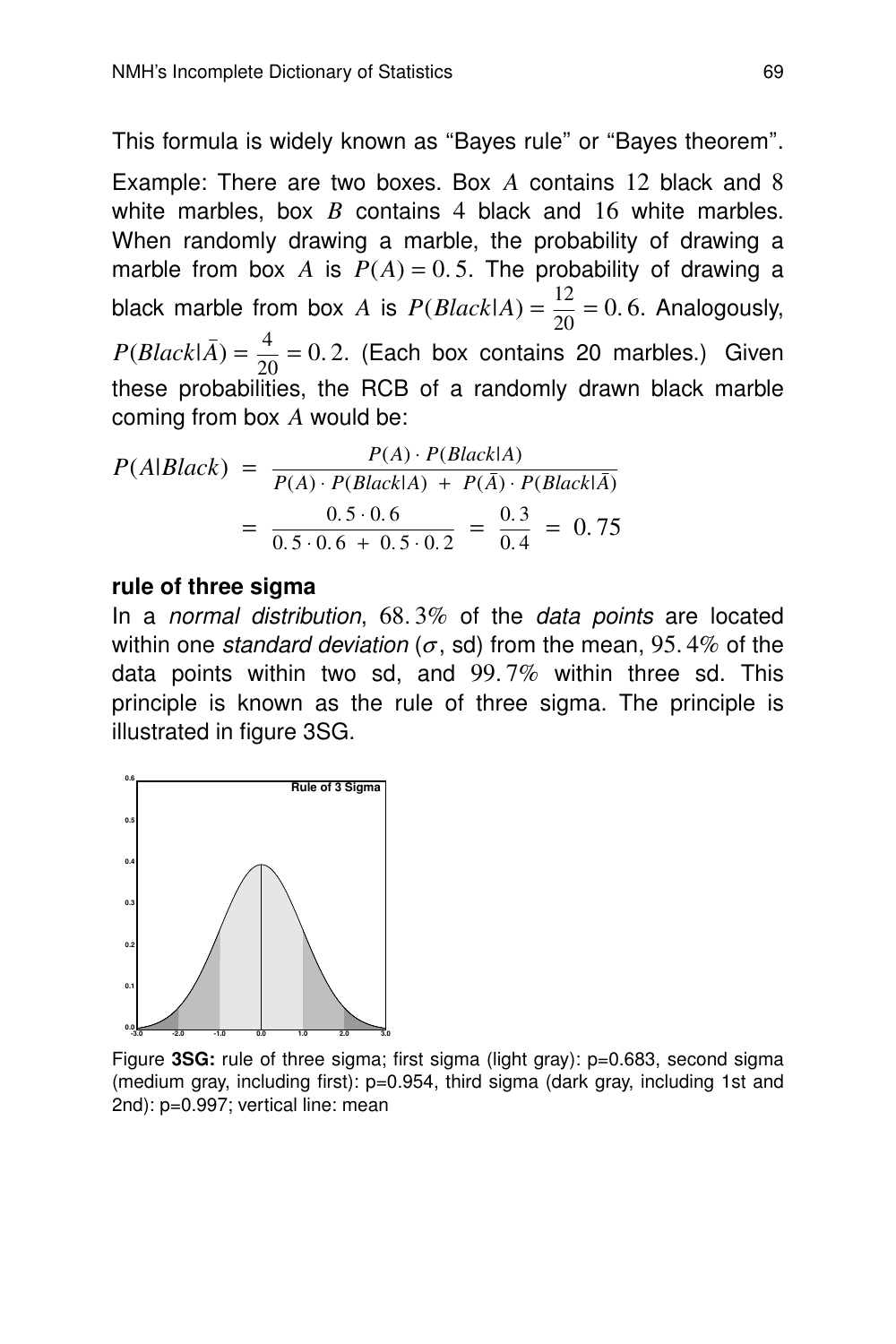This formula is widely known as "Bayes rule" or "Bayes theorem".

Example: There are two boxes. Box *A* contains 12 black and 8 white marbles, box *B* contains 4 black and 16 white marbles. When randomly drawing a marble, the probability of drawing a marble from box *A* is  $P(A) = 0.5$ . The probability of drawing a black marble from box *A* is  $P(Black|A) = \frac{12}{20}$  $\frac{12}{20}$  = 0.6. Analogously,  $P(Black|\bar{A})=\frac{4}{20}$  $\frac{1}{20}$  = 0.2. (Each box contains 20 marbles.) Given these probabilities, the RCB of a randomly drawn black marble coming from box *A* would be:

$$
P(A|Black) = \frac{P(A) \cdot P(BlackA)}{P(A) \cdot P(BlackA) + P(\bar{A}) \cdot P(Black\bar{A})}
$$

$$
= \frac{0.5 \cdot 0.6}{0.5 \cdot 0.6 + 0.5 \cdot 0.2} = \frac{0.3}{0.4} = 0.75
$$

#### **rule of three sigma**

In a normal distribution,  $68.3\%$  of the data points are located within one standard deviation ( $\sigma$ , sd) from the mean, 95.4% of the data points within two sd, and  $99.7\%$  within three sd. This principle is known as the rule of three sigma. The principle is illustrated in figure 3SG.



Figure **3SG:** rule of three sigma; first sigma (light gray): p=0.683, second sigma (medium gray, including first): p=0.954, third sigma (dark gray, including 1st and 2nd): p=0.997; vertical line: mean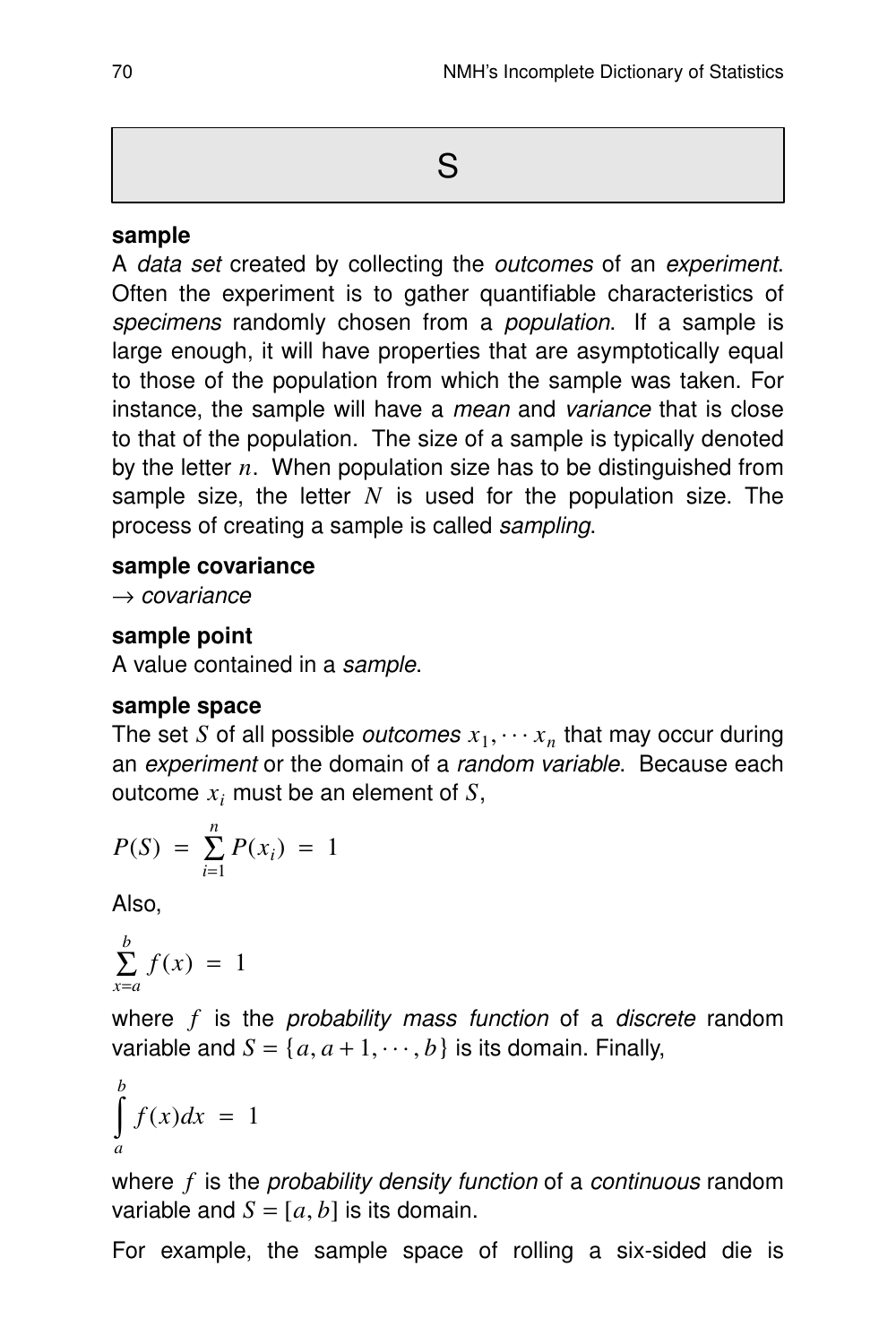#### **sample**

A data set created by collecting the outcomes of an experiment. Often the experiment is to gather quantifiable characteristics of specimens randomly chosen from a *population*. If a sample is large enough, it will have properties that are asymptotically equal to those of the population from which the sample was taken. For instance, the sample will have a mean and variance that is close to that of the population. The size of a sample is typically denoted by the letter *n*. When population size has to be distinguished from sample size, the letter *N* is used for the population size. The process of creating a sample is called sampling.

#### **sample covariance**

 $\rightarrow$  covariance

## **sample point**

A value contained in a sample.

#### **sample space**

The set *S* of all possible *outcomes*  $x_1, \cdots x_n$  that may occur during an experiment or the domain of a random variable. Because each outcome *x<sup>i</sup>* must be an element of *S*,

$$
P(S) = \sum_{i=1}^{n} P(x_i) = 1
$$

Also,

$$
\sum_{x=a}^{b} f(x) = 1
$$

where *f* is the probability mass function of a discrete random variable and  $S = \{a, a+1, \dots, b\}$  is its domain. Finally,

$$
\int_{a}^{b} f(x)dx = 1
$$

where *f* is the *probability density function* of a *continuous* random variable and  $S = [a, b]$  is its domain.

For example, the sample space of rolling a six-sided die is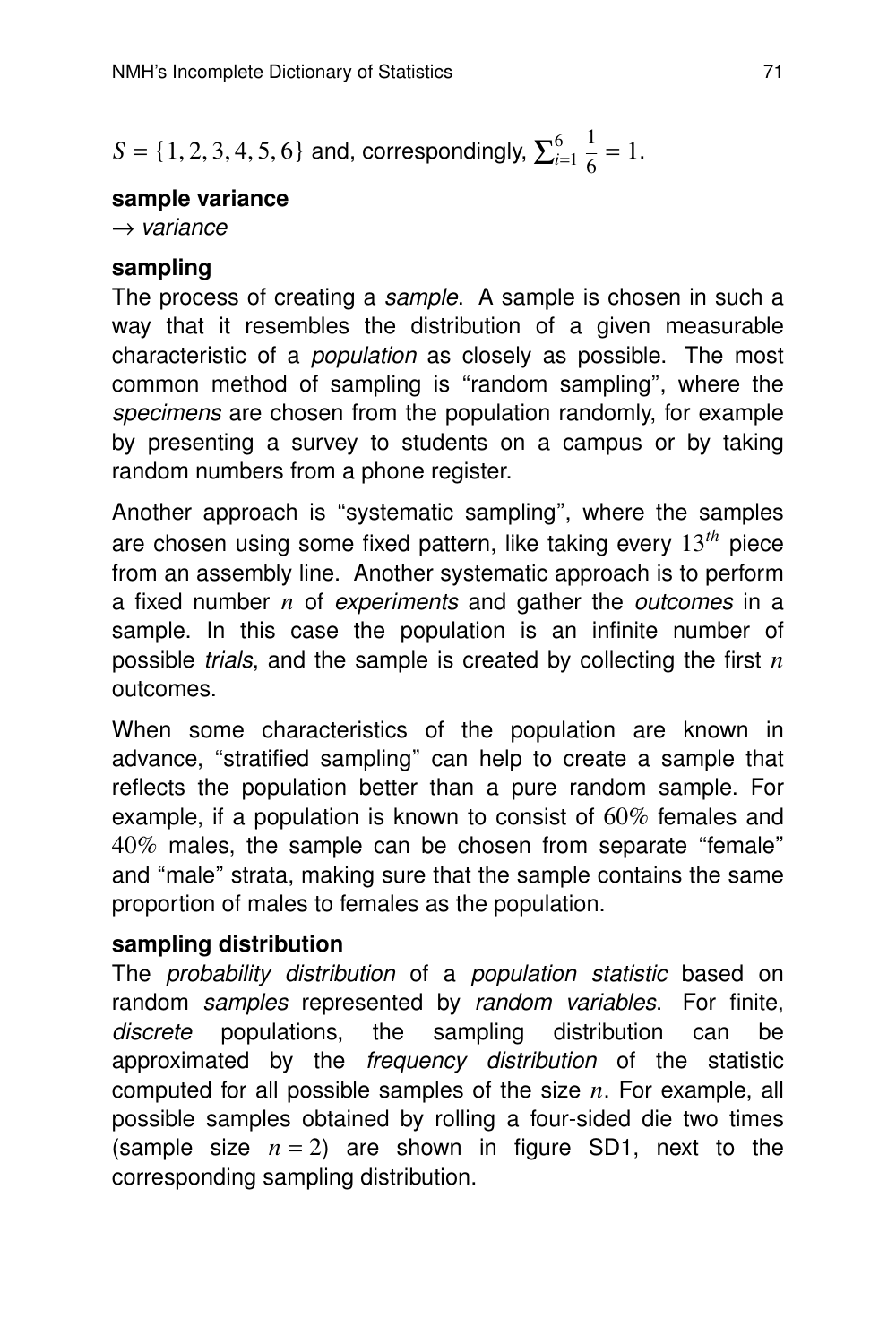$S = \{1, 2, 3, 4, 5, 6\}$  and, correspondingly,  $\sum_{i=1}^{6}$ *i*=1 1  $\frac{1}{6} = 1.$ 

#### **sample variance**

 $\rightarrow$  variance

## **sampling**

The process of creating a *sample*. A sample is chosen in such a way that it resembles the distribution of a given measurable characteristic of a *population* as closely as possible. The most common method of sampling is ''random sampling'', where the specimens are chosen from the population randomly, for example by presenting a survey to students on a campus or by taking random numbers from a phone register.

Another approach is ''systematic sampling'', where the samples are chosen using some fixed pattern, like taking every 13*th* piece from an assembly line. Another systematic approach is to perform a fixed number *n* of experiments and gather the *outcomes* in a sample. In this case the population is an infinite number of possible *trials*, and the sample is created by collecting the first  $n$ outcomes.

When some characteristics of the population are known in advance, ''stratified sampling'' can help to create a sample that reflects the population better than a pure random sample. For example, if a population is known to consist of  $60\%$  females and 40% males, the sample can be chosen from separate ''female'' and ''male'' strata, making sure that the sample contains the same proportion of males to females as the population.

# **sampling distribution**

The *probability distribution* of a *population statistic* based on random samples represented by random variables. For finite, discrete populations, the sampling distribution can be approximated by the frequency distribution of the statistic computed for all possible samples of the size *n*. For example, all possible samples obtained by rolling a four-sided die two times (sample size  $n = 2$ ) are shown in figure SD1, next to the corresponding sampling distribution.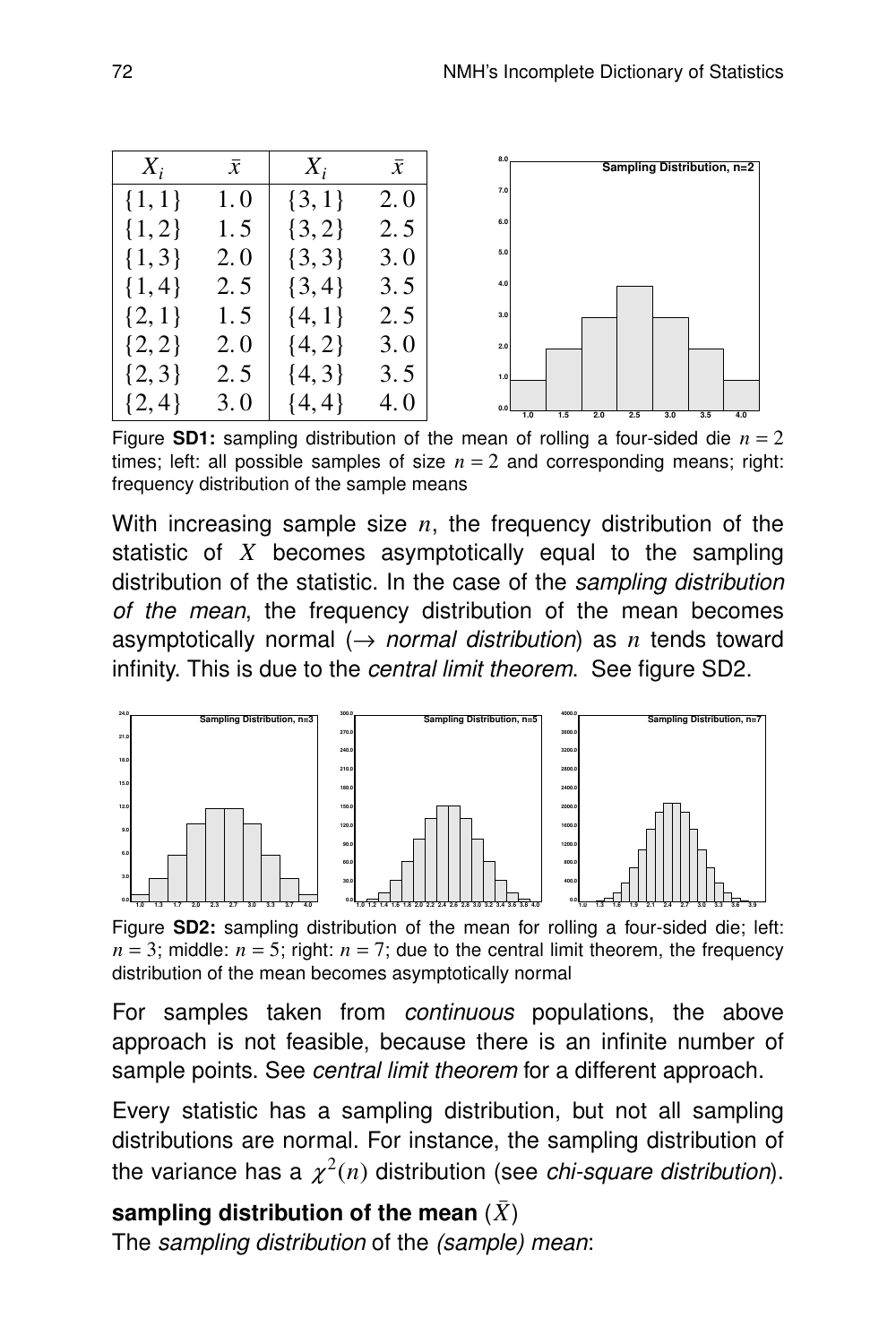| $X_i$       | $\bar{x}$ | $X_i$     | $\boldsymbol{\chi}$ | 8.0<br>Sampling Distribution, n=2                    |
|-------------|-----------|-----------|---------------------|------------------------------------------------------|
| 1, 1        | 1.0       |           | 2.0                 | 7.0                                                  |
| 1, 2        | 1.5       | 2         | 2.5                 | 6.0                                                  |
| 1, 3        | 2.0       | [3,3]     | 3.0                 | 5.0                                                  |
| $ 4\rangle$ | 2.5       | $\{3,4\}$ | 3.5                 | 4.0                                                  |
|             | 1.5       |           | 2.5                 | 3.0                                                  |
|             | 2.0       | 4         | 3.0                 | 2.0                                                  |
| $\{3\}$     | 2.5       | 31<br>4.  | 3.5                 | 1.0                                                  |
|             | 3.0       | 4         | 4.0                 | 0.0<br>1.0<br>1.5<br>2.0<br>2.5<br>3.0<br>3.5<br>4.0 |

Figure **SD1:** sampling distribution of the mean of rolling a four-sided die  $n = 2$ times; left: all possible samples of size  $n = 2$  and corresponding means; right: frequency distribution of the sample means

With increasing sample size *n*, the frequency distribution of the statistic of *X* becomes asymptotically equal to the sampling distribution of the statistic. In the case of the sampling distribution of the mean, the frequency distribution of the mean becomes asymptotically normal  $(\rightarrow$  normal distribution) as *n* tends toward infinity. This is due to the central limit theorem. See figure SD2.



Figure **SD2:** sampling distribution of the mean for rolling a four-sided die; left:  $n = 3$ ; middle:  $n = 5$ ; right:  $n = 7$ ; due to the central limit theorem, the frequency distribution of the mean becomes asymptotically normal

For samples taken from *continuous* populations, the above approach is not feasible, because there is an infinite number of sample points. See central limit theorem for a different approach.

Every statistic has a sampling distribution, but not all sampling distributions are normal. For instance, the sampling distribution of the variance has a  $\chi^2(n)$  distribution (see *chi-square distribution*).

# **sampling distribution of the mean**  $(\bar{X})$

The sampling distribution of the (sample) mean: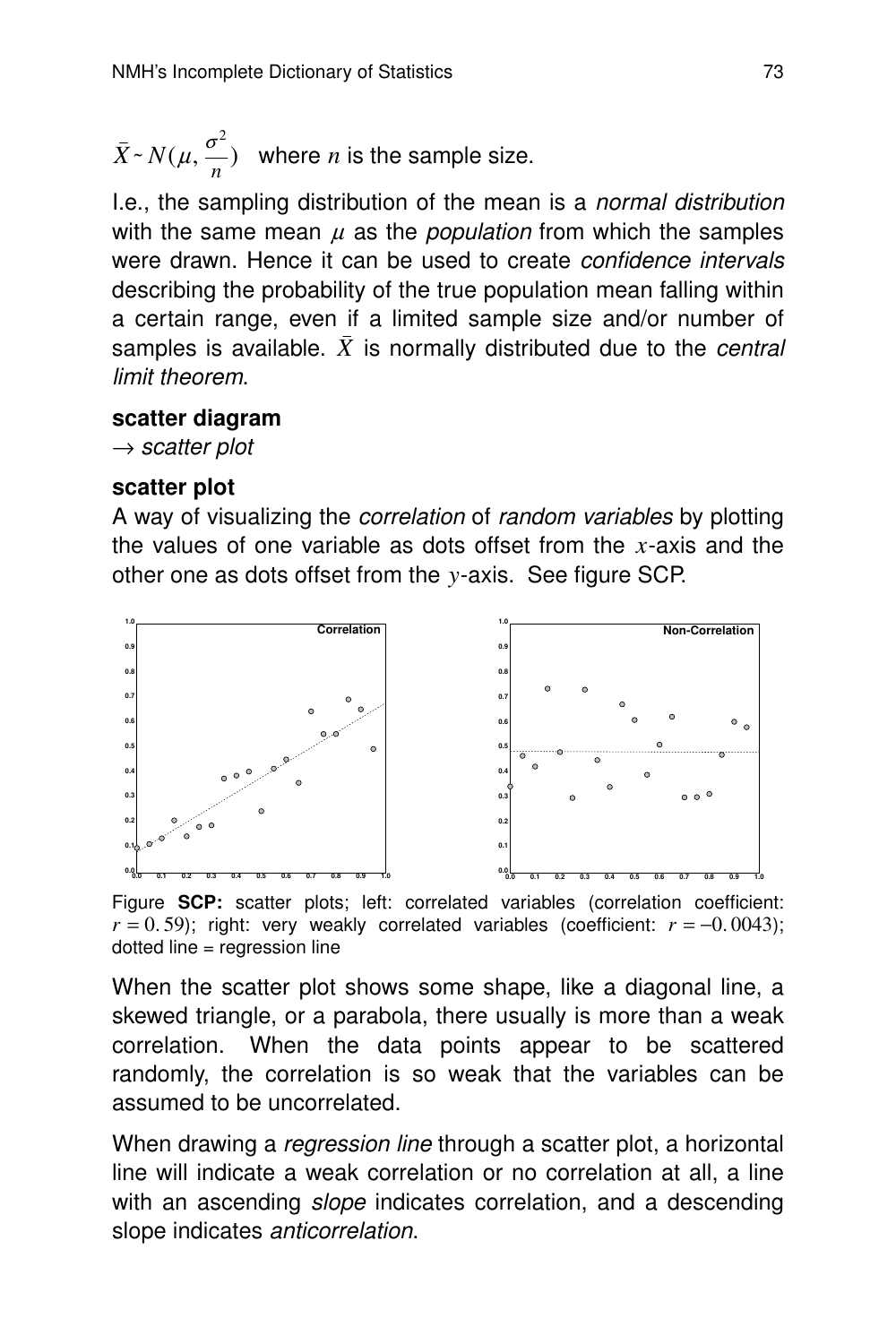$\bar{X} \sim N(\mu, \frac{\sigma^2}{n})$  $\frac{1}{n}$ ) where *n* is the sample size.

I.e., the sampling distribution of the mean is a normal distribution with the same mean  $\mu$  as the *population* from which the samples were drawn. Hence it can be used to create confidence intervals describing the probability of the true population mean falling within a certain range, even if a limited sample size and/or number of samples is available.  $\bar{X}$  is normally distributed due to the *central* limit theorem.

#### **scatter diagram**

 $\rightarrow$  scatter plot

#### **scatter plot**

A way of visualizing the *correlation* of *random variables* by plotting the values of one variable as dots offset from the  $x$ -axis and the other one as dots offset from the *y*-axis. See figure SCP.



Figure **SCP:** scatter plots; left: correlated variables (correlation coefficient:  $r = 0.59$ ; right: very weakly correlated variables (coefficient:  $r = -0.0043$ ); dotted line = regression line

When the scatter plot shows some shape, like a diagonal line, a skewed triangle, or a parabola, there usually is more than a weak correlation. When the data points appear to be scattered randomly, the correlation is so weak that the variables can be assumed to be uncorrelated.

When drawing a *regression line* through a scatter plot, a horizontal line will indicate a weak correlation or no correlation at all, a line with an ascending *slope* indicates correlation, and a descending slope indicates anticorrelation.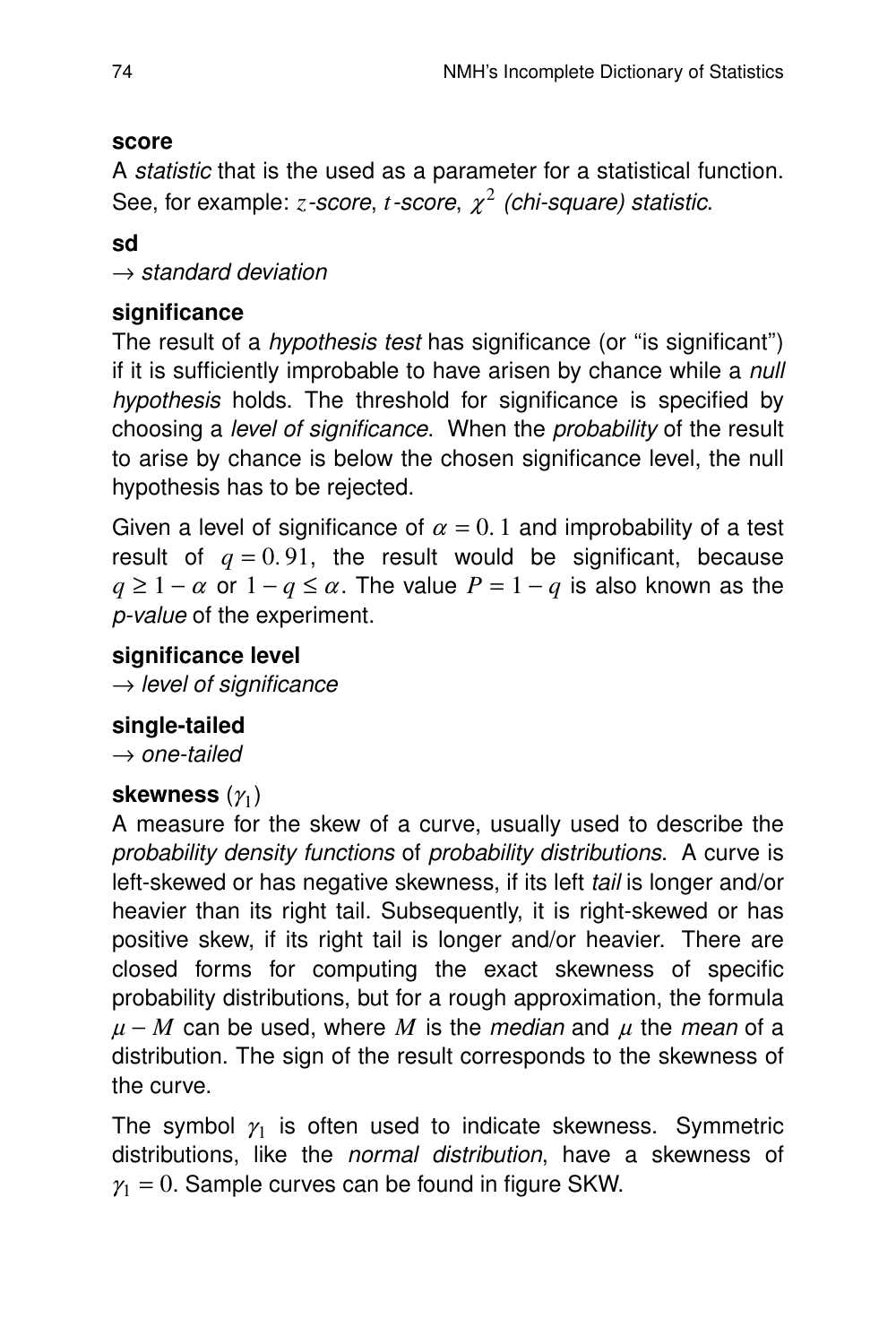## **score**

A statistic that is the used as a parameter for a statistical function. See, for example: *z-score, t-score,*  $\chi^2$  *(chi-square) statistic.* 

**sd**

 $\rightarrow$  standard deviation

## **significance**

The result of a *hypothesis test* has significance (or "is significant") if it is sufficiently improbable to have arisen by chance while a null hypothesis holds. The threshold for significance is specified by choosing a level of significance. When the probability of the result to arise by chance is below the chosen significance level, the null hypothesis has to be rejected.

Given a level of significance of  $\alpha = 0.1$  and improbability of a test result of  $q = 0.91$ , the result would be significant, because  $q \geq 1 - \alpha$  or  $1 - q \leq \alpha$ . The value  $P = 1 - q$  is also known as the p-value of the experiment.

## **significance level**

 $\rightarrow$  level of significance

## **single-tailed**

 $\rightarrow$  one-tailed

## skewness  $(\gamma_1)$

A measure for the skew of a curve, usually used to describe the probability density functions of probability distributions. A curve is left-skewed or has negative skewness, if its left tail is longer and/or heavier than its right tail. Subsequently, it is right-skewed or has positive skew, if its right tail is longer and/or heavier. There are closed forms for computing the exact skewness of specific probability distributions, but for a rough approximation, the formula  $\mu$  – *M* can be used, where *M* is the *median* and  $\mu$  the *mean* of a distribution. The sign of the result corresponds to the skewness of the curve.

The symbol  $\gamma_1$  is often used to indicate skewness. Symmetric distributions, like the normal distribution, have a skewness of  $\gamma_1 = 0$ . Sample curves can be found in figure SKW.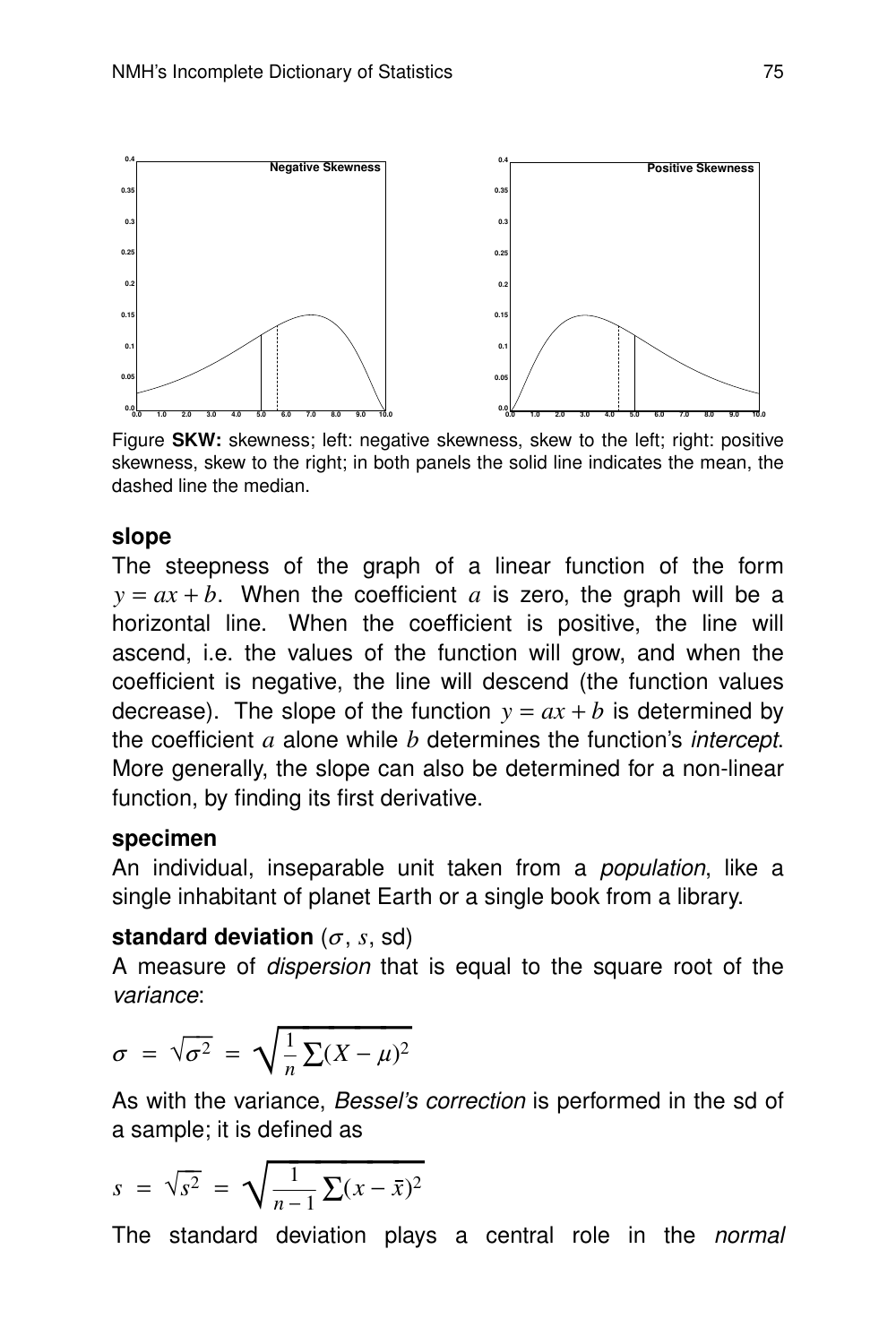

Figure **SKW:** skewness; left: negative skewness, skew to the left; right: positive skewness, skew to the right; in both panels the solid line indicates the mean, the dashed line the median.

#### **slope**

The steepness of the graph of a linear function of the form  $y = ax + b$ . When the coefficient *a* is zero, the graph will be a horizontal line. When the coefficient is positive, the line will ascend, i.e. the values of the function will grow, and when the coefficient is negative, the line will descend (the function values decrease). The slope of the function  $y = ax + b$  is determined by the coefficient *a* alone while *b* deter mines the function's intercept. More generally, the slope can also be determined for a non-linear function, by finding its first derivative.

#### **specimen**

An individual, inseparable unit taken from a *population*, like a single inhabitant of planet Earth or a single book from a library.

#### **standard deviation** ( $\sigma$ , *s*, sd)

A measure of dispersion that is equal to the square root of the variance:

$$
\sigma = \sqrt{\sigma^2} = \sqrt{\frac{1}{n} \sum (X - \mu)^2}
$$

As with the variance, *Bessel's correction* is performed in the sd of a sample; it is defined as

$$
s = \sqrt{s^2} = \sqrt{\frac{1}{n-1} \sum (x - \bar{x})^2}
$$

The standard deviation plays a central role in the normal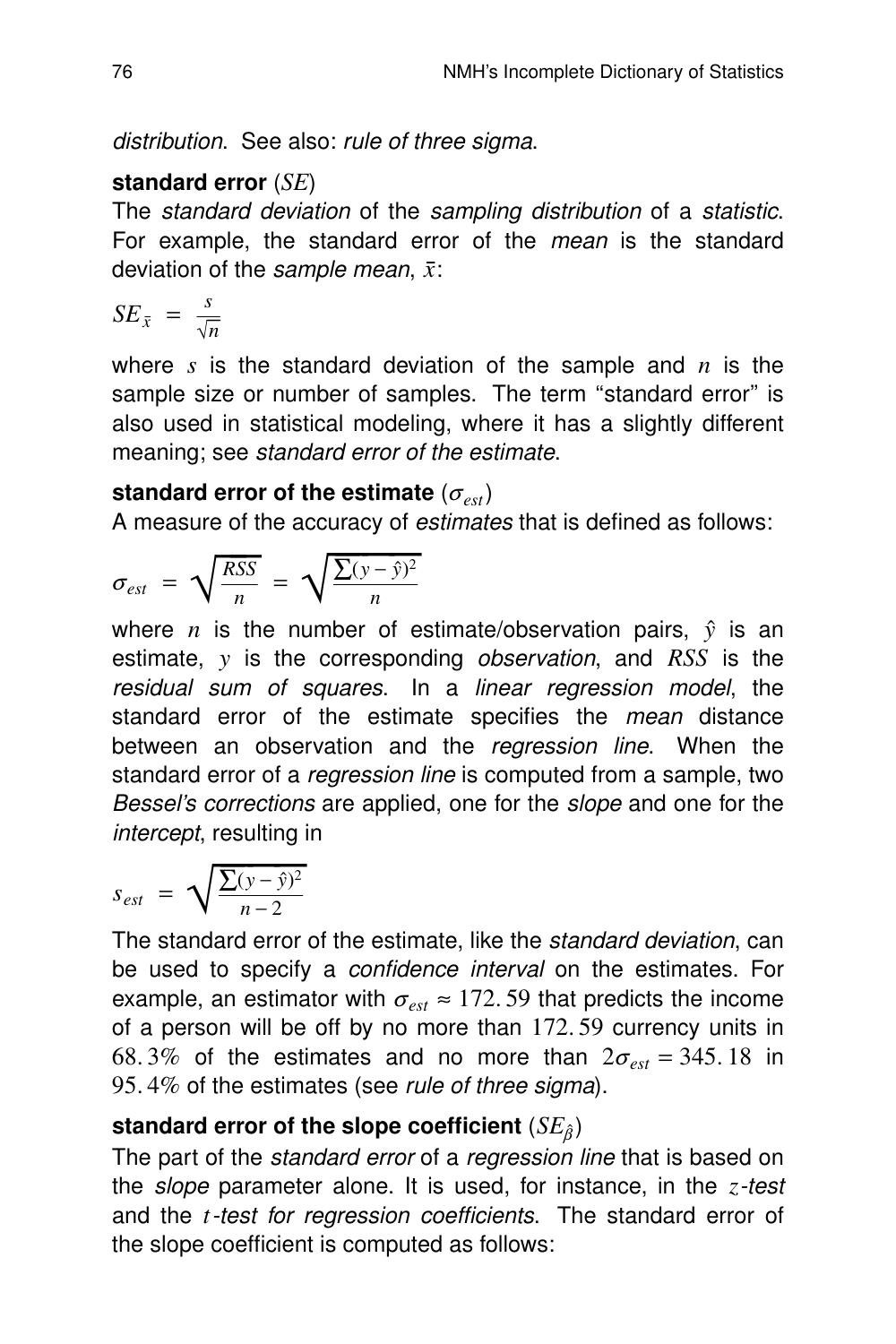distribution. See also: rule of three sigma.

## **standard error** (*SE*)

The standard deviation of the sampling distribution of a statistic. For example, the standard error of the *mean* is the standard deviation of the sample mean, *x*:

$$
SE_{\bar{x}} = \frac{s}{\sqrt{n}}
$$

where *s* is the standard deviation of the sample and *n* is the sample size or number of samples. The term "standard error" is also used in statistical modeling, where it has a slightly different meaning; see standard error of the estimate.

## standard error of the estimate  $(\sigma_{est})$

A measure of the accuracy of estimates that is defined as follows:

$$
\sigma_{est} = \sqrt{\frac{RSS}{n}} = \sqrt{\frac{\sum(y - \hat{y})^2}{n}}
$$

where *n* is the number of estimate/observation pairs,  $\hat{y}$  is an estimate, *y* is the corresponding *observation*, and *RSS* is the residual sum of squares. In a linear regression model, the standard error of the estimate specifies the mean distance between an observation and the regression line. When the standard error of a *regression line* is computed from a sample, two Bessel's corrections are applied, one for the slope and one for the intercept, resulting in

$$
s_{est} = \sqrt{\frac{\sum(y - \hat{y})^2}{n - 2}}
$$

The standard error of the estimate, like the standard deviation, can be used to specify a *confidence interval* on the estimates. For example, an estimator with  $\sigma_{est} \approx 172.59$  that predicts the income of a person will be off by no more than 172. 59 currency units in 68.3% of the estimates and no more than  $2\sigma_{\text{est}} = 345.18$  in 95.4% of the estimates (see rule of three sigma).

## **standard error of the slope coefficient** (*SE*<sub>β</sub>)

The part of the *standard error* of a *regression line* that is based on the slope parameter alone. It is used, for instance, in the *z*-test and the *t*-test for regression coefficients. The standard error of the slope coefficient is computed as follows: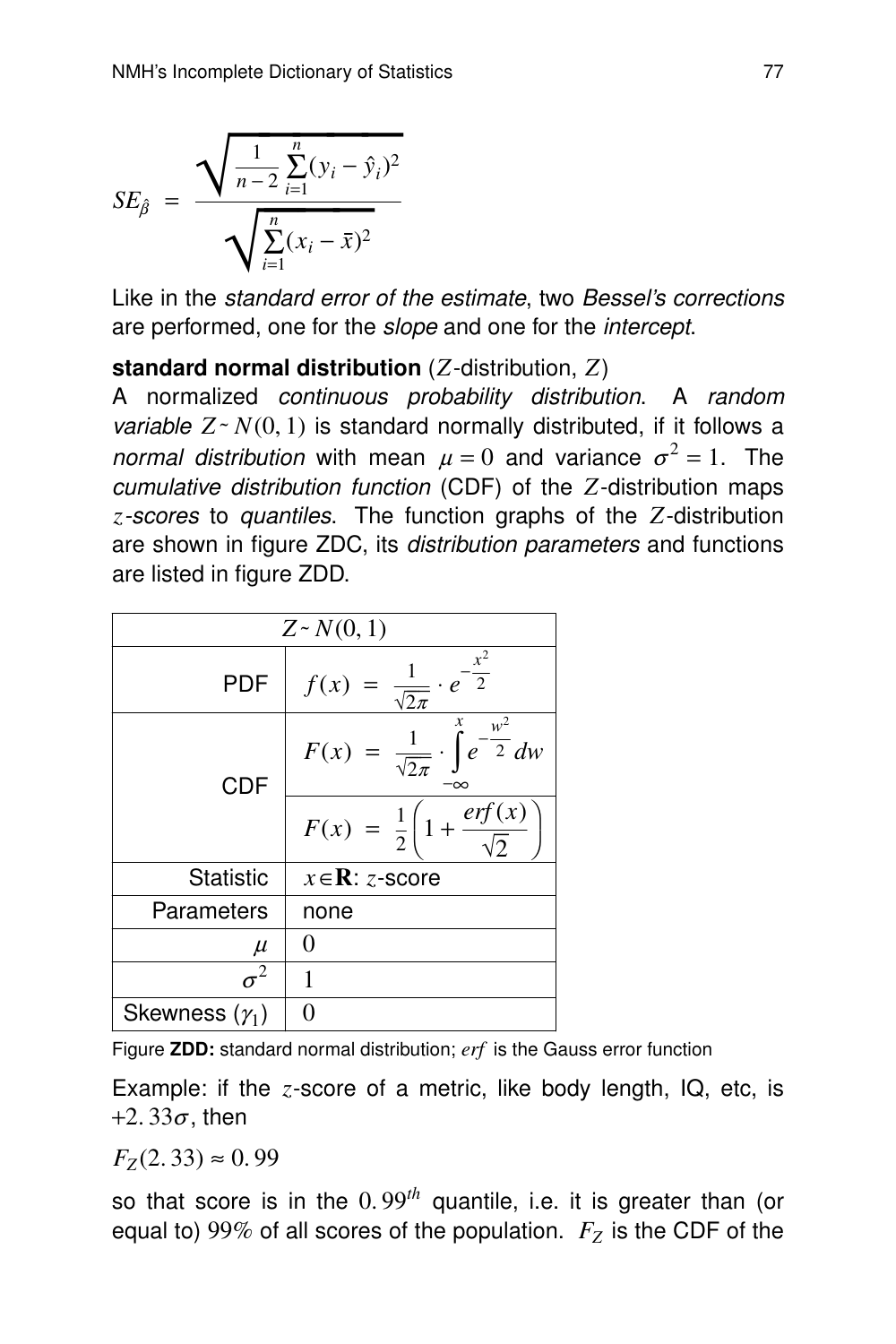$$
SE_{\hat{\beta}} = \frac{\sqrt{\frac{1}{n-2} \sum_{i=1}^{n} (y_i - \hat{y}_i)^2}}{\sqrt{\sum_{i=1}^{n} (x_i - \bar{x})^2}}
$$

Like in the standard error of the estimate, two Bessel's corrections are performed, one for the *slope* and one for the *intercept*.

#### **standard normal distribution** (*Z*-distribution, *Z*)

A normalized continuous probability distribution. A random *variable*  $Z \sim N(0, 1)$  is standard normally distributed, if it follows a normal distribution with mean  $\mu = 0$  and variance  $\sigma^2 = 1$ . The cumulative distribution function (CDF) of the *Z*-distribution maps z-scores to quantiles. The function graphs of the *Z*-distribution are shown in figure ZDC, its *distribution parameters* and functions are listed in figure ZDD.

| $Z \sim N(0, 1)$      |                                                                               |  |  |  |  |  |  |
|-----------------------|-------------------------------------------------------------------------------|--|--|--|--|--|--|
| <b>PDF</b>            | $\cdot e^{-\frac{x^2}{2}}$<br>$rac{1}{\sqrt{2\pi}}$<br>f(x)                   |  |  |  |  |  |  |
| <b>CDF</b>            | x<br>$\frac{w^2}{2}dw$<br>$\frac{1}{\sqrt{2\pi}}$<br>F(x)<br>$\boldsymbol{e}$ |  |  |  |  |  |  |
|                       | erf(x)<br>$F(x) = \frac{1}{2} \left( 1 + \right)$                             |  |  |  |  |  |  |
| Statistic             | $x \in \mathbb{R}$ : z-score                                                  |  |  |  |  |  |  |
| Parameters            | none                                                                          |  |  |  |  |  |  |
| $\mu$                 | 0                                                                             |  |  |  |  |  |  |
| $\sigma^2$            | 1                                                                             |  |  |  |  |  |  |
| Skewness $(\gamma_1)$ |                                                                               |  |  |  |  |  |  |

Figure **ZDD:** standard normal distribution; *erf* is the Gauss error function

Example: if the *z*-score of a metric, like body length, IQ, etc, is  $+2.33\sigma$ , then

 $F_Z(2.33) \approx 0.99$ 

so that score is in the 0. 99*th* quantile, i.e. it is greater than (or equal to) 99% of all scores of the population. *F<sup>Z</sup>* is the CDF of the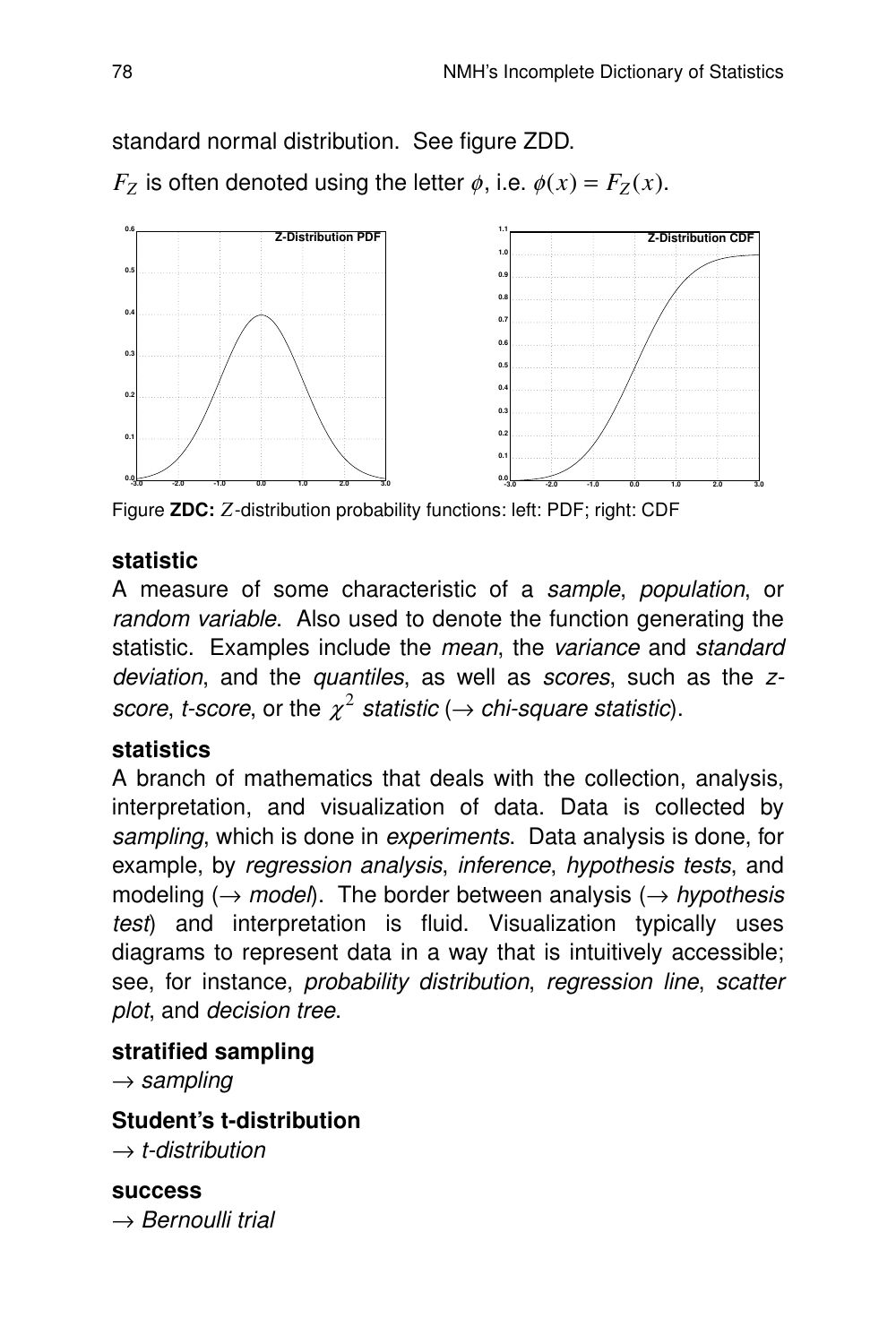standard normal distribution. See figure ZDD. *F*<sub>Z</sub> is often denoted using the letter  $\phi$ , i.e.  $\phi(x) = F_Z(x)$ .



Figure **ZDC:** *Z*-distribution probability functions: left: PDF; right: CDF

#### **statistic**

A measure of some characteristic of a sample, population, or random variable. Also used to denote the function generating the statistic. Examples include the mean, the variance and standard deviation, and the quantiles, as well as scores, such as the zscore, t-score, or the  $\chi^2$  statistic ( $\rightarrow$  chi-square statistic).

#### **statistics**

A branch of mathematics that deals with the collection, analysis, interpretation, and visualization of data. Data is collected by sampling, which is done in experiments. Data analysis is done, for example, by regression analysis, inference, hypothesis tests, and modeling ( $\rightarrow$  model). The border between analysis ( $\rightarrow$  hypothesis test) and interpretation is fluid. Visualization typically uses diagrams to represent data in a way that is intuitively accessible; see, for instance, *probability distribution*, *regression line*, *scatter* plot, and decision tree.

## **stratified sampling**

 $\rightarrow$  sampling

**Student's t-distribution**  $\rightarrow$  t-distribution

**success**  $\rightarrow$  Bernoulli trial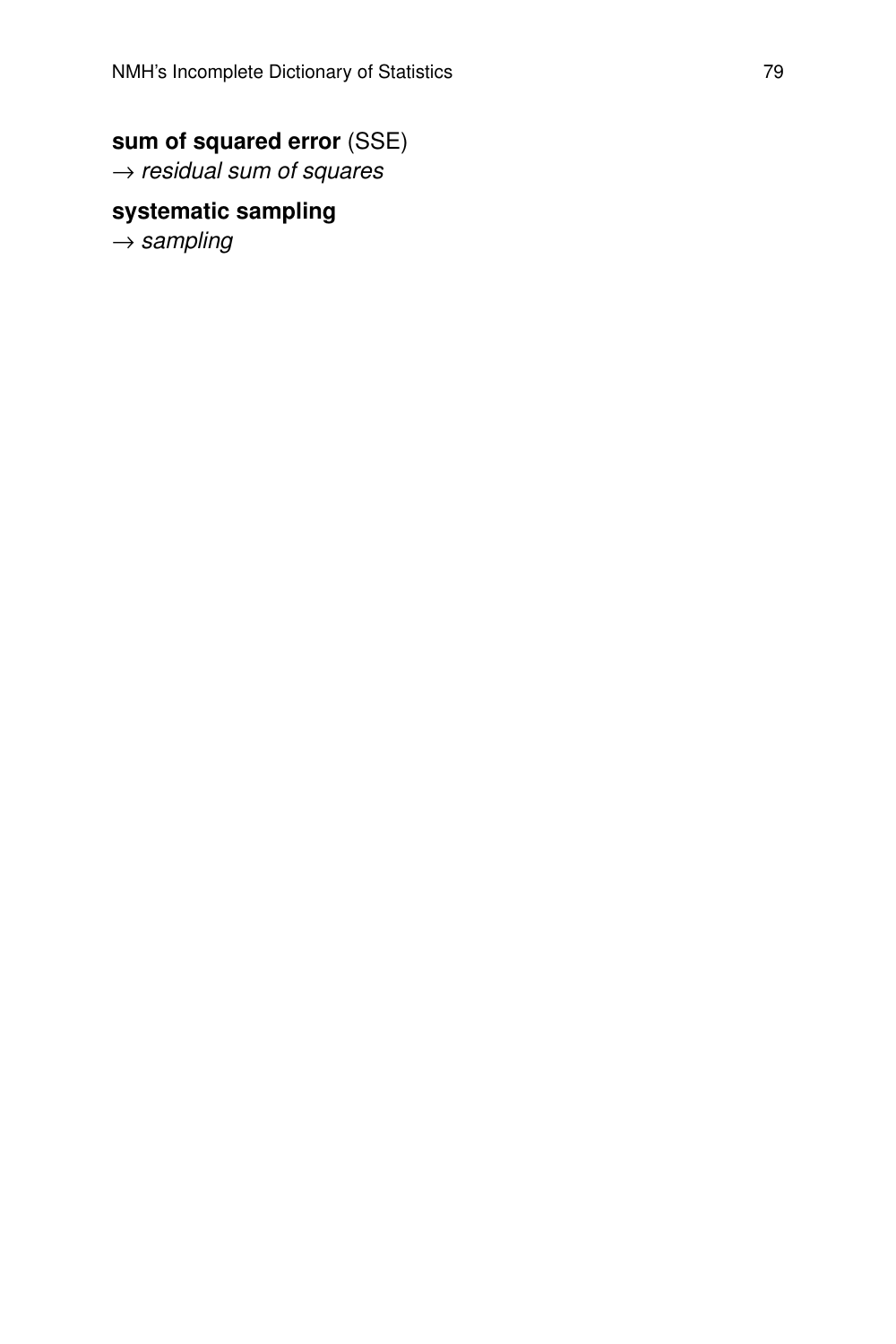## **sum of squared error** (SSE)

 $\rightarrow$  residual sum of squares

## **systematic sampling**

 $\rightarrow$  sampling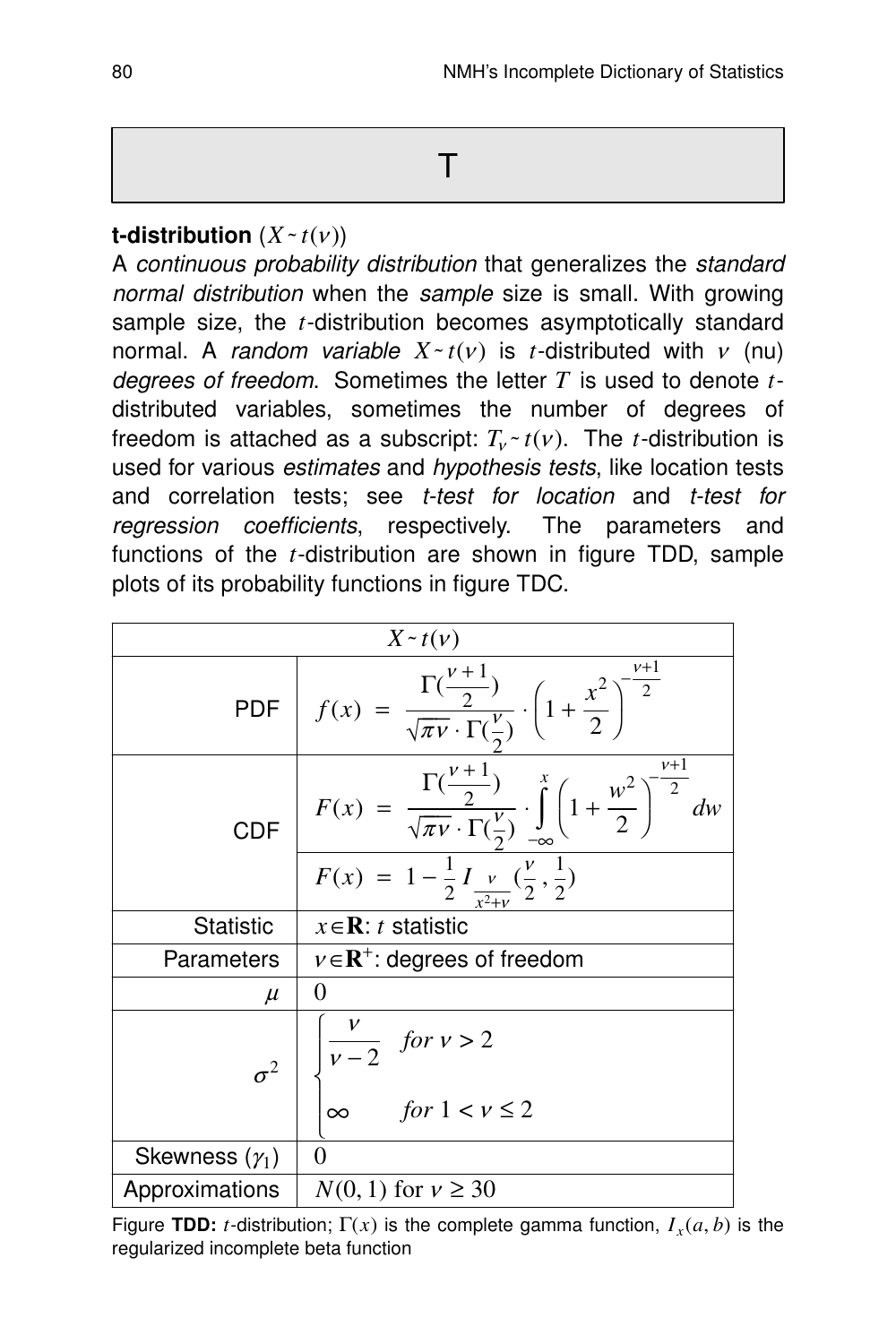## **t-distribution**  $(X \cdot t(v))$

A continuous probability distribution that generalizes the standard normal distribution when the sample size is small. With growing sample size, the *t*-distribution becomes asymptotically standard **normal.** A random variable  $X \sim t(v)$  is *t*-distributed with *ν* (nu) degrees of freedom. Sometimes the letter *T* is used to denote *t*distributed variables, sometimes the number of degrees of freedom is attached as a subscript:  $T_v \sim t(v)$ . The *t*-distribution is used for various estimates and hypothesis tests, like location tests and correlation tests; see t-test for location and t-test for regression coefficients, respectively. The parameters and functions of the *t*-distribution are shown in figure TDD, sample plots of its probability functions in figure TDC.

|                       | $X \sim t(v)$                                                                                                                                                                                                                                       |
|-----------------------|-----------------------------------------------------------------------------------------------------------------------------------------------------------------------------------------------------------------------------------------------------|
|                       | PDF $f(x) = \frac{\Gamma(\frac{\nu+1}{2})}{\sqrt{\pi \nu} \cdot \Gamma(\frac{\nu}{2})} \cdot \left(1 + \frac{x^2}{2}\right)^{-\frac{1}{2}}$                                                                                                         |
| <b>CDF</b>            | $F(x) = \frac{\Gamma(\frac{\nu+1}{2})}{\sqrt{\pi \nu} \cdot \Gamma(\frac{\nu}{2})} \cdot \int_{-\infty}^{x} \left(1 + \frac{w^2}{2}\right)^{-\frac{\nu+1}{2}} dw$<br>$F(x) = 1 - \frac{1}{2} I_{\frac{\nu}{x^2 + \nu}}(\frac{\nu}{2}, \frac{1}{2})$ |
|                       |                                                                                                                                                                                                                                                     |
| <b>Statistic</b>      | $x \in \mathbf{R}$ : <i>t</i> statistic                                                                                                                                                                                                             |
| Parameters            | $v \in \mathbb{R}^+$ : degrees of freedom                                                                                                                                                                                                           |
| $\mu$                 | 0                                                                                                                                                                                                                                                   |
|                       | $\sigma^2$ $\begin{vmatrix} \frac{v}{v-2} & \text{for } v > 2 \\ \infty & \text{for } 1 < v \le 2 \end{vmatrix}$                                                                                                                                    |
| Skewness $(\gamma_1)$ | 0                                                                                                                                                                                                                                                   |
| Approximations        | $N(0, 1)$ for $v \ge 30$                                                                                                                                                                                                                            |

Figure TDD: *t*-distribution;  $\Gamma(x)$  is the complete gamma function,  $I_x(a, b)$  is the regularized incomplete beta function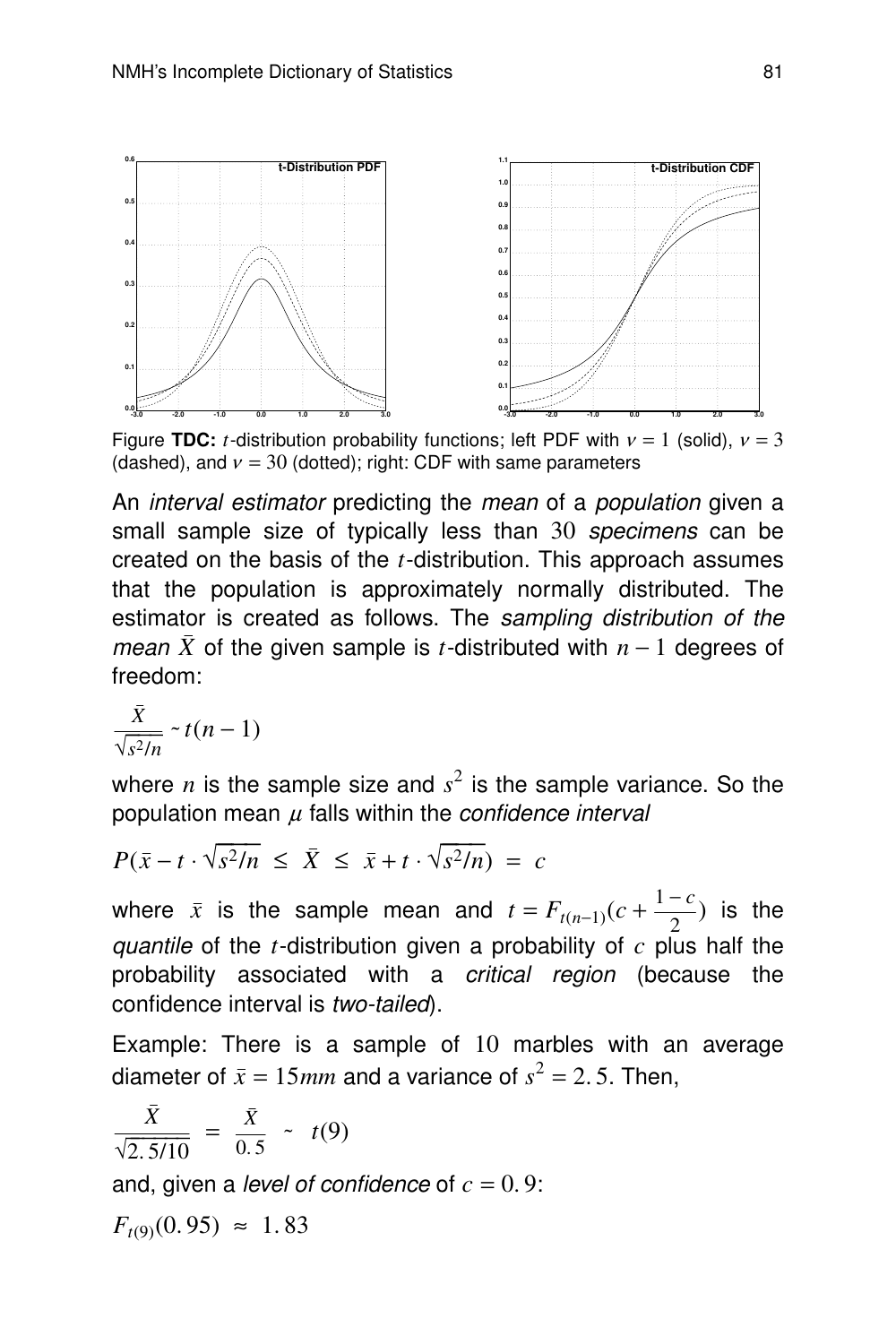

Figure **TDC:** *t*-distribution probability functions; left PDF with  $v = 1$  (solid),  $v = 3$ (dashed), and  $v = 30$  (dotted); right: CDF with same parameters

An *interval estimator* predicting the *mean* of a *population* given a small sample size of typically less than 30 specimens can be created on the basis of the *t*-distribution. This approach assumes that the population is approximately normally distributed. The estimator is created as follows. The sampling distribution of the *mean*  $\bar{X}$  of the given sample is *t*-distributed with  $n-1$  degrees of freedom:

$$
\frac{\bar{X}}{\sqrt{s^2/n}} \sim t(n-1)
$$

where  $n$  is the sample size and  $s^2$  is the sample variance. So the population mean  $\mu$  falls within the *confidence interval* 

$$
P(\bar{x} - t \cdot \sqrt{s^2/n} \le \bar{X} \le \bar{x} + t \cdot \sqrt{s^2/n}) = c
$$

where  $\bar{x}$  is the sample mean and  $t = F_{t(n-1)}(c + \frac{1-c}{2})$  is the 2 quantile of the  $t$ -distribution given a probability of  $c$  plus half the probability associated with a *critical region* (because the confidence interval is two-tailed).

Example: There is a sample of 10 marbles with an average diameter of  $\bar{x} = 15$ *mm* and a variance of  $s^2 = 2.5$ . Then,

$$
\frac{\bar{X}}{\sqrt{2.5/10}} = \frac{\bar{X}}{0.5} \sim t(9)
$$

and, given a *level of confidence* of  $c = 0.9$ :

$$
F_{t(9)}(0.95) \approx 1.83
$$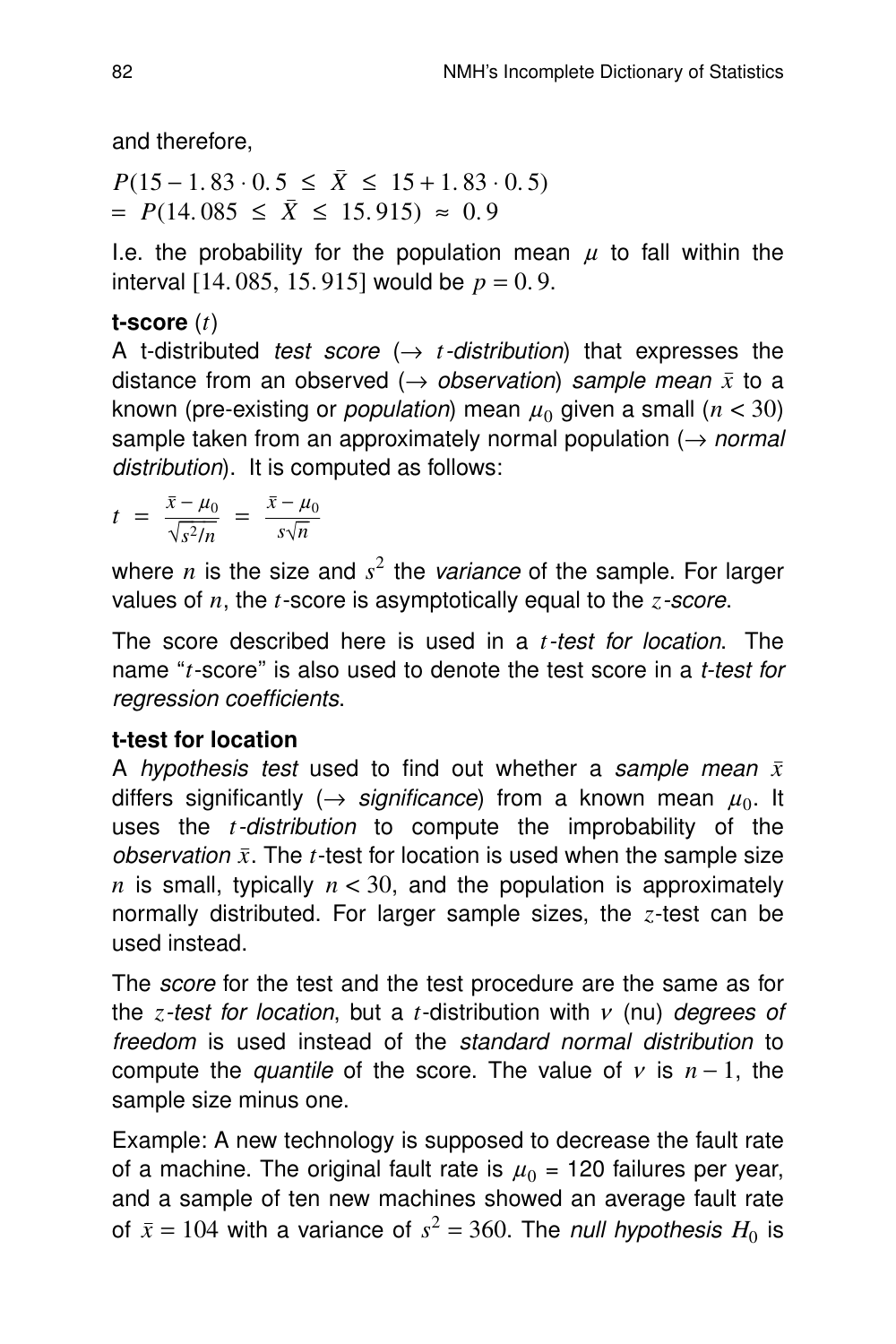and therefore,

 $P(15 - 1.83 \cdot 0.5 \leq \overline{X} \leq 15 + 1.83 \cdot 0.5)$  $= P(14.085 \le \bar{X} \le 15.915) \approx 0.9$ 

I.e. the probability for the population mean  $\mu$  to fall within the interval [14. 085, 15. 915] would be  $p = 0.9$ .

## **t-score** (*t*)

A t-distributed test score  $(\rightarrow t$ -distribution) that expresses the distance from an observed ( $\rightarrow$  observation) sample mean  $\bar{x}$  to a known (pre-existing or *population*) mean  $\mu_0$  given a small ( $n < 30$ ) sample taken from an approximately normal population ( $\rightarrow$  normal distribution). It is computed as follows:

 $t = \frac{\bar{x} - \mu_0}{\sqrt{2\pi}}$  $\sqrt{s^2/n}$  $= \frac{\bar{x} - \mu_0}{\sqrt{2}}$  $s\sqrt{n}$ 

where  $n$  is the size and  $s^2$  the variance of the sample. For larger values of *n*, the *t*-score is asymptotically equal to the *z*-score.

The score described here is used in a *t*-test for location. The name ''*t*-score'' is also used to denote the test score in a t-test for regression coefficients.

## **t-test for location**

A hypothesis test used to find out whether a sample mean *x* differs significantly ( $\rightarrow$  significance) from a known mean  $\mu_0$ . It uses the *t*-distribution to compute the improbability of the *observation*  $\bar{x}$ . The *t*-test for location is used when the sample size *n* is small, typically  $n < 30$ , and the population is approximately normally distributed. For larger sample sizes, the  $z$ -test can be used instead.

The score for the test and the test procedure are the same as for the *z*-test for location, but a *t*-distribution with  $v$  (nu) degrees of freedom is used instead of the standard normal distribution to compute the *quantile* of the score. The value of  $\nu$  is  $n-1$ , the sample size minus one.

Example: A new technology is supposed to decrease the fault rate of a machine. The original fault rate is  $\mu_0$  = 120 failures per year, and a sample of ten new machines showed an average fault rate of  $\bar{x} = 104$  with a variance of  $s^2 = 360$ . The *null hypothesis H*<sub>0</sub> is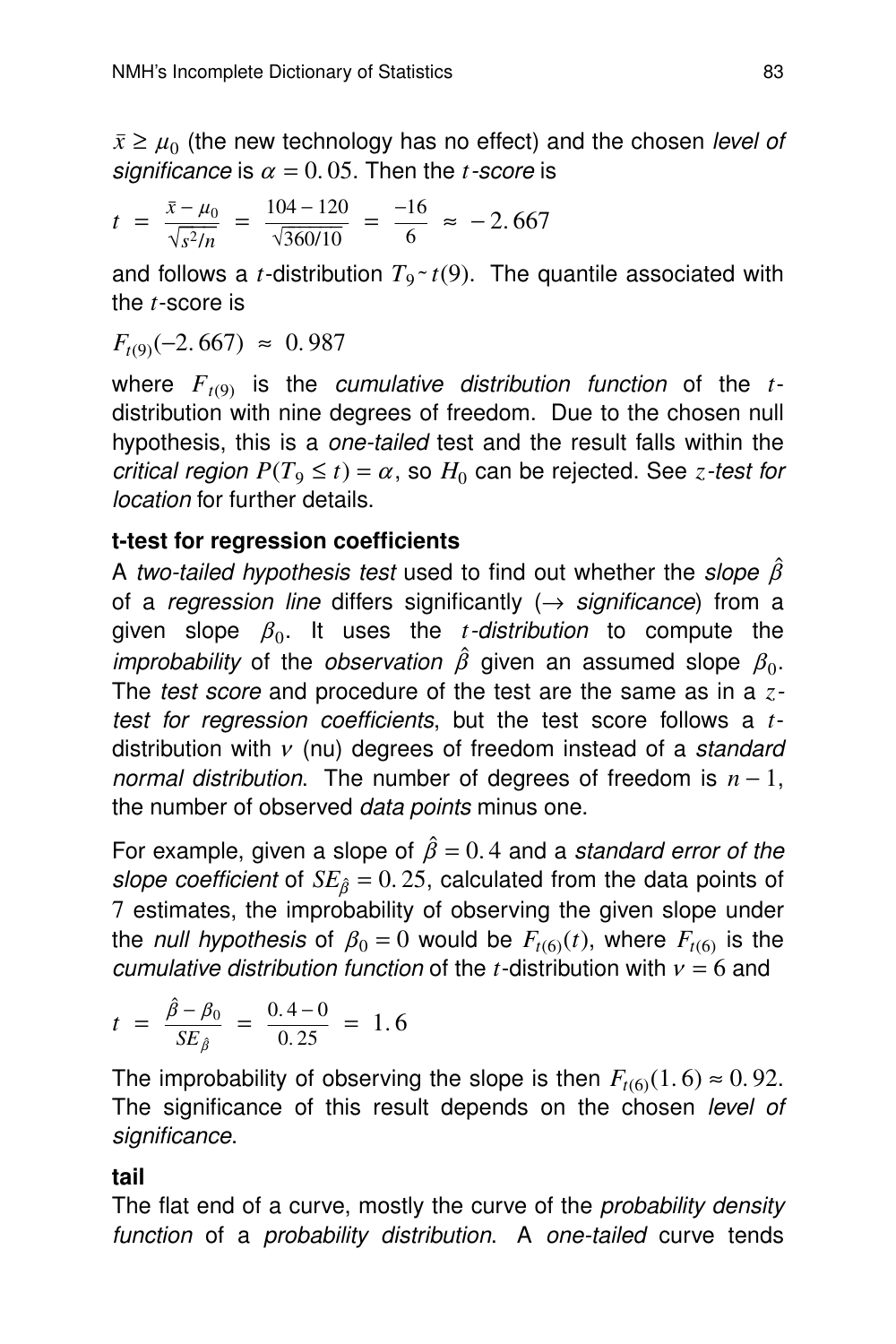$\bar{x} \geq \mu_0$  (the new technology has no effect) and the chosen *level of* significance is  $\alpha = 0.05$ . Then the *t*-score is

$$
t = \frac{\bar{x} - \mu_0}{\sqrt{s^2/n}} = \frac{104 - 120}{\sqrt{360/10}} = \frac{-16}{6} \approx -2.667
$$

and follows a *t*-distribution  $T_9 \sim t(9)$ . The quantile associated with the *t*-score is

$$
F_{t(9)}(-2.667) \approx 0.987
$$

where  $F_{t(9)}$  is the *cumulative distribution function* of the *t*distribution with nine degrees of freedom. Due to the chosen null hypothesis, this is a *one-tailed* test and the result falls within the critical region  $P(T_9 \le t) = \alpha$ , so  $H_0$  can be rejected. See *z*-test for location for further details.

#### **t-test for regression coefficients**

A two-tailed hypothesis test used to find out whether the slope  $\hat{\beta}$ of a regression line differs significantly  $(\rightarrow$  significance) from a given slope  $\beta_0$ . It uses the *t-distribution* to compute the improbability of the observation  $\hat{\beta}$  given an assumed slope  $\beta_0$ . The test score and procedure of the test are the same as in a *z*test for regression coefficients, but the test score follows a *t*distribution with  $v$  (nu) degrees of freedom instead of a standard normal distribution. The number of degrees of freedom is  $n-1$ , the number of observed *data points* minus one.

For example, given a slope of  $\hat{\beta} = 0.4$  and a standard error of the slope coefficient of  $SE_{\hat{\beta}} = 0.25$ , calculated from the data points of 7 estimates, the improbability of observing the given slope under the *null hypothesis* of  $\beta_0 = 0$  would be  $F_{t(6)}(t)$ , where  $F_{t(6)}$  is the cumulative distribution function of the *t*-distribution with  $v = 6$  and

$$
t = \frac{\hat{\beta} - \beta_0}{SE_{\hat{\beta}}} = \frac{0.4 - 0}{0.25} = 1.6
$$

The improbability of observing the slope is then  $F_{t(6)}(1.6) \approx 0.92$ . The significance of this result depends on the chosen level of significance.

#### **tail**

The flat end of a curve, mostly the curve of the *probability density* function of a probability distribution. A one-tailed curve tends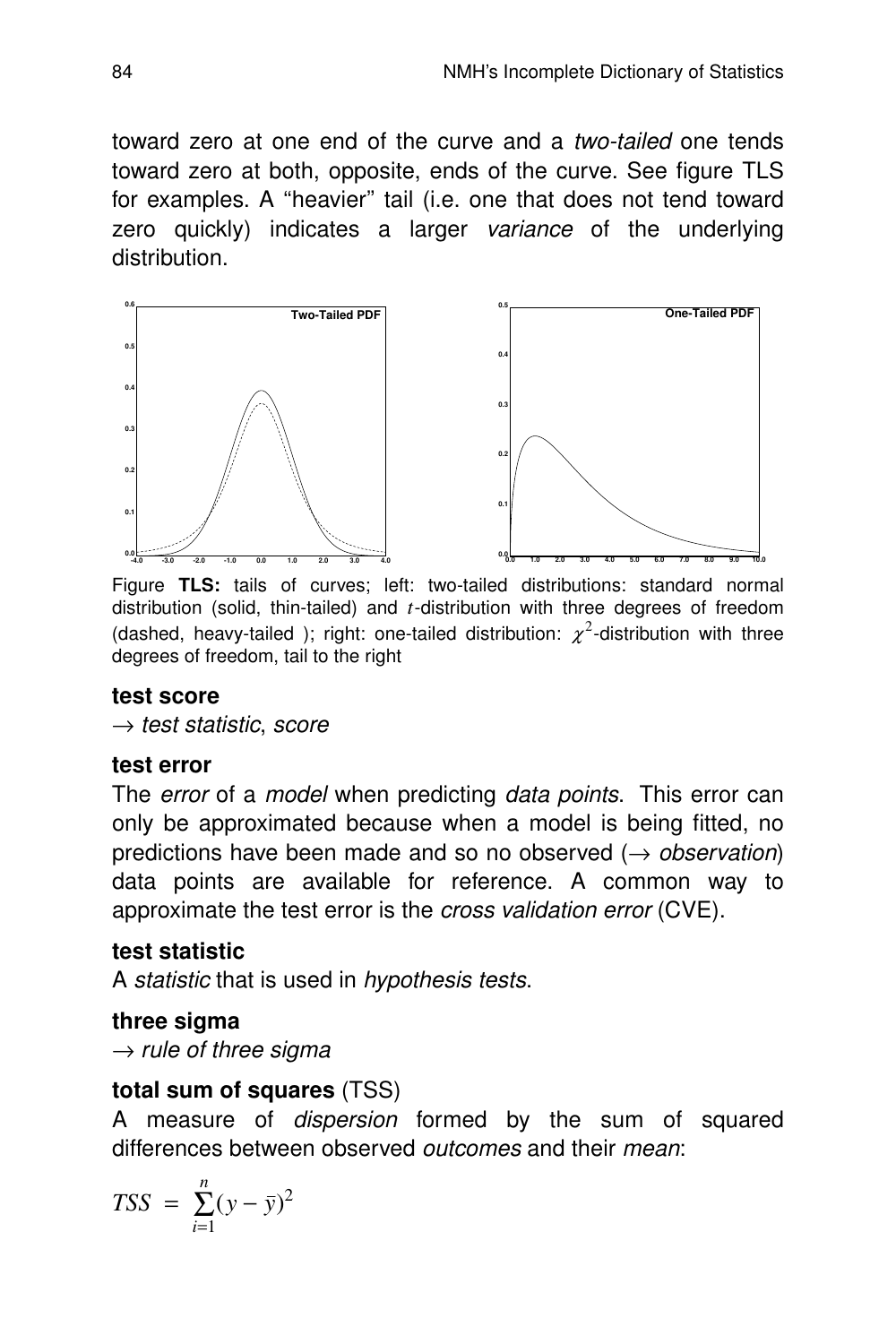toward zero at one end of the curve and a two-tailed one tends toward zero at both, opposite, ends of the curve. See figure TLS for examples. A "heavier" tail (i.e. one that does not tend toward zero quickly) indicates a larger variance of the underlying distribution.



Figure **TLS:** tails of curves; left: two-tailed distributions: standard normal distribution (solid, thin-tailed) and *t*-distribution with three degrees of freedom (dashed, heavy-tailed ); right: one-tailed distribution:  $\chi^2$ -distribution with three degrees of freedom, tail to the right

#### **test score**

 $\rightarrow$  test statistic, score

#### **test error**

The error of a model when predicting data points. This error can only be approximated because when a model is being fitted, no predictions have been made and so no observed  $(\rightarrow$  observation) data points are available for reference. A common way to approximate the test error is the cross validation error (CVE).

## **test statistic**

A statistic that is used in hypothesis tests.

## **three sigma**

 $\rightarrow$  rule of three sigma

## **total sum of squares** (TSS)

A measure of dispersion formed by the sum of squared differences between observed *outcomes* and their *mean*:

$$
TSS = \sum_{i=1}^{n} (y - \bar{y})^2
$$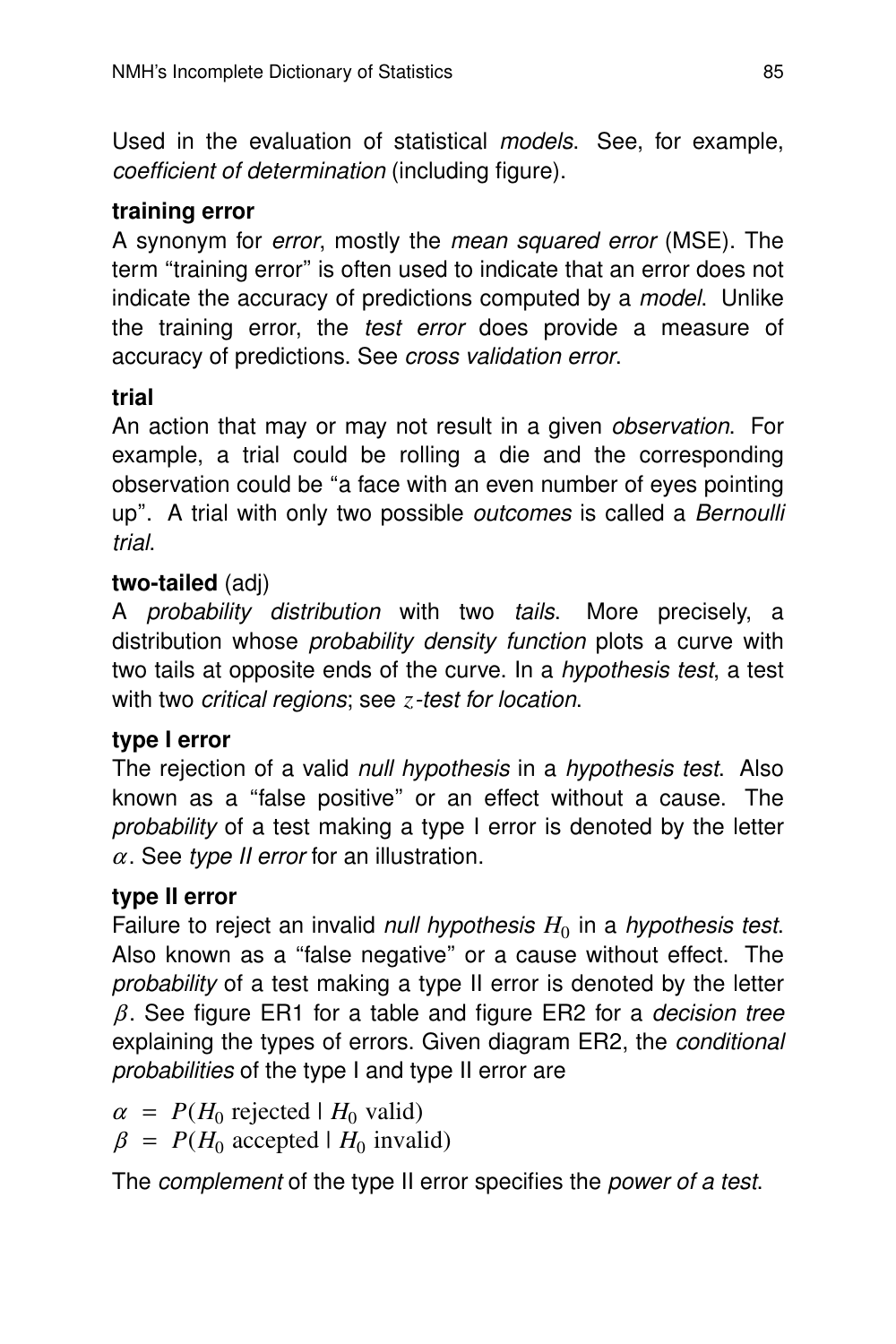Used in the evaluation of statistical models. See, for example, coefficient of determination (including figure).

#### **training error**

A synonym for error, mostly the mean squared error (MSE). The term "training error" is often used to indicate that an error does not indicate the accuracy of predictions computed by a model. Unlike the training error, the test error does provide a measure of accuracy of predictions. See cross validation error.

#### **trial**

An action that may or may not result in a given *observation*. For example, a trial could be rolling a die and the corresponding obser vation could be ''a face with an even number of eyes pointing up". A trial with only two possible *outcomes* is called a *Bernoulli* tr ial.

#### **two-tailed** (adj)

A probability distribution with two tails. More precisely, a distribution whose probability density function plots a curve with two tails at opposite ends of the curve. In a *hypothesis test*, a test with two *critical regions*; see *z*-test for location.

#### **type I error**

The rejection of a valid null hypothesis in a hypothesis test. Also known as a ''false positive'' or an effect without a cause. The probability of a test making a type I error is denoted by the letter  $\alpha$ . See type II error for an illustration.

#### **type II error**

Failure to reject an invalid *null hypothesis*  $H_0$  in a *hypothesis test.* Also known as a "false negative" or a cause without effect. The probability of a test making a type II error is denoted by the letter  $\beta$ . See figure ER1 for a table and figure ER2 for a *decision tree* explaining the types of errors. Given diagram ER2, the conditional probabilities of the type I and type II error are

 $\alpha$  =  $P(H_0 \text{ rejected} | H_0 \text{ valid})$  $\beta$  =  $P(H_0 \text{ accepted} | H_0 \text{ invalid})$ 

The complement of the type II error specifies the power of a test.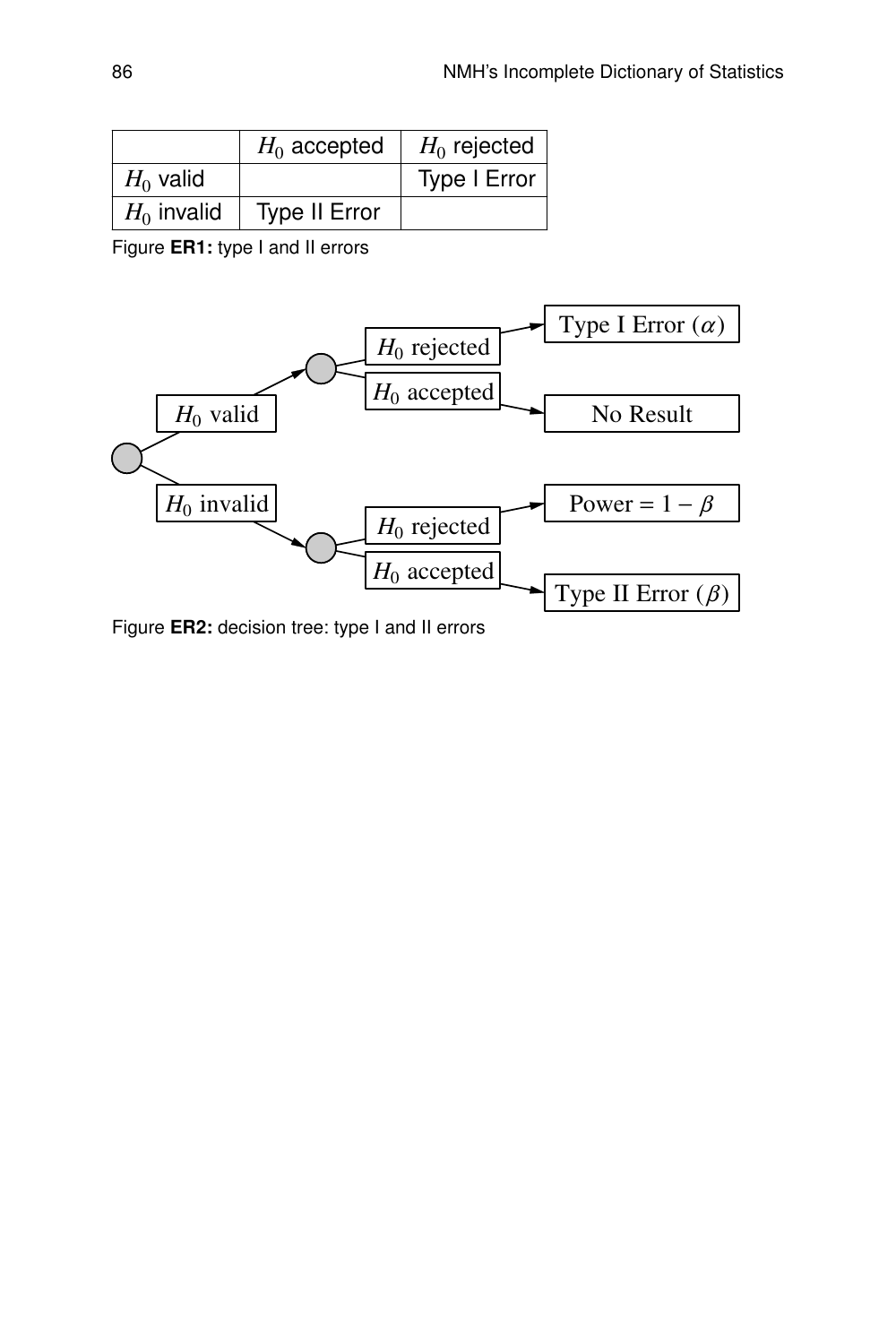|               | $H_0$ accepted       | $H_0$ rejected |
|---------------|----------------------|----------------|
| $H_0$ valid   |                      | Type I Error   |
| $H_0$ invalid | <b>Type II Error</b> |                |

Figure **ER1:** type I and II errors



Figure **ER2:** decision tree: type I and II errors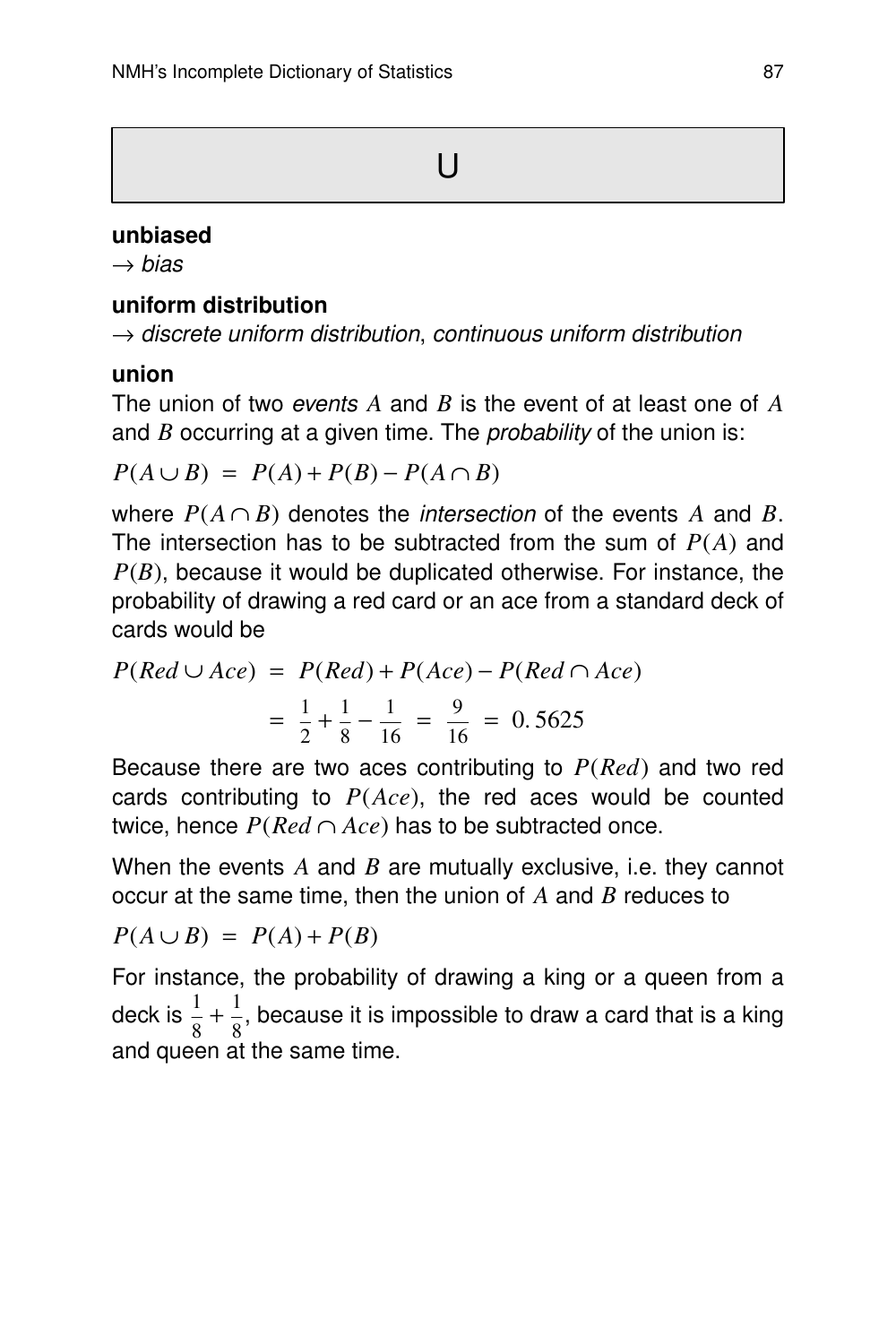#### **unbiased**

 $\rightarrow$  bias

#### **uniform distribution**

 $\rightarrow$  discrete uniform distribution, continuous uniform distribution

#### **union**

The union of two *events A* and *B* is the event of at least one of A and *B* occurring at a given time. The *probability* of the union is:

$$
P(A \cup B) = P(A) + P(B) - P(A \cap B)
$$

where  $P(A \cap B)$  denotes the *intersection* of the events A and B. The intersection has to be subtracted from the sum of *P*(*A*) and *P*(*B*), because it would be duplicated otherwise. For instance, the probability of drawing a red card or an ace from a standard deck of cards would be

$$
P(Red \cup Acc) = P(Red) + P(Ace) - P(Red \cap Acc)
$$

$$
= \frac{1}{2} + \frac{1}{8} - \frac{1}{16} = \frac{9}{16} = 0.5625
$$

Because there are two aces contributing to *P*(*Red*) and two red cards contributing to *P*(*Ace*), the red aces would be counted twice, hence  $P(Red ∩ Acc)$  has to be subtracted once.

When the events *A* and *B* are mutually exclusive, i.e. they cannot occur at the same time, then the union of *A* and *B* reduces to

$$
P(A \cup B) = P(A) + P(B)
$$

For instance, the probability of drawing a king or a queen from a deck is  $\frac{1}{2}$  $\frac{1}{8} + \frac{1}{8}$  $\frac{1}{8}$ , because it is impossible to draw a card that is a king and queen at the same time.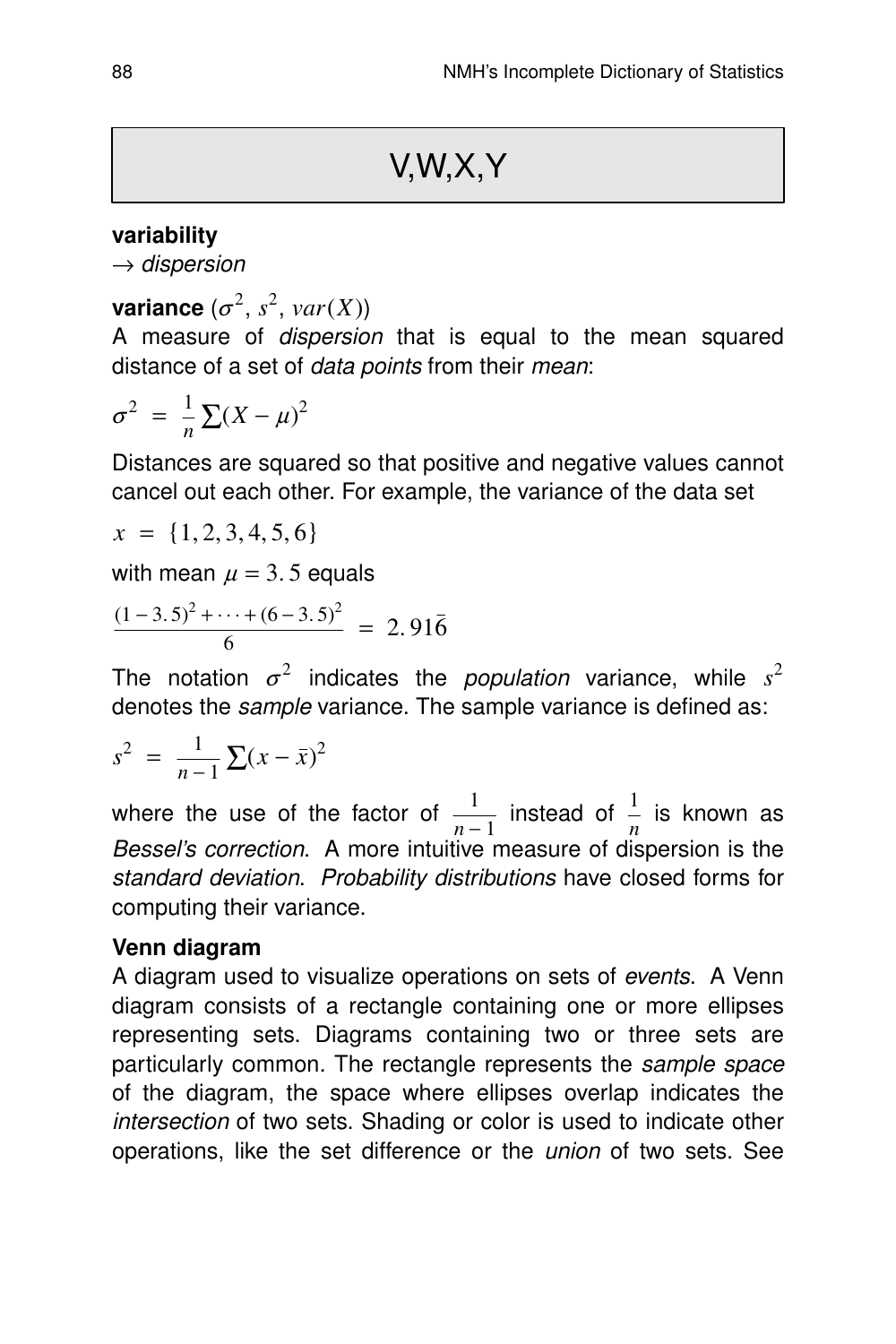#### **variability**

 $\rightarrow$  dispersion

**variance**  $(\sigma^2, s^2, \text{var}(X))$ 

A measure of dispersion that is equal to the mean squared distance of a set of *data points* from their *mean*:

$$
\sigma^2 = \frac{1}{n} \sum (X - \mu)^2
$$

Distances are squared so that positive and negative values cannot cancel out each other. For example, the variance of the data set

$$
x = \{1, 2, 3, 4, 5, 6\}
$$

with mean  $\mu = 3.5$  equals

$$
\frac{(1-3.5)^2 + \dots + (6-3.5)^2}{6} = 2.91\overline{6}
$$

The notation  $\sigma^2$  indicates the *population* variance, while  $s^2$ denotes the *sample* variance. The sample variance is defined as:

$$
s^2 = \frac{1}{n-1} \sum (x - \bar{x})^2
$$

where the use of the factor of  $\frac{1}{n-1}$  instead of  $\frac{1}{n}$  is known as Bessel's correction. A more intuitive measure of dispersion is the standard deviation. Probability distributions have closed forms for computing their variance.

#### **Venn diagram**

A diagram used to visualize operations on sets of events. A Venn diagram consists of a rectangle containing one or more ellipses representing sets. Diagrams containing two or three sets are particularly common. The rectangle represents the sample space of the diagram, the space where ellipses overlap indicates the intersection of two sets. Shading or color is used to indicate other operations, like the set difference or the union of two sets. See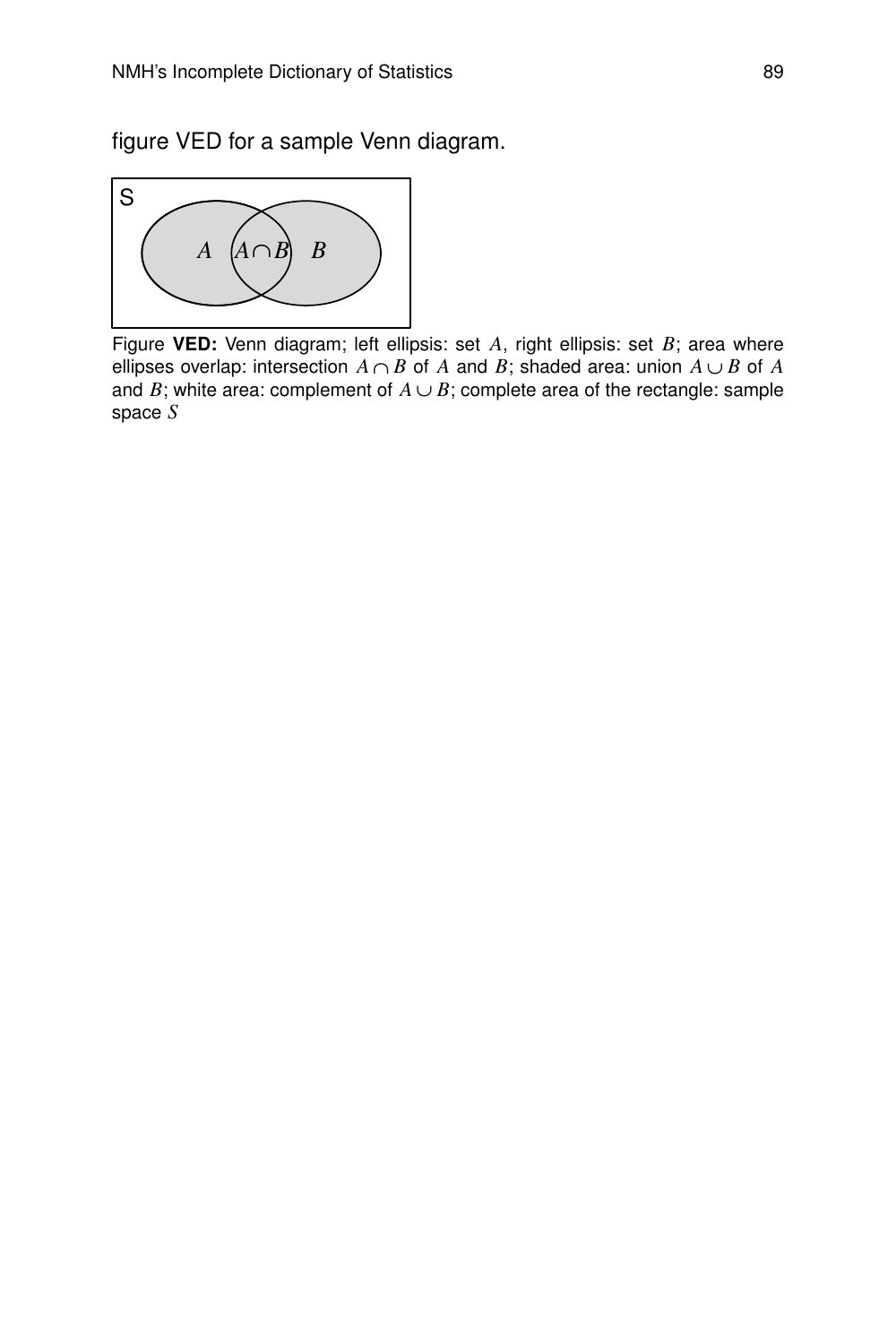figure VED for a sample Venn diagram.



Figure **VED:** Venn diagram; left ellipsis: set *A*, right ellipsis: set *B*; area where ellipses overlap: intersection  $A \cap B$  of  $A$  and  $B$ ; shaded area: union  $A \cup B$  of  $A$ and *B*; white area: complement of  $A \cup B$ ; complete area of the rectangle: sample space *S*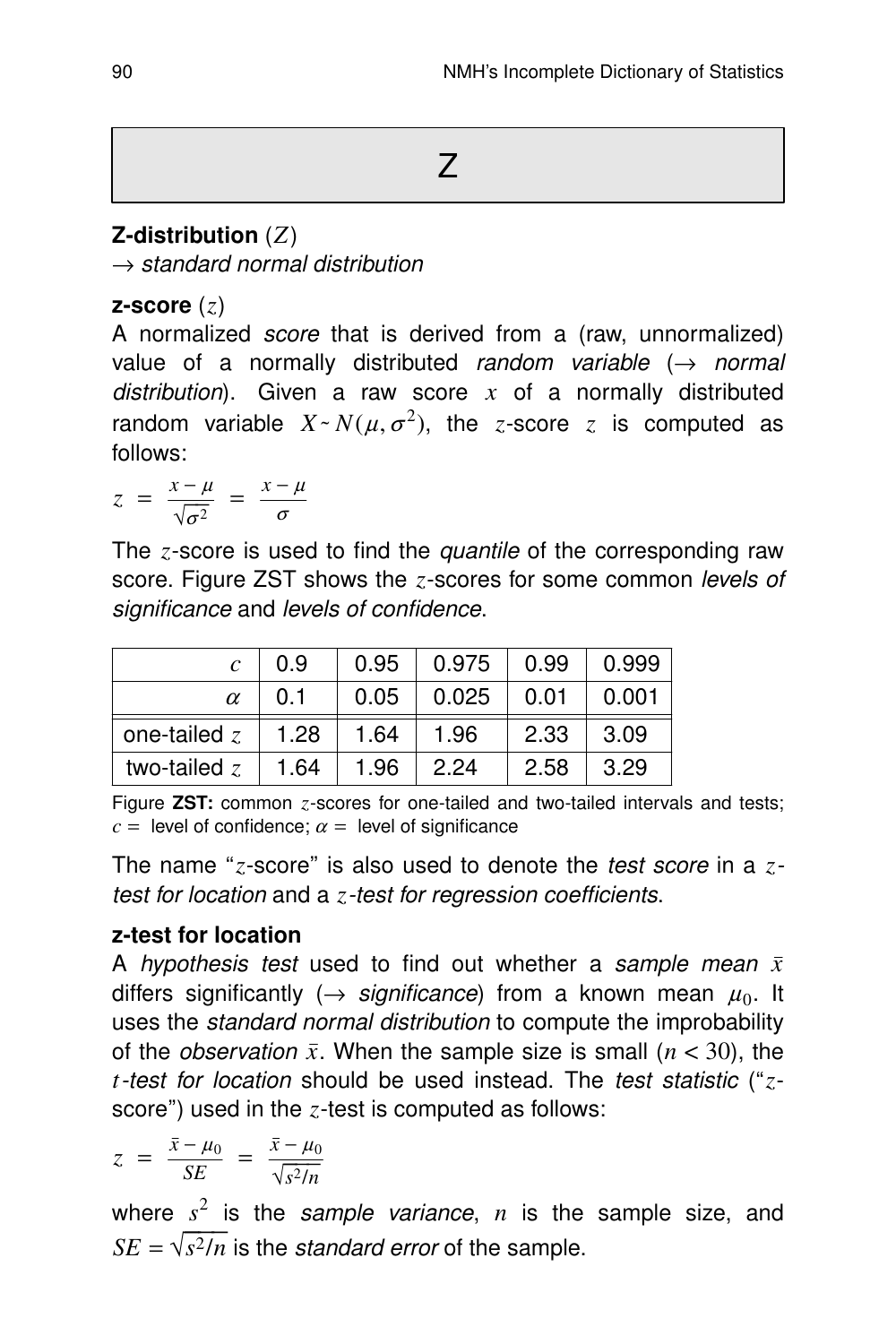## **Z-distribution** (*Z*)

 $\rightarrow$  standard normal distribution

## **z-score** (*z*)

A normalized *score* that is derived from a (raw, unnormalized) value of a normally distributed random variable  $(\rightarrow$  normal distribution). Given a raw score  $x$  of a normally distributed random variable  $X \sim N(\mu, \sigma^2)$ , the *z*-score *z* is computed as follows:

 $z = \frac{x - \mu}{\sqrt{2}}$  $rac{x-\mu}{\sqrt{\sigma^2}} = \frac{x-\mu}{\sigma}$ σ

The *z*-score is used to find the *quantile* of the corresponding raw score. Figure ZST shows the *z*-scores for some common levels of significance and levels of confidence.

| $\mathcal{C}$  | 0.9  | 0.95 | 0.975 | 0.99 | 0.999 |
|----------------|------|------|-------|------|-------|
| $\alpha$       | 0.1  | 0.05 | 0.025 | 0.01 | 0.001 |
| one-tailed $z$ | 1.28 | 1.64 | 1.96  | 2.33 | 3.09  |
| two-tailed $z$ | 1.64 | 1.96 | 2.24  | 2.58 | 3.29  |

Figure **ZST:** common *z*-scores for one-tailed and two-tailed intervals and tests;  $c =$  level of confidence;  $\alpha =$  level of significance

The name ''*z*-score'' is also used to denote the test score in a *z*test for location and a *z*-test for regression coefficients.

## **z-test for location**

A hypothesis test used to find out whether a sample mean  $\bar{x}$ differs significantly ( $\rightarrow$  significance) from a known mean  $\mu_0$ . It uses the standard normal distribution to compute the improbability of the *observation*  $\bar{x}$ . When the sample size is small  $(n < 30)$ , the *t*-test for location should be used instead. The test statistic (''*z*score'') used in the *z*-test is computed as follows:

$$
z = \frac{\bar{x} - \mu_0}{SE} = \frac{\bar{x} - \mu_0}{\sqrt{s^2/n}}
$$

where  $s^2$  is the sample variance,  $n$  is the sample size, and  $SE = \sqrt{s^2/n}$  is the *standard error* of the sample.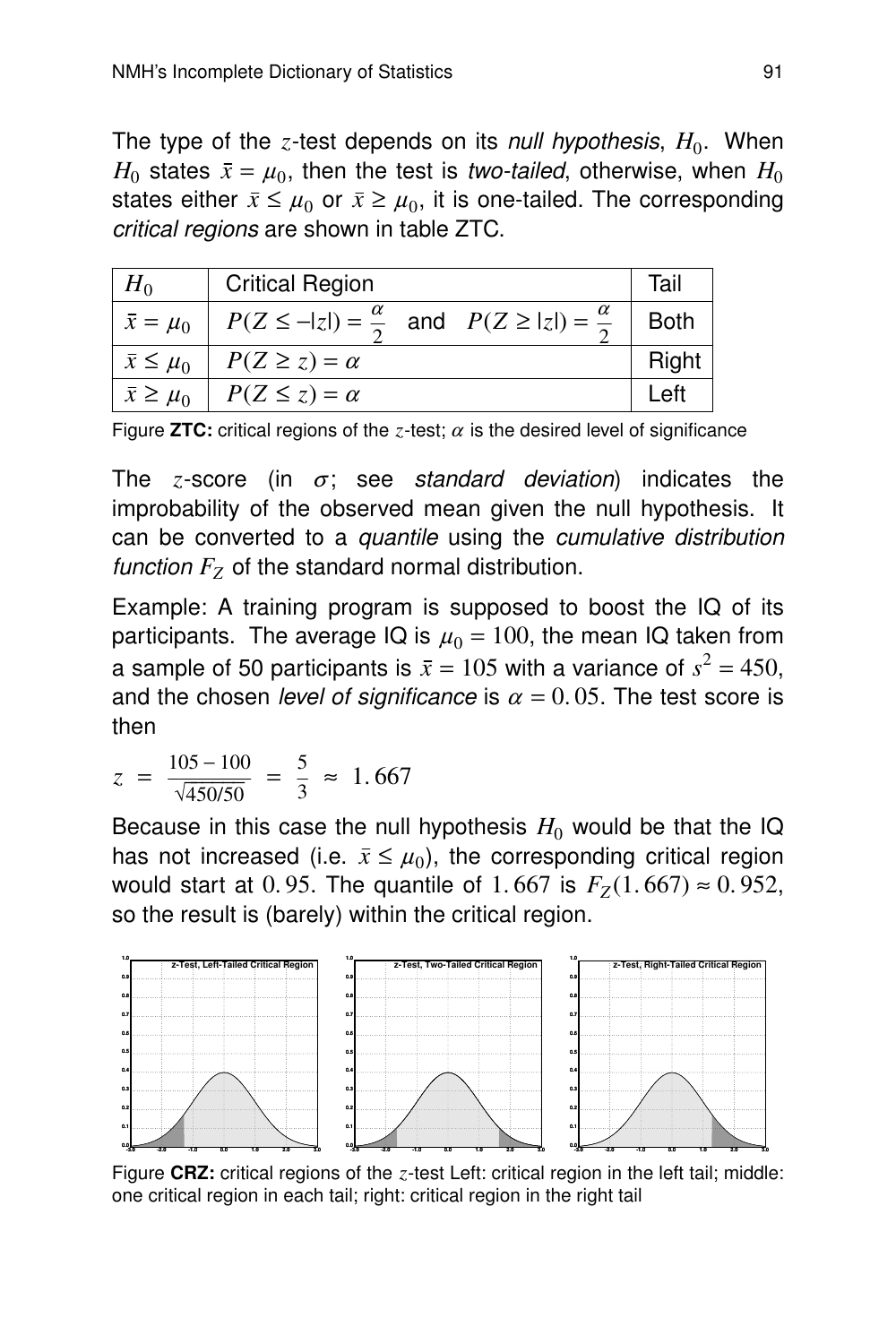The type of the  $z$ -test depends on its *null hypothesis,*  $H_0$ *.* When  $H_0$  states  $\bar{x} = \mu_0$ , then the test is *two-tailed*, otherwise, when  $H_0$ states either  $\bar{x} \leq \mu_0$  or  $\bar{x} \geq \mu_0$ , it is one-tailed. The corresponding critical regions are shown in table ZTC.

| $H_0$                | <b>Critical Region</b>                                                   | Tail        |
|----------------------|--------------------------------------------------------------------------|-------------|
| $\bar{x} = \mu_0$    | $P(Z \le - z ) = \frac{\alpha}{2}$ and $P(Z \ge  z ) = \frac{\alpha}{2}$ | <b>Both</b> |
| $\bar{x} \leq \mu_0$ | $P(Z \ge z) = \alpha$                                                    | Right       |
| $\bar{x} \geq \mu_0$ | $P(Z \leq z) = \alpha$                                                   | _et         |

Figure **ZTC:** critical regions of the *z*-test;  $\alpha$  is the desired level of significance

The *z*-score (in  $\sigma$ ; see standard deviation) indicates the improbability of the observed mean given the null hypothesis. It can be converted to a quantile using the cumulative distribution *function*  $F_z$  of the standard normal distribution.

Example: A training program is supposed to boost the IQ of its participants. The average IQ is  $\mu_0 = 100$ , the mean IQ taken from a sample of 50 participants is  $\bar{x} = 105$  with a variance of  $s^2 = 450$ , and the chosen level of significance is  $\alpha = 0.05$ . The test score is then

$$
z = \frac{105 - 100}{\sqrt{450/50}} = \frac{5}{3} \approx 1.667
$$

Because in this case the null hypothesis  $H_0$  would be that the IQ has not increased (i.e.  $\bar{x} \leq \mu_0$ ), the corresponding critical region would start at 0.95. The quantile of 1.667 is  $F_Z(1.667) ≈ 0.952$ , so the result is (barely) within the critical region.



Figure CRZ: critical regions of the *z*-test Left: critical region in the left tail; middle: one critical region in each tail; right: critical region in the right tail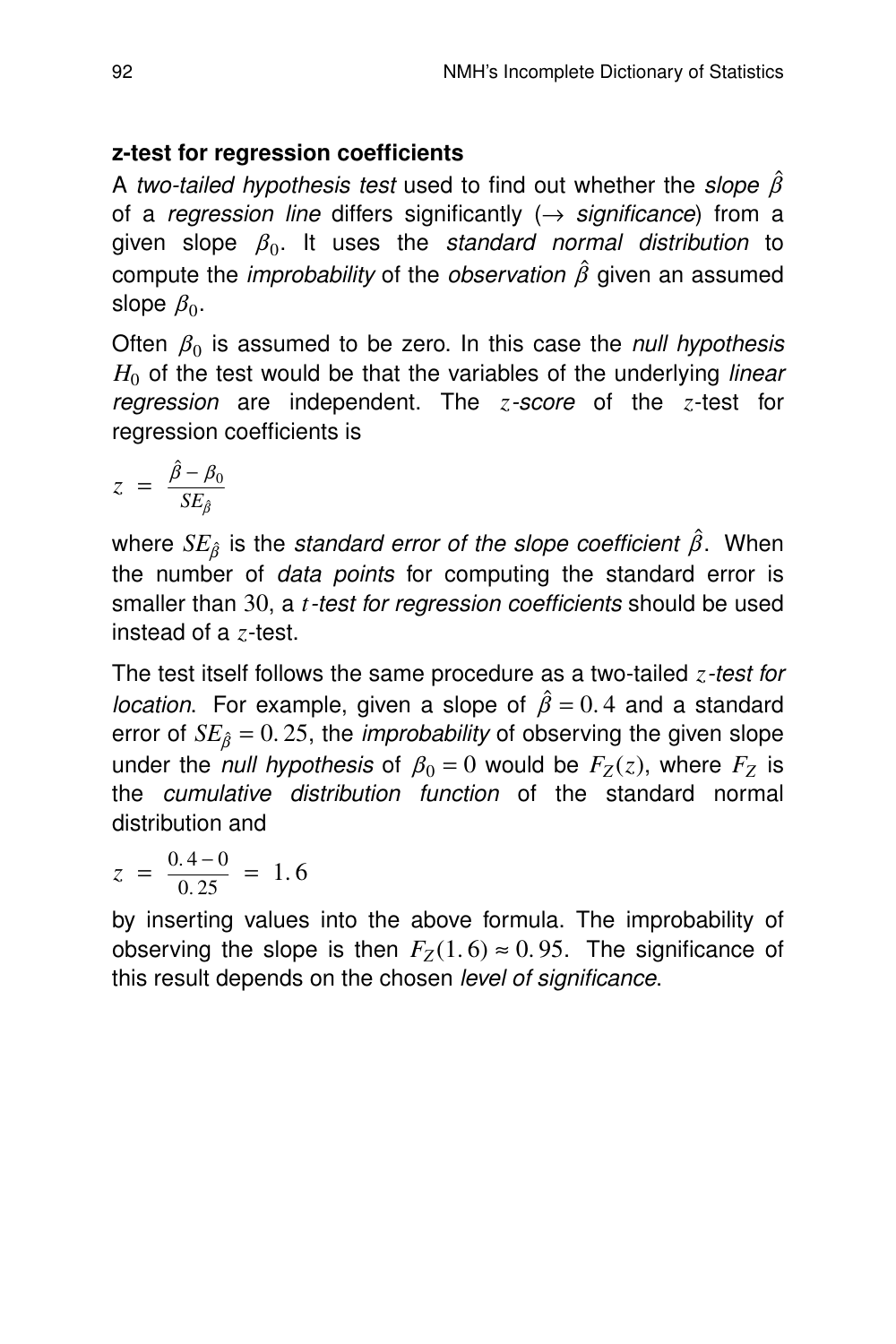## **z-test for regression coefficients**

A two-tailed hypothesis test used to find out whether the slope  $\hat{\beta}$ of a regression line differs significantly  $(\rightarrow$  significance) from a given slope  $\beta_0$ . It uses the *standard normal distribution* to compute the *improbability* of the *observation*  $\hat{\beta}$  given an assumed slope  $\beta_0.$ 

Often  $\beta_0$  is assumed to be zero. In this case the null hypothesis  $H<sub>0</sub>$  of the test would be that the variables of the underlying *linear* regression are independent. The *z*-score of the *z*-test for regression coefficients is

$$
z = \frac{\hat{\beta} - \beta_0}{SE_{\hat{\beta}}}
$$

where  $SE_{\hat{\beta}}$  is the *standard error of the slope coefficient*  $\hat{\beta}$ . When the number of data points for computing the standard error is smaller than 30, a *t*-test for regression coefficients should be used instead of a *z*-test.

The test itself follows the same procedure as a two-tailed *z*-test for *location.* For example, given a slope of  $\hat{\beta} = 0.4$  and a standard error of  $SE_{\hat{\beta}} = 0.25$ , the *improbability* of observing the given slope under the *null hypothesis* of  $\beta_0 = 0$  would be  $F_Z(z)$ , where  $F_Z$  is the *cumulative distribution function* of the standard normal distribution and

$$
z = \frac{0.4 - 0}{0.25} = 1.6
$$

by inserting values into the above formula. The improbability of observing the slope is then  $F_Z(1.6) \approx 0.95$ . The significance of this result depends on the chosen level of significance.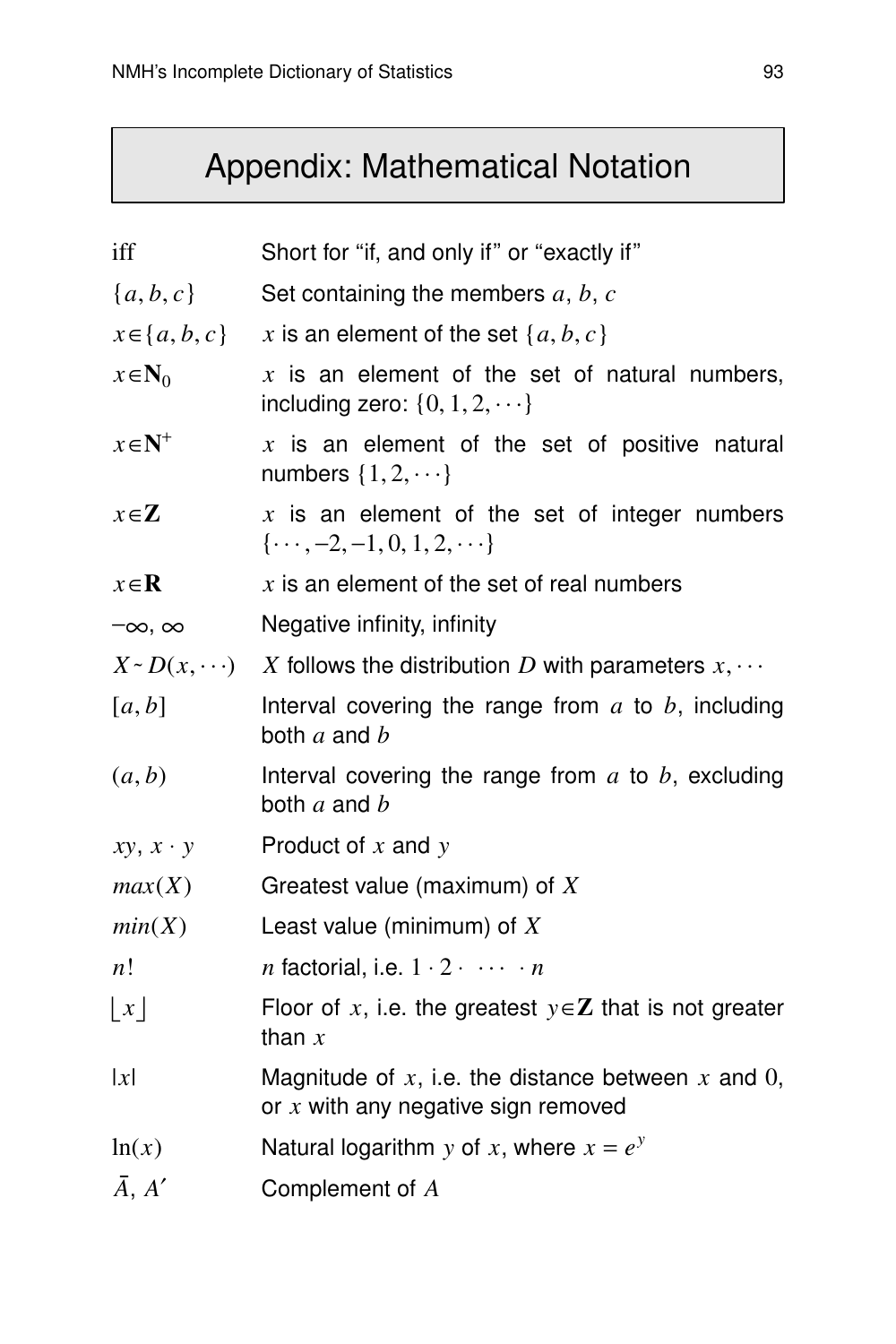# Appendix: Mathematical Notation

| iff                  | Short for "if, and only if" or "exactly if"                                                      |
|----------------------|--------------------------------------------------------------------------------------------------|
| ${a,b,c}$            | Set containing the members $a, b, c$                                                             |
| $x \in \{a, b, c\}$  | x is an element of the set $\{a, b, c\}$                                                         |
| $x \in N_0$          | $x$ is an element of the set of natural numbers,<br>including zero: $\{0, 1, 2, \dots\}$         |
| $x \in \mathbb{N}^+$ | $x$ is an element of the set of positive natural<br>numbers $\{1, 2, \dots\}$                    |
| $x \in \mathbb{Z}$   | $x$ is an element of the set of integer numbers<br>$\{\cdots, -2, -1, 0, 1, 2, \cdots\}$         |
| $x \in \mathbb{R}$   | $x$ is an element of the set of real numbers                                                     |
| $-\infty$ , $\infty$ | Negative infinity, infinity                                                                      |
|                      | $X \sim D(x, \dots)$ X follows the distribution D with parameters $x, \dots$                     |
| [a, b]               | Interval covering the range from $a$ to $b$ , including<br>both $a$ and $b$                      |
| (a,b)                | Interval covering the range from $a$ to $b$ , excluding<br>both $a$ and $b$                      |
| $xy, x \cdot y$      | Product of $x$ and $y$                                                                           |
| max(X)               | Greatest value (maximum) of $X$                                                                  |
| min(X)               | Least value (minimum) of $X$                                                                     |
| n!                   | <i>n</i> factorial, i.e. $1 \cdot 2 \cdot \cdots \cdot n$                                        |
| $\lfloor x \rfloor$  | Floor of x, i.e. the greatest $y \in Z$ that is not greater<br>than $x$                          |
| x                    | Magnitude of $x$ , i.e. the distance between $x$ and 0,<br>or $x$ with any negative sign removed |
| ln(x)                | Natural logarithm y of x, where $x = e^y$                                                        |
| $\bar{A}$ , $A'$     | Complement of A                                                                                  |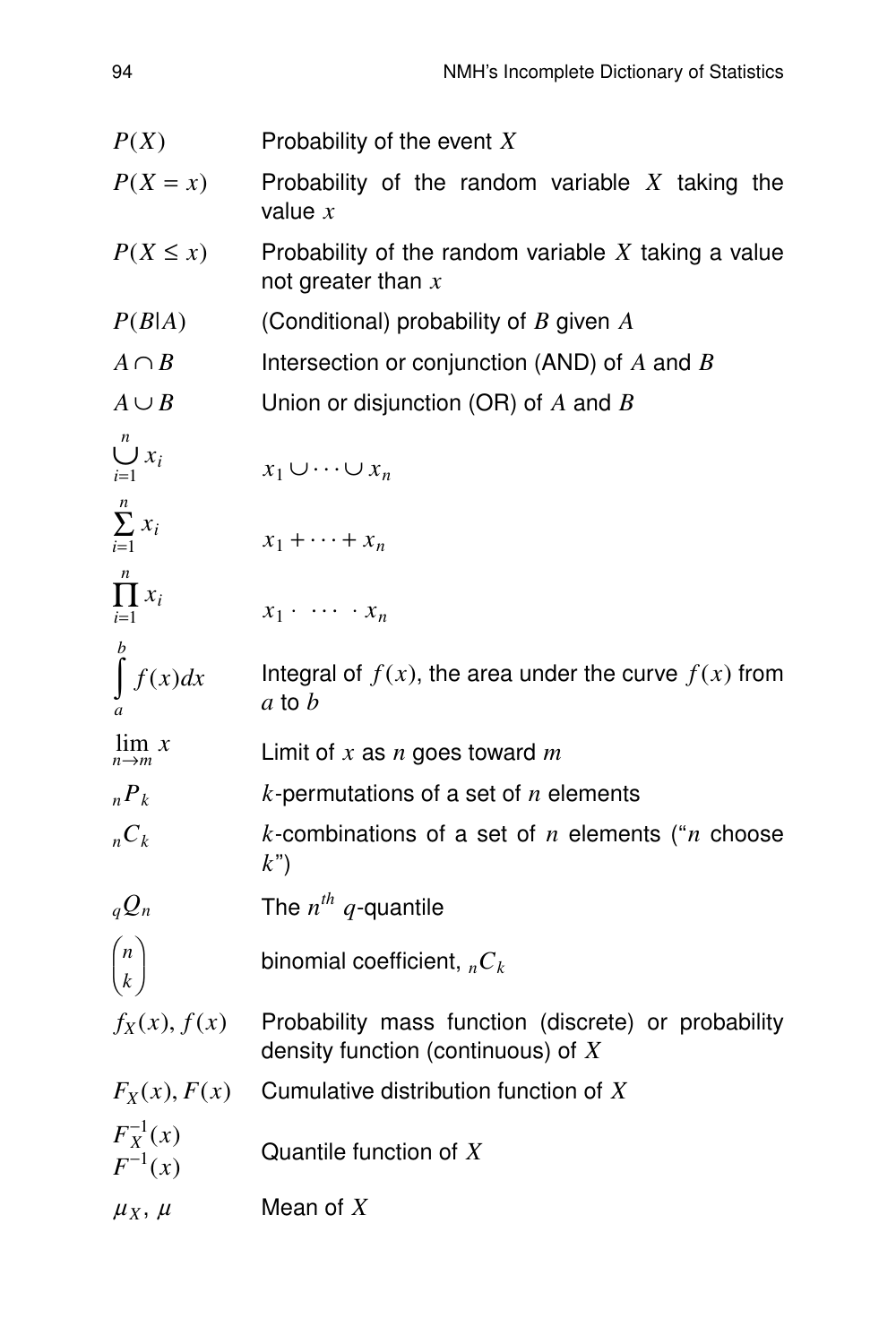| P(X)                         | Probability of the event $X$                                                                |  |  |  |  |  |  |  |  |  |
|------------------------------|---------------------------------------------------------------------------------------------|--|--|--|--|--|--|--|--|--|
| $P(X = x)$                   | Probability of the random variable $X$ taking the<br>value $x$                              |  |  |  |  |  |  |  |  |  |
| $P(X \leq x)$                | Probability of the random variable $X$ taking a value<br>not greater than $x$               |  |  |  |  |  |  |  |  |  |
| P(B A)                       | (Conditional) probability of $B$ given $A$                                                  |  |  |  |  |  |  |  |  |  |
| $A \cap B$                   | Intersection or conjunction (AND) of $A$ and $B$                                            |  |  |  |  |  |  |  |  |  |
| $A \cup B$                   | Union or disjunction (OR) of $A$ and $B$                                                    |  |  |  |  |  |  |  |  |  |
| $\bigcup_{i=1}^n x_i$        | $x_1 \cup \cdots \cup x_n$                                                                  |  |  |  |  |  |  |  |  |  |
| $\sum_{i=1}^n x_i$           | $x_1 + \cdots + x_n$                                                                        |  |  |  |  |  |  |  |  |  |
| $\prod^n x_i$<br>$i=1$       | $x_1 \cdot \cdots \cdot x_n$                                                                |  |  |  |  |  |  |  |  |  |
| $\int f(x)dx$                | Integral of $f(x)$ , the area under the curve $f(x)$ from<br>$a$ to $b$                     |  |  |  |  |  |  |  |  |  |
| $\lim_{n\to m} x$            | Limit of $x$ as $n$ goes toward $m$                                                         |  |  |  |  |  |  |  |  |  |
| $P_k$                        | $k$ -permutations of a set of $n$ elements                                                  |  |  |  |  |  |  |  |  |  |
| $nC_k$                       | k-combinations of a set of $n$ elements (" $n$ choose<br>$k$ ")                             |  |  |  |  |  |  |  |  |  |
| $q\mathcal{Q}_n$             | The $n^{th}$ q-quantile                                                                     |  |  |  |  |  |  |  |  |  |
| $\binom{n}{k}$               | binomial coefficient, ${}_{n}C_{k}$                                                         |  |  |  |  |  |  |  |  |  |
| $f_X(x)$ , $f(x)$            | Probability mass function (discrete) or probability<br>density function (continuous) of $X$ |  |  |  |  |  |  |  |  |  |
| $F_X(x)$ , $F(x)$            | Cumulative distribution function of X                                                       |  |  |  |  |  |  |  |  |  |
| $F_X^{-1}(x)$<br>$F^{-1}(x)$ | Quantile function of $X$                                                                    |  |  |  |  |  |  |  |  |  |
| $\mu_X$ , $\mu$              | Mean of $X$                                                                                 |  |  |  |  |  |  |  |  |  |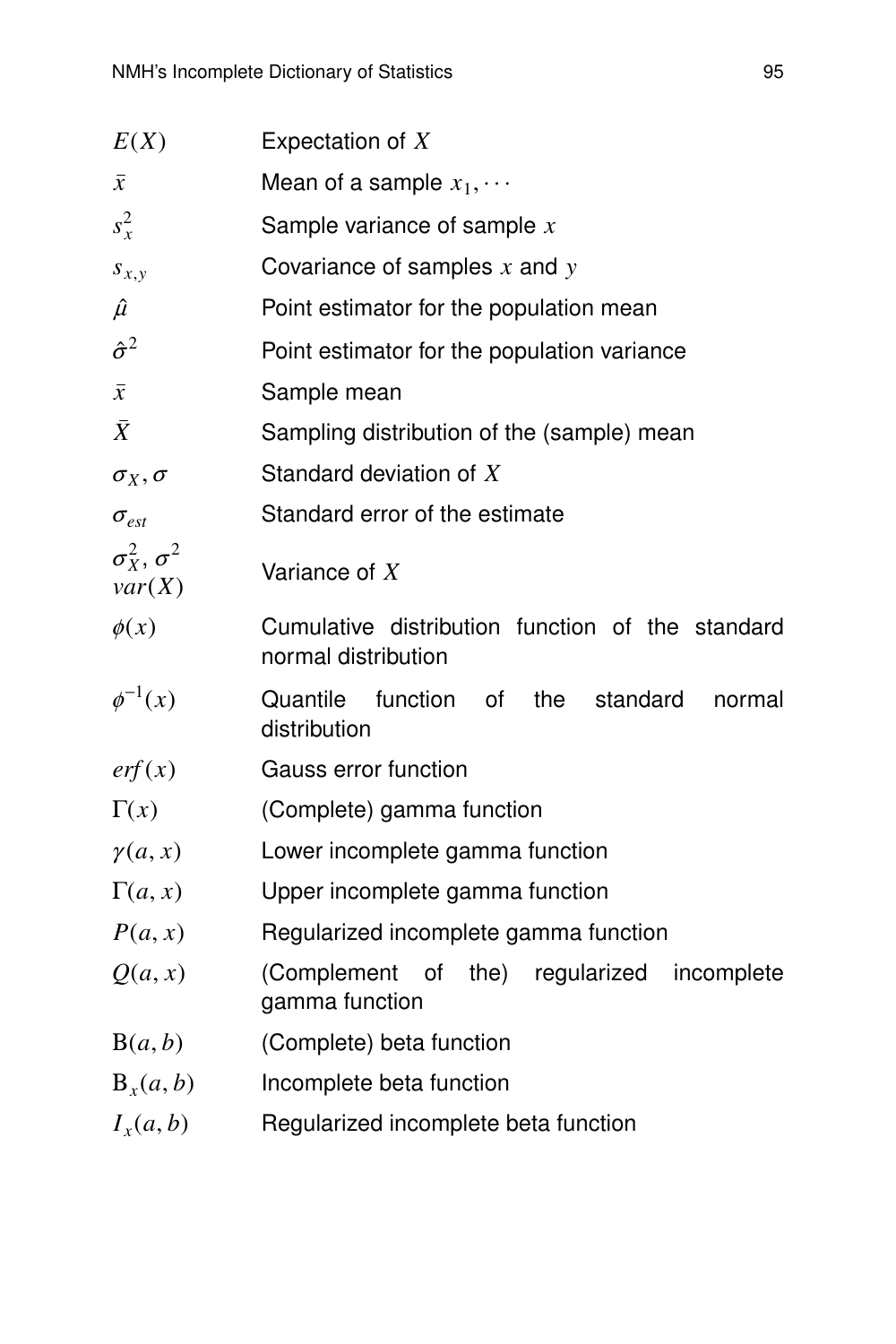| E(X)                                | Expectation of $X$                                                      |  |  |  |  |  |  |  |
|-------------------------------------|-------------------------------------------------------------------------|--|--|--|--|--|--|--|
| $\bar{x}$                           | Mean of a sample $x_1, \cdots$                                          |  |  |  |  |  |  |  |
| $s_x^2$                             | Sample variance of sample $x$                                           |  |  |  |  |  |  |  |
| $s_{x,y}$                           | Covariance of samples $x$ and $y$                                       |  |  |  |  |  |  |  |
| $\hat{\mu}$                         | Point estimator for the population mean                                 |  |  |  |  |  |  |  |
| $\hat{\sigma}^2$                    | Point estimator for the population variance                             |  |  |  |  |  |  |  |
| $\bar{x}$                           | Sample mean                                                             |  |  |  |  |  |  |  |
| $\bar{X}$                           | Sampling distribution of the (sample) mean                              |  |  |  |  |  |  |  |
| $\sigma_X, \sigma$                  | Standard deviation of X                                                 |  |  |  |  |  |  |  |
| $\sigma_{est}$                      | Standard error of the estimate                                          |  |  |  |  |  |  |  |
| $\sigma_X^2$ , $\sigma^2$<br>var(X) | Variance of $X$                                                         |  |  |  |  |  |  |  |
| $\phi(x)$                           | Cumulative distribution function of the standard<br>normal distribution |  |  |  |  |  |  |  |
| $\phi^{-1}(x)$                      | function<br>the<br>Quantile<br>0f<br>standard<br>normal<br>distribution |  |  |  |  |  |  |  |
| erf(x)                              | Gauss error function                                                    |  |  |  |  |  |  |  |
| $\Gamma(x)$                         | (Complete) gamma function                                               |  |  |  |  |  |  |  |
| $\gamma(a,x)$                       | Lower incomplete gamma function                                         |  |  |  |  |  |  |  |
| $\Gamma(a,x)$                       | Upper incomplete gamma function                                         |  |  |  |  |  |  |  |
| P(a, x)                             | Regularized incomplete gamma function                                   |  |  |  |  |  |  |  |
| Q(a, x)                             | (Complement of the) regularized<br>incomplete<br>gamma function         |  |  |  |  |  |  |  |
| B(a, b)                             | (Complete) beta function                                                |  |  |  |  |  |  |  |
| $B_x(a, b)$                         | Incomplete beta function                                                |  |  |  |  |  |  |  |
| $I_x(a,b)$                          | Regularized incomplete beta function                                    |  |  |  |  |  |  |  |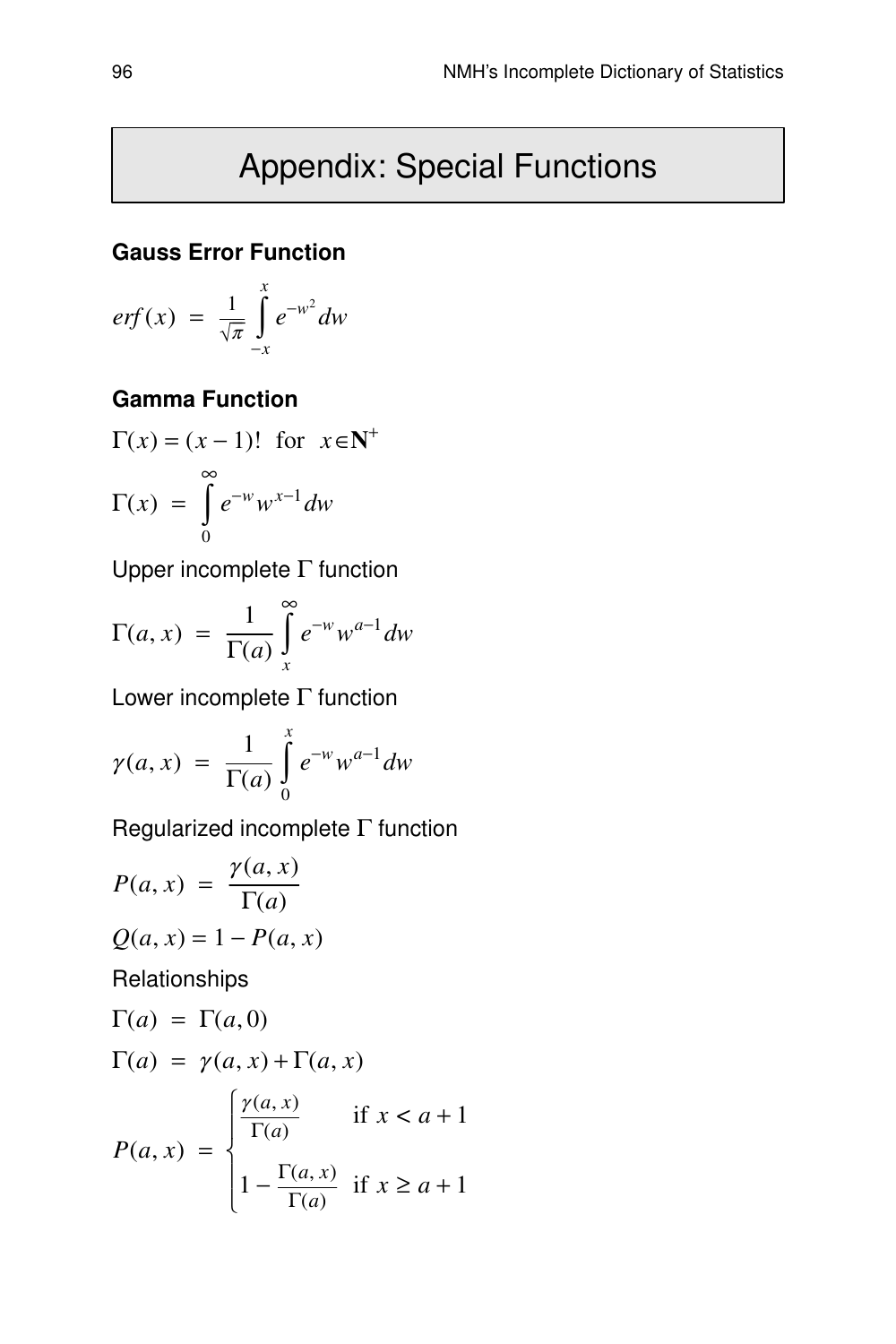## Appendix: Special Functions

#### **Gauss Error Function**

$$
erf(x) = \frac{1}{\sqrt{\pi}} \int_{-x}^{x} e^{-w^2} dw
$$

## **Gamma Function**

$$
\Gamma(x) = (x - 1)!\ \text{for } x \in \mathbb{N}^+
$$

$$
\Gamma(x) = \int_{0}^{\infty} e^{-w} w^{x-1} dw
$$

Upper incomplete Γ function

$$
\Gamma(a, x) = \frac{1}{\Gamma(a)} \int_{x}^{\infty} e^{-w} w^{a-1} dw
$$

Lower incomplete Γ function

$$
\gamma(a,x) = \frac{1}{\Gamma(a)} \int_{0}^{x} e^{-w} w^{a-1} dw
$$

Regularized incomplete  $\Gamma$  function

$$
P(a, x) = \frac{\gamma(a, x)}{\Gamma(a)}
$$
  
\n
$$
Q(a, x) = 1 - P(a, x)
$$
  
\nRelationships  
\n
$$
\Gamma(a) = \Gamma(a, 0)
$$
  
\n
$$
\Gamma(a) = \gamma(a, x) + \Gamma(a, x)
$$
  
\n
$$
P(a, x) = \begin{cases} \frac{\gamma(a, x)}{\Gamma(a)} & \text{if } x < a + 1 \\ 1 - \frac{\Gamma(a, x)}{\Gamma(a)} & \text{if } x \ge a + 1 \end{cases}
$$

 $\frac{a(x, x)}{\Gamma(a)}$  if  $x \ge a + 1$ 

 $\overline{ }$  $\overline{\mathfrak{l}}$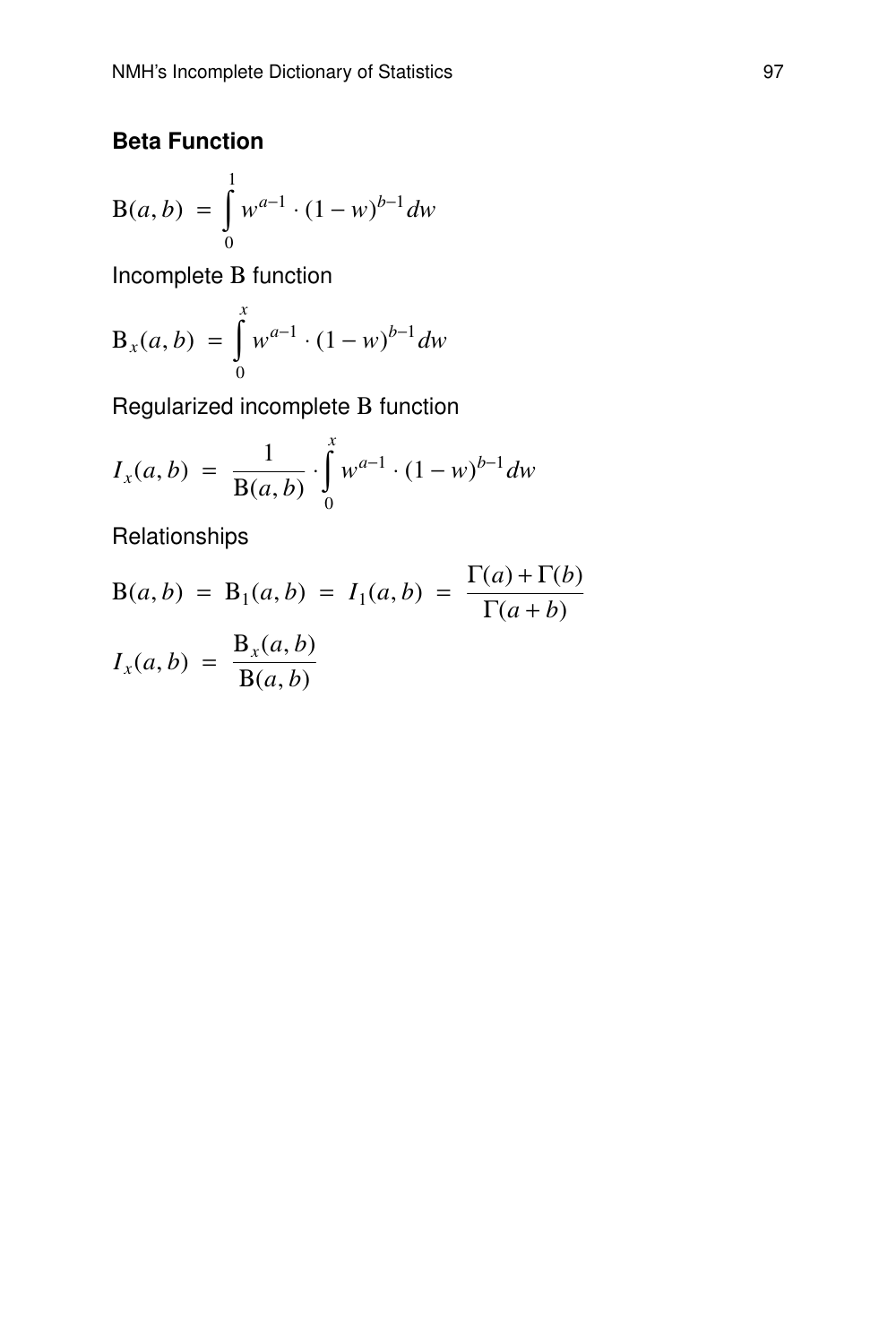## **Beta Function**

$$
B(a, b) = \int_{0}^{1} w^{a-1} \cdot (1 - w)^{b-1} dw
$$

Incomplete Β function

$$
B_x(a, b) = \int_0^x w^{a-1} \cdot (1 - w)^{b-1} dw
$$

Regularized incomplete B function

$$
I_x(a,b) = \frac{1}{B(a,b)} \cdot \int_0^x w^{a-1} \cdot (1-w)^{b-1} dw
$$

Relationships

$$
B(a,b) = B1(a,b) = I1(a,b) = \frac{\Gamma(a) + \Gamma(b)}{\Gamma(a+b)}
$$

$$
Ix(a,b) = \frac{Bx(a,b)}{B(a,b)}
$$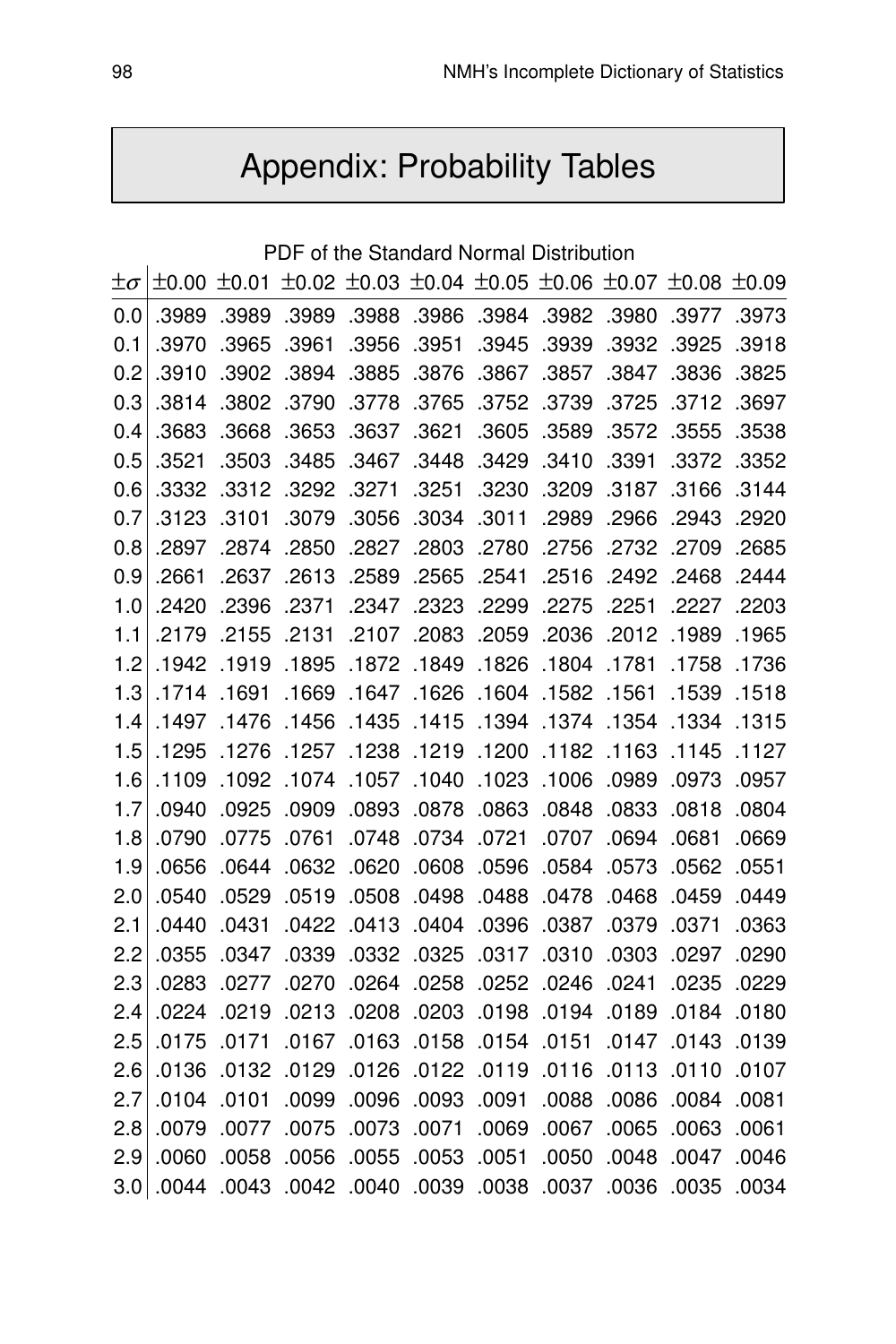# Appendix: Probability Tables

|             |       |       |       |       |       |       | PDF of the Standard Normal Distribution                                                                       |       |       |       |
|-------------|-------|-------|-------|-------|-------|-------|---------------------------------------------------------------------------------------------------------------|-------|-------|-------|
| $\pm\sigma$ |       |       |       |       |       |       | $\pm 0.00$ $\pm 0.01$ $\pm 0.02$ $\pm 0.03$ $\pm 0.04$ $\pm 0.05$ $\pm 0.06$ $\pm 0.07$ $\pm 0.08$ $\pm 0.09$ |       |       |       |
| 0.0         | .3989 | .3989 | .3989 | .3988 | .3986 | .3984 | .3982                                                                                                         | .3980 | .3977 | .3973 |
| 0.1         | .3970 | .3965 | .3961 | .3956 | .3951 | .3945 | .3939                                                                                                         | .3932 | .3925 | .3918 |
| 0.2         | .3910 | .3902 | .3894 | .3885 | .3876 | .3867 | .3857                                                                                                         | .3847 | .3836 | .3825 |
| 0.3         | .3814 | .3802 | .3790 | .3778 | .3765 | .3752 | .3739                                                                                                         | .3725 | .3712 | .3697 |
| 0.4         | .3683 | .3668 | .3653 | .3637 | .3621 | .3605 | .3589                                                                                                         | .3572 | .3555 | .3538 |
| 0.5         | .3521 | .3503 | .3485 | .3467 | .3448 | .3429 | .3410                                                                                                         | .3391 | .3372 | .3352 |
| 0.6         | .3332 | .3312 | .3292 | .3271 | .3251 | .3230 | .3209                                                                                                         | .3187 | .3166 | .3144 |
| 0.7         | .3123 | .3101 | .3079 | .3056 | .3034 | .3011 | .2989                                                                                                         | .2966 | .2943 | .2920 |
| 0.8         | .2897 | .2874 | .2850 | .2827 | .2803 | .2780 | .2756                                                                                                         | .2732 | .2709 | .2685 |
| 0.9         | .2661 | .2637 | .2613 | .2589 | .2565 | .2541 | .2516                                                                                                         | .2492 | .2468 | .2444 |
| 1.0         | .2420 | .2396 | .2371 | .2347 | .2323 | .2299 | .2275                                                                                                         | .2251 | .2227 | .2203 |
| 1.1         | .2179 | .2155 | .2131 | .2107 | .2083 | .2059 | .2036                                                                                                         | .2012 | .1989 | .1965 |
| 1.2         | .1942 | .1919 | .1895 | .1872 | .1849 | .1826 | .1804                                                                                                         | .1781 | .1758 | .1736 |
| 1.3         | .1714 | .1691 | .1669 | .1647 | .1626 | .1604 | .1582                                                                                                         | .1561 | .1539 | .1518 |
| 1.4         | .1497 | .1476 | .1456 | .1435 | .1415 | .1394 | .1374                                                                                                         | .1354 | .1334 | .1315 |
| 1.5         | .1295 | .1276 | .1257 | .1238 | .1219 | .1200 | .1182                                                                                                         | .1163 | .1145 | .1127 |
| 1.6         | .1109 | .1092 | .1074 | .1057 | .1040 | .1023 | .1006                                                                                                         | .0989 | .0973 | .0957 |
| 1.7         | .0940 | .0925 | .0909 | .0893 | .0878 | .0863 | .0848                                                                                                         | .0833 | .0818 | .0804 |
| 1.8         | .0790 | .0775 | .0761 | .0748 | .0734 | .0721 | .0707                                                                                                         | .0694 | .0681 | .0669 |
| 1.9         | .0656 | .0644 | .0632 | .0620 | .0608 | .0596 | .0584                                                                                                         | .0573 | .0562 | .0551 |
| 2.0         | .0540 | .0529 | .0519 | .0508 | .0498 | .0488 | .0478                                                                                                         | .0468 | .0459 | .0449 |
| 2.1         | .0440 | .0431 | .0422 | .0413 | .0404 | .0396 | .0387                                                                                                         | .0379 | .0371 | .0363 |
| 2.2         | .0355 | .0347 | .0339 | .0332 | .0325 | .0317 | .0310                                                                                                         | .0303 | .0297 | .0290 |
| 2.3         | .0283 | .0277 | .0270 | .0264 | .0258 | .0252 | .0246                                                                                                         | .0241 | .0235 | .0229 |
| 2.4         | .0224 | .0219 | .0213 | .0208 | .0203 | .0198 | .0194                                                                                                         | .0189 | .0184 | .0180 |
| 2.5         | .0175 | .0171 | .0167 | .0163 | .0158 | .0154 | .0151                                                                                                         | .0147 | .0143 | .0139 |
| 2.6         | .0136 | .0132 | .0129 | .0126 | .0122 | .0119 | .0116                                                                                                         | .0113 | .0110 | .0107 |
| 2.7         | .0104 | .0101 | .0099 | .0096 | .0093 | .0091 | .0088                                                                                                         | .0086 | .0084 | .0081 |
| 2.8         | .0079 | .0077 | .0075 | .0073 | .0071 | .0069 | .0067                                                                                                         | .0065 | .0063 | .0061 |
| 2.9         | .0060 | .0058 | .0056 | .0055 | .0053 | .0051 | .0050                                                                                                         | .0048 | .0047 | .0046 |
| 3.0         | .0044 | .0043 | .0042 | .0040 | .0039 | .0038 | .0037                                                                                                         | .0036 | .0035 | .0034 |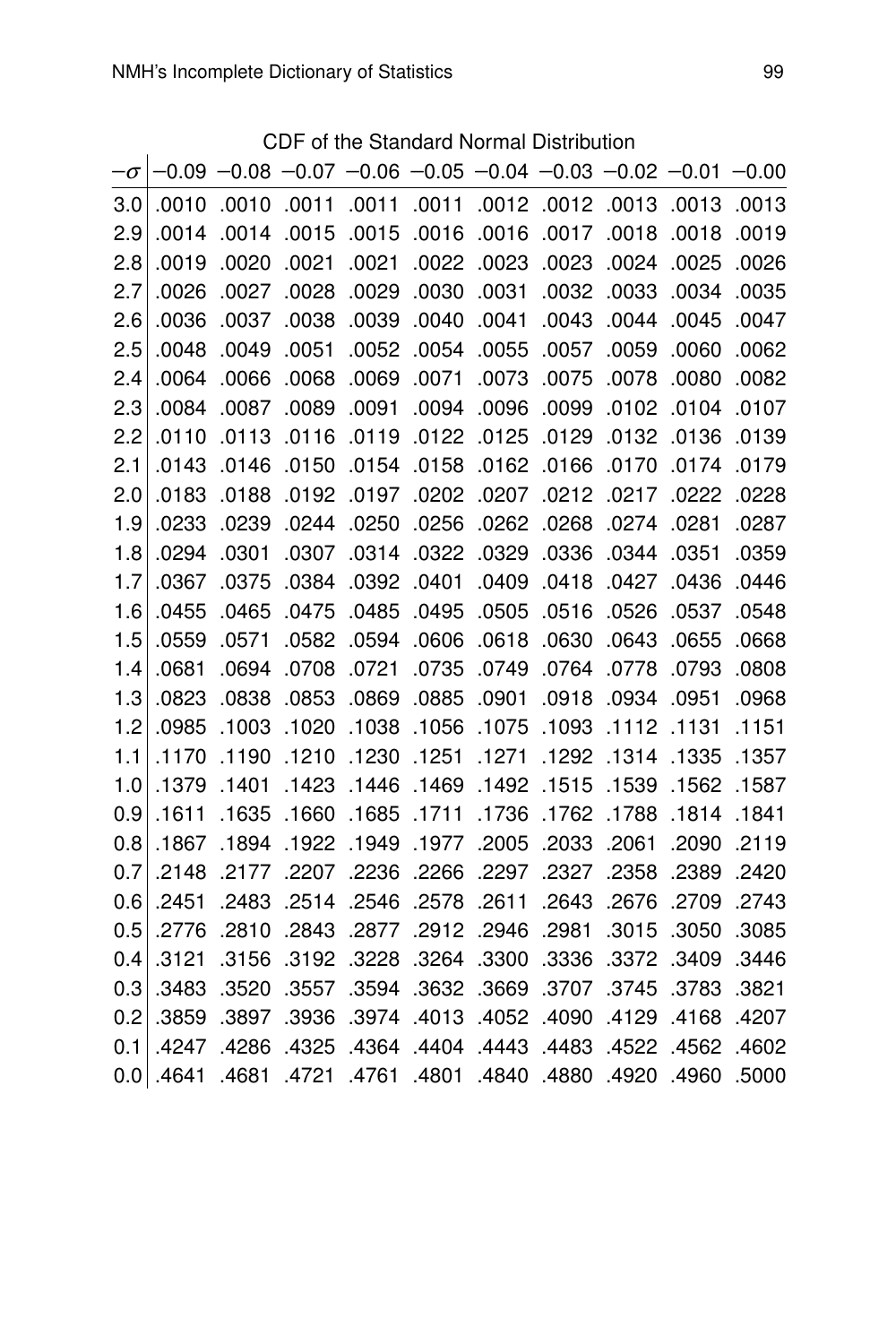CDF of the Standard Normal Distribution

| .0010 | .0010 |       |       |       |                                               |                                     |       |                                                                                                                          |                                                                                                                                 |
|-------|-------|-------|-------|-------|-----------------------------------------------|-------------------------------------|-------|--------------------------------------------------------------------------------------------------------------------------|---------------------------------------------------------------------------------------------------------------------------------|
| .0014 | .0014 | .0015 | .0015 | .0016 | .0016                                         | .0017                               | .0018 | .0018                                                                                                                    | .0019                                                                                                                           |
| .0019 | .0020 | .0021 | .0021 | .0022 | .0023                                         | .0023                               | .0024 | .0025                                                                                                                    | .0026                                                                                                                           |
| .0026 | .0027 | .0028 | .0029 | .0030 | .0031                                         | .0032                               | .0033 | .0034                                                                                                                    | .0035                                                                                                                           |
| .0036 | .0037 | .0038 | .0039 | .0040 | .0041                                         | .0043                               | .0044 | .0045                                                                                                                    | .0047                                                                                                                           |
| .0048 | .0049 | .0051 | .0052 | .0054 | .0055                                         | .0057                               | .0059 | .0060                                                                                                                    | .0062                                                                                                                           |
| .0064 | .0066 | .0068 | .0069 | .0071 | .0073                                         | .0075                               | .0078 | .0080                                                                                                                    | .0082                                                                                                                           |
| .0084 | .0087 | .0089 | .0091 | .0094 | .0096                                         | .0099                               | .0102 |                                                                                                                          | .0107                                                                                                                           |
| .0110 | .0113 | .0116 | .0119 | .0122 | .0125                                         | .0129                               | .0132 | .0136                                                                                                                    | .0139                                                                                                                           |
| .0143 | .0146 | .0150 | .0154 | .0158 | .0162                                         | .0166                               | .0170 | .0174                                                                                                                    | .0179                                                                                                                           |
| .0183 | .0188 | .0192 |       | .0202 | .0207                                         |                                     |       | .0222                                                                                                                    | .0228                                                                                                                           |
| .0233 | .0239 | .0244 | .0250 | .0256 | .0262                                         | .0268                               | .0274 | .0281                                                                                                                    | .0287                                                                                                                           |
| .0294 | .0301 | .0307 | .0314 | .0322 | .0329                                         | .0336                               |       | .0351                                                                                                                    | .0359                                                                                                                           |
| .0367 | .0375 | .0384 | .0392 | .0401 | .0409                                         | .0418                               | .0427 | .0436                                                                                                                    | .0446                                                                                                                           |
| .0455 | .0465 | .0475 | .0485 | .0495 | .0505                                         | .0516                               | .0526 | .0537                                                                                                                    | .0548                                                                                                                           |
| .0559 | .0571 | .0582 | .0594 | .0606 | .0618                                         | .0630                               | .0643 | .0655                                                                                                                    | .0668                                                                                                                           |
| .0681 | .0694 | .0708 | .0721 | .0735 | .0749                                         | .0764                               | .0778 | .0793                                                                                                                    | .0808                                                                                                                           |
| .0823 | .0838 | .0853 | .0869 | .0885 | .0901                                         | .0918                               | .0934 | .0951                                                                                                                    | .0968                                                                                                                           |
| .0985 | .1003 | .1020 |       |       |                                               |                                     |       |                                                                                                                          | .1151                                                                                                                           |
| .1170 | .1190 | .1210 | .1230 | .1251 |                                               |                                     |       | .1335                                                                                                                    | .1357                                                                                                                           |
| .1379 | .1401 | .1423 | .1446 | .1469 | .1492                                         | .1515                               | .1539 | .1562                                                                                                                    | .1587                                                                                                                           |
| .1611 | .1635 | .1660 |       |       | .1736                                         | .1762                               |       | .1814                                                                                                                    | .1841                                                                                                                           |
| .1867 | .1894 | .1922 | .1949 |       | .2005                                         | .2033                               |       | .2090                                                                                                                    | .2119                                                                                                                           |
| .2148 | .2177 | .2207 | .2236 | .2266 | .2297                                         | .2327                               | .2358 | .2389                                                                                                                    | .2420                                                                                                                           |
| .2451 | .2483 | .2514 | .2546 | .2578 | .2611                                         | .2643                               |       | .2709                                                                                                                    | .2743                                                                                                                           |
| .2776 | .2810 | .2843 | .2877 | .2912 | .2946                                         | .2981                               | .3015 | .3050                                                                                                                    | .3085                                                                                                                           |
| .3121 | .3156 | .3192 | .3228 | .3264 | .3300                                         | .3336                               | .3372 | .3409                                                                                                                    | .3446                                                                                                                           |
| .3483 | .3520 | .3557 | .3594 | .3632 |                                               |                                     | .3745 | .3783                                                                                                                    | .3821                                                                                                                           |
| .3859 | .3897 | .3936 | .3974 | .4013 | .4052                                         | .4090                               | .4129 | .4168                                                                                                                    | .4207                                                                                                                           |
| .4247 | .4286 | .4325 | .4364 | .4404 | .4443                                         | .4483                               | .4522 | .4562                                                                                                                    | .4602                                                                                                                           |
| .4641 | .4681 | .4721 |       |       |                                               |                                     |       |                                                                                                                          | .5000                                                                                                                           |
|       |       |       | .0011 |       | .0011 .0011<br>.0197<br>.1711. 1685.<br>.1977 | .1038 .1056 .1075<br>.1271<br>.3669 | .1093 | 0012 0012 0013<br>.0212.0217<br>.0344<br>.1292.1314<br>.1788<br>.2061<br>.2676<br>.3707<br>.4761 .4801 .4840 .4880 .4761 | $-0.09$ $-0.08$ $-0.07$ $-0.06$ $-0.05$ $-0.04$ $-0.03$ $-0.02$ $-0.01$ $-0.00$<br>.0013 .0013<br>.0104<br>.1112 .1131<br>.4960 |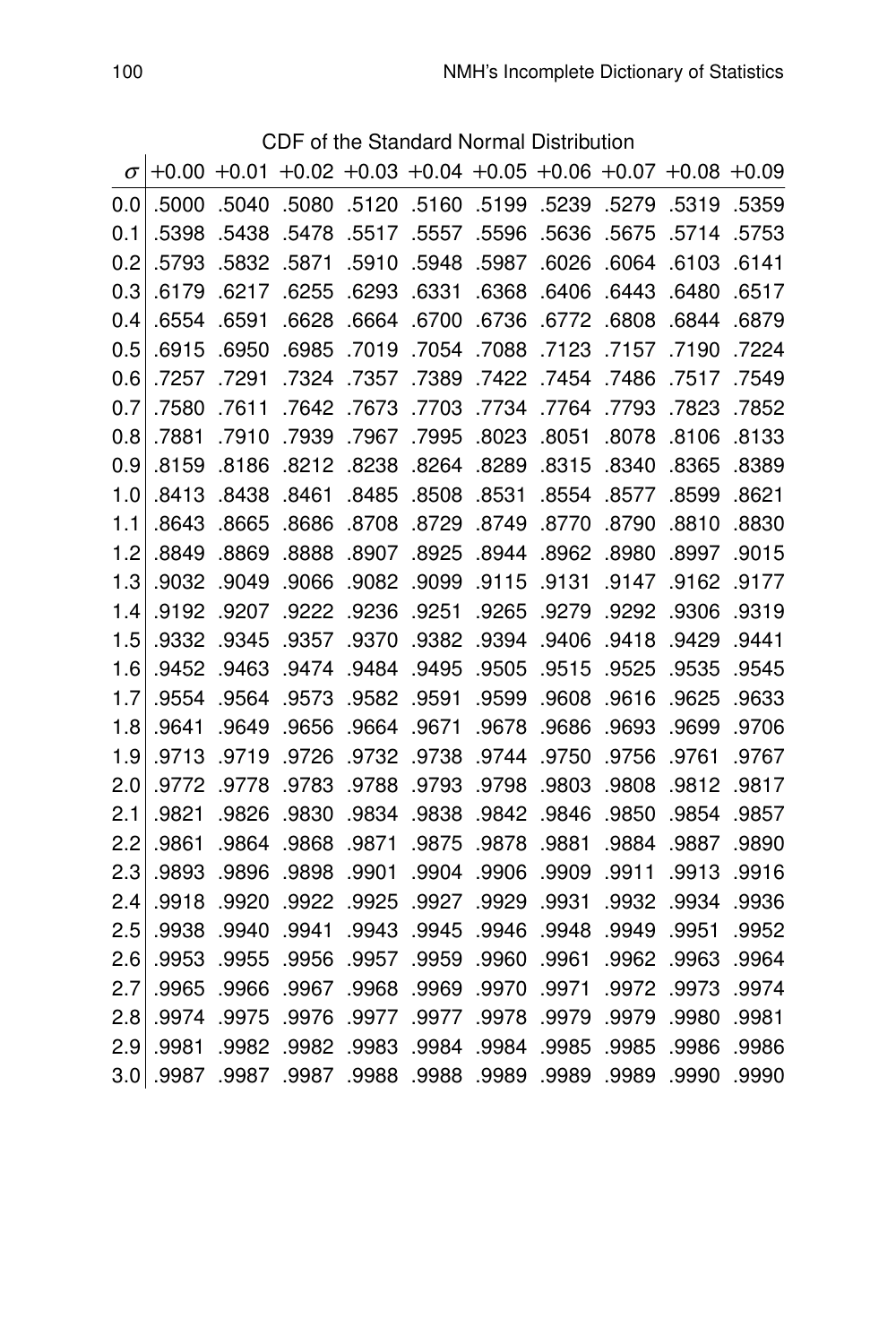CDF of the Standard Normal Distribution

|          |               |       | חשט   |       |       |       | Of the Standard Normal Distribution |       |                                                   |       |
|----------|---------------|-------|-------|-------|-------|-------|-------------------------------------|-------|---------------------------------------------------|-------|
| $\sigma$ | $+0.00 +0.01$ |       |       |       |       |       |                                     |       | $+0.02 +0.03 +0.04 +0.05 +0.06 +0.07 +0.08 +0.09$ |       |
| 0.0      | .5000         | .5040 | .5080 | .5120 | .5160 | .5199 | .5239                               | .5279 | .5319                                             | .5359 |
| 0.1      | .5398         | .5438 | .5478 | .5517 | .5557 | .5596 | .5636                               | .5675 | .5714                                             | .5753 |
| 0.2      | .5793         | .5832 | .5871 | .5910 | .5948 | .5987 | .6026                               | .6064 | .6103                                             | .6141 |
| 0.3      | .6179         | .6217 | .6255 | .6293 | .6331 | .6368 | .6406                               | .6443 | .6480                                             | .6517 |
| 0.4      | .6554         | .6591 | .6628 | .6664 | .6700 | .6736 | .6772                               | .6808 | .6844                                             | .6879 |
| 0.5      | .6915         | .6950 | .6985 | .7019 | .7054 | .7088 | .7123                               | .7157 | .7190                                             | .7224 |
| 0.6      | .7257         | .7291 | .7324 | .7357 | .7389 | .7422 | .7454                               | .7486 | .7517                                             | .7549 |
| 0.7      | .7580         | .7611 | .7642 | .7673 | .7703 | .7734 | .7764                               | .7793 | .7823                                             | .7852 |
| 0.8      | .7881         | .7910 | .7939 | .7967 | .7995 | .8023 | .8051                               | .8078 | .8106                                             | .8133 |
| 0.9      | .8159         | .8186 | .8212 | .8238 | .8264 | .8289 | .8315                               | .8340 | .8365                                             | .8389 |
| 1.0      | .8413         | .8438 | .8461 | .8485 | .8508 | .8531 | .8554                               | .8577 | .8599                                             | .8621 |
| 1.1      | .8643         | .8665 | .8686 | .8708 | .8729 | .8749 | .8770                               | .8790 | .8810                                             | .8830 |
| 1.2      | .8849         | .8869 | .8888 | .8907 | .8925 | .8944 | .8962                               | .8980 | .8997                                             | .9015 |
| 1.3      | .9032         | .9049 | .9066 | .9082 | .9099 | .9115 | .9131                               | .9147 | .9162                                             | .9177 |
| 1.4      | .9192         | .9207 | .9222 | .9236 | .9251 | .9265 | .9279                               | .9292 | .9306                                             | .9319 |
| 1.5      | .9332         | .9345 | .9357 | .9370 | .9382 | .9394 | .9406                               | .9418 | .9429                                             | .9441 |
| 1.6      | .9452         | .9463 | .9474 | .9484 | .9495 | .9505 | .9515                               | .9525 | .9535                                             | .9545 |
| 1.7      | .9554         | .9564 | .9573 | .9582 | .9591 | .9599 | .9608                               | .9616 | .9625                                             | .9633 |
| 1.8      | .9641         | .9649 | .9656 | .9664 | .9671 | .9678 | .9686                               | .9693 | .9699                                             | .9706 |
| 1.9      | .9713         | .9719 | .9726 | .9732 | .9738 | .9744 | .9750                               | .9756 | .9761                                             | .9767 |
| 2.0      | .9772         | .9778 | .9783 | .9788 | .9793 | .9798 | .9803                               | .9808 | .9812                                             | .9817 |
| 2.1      | .9821         | .9826 | .9830 | .9834 | .9838 | .9842 | .9846                               | .9850 | .9854                                             | .9857 |
| 2.2      | .9861         | .9864 | .9868 | .9871 | .9875 | .9878 | .9881                               | .9884 | .9887                                             | .9890 |
| 2.3      | .9893         | .9896 | .9898 | .9901 | .9904 | .9906 | .9909                               | .9911 | .9913                                             | .9916 |
| 2.4      | .9918         | .9920 | .9922 | .9925 | .9927 | .9929 | .9931                               | .9932 | .9934                                             | .9936 |
| 2.5      | .9938         | .9940 | .9941 | .9943 | .9945 | .9946 | .9948                               | .9949 | .9951                                             | .9952 |
| 2.6      | .9953         | .9955 | .9956 | .9957 | .9959 | .9960 | .9961                               | .9962 | .9963                                             | .9964 |
| 2.7      | .9965         | .9966 | .9967 | .9968 | .9969 | .9970 | .9971                               | .9972 | .9973                                             | .9974 |
| 2.8      | .9974         | .9975 | .9976 | .9977 | .9977 | .9978 | .9979                               | .9979 | .9980                                             | .9981 |
| 2.9      | .9981         | .9982 | .9982 | .9983 | .9984 | .9984 | .9985                               | .9985 | .9986                                             | .9986 |
| 3.0      | .9987         | .9987 | .9987 | .9988 | .9988 | .9989 | .9989                               | .9989 | .9990                                             | .9990 |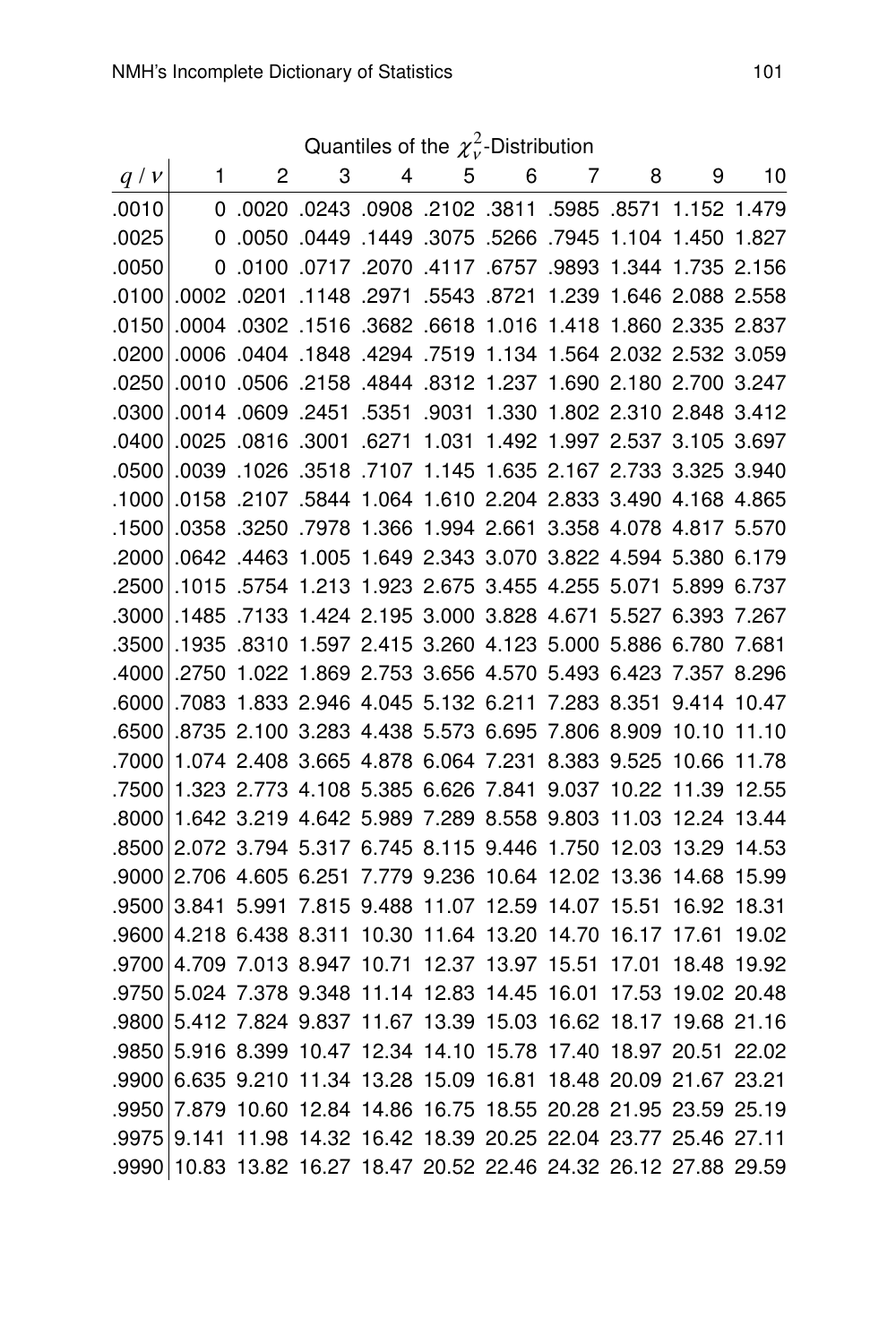Quantiles of the  $\chi^2_\nu$ -Distribution

| Quantiles of the $\chi_{v}$ -Distribution |             |   |                                                             |   |   |   |             |   |   |    |
|-------------------------------------------|-------------|---|-------------------------------------------------------------|---|---|---|-------------|---|---|----|
| q/v                                       | $\mathbf 1$ | 2 | 3                                                           | 4 | 5 | 6 | $7^{\circ}$ | 8 | 9 | 10 |
| .0010                                     | $\Omega$    |   | 0243 .0908 .2102 .3811 .5985 .8571 1.152 .0020.             |   |   |   |             |   |   |    |
| .0025                                     | 0           |   | .0050 .0449 .1449 .3075 .5266 .7945 1.104 1.450 .0050       |   |   |   |             |   |   |    |
| .0050                                     | 0           |   | .0100 .0717 .2070 .4117 .6757 .9893 1.344 1.735 2.156       |   |   |   |             |   |   |    |
| .0100                                     |             |   | .0002 .0201 .1148 .2971 .5543 .8721 1.239 1.646 2.088 2.558 |   |   |   |             |   |   |    |
| .0150                                     |             |   | .0004 .0302 .1516 .3682 .6618 1.016 1.418 1.860 2.335 2.837 |   |   |   |             |   |   |    |
| .0200                                     |             |   | .0006 .0404 .1848 .4294 .7519 1.134 1.564 2.032 2.532 3.059 |   |   |   |             |   |   |    |
| .0250                                     | .0010       |   | .0506 .2158 .4844 .8312 1.237 1.690 2.180 2.700 3.247       |   |   |   |             |   |   |    |
| .0300                                     |             |   | .0014 .0609 .2451 .5351 .9031 1.330 1.802 2.310 2.848 3.412 |   |   |   |             |   |   |    |
| .0400                                     | .0025       |   | .0816 .3001 .6271 1.031 1.492 1.997 2.537 3.105 3.697       |   |   |   |             |   |   |    |
| .0500                                     |             |   | .0039 .1026 .3518 .7107 1.145 1.635 2.167 2.733 3.325 3.940 |   |   |   |             |   |   |    |
| .1000                                     |             |   | .0158 .2107 .5844 1.064 1.610 2.204 2.833 3.490 4.168 4.865 |   |   |   |             |   |   |    |
| .1500                                     |             |   | .0358 .3250 .7978 1.366 1.994 2.661 3.358 4.078 4.817 5.570 |   |   |   |             |   |   |    |
| .2000                                     |             |   | .0642 .4463 1.005 1.649 2.343 3.070 3.822 4.594 5.380 6.179 |   |   |   |             |   |   |    |
| .2500                                     |             |   | .1015 .5754 1.213 1.923 2.675 3.455 4.255 5.071 5.899 6.737 |   |   |   |             |   |   |    |
| .3000                                     |             |   | .1485 .7133 1.424 2.195 3.000 3.828 4.671 5.527 6.393 7.267 |   |   |   |             |   |   |    |
| .3500                                     |             |   | .1935 .8310 1.597 2.415 3.260 4.123 5.000 5.886 6.780 7.681 |   |   |   |             |   |   |    |
| .4000                                     |             |   | .2750 1.022 1.869 2.753 3.656 4.570 5.493 6.423 7.357 8.296 |   |   |   |             |   |   |    |
| .6000                                     |             |   | 7083 1.833 2.946 4.045 5.132 6.211 7.283 8.351 9.414 10.47  |   |   |   |             |   |   |    |
| .6500                                     |             |   | .8735 2.100 3.283 4.438 5.573 6.695 7.806 8.909 10.10 11.10 |   |   |   |             |   |   |    |
| .7000                                     |             |   | 1.074 2.408 3.665 4.878 6.064 7.231 8.383 9.525 10.66 11.78 |   |   |   |             |   |   |    |
| .7500                                     |             |   | 1.323 2.773 4.108 5.385 6.626 7.841 9.037 10.22 11.39 12.55 |   |   |   |             |   |   |    |
| .8000                                     |             |   | 1.642 3.219 4.642 5.989 7.289 8.558 9.803 11.03 12.24 13.44 |   |   |   |             |   |   |    |
| .8500                                     |             |   | 2.072 3.794 5.317 6.745 8.115 9.446 1.750 12.03 13.29 14.53 |   |   |   |             |   |   |    |
| .9000                                     |             |   | 2.706 4.605 6.251 7.779 9.236 10.64 12.02 13.36 14.68 15.99 |   |   |   |             |   |   |    |
| .9500                                     |             |   | 3.841 5.991 7.815 9.488 11.07 12.59 14.07 15.51 16.92 18.31 |   |   |   |             |   |   |    |
| .9600                                     |             |   | 4.218 6.438 8.311 10.30 11.64 13.20 14.70 16.17 17.61 19.02 |   |   |   |             |   |   |    |
| .9700                                     |             |   | 4.709 7.013 8.947 10.71 12.37 13.97 15.51 17.01 18.48 19.92 |   |   |   |             |   |   |    |
| .9750                                     |             |   | 5.024 7.378 9.348 11.14 12.83 14.45 16.01 17.53 19.02 20.48 |   |   |   |             |   |   |    |
| .9800                                     |             |   | 5.412 7.824 9.837 11.67 13.39 15.03 16.62 18.17 19.68 21.16 |   |   |   |             |   |   |    |
| .9850                                     |             |   | 5.916 8.399 10.47 12.34 14.10 15.78 17.40 18.97 20.51 22.02 |   |   |   |             |   |   |    |
| .9900                                     |             |   | 6.635 9.210 11.34 13.28 15.09 16.81 18.48 20.09 21.67 23.21 |   |   |   |             |   |   |    |
| .9950                                     |             |   | 7.879 10.60 12.84 14.86 16.75 18.55 20.28 21.95 23.59 25.19 |   |   |   |             |   |   |    |
| .9975                                     | 9.141       |   | 11.98 14.32 16.42 18.39 20.25 22.04 23.77 25.46 27.11       |   |   |   |             |   |   |    |
| .9990                                     | 10.83       |   | 13.82 16.27 18.47 20.52 22.46 24.32 26.12 27.88 29.59       |   |   |   |             |   |   |    |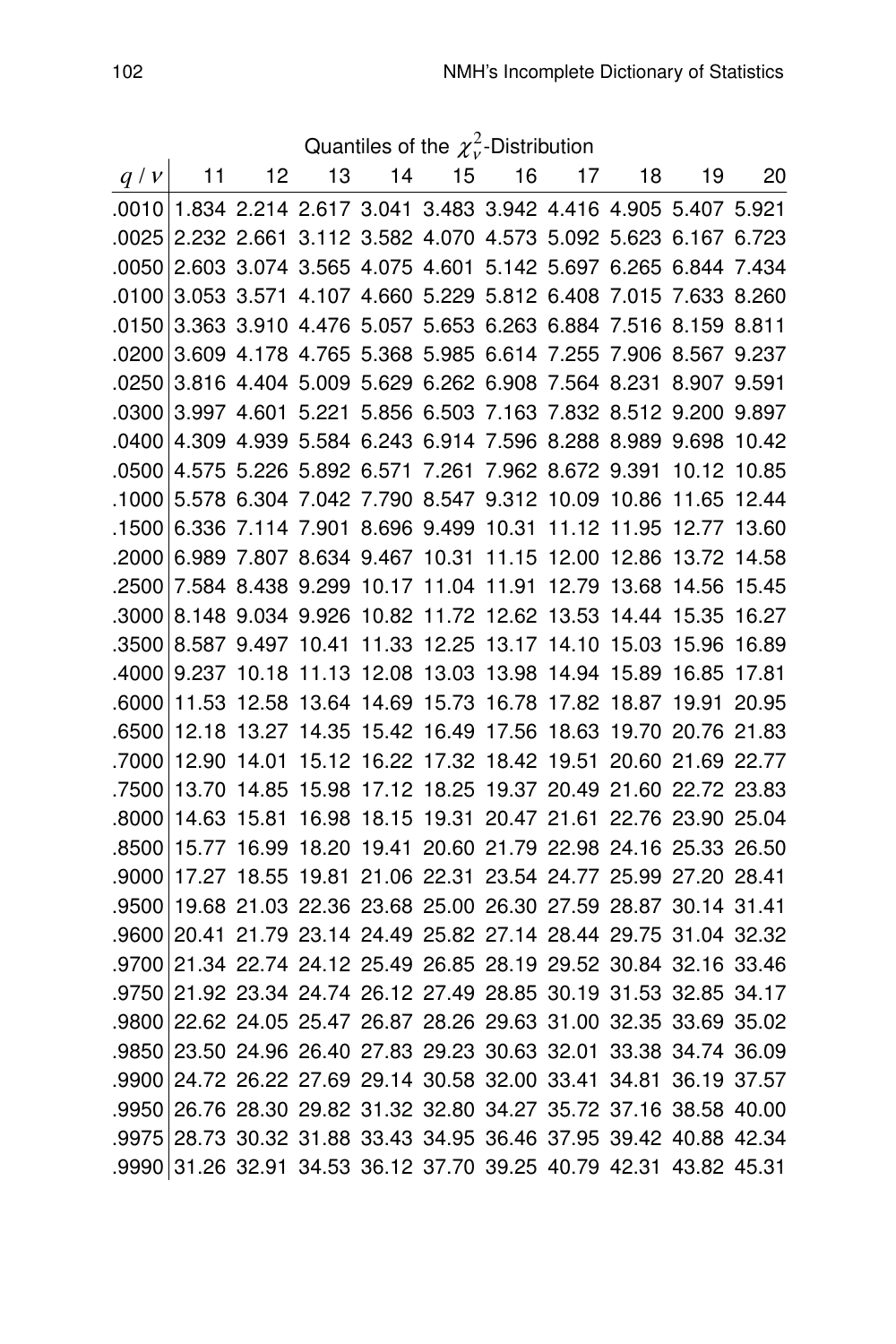Quantiles of the  $\chi^2_\nu$ -Distribution

| q/v   | 11          | 12    | 13                                                                | 14 | 15 | 16 | 17 | 18 | 19                                              | 20 |
|-------|-------------|-------|-------------------------------------------------------------------|----|----|----|----|----|-------------------------------------------------|----|
|       |             |       | .0010 1.834 2.214 2.617 3.041 3.483 3.942 4.416 4.905 5.407 5.921 |    |    |    |    |    |                                                 |    |
| .0025 |             |       | 2.232 2.661 3.112 3.582 4.070 4.573 5.092 5.623 6.167 6.723       |    |    |    |    |    |                                                 |    |
| .0050 |             |       | 2.603 3.074 3.565 4.075 4.601 5.142 5.697 6.265 6.844 7.434       |    |    |    |    |    |                                                 |    |
| .0100 |             |       | 3.053 3.571 4.107 4.660 5.229 5.812 6.408 7.015 7.633 8.260       |    |    |    |    |    |                                                 |    |
| .0150 |             |       | 3.363 3.910 4.476 5.057 5.653 6.263 6.884 7.516 8.159 8.811       |    |    |    |    |    |                                                 |    |
| .0200 |             |       | 3.609 4.178 4.765 5.368 5.985 6.614 7.255 7.906 8.567 9.237       |    |    |    |    |    |                                                 |    |
| .0250 |             |       | 3.816 4.404 5.009 5.629 6.262 6.908 7.564 8.231 8.907 9.591       |    |    |    |    |    |                                                 |    |
| .0300 |             |       | 3.997 4.601 5.221 5.856 6.503 7.163 7.832 8.512 9.200 9.897       |    |    |    |    |    |                                                 |    |
| .0400 |             |       | 4.309 4.939 5.584 6.243 6.914 7.596 8.288 8.989 9.698 10.42       |    |    |    |    |    |                                                 |    |
| .0500 |             |       | 4.575 5.226 5.892 6.571 7.261 7.962 8.672 9.391 10.12 10.85       |    |    |    |    |    |                                                 |    |
| .1000 |             |       | 5.578 6.304 7.042 7.790 8.547 9.312 10.09 10.86 11.65 12.44       |    |    |    |    |    |                                                 |    |
| .1500 |             |       | 6.336 7.114 7.901 8.696 9.499 10.31 11.12 11.95 12.77 13.60       |    |    |    |    |    |                                                 |    |
| .2000 |             |       | 6.989 7.807 8.634 9.467 10.31 11.15 12.00 12.86                   |    |    |    |    |    | 13.72 14.58                                     |    |
| .2500 |             |       | 7.584 8.438 9.299 10.17 11.04 11.91 12.79 13.68 14.56 15.45       |    |    |    |    |    |                                                 |    |
| .3000 |             |       | 8.148 9.034 9.926 10.82 11.72 12.62 13.53 14.44 15.35 16.27       |    |    |    |    |    |                                                 |    |
| .3500 |             |       | 8.587 9.497 10.41 11.33 12.25 13.17 14.10 15.03 15.96 16.89       |    |    |    |    |    |                                                 |    |
| .4000 |             |       | 9.237 10.18 11.13 12.08 13.03 13.98 14.94 15.89 16.85 17.81       |    |    |    |    |    |                                                 |    |
| .6000 |             |       | 11.53 12.58 13.64 14.69 15.73 16.78 17.82 18.87 19.91 20.95       |    |    |    |    |    |                                                 |    |
| .6500 |             |       | 12.18 13.27 14.35 15.42 16.49 17.56 18.63 19.70 20.76 21.83       |    |    |    |    |    |                                                 |    |
| .7000 | 12.90 14.01 |       | 15.12 16.22 17.32 18.42 19.51 20.60 21.69 22.77                   |    |    |    |    |    |                                                 |    |
| .7500 | 13.70       | 14.85 | 15.98 17.12 18.25 19.37 20.49 21.60 22.72 23.83                   |    |    |    |    |    |                                                 |    |
| .8000 | 14.63       | 15.81 |                                                                   |    |    |    |    |    | 16.98 18.15 19.31 20.47 21.61 22.76 23.90 25.04 |    |
| .8500 |             |       | 15.77 16.99 18.20 19.41 20.60 21.79 22.98 24.16 25.33 26.50       |    |    |    |    |    |                                                 |    |
| .9000 |             |       | 17.27 18.55 19.81 21.06 22.31 23.54 24.77 25.99 27.20 28.41       |    |    |    |    |    |                                                 |    |
| .9500 |             |       | 19.68 21.03 22.36 23.68 25.00 26.30 27.59 28.87 30.14 31.41       |    |    |    |    |    |                                                 |    |
| .9600 |             |       | 20.41 21.79 23.14 24.49 25.82 27.14 28.44 29.75 31.04 32.32       |    |    |    |    |    |                                                 |    |
| .9700 |             |       | 21.34 22.74 24.12 25.49 26.85 28.19 29.52 30.84 32.16 33.46       |    |    |    |    |    |                                                 |    |
| .9750 |             |       | 21.92 23.34 24.74 26.12 27.49 28.85 30.19 31.53 32.85 34.17       |    |    |    |    |    |                                                 |    |
| .9800 |             |       | 22.62 24.05 25.47 26.87 28.26 29.63 31.00 32.35 33.69 35.02       |    |    |    |    |    |                                                 |    |
| .9850 |             |       | 23.50 24.96 26.40 27.83 29.23 30.63 32.01 33.38 34.74 36.09       |    |    |    |    |    |                                                 |    |
| .9900 |             |       | 24.72 26.22 27.69 29.14 30.58 32.00 33.41 34.81 36.19 37.57       |    |    |    |    |    |                                                 |    |
|       |             |       | .9950 26.76 28.30 29.82 31.32 32.80 34.27 35.72 37.16 38.58 40.00 |    |    |    |    |    |                                                 |    |
|       |             |       | .9975 28.73 30.32 31.88 33.43 34.95 36.46 37.95 39.42 40.88 42.34 |    |    |    |    |    |                                                 |    |
| .9990 |             |       | 31.26 32.91 34.53 36.12 37.70 39.25 40.79 42.31 43.82 45.31       |    |    |    |    |    |                                                 |    |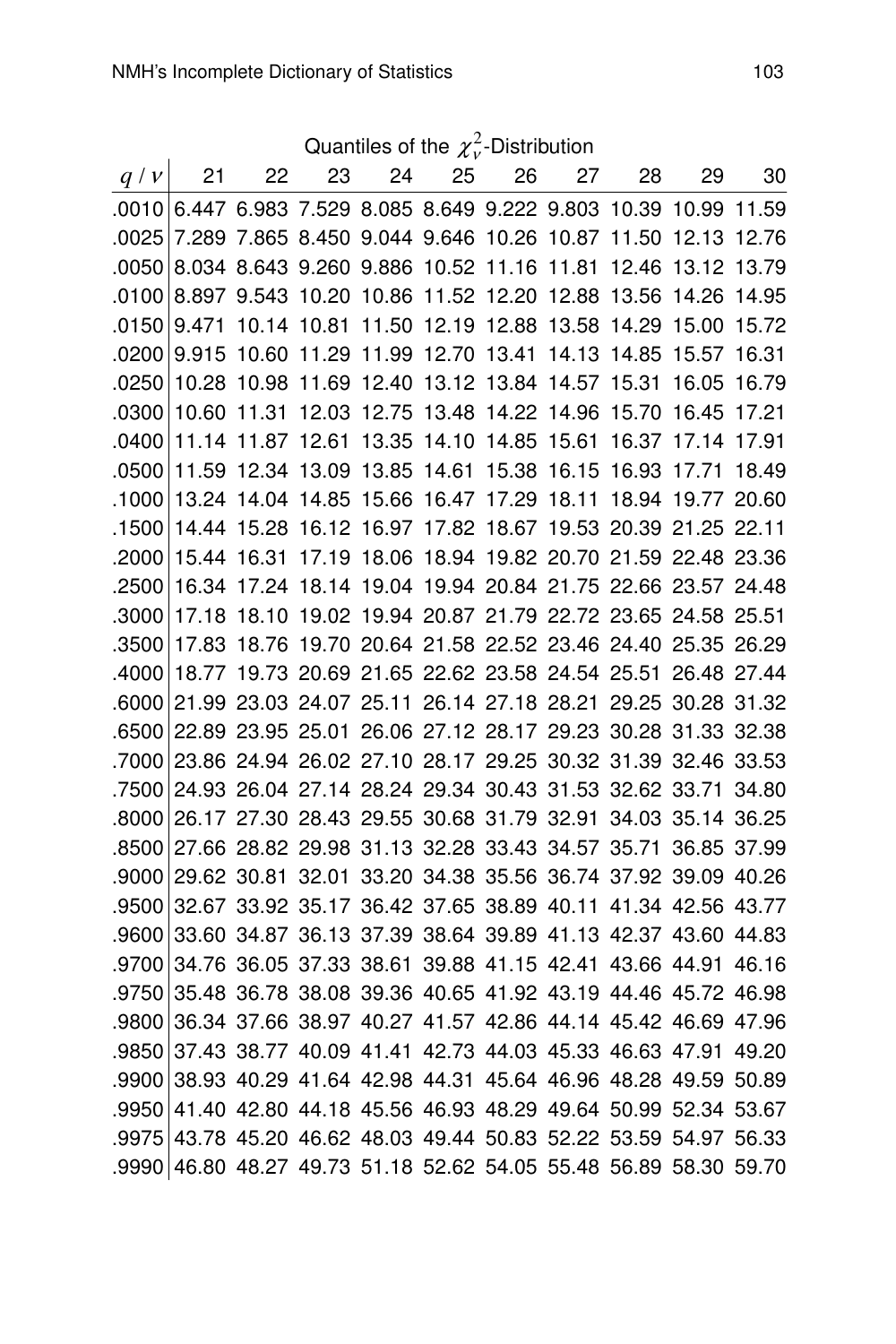| Quantiles of the $\chi^2_{\nu}$ -Distribution |  |  |  |
|-----------------------------------------------|--|--|--|
|                                               |  |  |  |

| q/v     | 21                                                                | 22    | 23                | 24    | 25          | 26                                              | 27    | 28                                                          | 29                | 30    |
|---------|-------------------------------------------------------------------|-------|-------------------|-------|-------------|-------------------------------------------------|-------|-------------------------------------------------------------|-------------------|-------|
| ا 0010. |                                                                   |       |                   |       |             | 6.447 6.983 7.529 8.085 8.649 9.222 9.803 10.39 |       |                                                             | 10.99 11.59       |       |
| .0025   |                                                                   |       |                   |       |             | 7.289 7.865 8.450 9.044 9.646 10.26 10.87       |       | 11.50                                                       | 12.13 12.76       |       |
| .0050   |                                                                   |       |                   |       |             | 8.034 8.643 9.260 9.886 10.52 11.16 11.81       |       | 12.46                                                       | 13.12 13.79       |       |
| .0100   |                                                                   |       |                   |       |             | 8.897 9.543 10.20 10.86 11.52 12.20 12.88 13.56 |       |                                                             | 14.26 14.95       |       |
| .0150   | 9.471                                                             |       |                   |       |             |                                                 |       | 10.14 10.81 11.50 12.19 12.88 13.58 14.29 15.00 15.72       |                   |       |
| .0200   | 9.915                                                             |       | 10.60 11.29 11.99 |       | 12.70 13.41 |                                                 | 14.13 | 14.85                                                       | 15.57 16.31       |       |
| .0250   | 10.28                                                             | 10.98 |                   |       |             | 11.69 12.40 13.12 13.84 14.57 15.31             |       |                                                             | 16.05 16.79       |       |
| .0300   | 10.60                                                             | 11.31 |                   |       |             | 12.03 12.75 13.48 14.22 14.96                   |       | 15.70                                                       | 16.45 17.21       |       |
| .0400   | 11.14                                                             | 11.87 | 12.61             | 13.35 | 14.10 14.85 |                                                 | 15.61 | 16.37                                                       | 17.14 17.91       |       |
| .0500   | 11.59                                                             |       | 12.34 13.09 13.85 |       |             | 14.61 15.38 16.15 16.93                         |       |                                                             | 17.71             | 18.49 |
| .1000   |                                                                   |       |                   |       |             | 13.24 14.04 14.85 15.66 16.47 17.29 18.11       |       |                                                             | 18.94 19.77 20.60 |       |
| .1500   | 14.44                                                             |       |                   |       |             |                                                 |       | 15.28 16.12 16.97 17.82 18.67 19.53 20.39 21.25 22.11       |                   |       |
| .2000   | 15.44                                                             | 16.31 |                   |       |             |                                                 |       | 17.19 18.06 18.94 19.82 20.70 21.59 22.48 23.36             |                   |       |
| .2500   | 16.34                                                             |       |                   |       |             |                                                 |       | 17.24 18.14 19.04 19.94 20.84 21.75 22.66 23.57 24.48       |                   |       |
| .3000   | 17.18                                                             |       |                   |       |             |                                                 |       | 18.10 19.02 19.94 20.87 21.79 22.72 23.65 24.58 25.51       |                   |       |
| .3500   | 17.83                                                             |       |                   |       |             |                                                 |       | 18.76 19.70 20.64 21.58 22.52 23.46 24.40 25.35 26.29       |                   |       |
| .4000   | 18.77                                                             |       |                   |       |             |                                                 |       | 19.73 20.69 21.65 22.62 23.58 24.54 25.51 26.48 27.44       |                   |       |
| .6000   |                                                                   |       |                   |       |             |                                                 |       | 21.99 23.03 24.07 25.11 26.14 27.18 28.21 29.25 30.28 31.32 |                   |       |
| .6500   |                                                                   |       |                   |       |             |                                                 |       | 22.89 23.95 25.01 26.06 27.12 28.17 29.23 30.28 31.33 32.38 |                   |       |
| .7000   | 23.86 24.94 26.02 27.10 28.17 29.25 30.32 31.39 32.46 33.53       |       |                   |       |             |                                                 |       |                                                             |                   |       |
| .7500   |                                                                   |       |                   |       |             |                                                 |       | 24.93 26.04 27.14 28.24 29.34 30.43 31.53 32.62 33.71 34.80 |                   |       |
| .8000   |                                                                   |       |                   |       |             |                                                 |       | 26.17 27.30 28.43 29.55 30.68 31.79 32.91 34.03 35.14 36.25 |                   |       |
| .8500   |                                                                   |       |                   |       |             |                                                 |       | 27.66 28.82 29.98 31.13 32.28 33.43 34.57 35.71 36.85 37.99 |                   |       |
| .9000   |                                                                   |       |                   |       |             |                                                 |       | 29.62 30.81 32.01 33.20 34.38 35.56 36.74 37.92 39.09 40.26 |                   |       |
| .9500   |                                                                   |       |                   |       |             |                                                 |       | 32.67 33.92 35.17 36.42 37.65 38.89 40.11 41.34 42.56 43.77 |                   |       |
| .9600   |                                                                   |       |                   |       |             |                                                 |       | 33.60 34.87 36.13 37.39 38.64 39.89 41.13 42.37 43.60 44.83 |                   |       |
| .9700   |                                                                   |       |                   |       |             |                                                 |       | 34.76 36.05 37.33 38.61 39.88 41.15 42.41 43.66 44.91 46.16 |                   |       |
| .9750   |                                                                   |       |                   |       |             |                                                 |       | 35.48 36.78 38.08 39.36 40.65 41.92 43.19 44.46 45.72 46.98 |                   |       |
| .9800   |                                                                   |       |                   |       |             |                                                 |       | 36.34 37.66 38.97 40.27 41.57 42.86 44.14 45.42 46.69 47.96 |                   |       |
| .9850   |                                                                   |       |                   |       |             |                                                 |       | 37.43 38.77 40.09 41.41 42.73 44.03 45.33 46.63 47.91 49.20 |                   |       |
| .9900   |                                                                   |       |                   |       |             |                                                 |       | 38.93 40.29 41.64 42.98 44.31 45.64 46.96 48.28 49.59 50.89 |                   |       |
| .9950   |                                                                   |       |                   |       |             |                                                 |       | 41.40 42.80 44.18 45.56 46.93 48.29 49.64 50.99 52.34 53.67 |                   |       |
|         | .9975 43.78 45.20 46.62 48.03 49.44 50.83 52.22 53.59 54.97 56.33 |       |                   |       |             |                                                 |       |                                                             |                   |       |
|         | .9990 46.80 48.27 49.73 51.18 52.62 54.05 55.48 56.89 58.30 59.70 |       |                   |       |             |                                                 |       |                                                             |                   |       |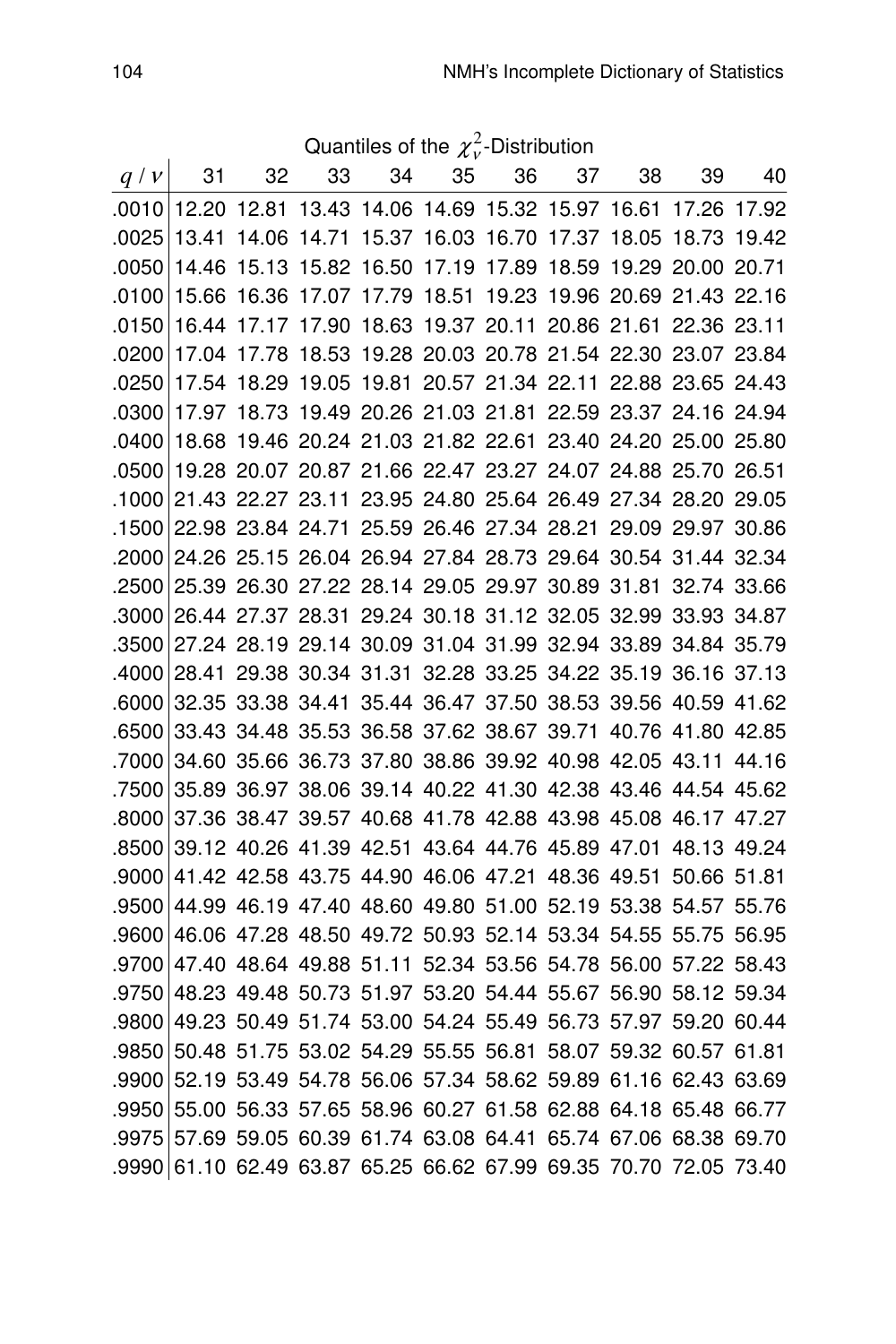Quantiles of the  $\chi^2_\nu$ -Distribution

| q/v   | 31                                                                | 32    | 33 | 34 | 35 | 36 | 37 | 38                                                          | 39          | 40 |
|-------|-------------------------------------------------------------------|-------|----|----|----|----|----|-------------------------------------------------------------|-------------|----|
| .0010 |                                                                   |       |    |    |    |    |    | 12.20 12.81 13.43 14.06 14.69 15.32 15.97 16.61             | 17.26 17.92 |    |
| .0025 | 13.41                                                             |       |    |    |    |    |    | 14.06 14.71 15.37 16.03 16.70 17.37 18.05 18.73 19.42       |             |    |
| .0050 | 14.46                                                             |       |    |    |    |    |    | 15.13 15.82 16.50 17.19 17.89 18.59 19.29 20.00 20.71       |             |    |
| .0100 | 15.66                                                             | 16.36 |    |    |    |    |    | 17.07 17.79 18.51 19.23 19.96 20.69 21.43 22.16             |             |    |
| .0150 | 16.44                                                             |       |    |    |    |    |    | 17.17 17.90 18.63 19.37 20.11 20.86 21.61 22.36 23.11       |             |    |
| .0200 | 17.04                                                             | 17.78 |    |    |    |    |    | 18.53 19.28 20.03 20.78 21.54 22.30 23.07 23.84             |             |    |
| .0250 | 17.54                                                             |       |    |    |    |    |    | 18.29 19.05 19.81 20.57 21.34 22.11 22.88 23.65 24.43       |             |    |
| .0300 | 17.97                                                             |       |    |    |    |    |    | 18.73 19.49 20.26 21.03 21.81 22.59 23.37 24.16 24.94       |             |    |
| .0400 | 18.68                                                             |       |    |    |    |    |    | 19.46 20.24 21.03 21.82 22.61 23.40 24.20 25.00 25.80       |             |    |
| .0500 |                                                                   |       |    |    |    |    |    | 19.28 20.07 20.87 21.66 22.47 23.27 24.07 24.88 25.70 26.51 |             |    |
| .1000 |                                                                   |       |    |    |    |    |    | 21.43 22.27 23.11 23.95 24.80 25.64 26.49 27.34 28.20 29.05 |             |    |
| .1500 |                                                                   |       |    |    |    |    |    | 22.98 23.84 24.71 25.59 26.46 27.34 28.21 29.09 29.97 30.86 |             |    |
| .2000 |                                                                   |       |    |    |    |    |    | 24.26 25.15 26.04 26.94 27.84 28.73 29.64 30.54 31.44 32.34 |             |    |
| .2500 |                                                                   |       |    |    |    |    |    | 25.39 26.30 27.22 28.14 29.05 29.97 30.89 31.81 32.74 33.66 |             |    |
| .3000 |                                                                   |       |    |    |    |    |    | 26.44 27.37 28.31 29.24 30.18 31.12 32.05 32.99 33.93 34.87 |             |    |
| .3500 |                                                                   |       |    |    |    |    |    | 27.24 28.19 29.14 30.09 31.04 31.99 32.94 33.89 34.84 35.79 |             |    |
| .4000 |                                                                   |       |    |    |    |    |    | 28.41 29.38 30.34 31.31 32.28 33.25 34.22 35.19 36.16 37.13 |             |    |
| .6000 |                                                                   |       |    |    |    |    |    | 32.35 33.38 34.41 35.44 36.47 37.50 38.53 39.56 40.59 41.62 |             |    |
| .6500 |                                                                   |       |    |    |    |    |    | 33.43 34.48 35.53 36.58 37.62 38.67 39.71 40.76 41.80 42.85 |             |    |
| .7000 |                                                                   |       |    |    |    |    |    | 34.60 35.66 36.73 37.80 38.86 39.92 40.98 42.05 43.11 44.16 |             |    |
| .7500 |                                                                   |       |    |    |    |    |    | 35.89 36.97 38.06 39.14 40.22 41.30 42.38 43.46 44.54 45.62 |             |    |
| .8000 |                                                                   |       |    |    |    |    |    | 37.36 38.47 39.57 40.68 41.78 42.88 43.98 45.08 46.17 47.27 |             |    |
| .8500 |                                                                   |       |    |    |    |    |    | 39.12 40.26 41.39 42.51 43.64 44.76 45.89 47.01 48.13 49.24 |             |    |
| .9000 |                                                                   |       |    |    |    |    |    | 41.42 42.58 43.75 44.90 46.06 47.21 48.36 49.51 50.66 51.81 |             |    |
| .9500 |                                                                   |       |    |    |    |    |    | 44.99 46.19 47.40 48.60 49.80 51.00 52.19 53.38 54.57 55.76 |             |    |
| .9600 |                                                                   |       |    |    |    |    |    | 46.06 47.28 48.50 49.72 50.93 52.14 53.34 54.55 55.75 56.95 |             |    |
| .9700 |                                                                   |       |    |    |    |    |    | 47.40 48.64 49.88 51.11 52.34 53.56 54.78 56.00 57.22 58.43 |             |    |
| .9750 |                                                                   |       |    |    |    |    |    | 48.23 49.48 50.73 51.97 53.20 54.44 55.67 56.90 58.12 59.34 |             |    |
| .9800 |                                                                   |       |    |    |    |    |    | 49.23 50.49 51.74 53.00 54.24 55.49 56.73 57.97 59.20 60.44 |             |    |
| .9850 |                                                                   |       |    |    |    |    |    | 50.48 51.75 53.02 54.29 55.55 56.81 58.07 59.32 60.57 61.81 |             |    |
| .9900 |                                                                   |       |    |    |    |    |    | 52.19 53.49 54.78 56.06 57.34 58.62 59.89 61.16 62.43 63.69 |             |    |
| .9950 |                                                                   |       |    |    |    |    |    | 55.00 56.33 57.65 58.96 60.27 61.58 62.88 64.18 65.48 66.77 |             |    |
| .9975 |                                                                   |       |    |    |    |    |    | 57.69 59.05 60.39 61.74 63.08 64.41 65.74 67.06 68.38 69.70 |             |    |
|       | .9990 61.10 62.49 63.87 65.25 66.62 67.99 69.35 70.70 72.05 73.40 |       |    |    |    |    |    |                                                             |             |    |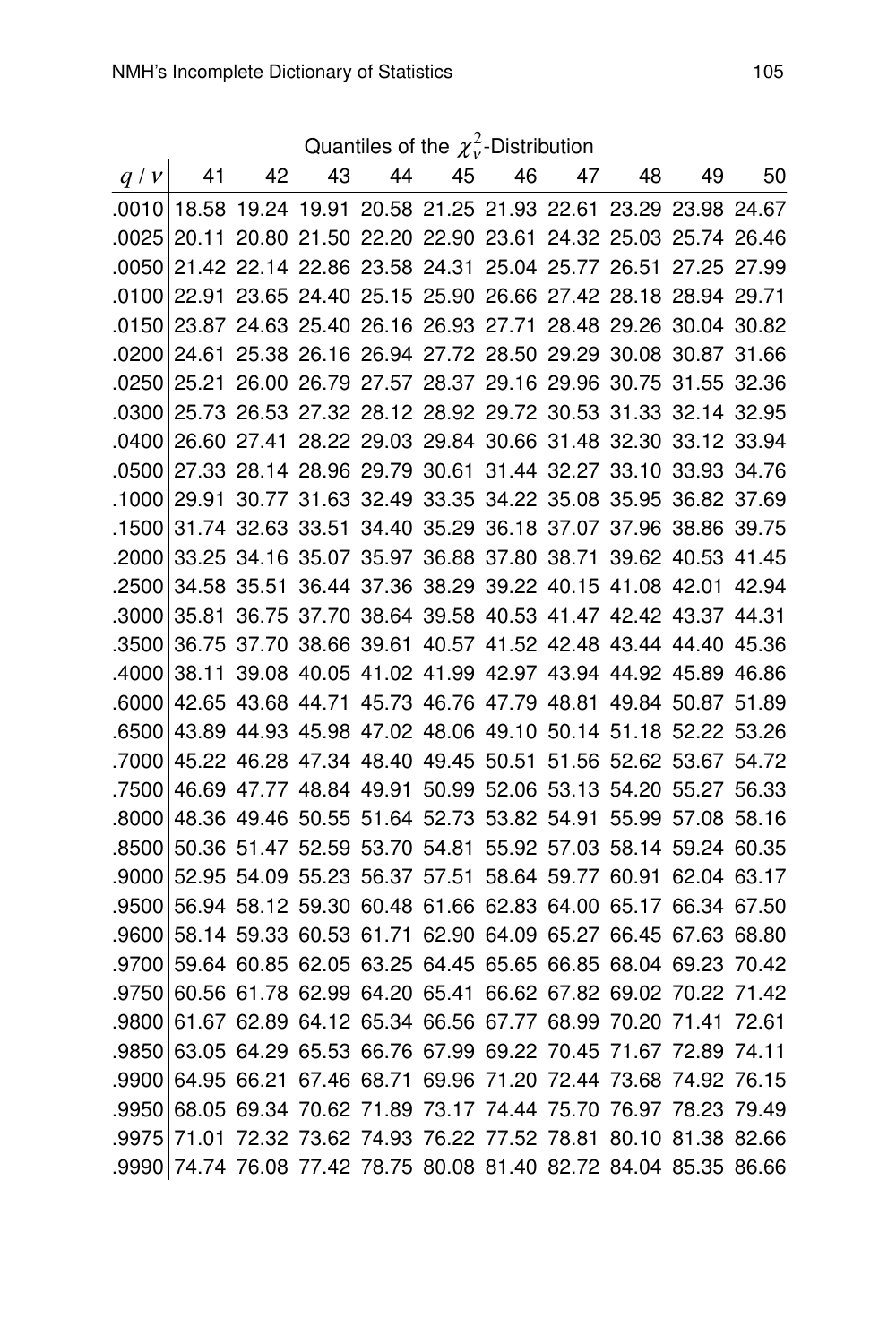| Quantiles of the $\chi^2_{\nu}$ -Distribution |                                                                   |    |    |                                                             |  |       |    |    |    |    |
|-----------------------------------------------|-------------------------------------------------------------------|----|----|-------------------------------------------------------------|--|-------|----|----|----|----|
| $q \mid v \mid$                               | 41                                                                | 42 | 43 | 44                                                          |  | 45 46 | 47 | 48 | 49 | 50 |
|                                               | 0010 18.58 19.24 19.91 20.58 21.25 21.93 22.61 23.29 23.98 24.67  |    |    |                                                             |  |       |    |    |    |    |
|                                               | 0025 20.11 20.80 21.50 22.20 22.90 23.61 24.32 25.03 25.74 26.46  |    |    |                                                             |  |       |    |    |    |    |
|                                               | 0050 21.42 22.14 22.86 23.58 24.31 25.04 25.77 26.51 27.25 27.99  |    |    |                                                             |  |       |    |    |    |    |
| .0100                                         |                                                                   |    |    | 22.91 23.65 24.40 25.15 25.90 26.66 27.42 28.18 28.94 29.71 |  |       |    |    |    |    |
|                                               | 0150 23.87 24.63 25.40 26.16 26.93 27.71 28.48 29.26 30.04 30.82  |    |    |                                                             |  |       |    |    |    |    |
|                                               | 0200 24.61 25.38 26.16 26.94 27.72 28.50 29.29 30.08 30.87 31.66  |    |    |                                                             |  |       |    |    |    |    |
|                                               | 0250 25.21 26.00 26.79 27.57 28.37 29.16 29.96 30.75 31.55 32.36  |    |    |                                                             |  |       |    |    |    |    |
|                                               | .0300 25.73 26.53 27.32 28.12 28.92 29.72 30.53 31.33 32.14 32.95 |    |    |                                                             |  |       |    |    |    |    |
| .0400                                         |                                                                   |    |    | 26.60 27.41 28.22 29.03 29.84 30.66 31.48 32.30 33.12 33.94 |  |       |    |    |    |    |
| .0500                                         |                                                                   |    |    | 27.33 28.14 28.96 29.79 30.61 31.44 32.27 33.10 33.93 34.76 |  |       |    |    |    |    |
| .1000                                         |                                                                   |    |    | 29.91 30.77 31.63 32.49 33.35 34.22 35.08 35.95 36.82 37.69 |  |       |    |    |    |    |
| .1500                                         |                                                                   |    |    | 31.74 32.63 33.51 34.40 35.29 36.18 37.07 37.96 38.86 39.75 |  |       |    |    |    |    |
| ا 2000.                                       |                                                                   |    |    | 33.25 34.16 35.07 35.97 36.88 37.80 38.71 39.62 40.53 41.45 |  |       |    |    |    |    |
| ا 2500.                                       |                                                                   |    |    | 34.58 35.51 36.44 37.36 38.29 39.22 40.15 41.08 42.01 42.94 |  |       |    |    |    |    |
| .3000                                         |                                                                   |    |    | 35.81 36.75 37.70 38.64 39.58 40.53 41.47 42.42 43.37 44.31 |  |       |    |    |    |    |
| .3500                                         |                                                                   |    |    | 36.75 37.70 38.66 39.61 40.57 41.52 42.48 43.44 44.40 45.36 |  |       |    |    |    |    |
| .4000                                         |                                                                   |    |    | 38.11 39.08 40.05 41.02 41.99 42.97 43.94 44.92 45.89 46.86 |  |       |    |    |    |    |
| .6000                                         |                                                                   |    |    | 42.65 43.68 44.71 45.73 46.76 47.79 48.81 49.84 50.87 51.89 |  |       |    |    |    |    |
|                                               | .6500 43.89 44.93 45.98 47.02 48.06 49.10 50.14 51.18 52.22 53.26 |    |    |                                                             |  |       |    |    |    |    |
|                                               | .7000 45.22 46.28 47.34 48.40 49.45 50.51 51.56 52.62 53.67 54.72 |    |    |                                                             |  |       |    |    |    |    |
| .7500                                         |                                                                   |    |    | 46.69 47.77 48.84 49.91 50.99 52.06 53.13 54.20 55.27 56.33 |  |       |    |    |    |    |
| .8000                                         |                                                                   |    |    | 48.36 49.46 50.55 51.64 52.73 53.82 54.91 55.99 57.08 58.16 |  |       |    |    |    |    |
| .8500                                         |                                                                   |    |    | 50.36 51.47 52.59 53.70 54.81 55.92 57.03 58.14 59.24 60.35 |  |       |    |    |    |    |
| .9000                                         |                                                                   |    |    | 52.95 54.09 55.23 56.37 57.51 58.64 59.77 60.91 62.04 63.17 |  |       |    |    |    |    |
| .9500                                         |                                                                   |    |    | 56.94 58.12 59.30 60.48 61.66 62.83 64.00 65.17 66.34 67.50 |  |       |    |    |    |    |
| .9600                                         |                                                                   |    |    | 58.14 59.33 60.53 61.71 62.90 64.09 65.27 66.45 67.63 68.80 |  |       |    |    |    |    |
| .9700                                         |                                                                   |    |    | 59.64 60.85 62.05 63.25 64.45 65.65 66.85 68.04 69.23 70.42 |  |       |    |    |    |    |
| .9750                                         |                                                                   |    |    | 60.56 61.78 62.99 64.20 65.41 66.62 67.82 69.02 70.22 71.42 |  |       |    |    |    |    |
| .9800                                         |                                                                   |    |    | 61.67 62.89 64.12 65.34 66.56 67.77 68.99 70.20 71.41 72.61 |  |       |    |    |    |    |
| .9850                                         |                                                                   |    |    | 63.05 64.29 65.53 66.76 67.99 69.22 70.45 71.67 72.89 74.11 |  |       |    |    |    |    |
| .9900                                         |                                                                   |    |    | 64.95 66.21 67.46 68.71 69.96 71.20 72.44 73.68 74.92 76.15 |  |       |    |    |    |    |
|                                               | .9950 68.05 69.34 70.62 71.89 73.17 74.44 75.70 76.97 78.23 79.49 |    |    |                                                             |  |       |    |    |    |    |
|                                               | .9975 71.01 72.32 73.62 74.93 76.22 77.52 78.81 80.10 81.38 82.66 |    |    |                                                             |  |       |    |    |    |    |

.9990 74.74 76.08 77.42 78.75 80.08 81.40 82.72 84.04 85.35 86.66

Quantiles of the  $\chi^2_\nu$ -Distribution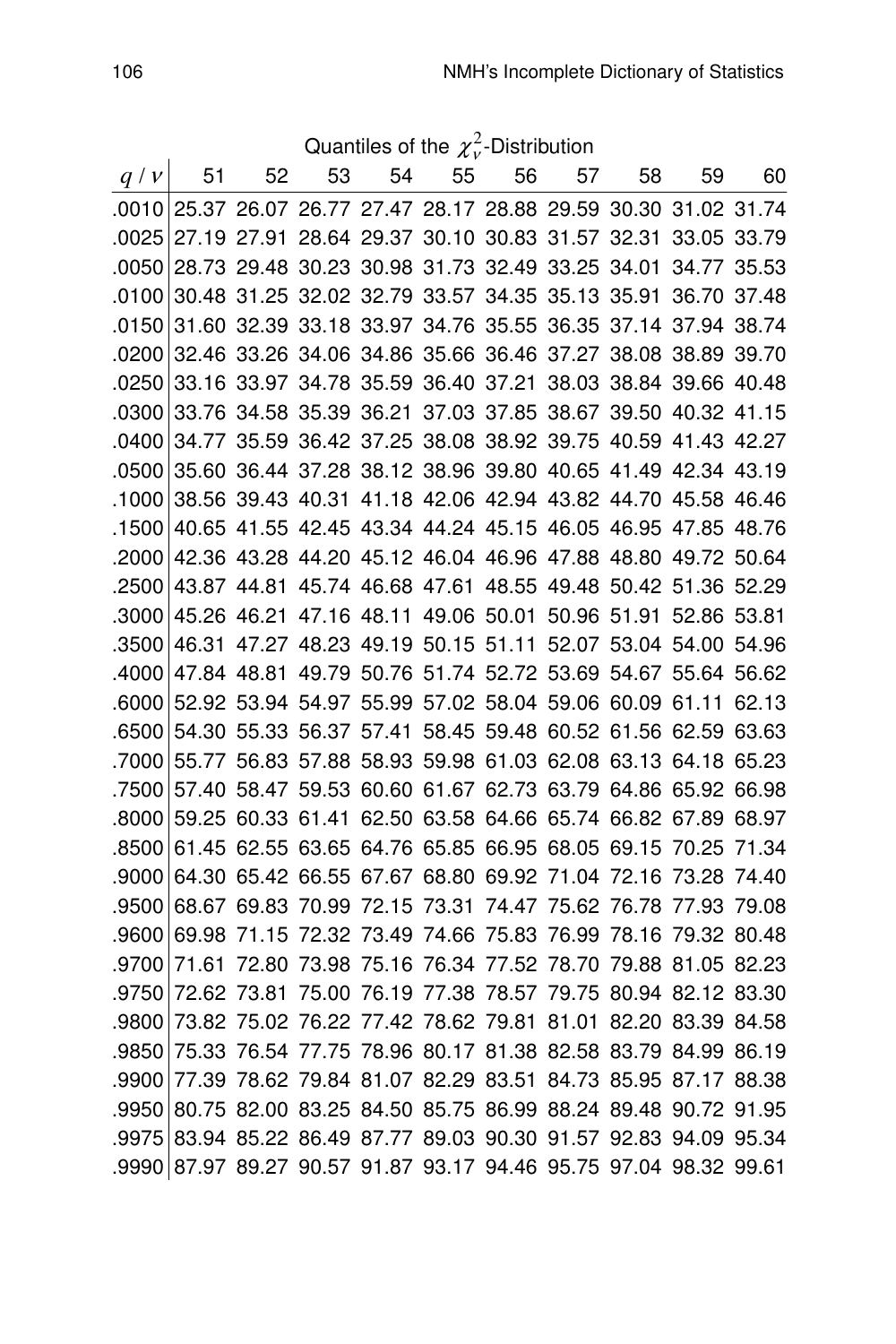Quantiles of the  $\chi^2_\nu$ -Distribution

| $q\nmid v$ | 51                                                                | 52 | 53 | 54 | 55 | 56 | 57 | 58 | 59                                                          | 60 |
|------------|-------------------------------------------------------------------|----|----|----|----|----|----|----|-------------------------------------------------------------|----|
|            | .0010 25.37 26.07 26.77 27.47 28.17 28.88 29.59 30.30 31.02 31.74 |    |    |    |    |    |    |    |                                                             |    |
| .0025      |                                                                   |    |    |    |    |    |    |    | 27.19 27.91 28.64 29.37 30.10 30.83 31.57 32.31 33.05 33.79 |    |
| .0050      |                                                                   |    |    |    |    |    |    |    | 28.73 29.48 30.23 30.98 31.73 32.49 33.25 34.01 34.77 35.53 |    |
| .0100      |                                                                   |    |    |    |    |    |    |    | 30.48 31.25 32.02 32.79 33.57 34.35 35.13 35.91 36.70 37.48 |    |
| .0150      |                                                                   |    |    |    |    |    |    |    | 31.60 32.39 33.18 33.97 34.76 35.55 36.35 37.14 37.94 38.74 |    |
| .0200      |                                                                   |    |    |    |    |    |    |    | 32.46 33.26 34.06 34.86 35.66 36.46 37.27 38.08 38.89 39.70 |    |
| .0250      |                                                                   |    |    |    |    |    |    |    | 33.16 33.97 34.78 35.59 36.40 37.21 38.03 38.84 39.66 40.48 |    |
| .0300      |                                                                   |    |    |    |    |    |    |    | 33.76 34.58 35.39 36.21 37.03 37.85 38.67 39.50 40.32 41.15 |    |
| .0400      |                                                                   |    |    |    |    |    |    |    | 34.77 35.59 36.42 37.25 38.08 38.92 39.75 40.59 41.43 42.27 |    |
| .0500      |                                                                   |    |    |    |    |    |    |    | 35.60 36.44 37.28 38.12 38.96 39.80 40.65 41.49 42.34 43.19 |    |
| .1000      |                                                                   |    |    |    |    |    |    |    | 38.56 39.43 40.31 41.18 42.06 42.94 43.82 44.70 45.58 46.46 |    |
| .1500      |                                                                   |    |    |    |    |    |    |    | 40.65 41.55 42.45 43.34 44.24 45.15 46.05 46.95 47.85 48.76 |    |
| .2000      |                                                                   |    |    |    |    |    |    |    | 42.36 43.28 44.20 45.12 46.04 46.96 47.88 48.80 49.72 50.64 |    |
| .2500      |                                                                   |    |    |    |    |    |    |    | 43.87 44.81 45.74 46.68 47.61 48.55 49.48 50.42 51.36 52.29 |    |
| .3000      |                                                                   |    |    |    |    |    |    |    | 45.26 46.21 47.16 48.11 49.06 50.01 50.96 51.91 52.86 53.81 |    |
| .3500      |                                                                   |    |    |    |    |    |    |    | 46.31 47.27 48.23 49.19 50.15 51.11 52.07 53.04 54.00 54.96 |    |
| .4000      |                                                                   |    |    |    |    |    |    |    | 47.84 48.81 49.79 50.76 51.74 52.72 53.69 54.67 55.64 56.62 |    |
| .6000      |                                                                   |    |    |    |    |    |    |    | 52.92 53.94 54.97 55.99 57.02 58.04 59.06 60.09 61.11 62.13 |    |
| .6500      |                                                                   |    |    |    |    |    |    |    | 54.30 55.33 56.37 57.41 58.45 59.48 60.52 61.56 62.59 63.63 |    |
| .7000      |                                                                   |    |    |    |    |    |    |    | 55.77 56.83 57.88 58.93 59.98 61.03 62.08 63.13 64.18 65.23 |    |
| .7500      |                                                                   |    |    |    |    |    |    |    | 57.40 58.47 59.53 60.60 61.67 62.73 63.79 64.86 65.92 66.98 |    |
| .8000      |                                                                   |    |    |    |    |    |    |    | 59.25 60.33 61.41 62.50 63.58 64.66 65.74 66.82 67.89 68.97 |    |
| .8500      |                                                                   |    |    |    |    |    |    |    | 61.45 62.55 63.65 64.76 65.85 66.95 68.05 69.15 70.25 71.34 |    |
| .9000      |                                                                   |    |    |    |    |    |    |    | 64.30 65.42 66.55 67.67 68.80 69.92 71.04 72.16 73.28 74.40 |    |
| .9500      |                                                                   |    |    |    |    |    |    |    | 68.67 69.83 70.99 72.15 73.31 74.47 75.62 76.78 77.93 79.08 |    |
| .9600      |                                                                   |    |    |    |    |    |    |    | 69.98 71.15 72.32 73.49 74.66 75.83 76.99 78.16 79.32 80.48 |    |
| .9700      |                                                                   |    |    |    |    |    |    |    | 71.61 72.80 73.98 75.16 76.34 77.52 78.70 79.88 81.05 82.23 |    |
| .9750      |                                                                   |    |    |    |    |    |    |    | 72.62 73.81 75.00 76.19 77.38 78.57 79.75 80.94 82.12 83.30 |    |
| .9800      |                                                                   |    |    |    |    |    |    |    | 73.82 75.02 76.22 77.42 78.62 79.81 81.01 82.20 83.39 84.58 |    |
| .9850      |                                                                   |    |    |    |    |    |    |    | 75.33 76.54 77.75 78.96 80.17 81.38 82.58 83.79 84.99 86.19 |    |
| .9900      |                                                                   |    |    |    |    |    |    |    | 77.39 78.62 79.84 81.07 82.29 83.51 84.73 85.95 87.17 88.38 |    |
| .9950      |                                                                   |    |    |    |    |    |    |    | 80.75 82.00 83.25 84.50 85.75 86.99 88.24 89.48 90.72 91.95 |    |
| .9975      |                                                                   |    |    |    |    |    |    |    | 83.94 85.22 86.49 87.77 89.03 90.30 91.57 92.83 94.09 95.34 |    |
|            | .9990 87.97 89.27 90.57 91.87 93.17 94.46 95.75 97.04 98.32 99.61 |    |    |    |    |    |    |    |                                                             |    |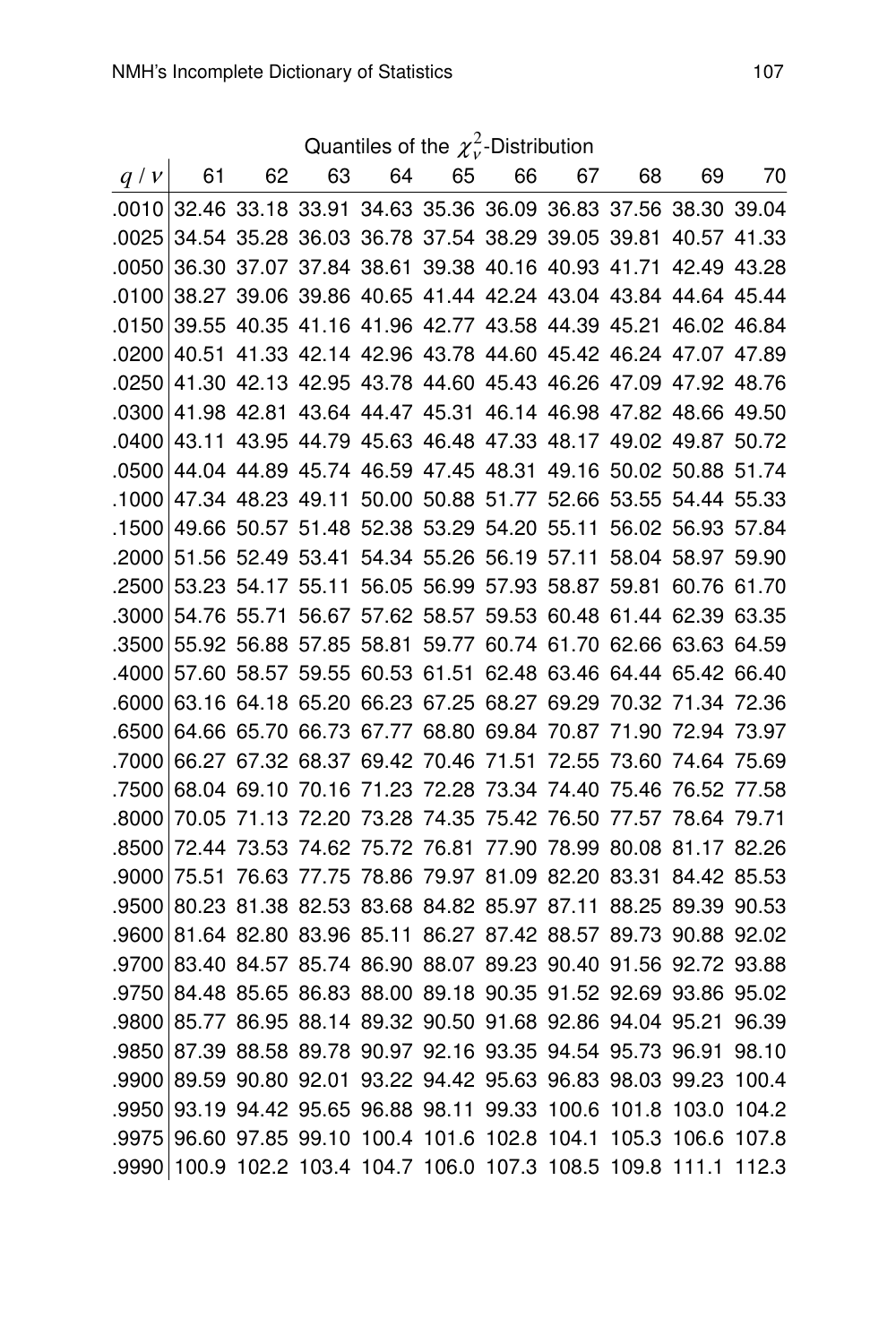| Quantiles of the $\chi^2_{\nu}$ -Distribution |
|-----------------------------------------------|
|-----------------------------------------------|

| q/v   | 61    | 62 | 63                                                                | 64 | 65 | 66 | 67 | 68 | 69          | 70    |
|-------|-------|----|-------------------------------------------------------------------|----|----|----|----|----|-------------|-------|
|       |       |    | .0010 32.46 33.18 33.91 34.63 35.36 36.09 36.83 37.56 38.30 39.04 |    |    |    |    |    |             |       |
| .0025 |       |    | 34.54 35.28 36.03 36.78 37.54 38.29 39.05 39.81                   |    |    |    |    |    | 40.57 41.33 |       |
| .0050 |       |    | 36.30 37.07 37.84 38.61 39.38 40.16 40.93 41.71 42.49 43.28       |    |    |    |    |    |             |       |
| .0100 |       |    | 38.27 39.06 39.86 40.65 41.44 42.24 43.04 43.84 44.64 45.44       |    |    |    |    |    |             |       |
| .0150 |       |    | 39.55 40.35 41.16 41.96 42.77 43.58 44.39 45.21 46.02 46.84       |    |    |    |    |    |             |       |
| .0200 |       |    | 40.51 41.33 42.14 42.96 43.78 44.60 45.42 46.24 47.07 47.89       |    |    |    |    |    |             |       |
| .0250 |       |    | 41.30 42.13 42.95 43.78 44.60 45.43 46.26 47.09 47.92 48.76       |    |    |    |    |    |             |       |
| .0300 |       |    | 41.98 42.81 43.64 44.47 45.31 46.14 46.98 47.82 48.66 49.50       |    |    |    |    |    |             |       |
| .0400 |       |    | 43.11 43.95 44.79 45.63 46.48 47.33 48.17 49.02 49.87 50.72       |    |    |    |    |    |             |       |
| .0500 |       |    | 44.04 44.89 45.74 46.59 47.45 48.31 49.16 50.02 50.88 51.74       |    |    |    |    |    |             |       |
| .1000 |       |    | 47.34 48.23 49.11 50.00 50.88 51.77 52.66 53.55 54.44 55.33       |    |    |    |    |    |             |       |
| .1500 |       |    | 49.66 50.57 51.48 52.38 53.29 54.20 55.11 56.02 56.93 57.84       |    |    |    |    |    |             |       |
| .2000 |       |    | 51.56 52.49 53.41 54.34 55.26 56.19 57.11 58.04 58.97 59.90       |    |    |    |    |    |             |       |
| .2500 |       |    | 53.23 54.17 55.11 56.05 56.99 57.93 58.87 59.81 60.76 61.70       |    |    |    |    |    |             |       |
| .3000 |       |    | 54.76 55.71 56.67 57.62 58.57 59.53 60.48 61.44 62.39 63.35       |    |    |    |    |    |             |       |
| .3500 |       |    | 55.92 56.88 57.85 58.81 59.77 60.74 61.70 62.66 63.63 64.59       |    |    |    |    |    |             |       |
| .4000 |       |    | 57.60 58.57 59.55 60.53 61.51 62.48 63.46 64.44 65.42 66.40       |    |    |    |    |    |             |       |
| .6000 |       |    | 63.16 64.18 65.20 66.23 67.25 68.27 69.29 70.32 71.34 72.36       |    |    |    |    |    |             |       |
| .6500 |       |    | 64.66 65.70 66.73 67.77 68.80 69.84 70.87 71.90 72.94 73.97       |    |    |    |    |    |             |       |
| .7000 |       |    | 66.27 67.32 68.37 69.42 70.46 71.51 72.55 73.60 74.64 75.69       |    |    |    |    |    |             |       |
| .7500 |       |    | 68.04 69.10 70.16 71.23 72.28 73.34 74.40 75.46                   |    |    |    |    |    | 76.52 77.58 |       |
| .8000 |       |    | 70.05 71.13 72.20 73.28 74.35 75.42 76.50 77.57 78.64 79.71       |    |    |    |    |    |             |       |
| .8500 | 72.44 |    | 73.53 74.62 75.72 76.81 77.90 78.99 80.08 81.17 82.26             |    |    |    |    |    |             |       |
| .9000 | 75.51 |    | 76.63 77.75 78.86 79.97 81.09 82.20 83.31                         |    |    |    |    |    | 84.42 85.53 |       |
| .9500 |       |    | 80.23 81.38 82.53 83.68 84.82 85.97 87.11 88.25 89.39 90.53       |    |    |    |    |    |             |       |
| .9600 |       |    | 81.64 82.80 83.96 85.11 86.27 87.42 88.57 89.73 90.88 92.02       |    |    |    |    |    |             |       |
| .9700 |       |    | 83.40 84.57 85.74 86.90 88.07 89.23 90.40 91.56 92.72 93.88       |    |    |    |    |    |             |       |
| .9750 |       |    | 84.48 85.65 86.83 88.00 89.18 90.35 91.52 92.69 93.86 95.02       |    |    |    |    |    |             |       |
| .9800 |       |    | 85.77 86.95 88.14 89.32 90.50 91.68 92.86 94.04 95.21             |    |    |    |    |    |             | 96.39 |
| .9850 |       |    | 87.39 88.58 89.78 90.97 92.16 93.35 94.54 95.73 96.91             |    |    |    |    |    |             | 98.10 |
| .9900 |       |    | 89.59 90.80 92.01 93.22 94.42 95.63 96.83 98.03 99.23 100.4       |    |    |    |    |    |             |       |
| .9950 |       |    | 93.19 94.42 95.65 96.88 98.11 99.33 100.6 101.8 103.0 104.2       |    |    |    |    |    |             |       |
| .9975 |       |    | 96.60 97.85 99.10 100.4 101.6 102.8 104.1 105.3 106.6 107.8       |    |    |    |    |    |             |       |
| .9990 |       |    | 100.9 102.2 103.4 104.7 106.0 107.3 108.5 109.8 111.1             |    |    |    |    |    |             | 112.3 |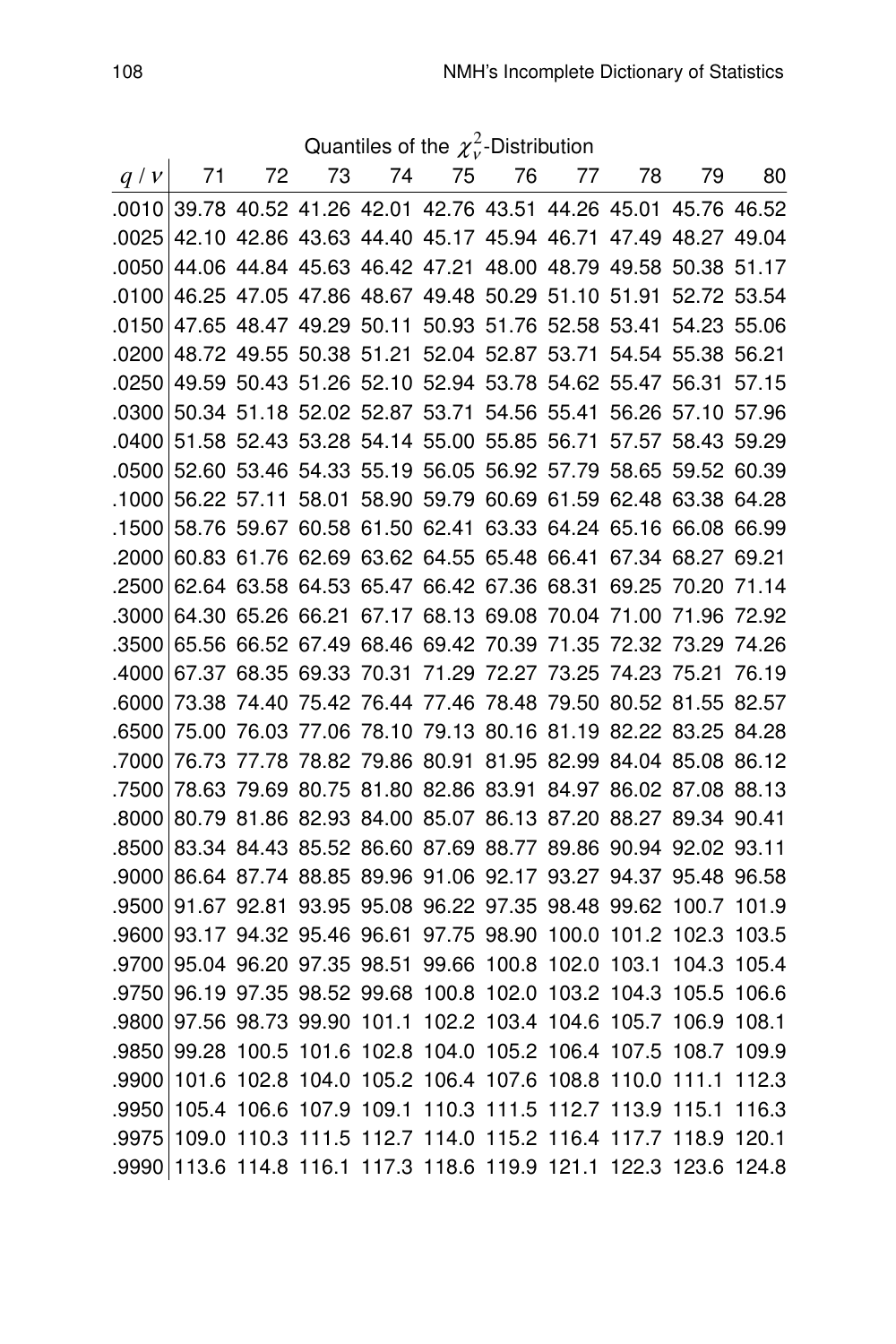Quantiles of the  $\chi^2_\nu$ -Distribution

| q/v   | 71                                                                | 72 | 73                                                          | 74 | 75 | 76 | 77 — | 78 | 79          | 80 |
|-------|-------------------------------------------------------------------|----|-------------------------------------------------------------|----|----|----|------|----|-------------|----|
|       | .0010 39.78 40.52 41.26 42.01 42.76 43.51 44.26 45.01 45.76 46.52 |    |                                                             |    |    |    |      |    |             |    |
|       | .0025 42.10 42.86 43.63 44.40 45.17 45.94 46.71 47.49 48.27 49.04 |    |                                                             |    |    |    |      |    |             |    |
|       | .0050 44.06 44.84 45.63 46.42 47.21 48.00 48.79 49.58 50.38 51.17 |    |                                                             |    |    |    |      |    |             |    |
| .0100 | 46.25 47.05 47.86 48.67 49.48 50.29 51.10 51.91 52.72 53.54       |    |                                                             |    |    |    |      |    |             |    |
| .0150 |                                                                   |    | 47.65 48.47 49.29 50.11 50.93 51.76 52.58 53.41 54.23 55.06 |    |    |    |      |    |             |    |
| .0200 |                                                                   |    | 48.72 49.55 50.38 51.21 52.04 52.87 53.71 54.54 55.38 56.21 |    |    |    |      |    |             |    |
| .0250 |                                                                   |    | 49.59 50.43 51.26 52.10 52.94 53.78 54.62 55.47 56.31 57.15 |    |    |    |      |    |             |    |
| .0300 |                                                                   |    | 50.34 51.18 52.02 52.87 53.71 54.56 55.41 56.26 57.10 57.96 |    |    |    |      |    |             |    |
| .0400 |                                                                   |    | 51.58 52.43 53.28 54.14 55.00 55.85 56.71 57.57 58.43 59.29 |    |    |    |      |    |             |    |
| .0500 |                                                                   |    | 52.60 53.46 54.33 55.19 56.05 56.92 57.79 58.65 59.52 60.39 |    |    |    |      |    |             |    |
| .1000 |                                                                   |    | 56.22 57.11 58.01 58.90 59.79 60.69 61.59 62.48 63.38 64.28 |    |    |    |      |    |             |    |
| .1500 |                                                                   |    | 58.76 59.67 60.58 61.50 62.41 63.33 64.24 65.16 66.08 66.99 |    |    |    |      |    |             |    |
| .2000 |                                                                   |    | 60.83 61.76 62.69 63.62 64.55 65.48 66.41 67.34 68.27 69.21 |    |    |    |      |    |             |    |
| .2500 |                                                                   |    | 62.64 63.58 64.53 65.47 66.42 67.36 68.31 69.25 70.20 71.14 |    |    |    |      |    |             |    |
| .3000 |                                                                   |    | 64.30 65.26 66.21 67.17 68.13 69.08 70.04 71.00 71.96 72.92 |    |    |    |      |    |             |    |
| .3500 |                                                                   |    | 65.56 66.52 67.49 68.46 69.42 70.39 71.35 72.32 73.29 74.26 |    |    |    |      |    |             |    |
| .4000 |                                                                   |    | 67.37 68.35 69.33 70.31 71.29 72.27 73.25 74.23 75.21 76.19 |    |    |    |      |    |             |    |
| .6000 |                                                                   |    | 73.38 74.40 75.42 76.44 77.46 78.48 79.50 80.52 81.55 82.57 |    |    |    |      |    |             |    |
| .6500 | 75.00                                                             |    | 76.03 77.06 78.10 79.13 80.16 81.19 82.22 83.25 84.28       |    |    |    |      |    |             |    |
| .7000 |                                                                   |    | 76.73 77.78 78.82 79.86 80.91 81.95 82.99 84.04 85.08 86.12 |    |    |    |      |    |             |    |
| .7500 |                                                                   |    | 78.63 79.69 80.75 81.80 82.86 83.91 84.97 86.02 87.08 88.13 |    |    |    |      |    |             |    |
| .8000 |                                                                   |    | 80.79 81.86 82.93 84.00 85.07 86.13 87.20 88.27 89.34 90.41 |    |    |    |      |    |             |    |
| .8500 |                                                                   |    | 83.34 84.43 85.52 86.60 87.69 88.77 89.86 90.94 92.02 93.11 |    |    |    |      |    |             |    |
| .9000 |                                                                   |    | 86.64 87.74 88.85 89.96 91.06 92.17 93.27 94.37 95.48 96.58 |    |    |    |      |    |             |    |
| .9500 |                                                                   |    | 91.67 92.81 93.95 95.08 96.22 97.35 98.48 99.62 100.7 101.9 |    |    |    |      |    |             |    |
| .9600 |                                                                   |    | 93.17 94.32 95.46 96.61 97.75 98.90 100.0 101.2 102.3 103.5 |    |    |    |      |    |             |    |
| .9700 |                                                                   |    | 95.04 96.20 97.35 98.51 99.66 100.8 102.0 103.1             |    |    |    |      |    | 104.3 105.4 |    |
| .9750 |                                                                   |    | 96.19 97.35 98.52 99.68 100.8 102.0 103.2 104.3             |    |    |    |      |    | 105.5 106.6 |    |
| .9800 |                                                                   |    | 97.56 98.73 99.90 101.1 102.2 103.4 104.6 105.7 106.9 108.1 |    |    |    |      |    |             |    |
| .9850 |                                                                   |    | 99.28 100.5 101.6 102.8 104.0 105.2 106.4 107.5 108.7 109.9 |    |    |    |      |    |             |    |
| .9900 |                                                                   |    | 101.6 102.8 104.0 105.2 106.4 107.6 108.8 110.0 111.1 112.3 |    |    |    |      |    |             |    |
| .9950 |                                                                   |    | 105.4 106.6 107.9 109.1 110.3 111.5 112.7 113.9 115.1 116.3 |    |    |    |      |    |             |    |
| .9975 | 109.0                                                             |    | 110.3 111.5 112.7 114.0 115.2 116.4 117.7 118.9 120.1       |    |    |    |      |    |             |    |
| .9990 | 113.6                                                             |    | 114.8 116.1 117.3 118.6 119.9 121.1 122.3                   |    |    |    |      |    | 123.6 124.8 |    |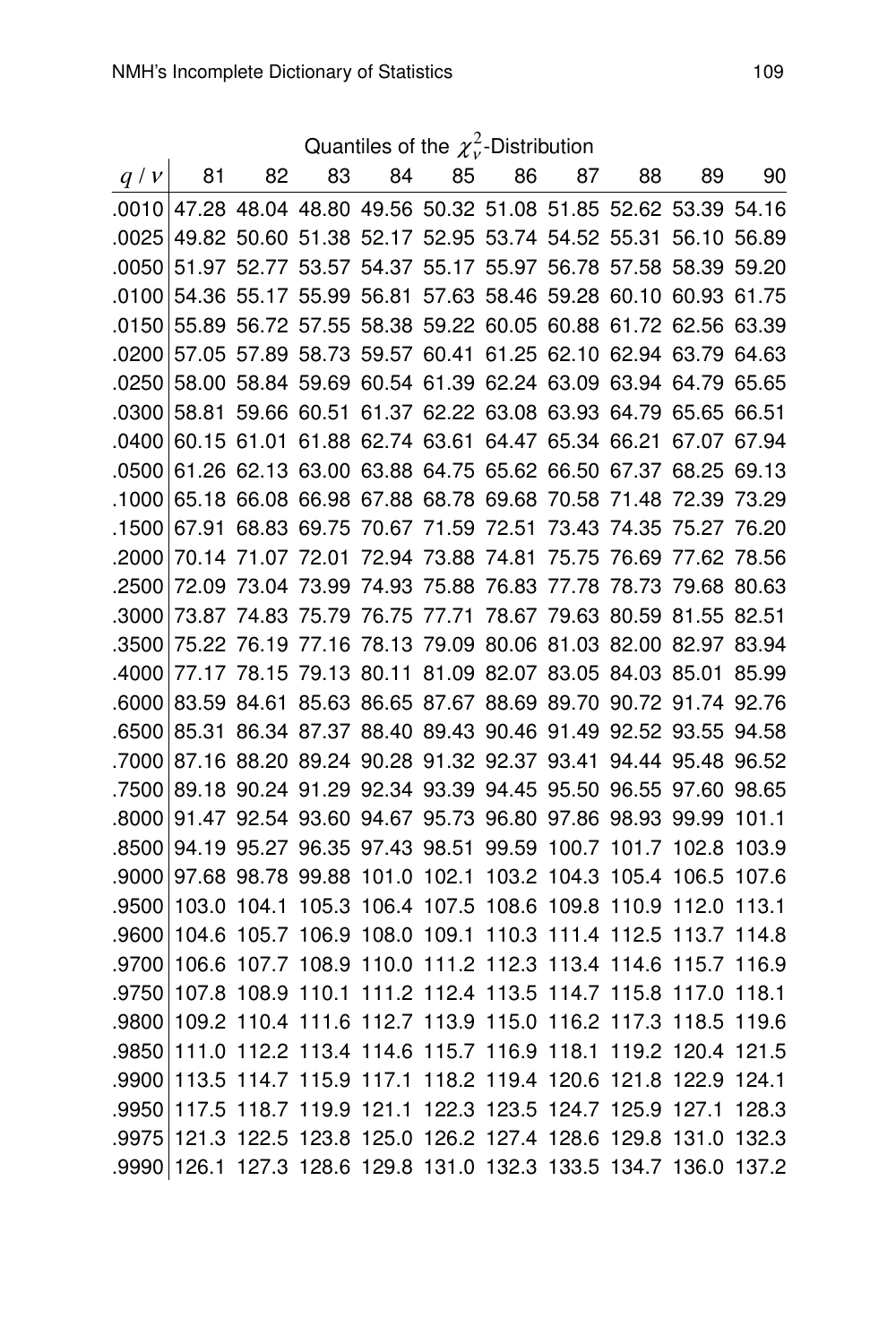Quantiles of the  $\chi^2_\nu$ -Distribution

|       |       |    |                                                             |    |    |    | Quantiles of the $\chi_{v}$ -Distribution |    |    |    |
|-------|-------|----|-------------------------------------------------------------|----|----|----|-------------------------------------------|----|----|----|
| q/v   | 81    | 82 | 83                                                          | 84 | 85 | 86 | 87 —                                      | 88 | 89 | 90 |
| .0010 |       |    | 47.28 48.04 48.80 49.56 50.32 51.08 51.85 52.62 53.39 54.16 |    |    |    |                                           |    |    |    |
| .0025 |       |    | 49.82 50.60 51.38 52.17 52.95 53.74 54.52 55.31 56.10 56.89 |    |    |    |                                           |    |    |    |
| .0050 |       |    | 51.97 52.77 53.57 54.37 55.17 55.97 56.78 57.58 58.39 59.20 |    |    |    |                                           |    |    |    |
| .0100 |       |    | 54.36 55.17 55.99 56.81 57.63 58.46 59.28 60.10 60.93 61.75 |    |    |    |                                           |    |    |    |
| .0150 |       |    | 55.89 56.72 57.55 58.38 59.22 60.05 60.88 61.72 62.56 63.39 |    |    |    |                                           |    |    |    |
| .0200 |       |    | 57.05 57.89 58.73 59.57 60.41 61.25 62.10 62.94 63.79 64.63 |    |    |    |                                           |    |    |    |
| .0250 |       |    | 58.00 58.84 59.69 60.54 61.39 62.24 63.09 63.94 64.79 65.65 |    |    |    |                                           |    |    |    |
| .0300 |       |    | 58.81 59.66 60.51 61.37 62.22 63.08 63.93 64.79 65.65 66.51 |    |    |    |                                           |    |    |    |
| .0400 |       |    | 60.15 61.01 61.88 62.74 63.61 64.47 65.34 66.21 67.07 67.94 |    |    |    |                                           |    |    |    |
| .0500 |       |    | 61.26 62.13 63.00 63.88 64.75 65.62 66.50 67.37 68.25 69.13 |    |    |    |                                           |    |    |    |
| .1000 |       |    | 65.18 66.08 66.98 67.88 68.78 69.68 70.58 71.48 72.39 73.29 |    |    |    |                                           |    |    |    |
| .1500 |       |    | 67.91 68.83 69.75 70.67 71.59 72.51 73.43 74.35 75.27 76.20 |    |    |    |                                           |    |    |    |
| .2000 |       |    | 70.14 71.07 72.01 72.94 73.88 74.81 75.75 76.69 77.62 78.56 |    |    |    |                                           |    |    |    |
| .2500 |       |    | 72.09 73.04 73.99 74.93 75.88 76.83 77.78 78.73 79.68 80.63 |    |    |    |                                           |    |    |    |
| .3000 |       |    | 73.87 74.83 75.79 76.75 77.71 78.67 79.63 80.59 81.55 82.51 |    |    |    |                                           |    |    |    |
| .3500 |       |    | 75.22 76.19 77.16 78.13 79.09 80.06 81.03 82.00 82.97 83.94 |    |    |    |                                           |    |    |    |
| .4000 |       |    | 77.17 78.15 79.13 80.11 81.09 82.07 83.05 84.03 85.01 85.99 |    |    |    |                                           |    |    |    |
| .6000 |       |    | 83.59 84.61 85.63 86.65 87.67 88.69 89.70 90.72 91.74 92.76 |    |    |    |                                           |    |    |    |
| .6500 |       |    | 85.31 86.34 87.37 88.40 89.43 90.46 91.49 92.52 93.55 94.58 |    |    |    |                                           |    |    |    |
| .7000 |       |    | 87.16 88.20 89.24 90.28 91.32 92.37 93.41 94.44 95.48 96.52 |    |    |    |                                           |    |    |    |
| .7500 |       |    | 89.18 90.24 91.29 92.34 93.39 94.45 95.50 96.55 97.60 98.65 |    |    |    |                                           |    |    |    |
| .8000 |       |    | 91.47 92.54 93.60 94.67 95.73 96.80 97.86 98.93 99.99 101.1 |    |    |    |                                           |    |    |    |
| .8500 |       |    | 94.19 95.27 96.35 97.43 98.51 99.59 100.7 101.7 102.8 103.9 |    |    |    |                                           |    |    |    |
| .9000 |       |    | 97.68 98.78 99.88 101.0 102.1 103.2 104.3 105.4 106.5 107.6 |    |    |    |                                           |    |    |    |
| .9500 |       |    | 103.0 104.1 105.3 106.4 107.5 108.6 109.8 110.9 112.0 113.1 |    |    |    |                                           |    |    |    |
| .9600 |       |    | 104.6 105.7 106.9 108.0 109.1 110.3 111.4 112.5 113.7 114.8 |    |    |    |                                           |    |    |    |
| .9700 | 106.6 |    | 107.7 108.9 110.0 111.2 112.3 113.4 114.6 115.7 116.9       |    |    |    |                                           |    |    |    |
| .9750 |       |    | 107.8 108.9 110.1 111.2 112.4 113.5 114.7 115.8 117.0 118.1 |    |    |    |                                           |    |    |    |
| .9800 |       |    | 109.2 110.4 111.6 112.7 113.9 115.0 116.2 117.3 118.5 119.6 |    |    |    |                                           |    |    |    |
| .9850 |       |    | 111.0 112.2 113.4 114.6 115.7 116.9 118.1 119.2 120.4 121.5 |    |    |    |                                           |    |    |    |
| .9900 |       |    | 113.5 114.7 115.9 117.1 118.2 119.4 120.6 121.8 122.9 124.1 |    |    |    |                                           |    |    |    |
| .9950 |       |    | 117.5 118.7 119.9 121.1 122.3 123.5 124.7 125.9 127.1 128.3 |    |    |    |                                           |    |    |    |
| .9975 |       |    | 121.3 122.5 123.8 125.0 126.2 127.4 128.6 129.8 131.0 132.3 |    |    |    |                                           |    |    |    |
| .9990 |       |    | 126.1 127.3 128.6 129.8 131.0 132.3 133.5 134.7 136.0 137.2 |    |    |    |                                           |    |    |    |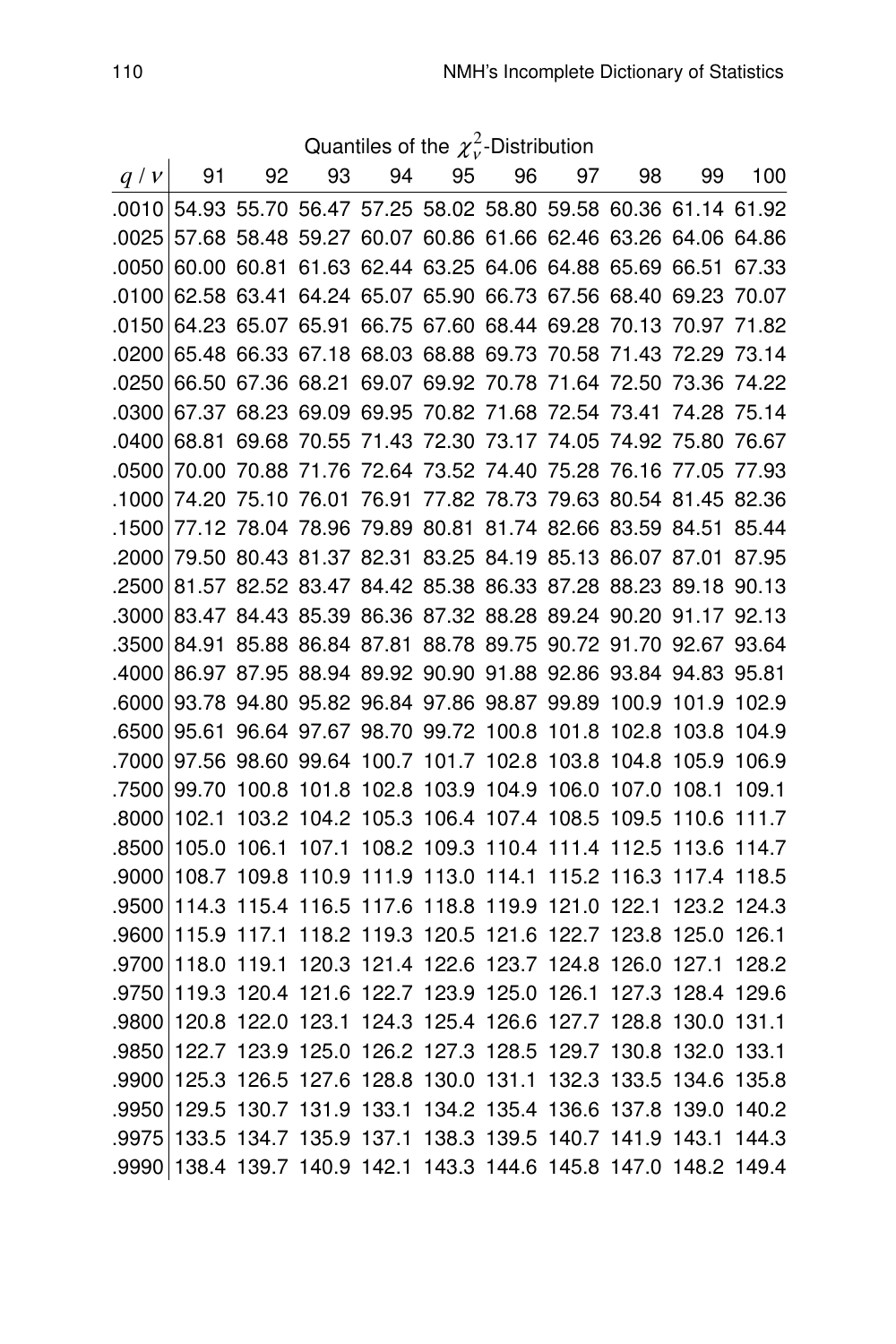Quantiles of the  $\chi^2_\nu$ -Distribution

| q/v   | 91          | 92          | 93                                                                | 94                                  | 95                      | 96 | 97          | 98    | 99                                  | 100         |
|-------|-------------|-------------|-------------------------------------------------------------------|-------------------------------------|-------------------------|----|-------------|-------|-------------------------------------|-------------|
|       |             |             | .0010 54.93 55.70 56.47 57.25 58.02 58.80 59.58 60.36 61.14 61.92 |                                     |                         |    |             |       |                                     |             |
| .0025 |             |             | 57.68 58.48 59.27 60.07 60.86 61.66 62.46 63.26 64.06 64.86       |                                     |                         |    |             |       |                                     |             |
| .0050 |             |             | 60.00 60.81 61.63 62.44 63.25 64.06 64.88 65.69 66.51 67.33       |                                     |                         |    |             |       |                                     |             |
| .0100 | 62.58 63.41 |             | 64.24 65.07 65.90 66.73 67.56 68.40 69.23 70.07                   |                                     |                         |    |             |       |                                     |             |
| .0150 |             |             | 64.23 65.07 65.91 66.75 67.60 68.44 69.28 70.13 70.97 71.82       |                                     |                         |    |             |       |                                     |             |
| .0200 |             |             | 65.48 66.33 67.18 68.03 68.88 69.73 70.58 71.43                   |                                     |                         |    |             |       | 72.29 73.14                         |             |
| .0250 |             |             | 66.50 67.36 68.21 69.07 69.92 70.78 71.64 72.50                   |                                     |                         |    |             |       | 73.36 74.22                         |             |
| .0300 |             |             | 67.37 68.23 69.09 69.95 70.82 71.68 72.54 73.41                   |                                     |                         |    |             |       | 74.28 75.14                         |             |
| .0400 | 68.81       |             | 69.68 70.55 71.43 72.30 73.17 74.05 74.92 75.80 76.67             |                                     |                         |    |             |       |                                     |             |
| .0500 | 70.00       |             | 70.88 71.76 72.64 73.52 74.40 75.28 76.16 77.05 77.93             |                                     |                         |    |             |       |                                     |             |
| .1000 | 74.20       |             | 75.10 76.01 76.91                                                 |                                     |                         |    |             |       | 77.82 78.73 79.63 80.54 81.45 82.36 |             |
| .1500 |             |             | 77.12 78.04 78.96 79.89 80.81 81.74 82.66 83.59 84.51 85.44       |                                     |                         |    |             |       |                                     |             |
| .2000 |             |             | 79.50 80.43 81.37 82.31 83.25 84.19 85.13 86.07 87.01 87.95       |                                     |                         |    |             |       |                                     |             |
| .2500 |             |             | 81.57 82.52 83.47 84.42 85.38 86.33 87.28 88.23 89.18 90.13       |                                     |                         |    |             |       |                                     |             |
| .3000 |             |             | 83.47 84.43 85.39 86.36 87.32 88.28 89.24 90.20 91.17 92.13       |                                     |                         |    |             |       |                                     |             |
| .3500 | 84.91       |             | 85.88 86.84 87.81 88.78 89.75 90.72 91.70 92.67 93.64             |                                     |                         |    |             |       |                                     |             |
| .4000 |             |             | 86.97 87.95 88.94 89.92 90.90 91.88 92.86 93.84 94.83 95.81       |                                     |                         |    |             |       |                                     |             |
| .6000 |             |             | 93.78 94.80 95.82 96.84 97.86 98.87 99.89 100.9 101.9 102.9       |                                     |                         |    |             |       |                                     |             |
| .6500 |             |             | 95.61 96.64 97.67 98.70 99.72 100.8 101.8 102.8                   |                                     |                         |    |             |       | 103.8 104.9                         |             |
| .7000 |             |             | 97.56 98.60 99.64 100.7 101.7 102.8 103.8 104.8                   |                                     |                         |    |             |       | 105.9 106.9                         |             |
| .7500 | 99.70       | 100.8       | 101.8 102.8 103.9 104.9 106.0 107.0                               |                                     |                         |    |             |       | 108.1                               | 109.1       |
| .8000 | 102.1       | 103.2       | 104.2 105.3 106.4 107.4 108.5 109.5                               |                                     |                         |    |             |       | 110.6 111.7                         |             |
| .8500 | 105.0       | 106.1       |                                                                   | 107.1 108.2 109.3 110.4 111.4 112.5 |                         |    |             |       | 113.6 114.7                         |             |
| .9000 | 108.7 109.8 |             | 110.9 111.9 113.0 114.1                                           |                                     |                         |    | 115.2 116.3 |       | 117.4 118.5                         |             |
| .9500 | 114.3       |             | 115.4 116.5 117.6 118.8 119.9 121.0 122.1                         |                                     |                         |    |             |       |                                     | 123.2 124.3 |
| .9600 | 115.9 117.1 |             | 118.2 119.3 120.5 121.6 122.7 123.8 125.0 126.1                   |                                     |                         |    |             |       |                                     |             |
| .9700 | 118.0       | 119.1       |                                                                   | 120.3 121.4 122.6 123.7 124.8 126.0 |                         |    |             |       | 127.1                               | 128.2       |
| .9750 | 119.3       | 120.4       | 121.6 122.7 123.9 125.0 126.1                                     |                                     |                         |    |             | 127.3 | 128.4 129.6                         |             |
| .9800 | 120.8       | 122.0       |                                                                   | 123.1 124.3 125.4 126.6 127.7 128.8 |                         |    |             |       | 130.0 131.1                         |             |
| .9850 |             | 122.7 123.9 | 125.0 126.2 127.3 128.5 129.7 130.8 132.0 133.1                   |                                     |                         |    |             |       |                                     |             |
| .9900 | 125.3 126.5 |             | 127.6 128.8 130.0 131.1 132.3 133.5 134.6 135.8                   |                                     |                         |    |             |       |                                     |             |
| .9950 |             |             | 129.5 130.7 131.9 133.1 134.2 135.4 136.6 137.8 139.0 140.2       |                                     |                         |    |             |       |                                     |             |
| .9975 | 133.5       |             | 134.7 135.9 137.1 138.3 139.5 140.7 141.9                         |                                     |                         |    |             |       | 143.1                               | 144.3       |
| .9990 |             |             | 138.4 139.7 140.9 142.1                                           |                                     | 143.3 144.6 145.8 147.0 |    |             |       | 148.2 149.4                         |             |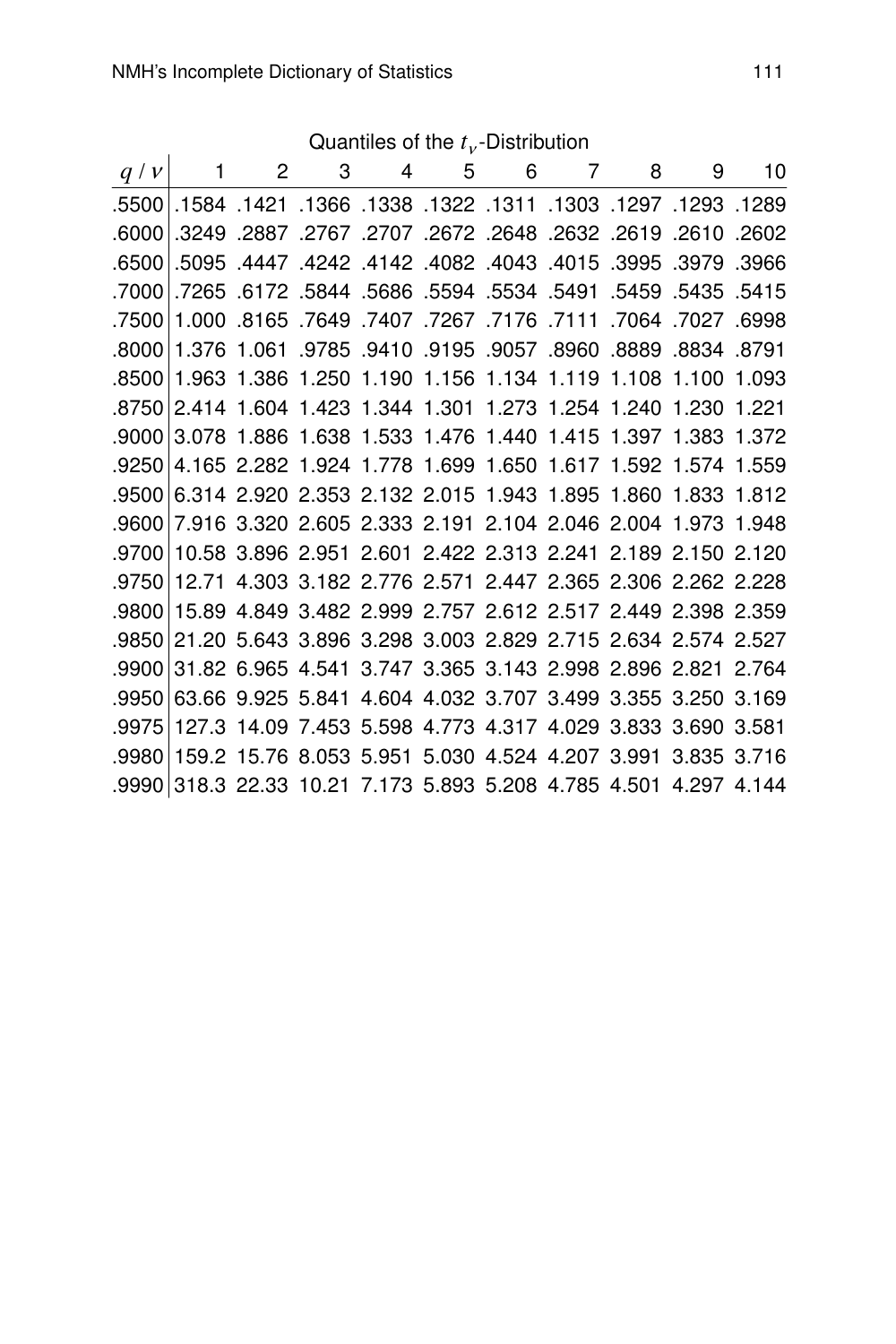|         |                                                                   |  |  | Quantiles of the $t_{\nu}$ -Distribution |  |                                                                   |  |
|---------|-------------------------------------------------------------------|--|--|------------------------------------------|--|-------------------------------------------------------------------|--|
| q/v     |                                                                   |  |  |                                          |  | 1 2 3 4 5 6 7 8 9 10                                              |  |
|         | 1289. 1293. 1297. 1303. 1311. 1322. 1338. 1584. 1421. 1584.       |  |  |                                          |  |                                                                   |  |
| .6000   |                                                                   |  |  |                                          |  | .2602 .2610 .2887 .2707 .2672 .2648 .2632 .2632 .2887 .2887       |  |
| .6500   |                                                                   |  |  |                                          |  | .3966. 3979. 3985. 4015. 4043. 4042. 4142. 4242. 4447. 5095.      |  |
| .7000   |                                                                   |  |  |                                          |  | .5415 .5435 .5491 .5534 .5594 .5534 .5594 .5594 .6172 .5844 .5686 |  |
| .7500   |                                                                   |  |  |                                          |  | 1.000 .8165 .7649 .7407 .7267 .7176 .7111 .7064 .8165 .000        |  |
| ا 8000. |                                                                   |  |  |                                          |  | 1.376 1.061 .9785 .9410 .9195 .9057 .8960 .8889 .8834 .8791       |  |
| .8500   |                                                                   |  |  |                                          |  | 1.963 1.386 1.250 1.190 1.156 1.134 1.119 1.108 1.100 1.093       |  |
| .8750   |                                                                   |  |  |                                          |  | 2.414 1.604 1.423 1.344 1.301 1.273 1.254 1.240 1.230 1.221       |  |
| .9000   |                                                                   |  |  |                                          |  | 3.078 1.886 1.638 1.533 1.476 1.440 1.415 1.397 1.383 1.372       |  |
| .9250   |                                                                   |  |  |                                          |  | 4.165 2.282 1.924 1.778 1.699 1.650 1.617 1.592 1.574 1.559       |  |
| .9500   |                                                                   |  |  |                                          |  | 6.314 2.920 2.353 2.132 2.015 1.943 1.895 1.860 1.833 1.812       |  |
| ا 9600. |                                                                   |  |  |                                          |  | 7.916 3.320 2.605 2.333 2.191 2.104 2.046 2.004 1.973 1.948       |  |
| .9700   |                                                                   |  |  |                                          |  | 10.58 3.896 2.951 2.601 2.422 2.313 2.241 2.189 2.150 2.120       |  |
| .9750   |                                                                   |  |  |                                          |  | 12.71 4.303 3.182 2.776 2.571 2.447 2.365 2.306 2.262 2.228       |  |
| .9800   |                                                                   |  |  |                                          |  | 15.89 4.849 3.482 2.999 2.757 2.612 2.517 2.449 2.398 2.359       |  |
| .9850   |                                                                   |  |  |                                          |  | 21.20 5.643 3.896 3.298 3.003 2.829 2.715 2.634 2.574 2.527       |  |
| .9900   |                                                                   |  |  |                                          |  | 31.82 6.965 4.541 3.747 3.365 3.143 2.998 2.896 2.821 2.764       |  |
| .9950   |                                                                   |  |  |                                          |  | 63.66 9.925 5.841 4.604 4.032 3.707 3.499 3.355 3.250 3.169       |  |
| .9975   |                                                                   |  |  |                                          |  | 127.3 14.09 7.453 5.598 4.773 4.317 4.029 3.833 3.690 3.581       |  |
|         | .9980 159.2 15.76 8.053 5.951 5.030 4.524 4.207 3.991 3.835 3.716 |  |  |                                          |  |                                                                   |  |

.9990 318.3 22.33 10.21 7.173 5.893 5.208 4.785 4.501 4.297 4.144

Quantiles of the  $t_v$ -Distribution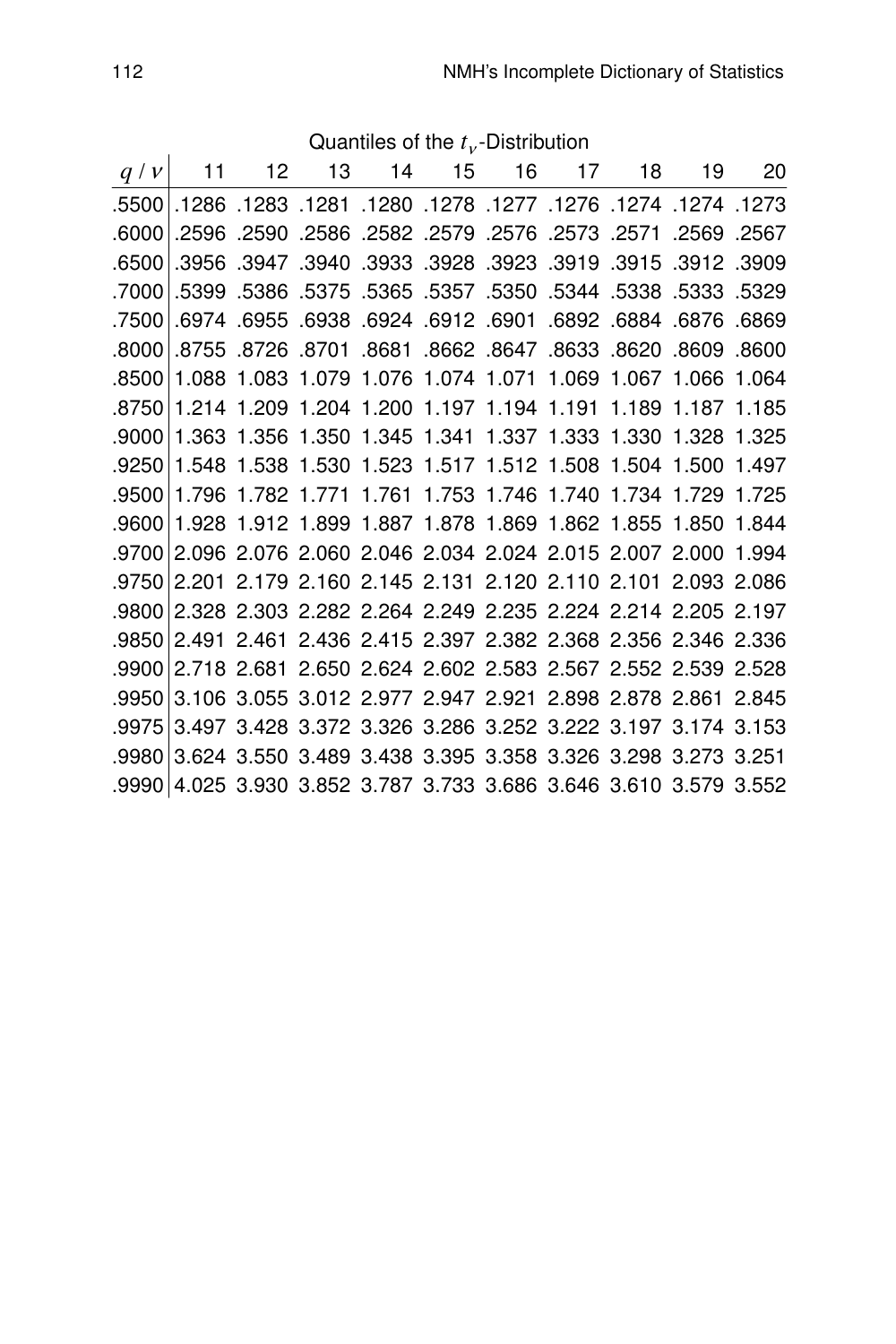|    |                                                                   |  | Quantiles of the $t_v$ -Distribution |  |  |       |
|----|-------------------------------------------------------------------|--|--------------------------------------|--|--|-------|
| 20 | $q/v$ 11 12 13 14 15 16 17 18 19                                  |  |                                      |  |  |       |
|    | 1273. 1274. 1274. 1276. 1277. 1278. 1280. 1281. 1283. 1286. 5500. |  |                                      |  |  |       |
|    | 2567. 2569. 2571. 2573. 2576. 2579. 2572. 2582. 2586. 2596. 2596. |  |                                      |  |  | .6000 |
|    | .3956 .3947 .3940 .3933 .3928 .3923 .3919 .3915 .3912 .3969.      |  |                                      |  |  | .6500 |
|    | .5329 .5323 .5375 .5357 .5350 .5350 .5344 .5399 .5386 .5375       |  |                                      |  |  | .7000 |
|    | .6869 .6876 .6974 .6912 .6901 .6901 .6992 .6974 .6955 .6938       |  |                                      |  |  | .7500 |
|    | .8609 .8609 .8726 .8701 .8662 .8647 .8633 .8738 .8755 .8755       |  |                                      |  |  | .8000 |
|    | 1.088 1.083 1.079 1.076 1.074 1.071 1.069 1.067 1.066 1.064       |  |                                      |  |  | .8500 |
|    | 1.214 1.209 1.204 1.200 1.197 1.194 1.191 1.189 1.187 1.185       |  |                                      |  |  | .8750 |
|    | 1.363 1.356 1.350 1.345 1.341 1.337 1.333 1.330 1.328 1.325       |  |                                      |  |  | .9000 |
|    | .9250 1.548 1.538 1.530 1.523 1.517 1.512 1.508 1.504 1.500 1.497 |  |                                      |  |  |       |
|    | 1.796 1.782 1.771 1.761 1.753 1.746 1.740 1.734 1.729 1.725       |  |                                      |  |  | .9500 |
|    | 1.928 1.912 1.899 1.887 1.878 1.869 1.862 1.855 1.850 1.844       |  |                                      |  |  | .9600 |
|    | .9700 2.096 2.076 2.060 2.046 2.034 2.024 2.015 2.007 2.000 1.994 |  |                                      |  |  |       |
|    | 2.201 2.179 2.160 2.145 2.131 2.120 2.110 2.101 2.093 2.086       |  |                                      |  |  | .9750 |
|    | 2.328 2.303 2.282 2.264 2.249 2.235 2.224 2.214 2.205 2.197       |  |                                      |  |  | .9800 |
|    | .9850 2.491 2.461 2.436 2.415 2.397 2.382 2.368 2.356 2.346 2.336 |  |                                      |  |  |       |
|    | 2.718 2.681 2.650 2.624 2.602 2.583 2.567 2.552 2.539 2.528       |  |                                      |  |  | .9900 |
|    | 3.106 3.055 3.012 2.977 2.947 2.921 2.898 2.878 2.861 2.845       |  |                                      |  |  | .9950 |
|    | 3.497 3.428 3.372 3.326 3.286 3.252 3.222 3.197 3.174 3.153       |  |                                      |  |  | .9975 |
|    | 3.624 3.550 3.489 3.438 3.395 3.358 3.326 3.298 3.273 3.251       |  |                                      |  |  | .9980 |
|    | .9990 4.025 3.930 3.852 3.787 3.733 3.686 3.646 3.610 3.579 3.552 |  |                                      |  |  |       |

Quantiles of the  $t_v$ -Distribution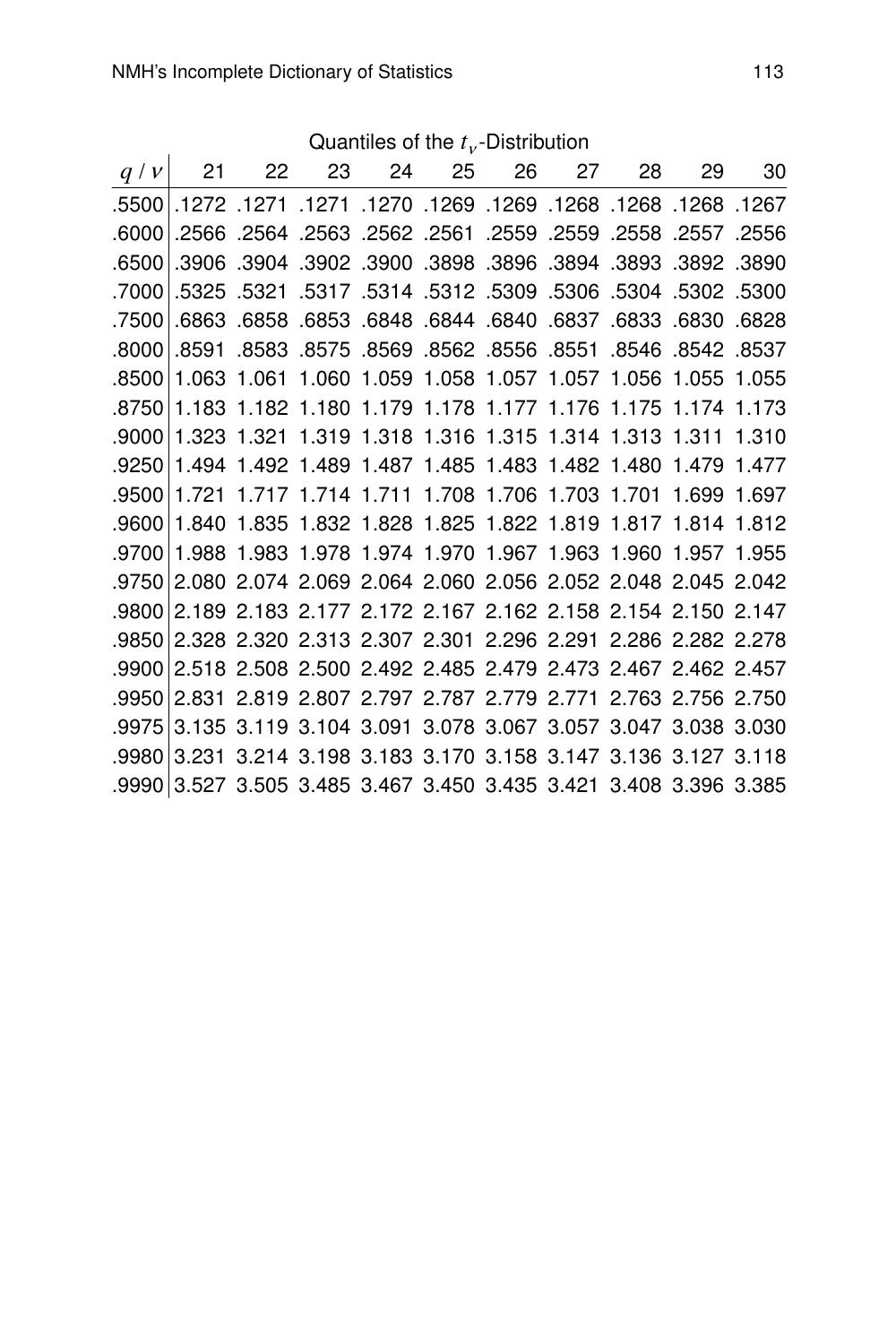Quantiles of the  $t_v$ -Distribution

| q/v    | 21    | 22    | 23 24 25 |                                                                    | 26 27 | 28 | 29 | 30    |
|--------|-------|-------|----------|--------------------------------------------------------------------|-------|----|----|-------|
|        |       |       |          | 1267. 1268. 1268. 1268. 1269. 1269. 1270. 1271. 1271. 1272. 15500. |       |    |    |       |
| .6000  |       |       |          | .2550 2557. 2568. 2559. 2559 2559. 2561. 2562. 2564. 2566. 2566.   |       |    |    |       |
| .6500  | .3906 |       |          | .3902 .3902 .3900 .3898 .3896 .3894 .3903 .3904 .3902              |       |    |    |       |
| .7000  |       |       |          | .5302 .5302 .5304 .5309 .5309 .5309 .5304 .5321 .5321 .5325.       |       |    |    |       |
| .7500  | .6863 |       |          | .6830 6833 6844 6840 6837 6833 6830                                |       |    |    | .6828 |
| .8000  | .8591 | .8583 |          | 8537. 842. 846. 8546. 8551. 8556. 8562. 8569. 8575.                |       |    |    |       |
| .8500  |       |       |          | 1.063 1.061 1.060 1.059 1.058 1.057 1.057 1.056 1.055 1.055        |       |    |    |       |
| .8750  |       |       |          | 1.183 1.182 1.180 1.179 1.178 1.177 1.176 1.175 1.174 1.173        |       |    |    |       |
| .9000  |       |       |          | 1.323 1.321 1.319 1.318 1.316 1.315 1.314 1.313 1.311              |       |    |    | 1.310 |
| .9250  |       |       |          | 1.494 1.492 1.489 1.487 1.485 1.483 1.482 1.480 1.479 1.477        |       |    |    |       |
| .9500  |       |       |          | 1.721 1.717 1.714 1.711 1.708 1.706 1.703 1.701 1.699 1.697        |       |    |    |       |
| .9600  | 1.840 |       |          | 1.835 1.832 1.828 1.825 1.822 1.819 1.817 1.814 1.812              |       |    |    |       |
| .9700  |       |       |          | 1.988 1.983 1.978 1.974 1.970 1.967 1.963 1.960 1.957 1.955        |       |    |    |       |
|        |       |       |          | .9750 2.080 2.074 2.069 2.064 2.060 2.056 2.052 2.048 2.045 2.042  |       |    |    |       |
| .9800. |       |       |          | 2.189 2.183 2.177 2.172 2.167 2.162 2.158 2.154 2.150 2.147        |       |    |    |       |
| .9850  |       |       |          | 2.328 2.320 2.313 2.307 2.301 2.296 2.291 2.286 2.282 2.278        |       |    |    |       |
|        |       |       |          | .9900 2.518 2.508 2.500 2.492 2.485 2.479 2.473 2.467 2.462 2.457  |       |    |    |       |
|        |       |       |          | .9950 2.831 2.819 2.807 2.797 2.787 2.779 2.771 2.763 2.756 2.750  |       |    |    |       |
| .9975  |       |       |          | 3.135 3.119 3.104 3.091 3.078 3.067 3.057 3.047 3.038 3.030        |       |    |    |       |
| .9980  |       |       |          | 3.231 3.214 3.198 3.183 3.170 3.158 3.147 3.136 3.127 3.118        |       |    |    |       |
|        |       |       |          | .9990 3.527 3.505 3.485 3.467 3.450 3.435 3.421 3.408 3.396 3.385  |       |    |    |       |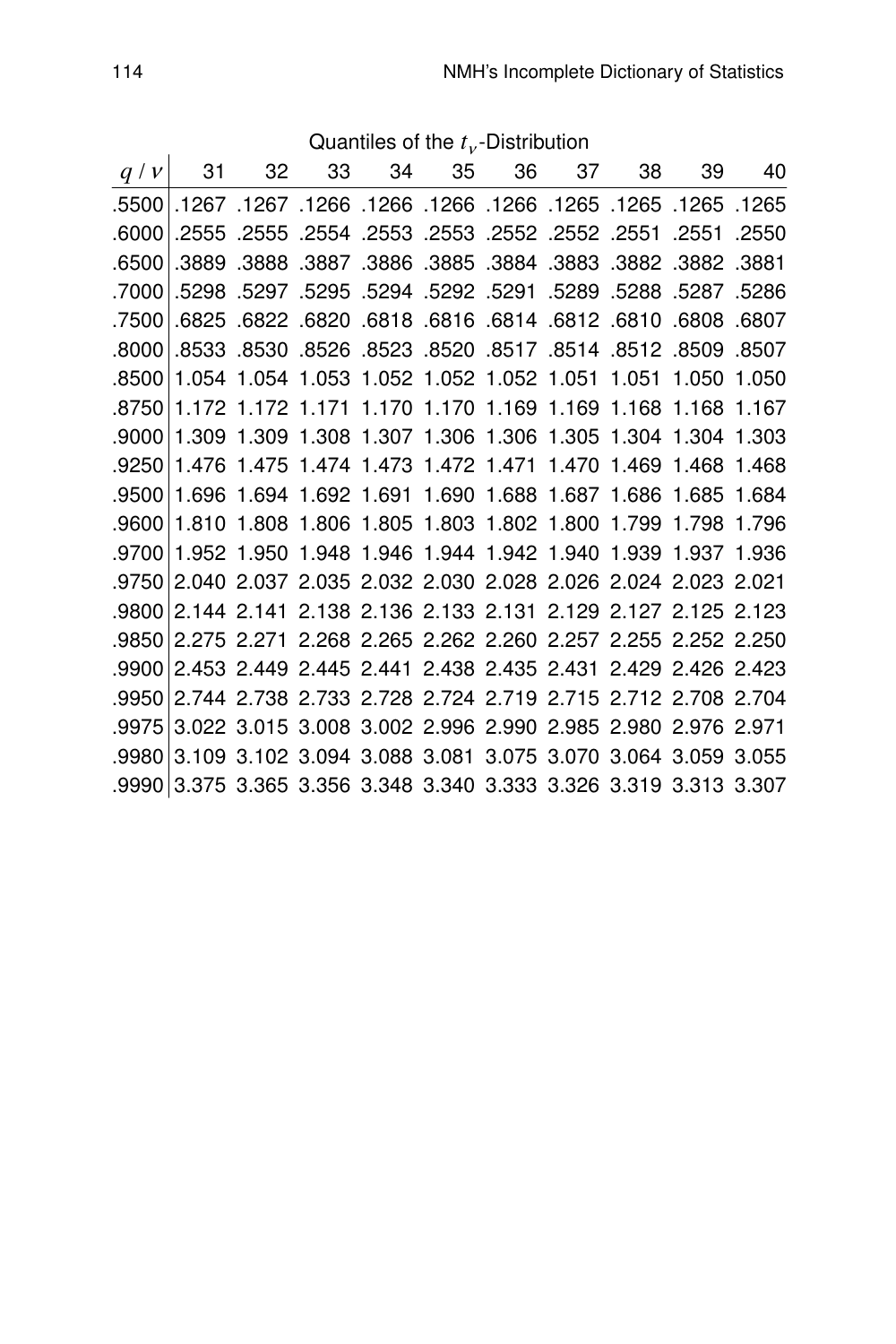| q/v   | 31    | 32 | 33                                               | 34 | 35 | 36 | 37 | 38    | 39                                                          | 40    |
|-------|-------|----|--------------------------------------------------|----|----|----|----|-------|-------------------------------------------------------------|-------|
| .5500 |       |    |                                                  |    |    |    |    |       | 1265. 1265. 1265. 1265. 1266. 1266. 1266. 1266. 1267. 1267. |       |
| .6000 |       |    | .2552 .2552 .2552 .2553 .2553 .2553 .2555. 2555. |    |    |    |    |       | .2551                                                       | .2550 |
| .6500 |       |    |                                                  |    |    |    |    |       | .3882 .3882 .3887 .3886 .3885 .3884 .3883 .3882 .3889 .3881 |       |
| .7000 |       |    |                                                  |    |    |    |    |       | .5286 5287 5298 5298. 5291 5292 5291 5289 5288. 5297 5298.  |       |
| .7500 | .6825 |    | .6812 .6820 .6818 .6816 .6814 .6812 .6820        |    |    |    |    |       | .6808.6807                                                  |       |
| .8000 |       |    |                                                  |    |    |    |    |       | 8509 8507 8533 8528 8528 8528 8528 8528 8548 8512 8509.     |       |
| .8500 |       |    | 1.054 1.054 1.053 1.052 1.052 1.052 1.051 1.051  |    |    |    |    |       | 1.050 1.050                                                 |       |
| .8750 |       |    |                                                  |    |    |    |    |       | 1.172 1.172 1.171 1.170 1.170 1.169 1.169 1.168 1.168 1.167 |       |
| .9000 |       |    |                                                  |    |    |    |    |       | 1.309 1.309 1.308 1.307 1.306 1.306 1.305 1.304 1.304 1.303 |       |
| .9250 |       |    | 1.476 1.475 1.474 1.473 1.472 1.471 1.470 1.469  |    |    |    |    |       | 1.468                                                       | 1.468 |
| .9500 |       |    | 1.696 1.694 1.692 1.691 1.690 1.688 1.687 1.686  |    |    |    |    |       | 1.685 1.684                                                 |       |
| .9600 |       |    | 1.810 1.808 1.806 1.805 1.803 1.802 1.800        |    |    |    |    | 1.799 | 1.798                                                       | 1.796 |
| .9700 |       |    |                                                  |    |    |    |    |       | 1.952 1.950 1.948 1.946 1.944 1.942 1.940 1.939 1.937 1.936 |       |
| .9750 |       |    |                                                  |    |    |    |    |       | 2.040 2.037 2.035 2.032 2.030 2.028 2.026 2.024 2.023 2.021 |       |
| .9800 |       |    |                                                  |    |    |    |    |       | 2.144 2.141 2.138 2.136 2.133 2.131 2.129 2.127 2.125 2.123 |       |
| .9850 |       |    |                                                  |    |    |    |    |       | 2.275 2.271 2.268 2.265 2.262 2.260 2.257 2.255 2.252 2.250 |       |
| .9900 |       |    |                                                  |    |    |    |    |       | 2.453 2.449 2.445 2.441 2.438 2.435 2.431 2.429 2.426 2.423 |       |
| .9950 |       |    |                                                  |    |    |    |    |       | 2.744 2.738 2.733 2.728 2.724 2.719 2.715 2.712 2.708 2.704 |       |
| .9975 |       |    |                                                  |    |    |    |    |       | 3.022 3.015 3.008 3.002 2.996 2.990 2.985 2.980 2.976 2.971 |       |
| .9980 |       |    |                                                  |    |    |    |    |       | 3.109 3.102 3.094 3.088 3.081 3.075 3.070 3.064 3.059 3.055 |       |
| .9990 |       |    |                                                  |    |    |    |    |       | 3.375 3.365 3.356 3.348 3.340 3.333 3.326 3.319 3.313 3.307 |       |

Quantiles of the  $t_v$ -Distribution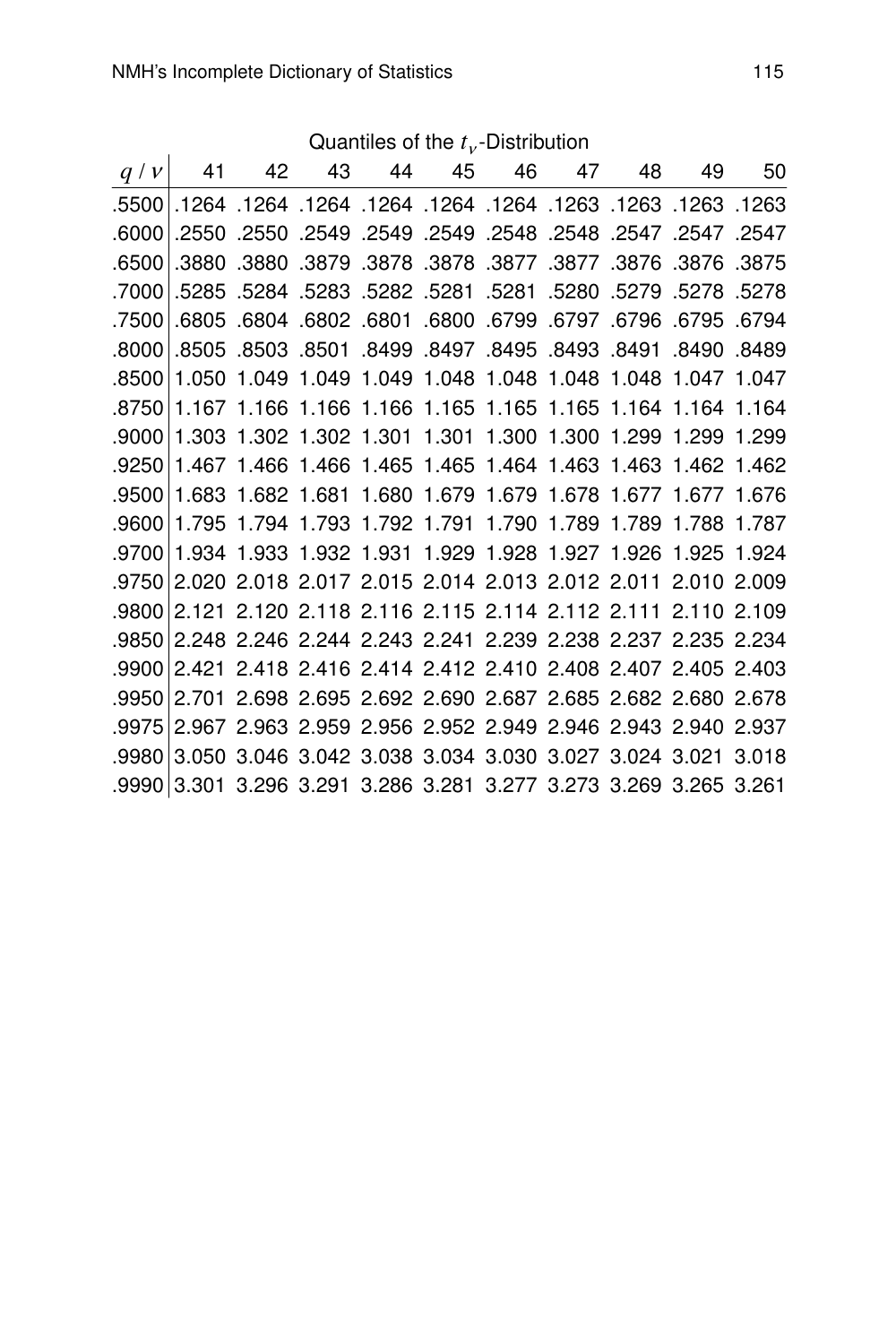Quantiles of the  $t_v$ -Distribution

| q/v     | 41    | 42 | 43 44 | 45 |                                           | 46 47 | 48 | 49                                                                     | 50 |
|---------|-------|----|-------|----|-------------------------------------------|-------|----|------------------------------------------------------------------------|----|
|         |       |    |       |    |                                           |       |    | 1263. 1263. 1263. 1263. 1264. 1264. 1264. 1264. 1264. 1264. 5500.      |    |
| .6000   |       |    |       |    |                                           |       |    | 2547. 2547. 2547. 2548. 2548. 2549. 2549. 2549. 2550. 2550. 2550.      |    |
| .6500   | .3880 |    |       |    |                                           |       |    | .3876. 3876. 3876. 3877. 3877. 3877. 3880. 3879. 3878.                 |    |
|         |       |    |       |    |                                           |       |    | .7000 5278. 5289. 5280 5281. 5281. 5282. 5282. 5284. 5284. 5285. 7000. |    |
| .7500   |       |    |       |    |                                           |       |    | 6795. 6795. 6796. 6797. 6799. 6799. 6801. 6802. 6804. 6805. 6805.      |    |
| .8000   | .8505 |    |       |    | .8493 .8494 .8499 .8497 .8495 .8493 .8503 |       |    | .8490 .8489                                                            |    |
| .8500   |       |    |       |    |                                           |       |    | 1.050 1.049 1.049 1.049 1.048 1.048 1.048 1.048 1.047 1.047            |    |
|         |       |    |       |    |                                           |       |    | .8750 1.167 1.166 1.166 1.166 1.165 1.165 1.165 1.164 1.164 1.164      |    |
| .9000   |       |    |       |    |                                           |       |    | 1.303 1.302 1.302 1.301 1.301 1.300 1.300 1.299 1.299 1.299            |    |
| ا 9250. |       |    |       |    |                                           |       |    | 1.467 1.466 1.466 1.465 1.465 1.464 1.463 1.463 1.462 1.462            |    |
|         |       |    |       |    |                                           |       |    | .9500 1.683 1.682 1.681 1.680 1.679 1.679 1.678 1.677 1.677 1.676      |    |
|         |       |    |       |    |                                           |       |    | .9600 1.795 1.794 1.793 1.792 1.791 1.790 1.789 1.789 1.788 1.787      |    |
|         |       |    |       |    |                                           |       |    | .9700 1.934 1.933 1.932 1.931 1.929 1.928 1.927 1.926 1.925 1.924      |    |
|         |       |    |       |    |                                           |       |    | .9750 2.020 2.018 2.017 2.015 2.014 2.013 2.012 2.011 2.010 2.009      |    |
|         |       |    |       |    |                                           |       |    | .9800 2.121 2.120 2.118 2.116 2.115 2.114 2.112 2.111 2.110 2.109      |    |
|         |       |    |       |    |                                           |       |    | .9850 2.248 2.246 2.244 2.243 2.241 2.239 2.238 2.237 2.235 2.234      |    |
|         |       |    |       |    |                                           |       |    | .9900 2.421 2.418 2.416 2.414 2.412 2.410 2.408 2.407 2.405 2.403      |    |
|         |       |    |       |    |                                           |       |    | .9950 2.701 2.698 2.695 2.692 2.690 2.687 2.685 2.682 2.680 2.678      |    |
| .9975   |       |    |       |    |                                           |       |    | 2.967 2.963 2.959 2.956 2.952 2.949 2.946 2.943 2.940 2.937            |    |
| ا 9980. |       |    |       |    |                                           |       |    | 3.050 3.046 3.042 3.038 3.034 3.030 3.027 3.024 3.021 3.018            |    |
|         |       |    |       |    |                                           |       |    | .9990 3.301 3.296 3.291 3.286 3.281 3.277 3.273 3.269 3.265 3.261      |    |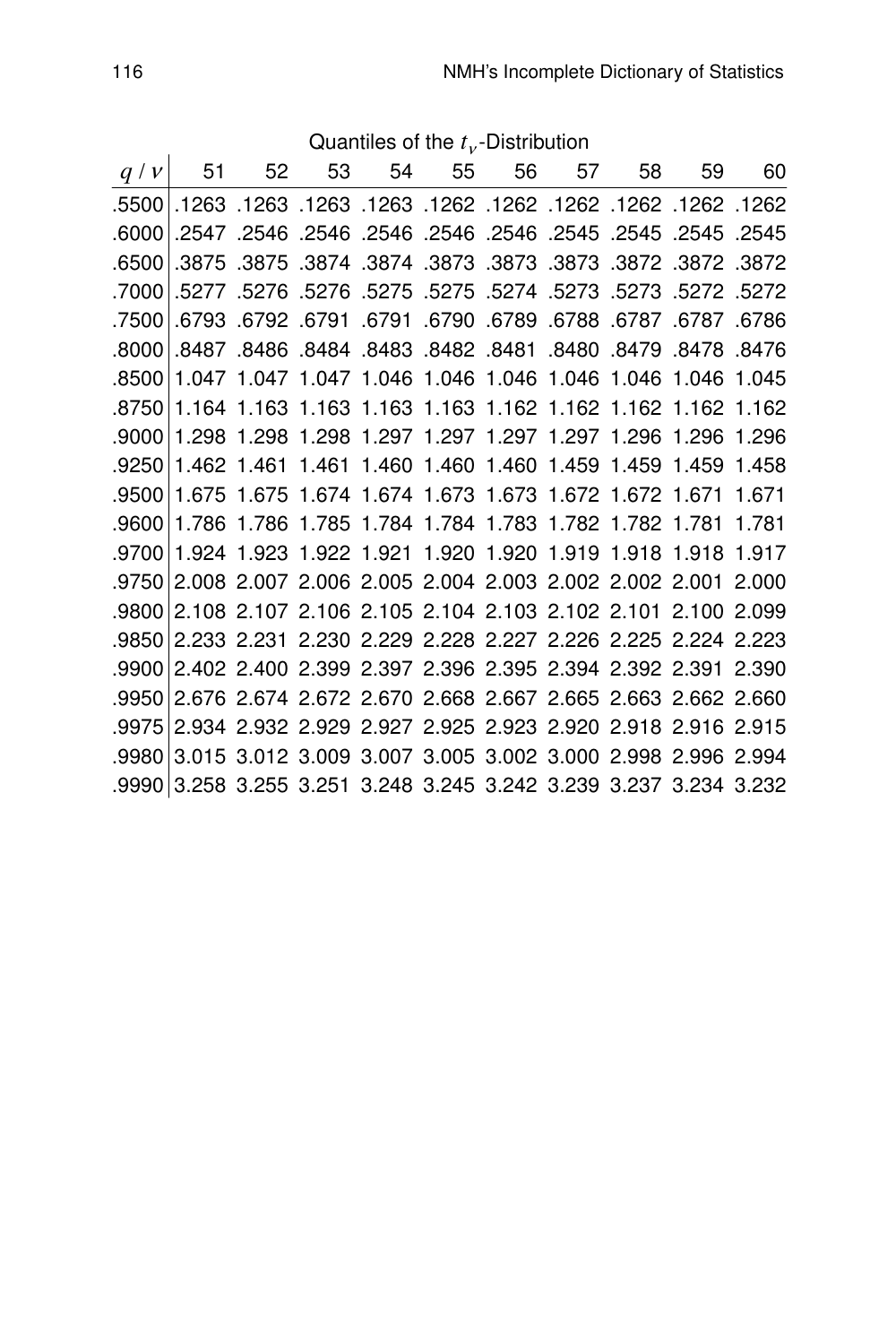| q/v   | 51          | 52         | 53 | 54 | 55 | 56                                                                 | 57 | 58    | 59    | 60     |
|-------|-------------|------------|----|----|----|--------------------------------------------------------------------|----|-------|-------|--------|
| .5500 |             |            |    |    |    | 1262. 1262. 1262. 1262. 1262. 1262. 1263. 1263. 1263. 1263.        |    |       |       |        |
| .6000 |             | .2547.2546 |    |    |    | .2546 .2546 .2546 .2546 .2546                                      |    | .2545 | .2545 | 2545   |
| .6500 |             |            |    |    |    | .3875 .3875 .3874 .3874 .3873 .3873 .3873 .3872 .3872 .3875 .3874  |    |       |       |        |
| .7000 |             |            |    |    |    | .5272 .5272 .5273 .5273 .5274 .5275 .5275 .5275 .5276 .5277. 5277. |    |       |       |        |
| .7500 |             |            |    |    |    | 6787. 6787. 6788. 6789. 6790. 6791. 6791. 6793. 6793. 6793.        |    |       |       | 6786   |
| .8000 | .8487       |            |    |    |    | .8480 8481 8483 8482 8481 8480                                     |    | .8479 | .8478 | .8476  |
| .8500 |             |            |    |    |    | 1.047 1.047 1.047 1.046 1.046 1.046 1.046 1.046 1.046              |    |       |       | 1.045  |
| .8750 |             |            |    |    |    | 1.164 1.163 1.163 1.163 1.163 1.162 1.162 1.162 1.162 1.162        |    |       |       |        |
| .9000 |             |            |    |    |    | 1.298 1.298 1.298 1.297 1.297 1.297 1.297 1.296                    |    |       | 1.296 | 1.296  |
| .9250 | 1.462 1.461 |            |    |    |    | 1.461 1.460 1.460 1.460 1.459 1.459                                |    |       | 1.459 | 1.458  |
| .9500 |             |            |    |    |    | 1.675 1.675 1.674 1.674 1.673 1.673 1.672 1.672 1.671              |    |       |       | 1.671  |
| .9600 |             |            |    |    |    | 1.786 1.786 1.785 1.784 1.784 1.783 1.782 1.782 1.781              |    |       |       | 1 781  |
| .9700 |             |            |    |    |    | 1.924 1.923 1.922 1.921 1.920 1.920 1.919 1.918 1.918              |    |       |       | 1.917  |
| .9750 |             |            |    |    |    | 2.008 2.007 2.006 2.005 2.004 2.003 2.002 2.002 2.001              |    |       |       | 2.000  |
| .9800 |             |            |    |    |    | 2.108 2.107 2.106 2.105 2.104 2.103 2.102 2.101 2.100 2.099        |    |       |       |        |
| .9850 |             |            |    |    |    | 2.233 2.231 2.230 2.229 2.228 2.227 2.226 2.225 2.224 2.223        |    |       |       |        |
| .9900 |             |            |    |    |    | 2.402 2.400 2.399 2.397 2.396 2.395 2.394 2.392 2.391              |    |       |       | -2.390 |
| .9950 |             |            |    |    |    | 2.676 2.674 2.672 2.670 2.668 2.667 2.665 2.663 2.662 2.660        |    |       |       |        |
| .9975 |             |            |    |    |    | 2.934 2.932 2.929 2.927 2.925 2.923 2.920 2.918 2.916 2.915        |    |       |       |        |
| .9980 |             |            |    |    |    | 3.015 3.012 3.009 3.007 3.005 3.002 3.000 2.998 2.996 2.994        |    |       |       |        |
| .9990 |             |            |    |    |    | 3.258 3.255 3.251 3.248 3.245 3.242 3.239 3.237 3.234 3.232        |    |       |       |        |

Quantiles of the  $t_v$ -Distribution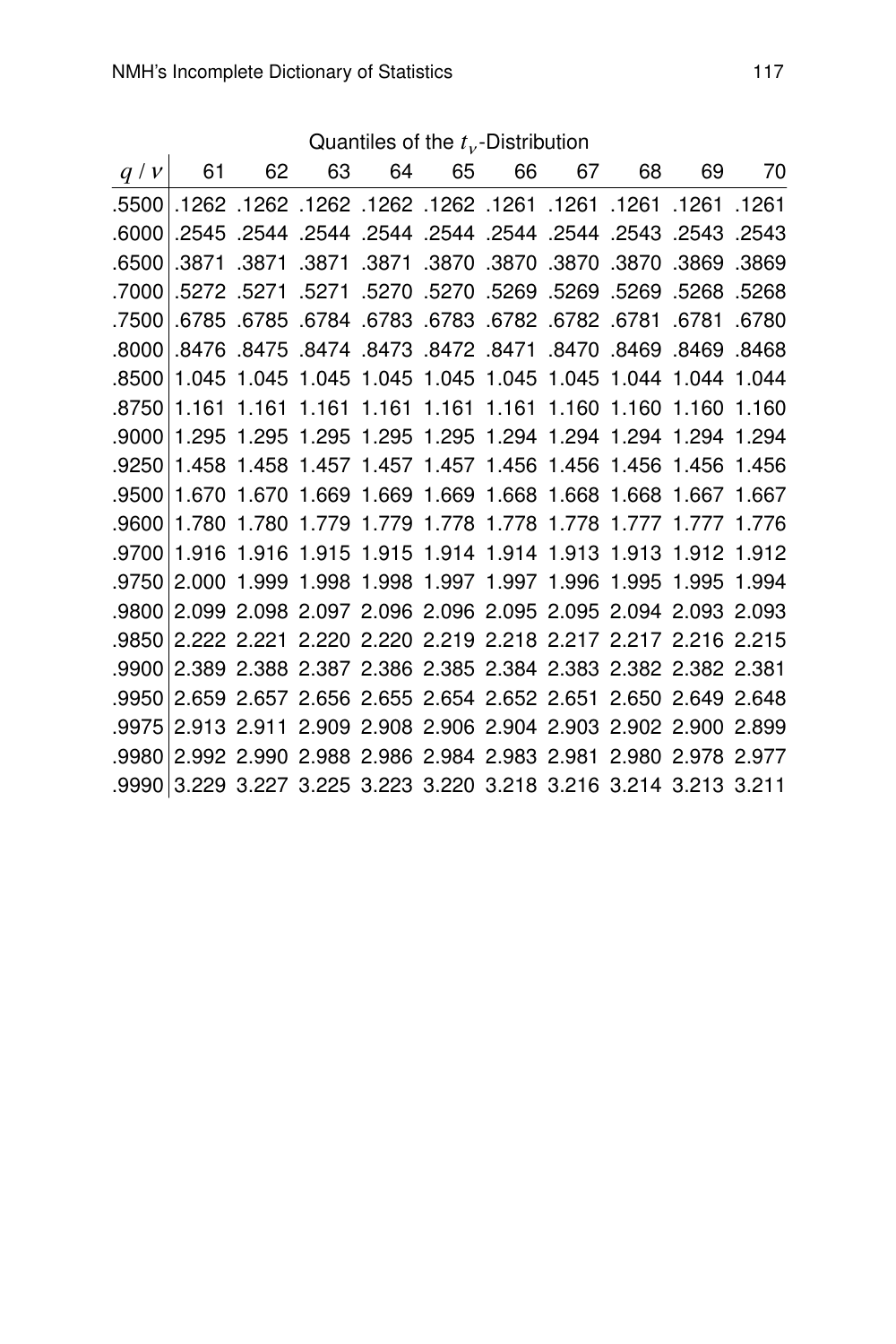|                                                                   |  |  | U |  |         |
|-------------------------------------------------------------------|--|--|---|--|---------|
| $q/v$ 61 62 63 64 65 66 67 68 69 70                               |  |  |   |  |         |
| 1261. 1261. 1261. 1261. 1261. 1262. 1262. 1262. 1262. 1262. 5500. |  |  |   |  |         |
| 2543. 2543. 2543. 2544. 2544. 2544. 2544. 2544. 2544. 2545. 2545. |  |  |   |  | .6000   |
| .3870 .3870 .3870 .3870 .3870 .3870 .3870 .3871 .3871 .3871       |  |  |   |  | .6500   |
| .5268 .5268 .5270 .5269 .5269 .5269 .5270 .5271 .5271 .5271       |  |  |   |  | ا 7000. |
| .6781 .6781 .6781 .6782 .6782 .6783 .6783 .6784 .6785 .6785       |  |  |   |  | .7500   |
| 8469. 8469. 8479. 8470. 8471. 8472. 8474. 8478. 8476. 8476. 8476. |  |  |   |  | .8000   |
| .8500 1.045 1.045 1.045 1.045 1.045 1.045 1.045 1.044 1.044 1.044 |  |  |   |  |         |
| 1.161 1.161 1.161 1.161 1.161 1.161 1.160 1.160 1.160 1.160       |  |  |   |  | .8750   |
| .9000 1.295 1.295 1.295 1.295 1.295 1.294 1.294 1.294 1.294 1.294 |  |  |   |  |         |
| .9250 1.458 1.458 1.457 1.457 1.457 1.456 1.456 1.456 1.456 1.456 |  |  |   |  |         |
| 1.670 1.670 1.669 1.669 1.669 1.668 1.668 1.668 1.667 1.667       |  |  |   |  | .9500   |
| 1.780 1.780 1.779 1.779 1.778 1.778 1.778 1.777 1.777 1.776       |  |  |   |  | .9600   |
| .9700 1.916 1.916 1.915 1.915 1.914 1.914 1.913 1.913 1.912 1.912 |  |  |   |  |         |
| 2.000 1.999 1.998 1.998 1.997 1.997 1.996 1.995 1.995 1.994       |  |  |   |  | .9750   |
| 2.099 2.098 2.097 2.096 2.096 2.095 2.095 2.094 2.093 2.093       |  |  |   |  | .9800   |
| 2.222 2.221 2.220 2.220 2.219 2.218 2.217 2.217 2.216 2.215       |  |  |   |  | .9850   |
| 2.389 2.388 2.387 2.386 2.385 2.384 2.383 2.382 2.382 2.381       |  |  |   |  | .9900   |
| 2.659 2.657 2.656 2.655 2.654 2.652 2.651 2.650 2.649 2.648       |  |  |   |  | .9950   |
| 2.913 2.911 2.909 2.908 2.906 2.904 2.903 2.902 2.900 2.899       |  |  |   |  | .9975   |
| 2.992 2.990 2.988 2.986 2.984 2.983 2.981 2.980 2.978 2.977       |  |  |   |  | .9980   |
| .9990 3.229 3.227 3.225 3.223 3.220 3.218 3.216 3.214 3.213 3.211 |  |  |   |  |         |

Quantiles of the  $t_v$ -Distribution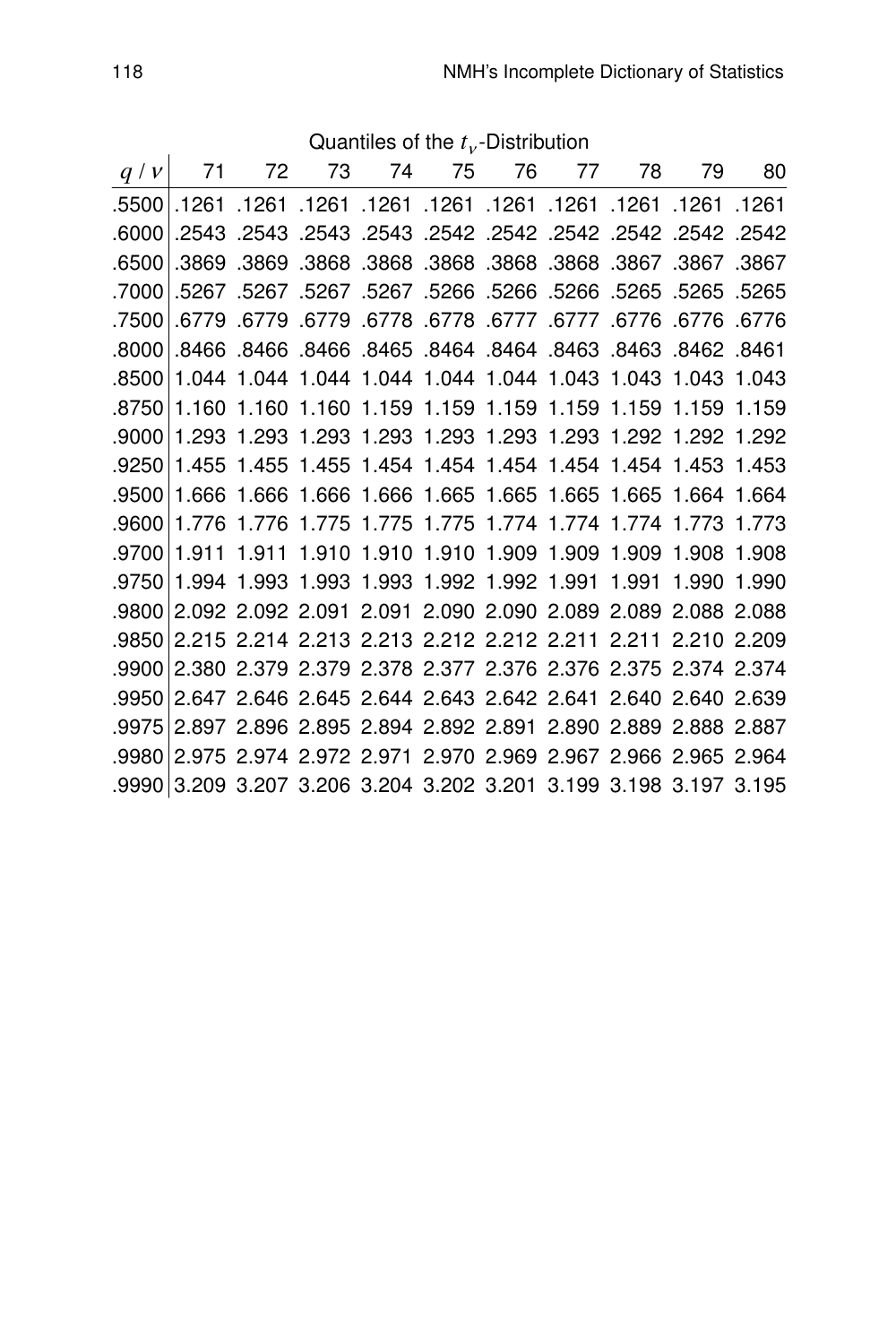|                                                                   |  | Quantiles of the $t_v$ -Distribution |  |  |       |
|-------------------------------------------------------------------|--|--------------------------------------|--|--|-------|
| $q/v$ 71 72 73 74 75 76 77 78 79 80                               |  |                                      |  |  |       |
| 1261. 1261. 1261. 1261. 1261. 1261. 1261. 1261. 1261. 1261. 1261. |  |                                      |  |  |       |
| 2542. 2542. 2542. 2542. 2542. 2542. 2543. 2543. 2543. 2543. 2543. |  |                                      |  |  | .6000 |
| .3867 .3867 .3868 .3868 .3868 .3868 .3868 .3869 .3869 .3869       |  |                                      |  |  | .6500 |
| .5265 .5265 .5265 .5266 .5266 .5266 .5266 .5267 .5267 .5267 .5267 |  |                                      |  |  | .7000 |
| .6776 6778 6779. 6777 777. 6777 6778 6778. 6779 6779. 6779.       |  |                                      |  |  | .7500 |
| 8462. 8462. 8468. 8463. 8464. 8464. 8465. 8466. 8466. 8466. 8466. |  |                                      |  |  | .8000 |
| 8500 1.044 1.044 1.044 1.044 1.044 1.044 1.043 1.043 1.043 1.043  |  |                                      |  |  |       |
| 1.160 1.160 1.160 1.159 1.159 1.159 1.159 1.159 1.159 1.159       |  |                                      |  |  | .8750 |
| 1.293 1.293 1.293 1.293 1.293 1.293 1.293 1.292 1.292 1.292       |  |                                      |  |  | .9000 |
| 1.455 1.455 1.455 1.454 1.454 1.454 1.454 1.454 1.453 1.453       |  |                                      |  |  | .9250 |
| 1.666 1.666 1.666 1.666 1.665 1.665 1.665 1.665 1.664 1.664       |  |                                      |  |  | .9500 |
| 1.776 1.776 1.775 1.775 1.775 1.774 1.774 1.774 1.773 1.773       |  |                                      |  |  | .9600 |
| .9700 1.911 1.911 1.910 1.910 1.910 1.909 1.909 1.909 1.908 1.908 |  |                                      |  |  |       |
| 1.994 1.993 1.993 1.993 1.992 1.992 1.991 1.991 1.990 1.990       |  |                                      |  |  | .9750 |
| 2.092 2.092 2.091 2.091 2.090 2.090 2.089 2.089 2.088 2.088       |  |                                      |  |  | .9800 |
| 2.215 2.214 2.213 2.213 2.212 2.212 2.211 2.211 2.210 2.209       |  |                                      |  |  | .9850 |
| 2.380 2.379 2.379 2.378 2.377 2.376 2.376 2.375 2.374 2.374       |  |                                      |  |  | .9900 |
| 2.647 2.646 2.645 2.644 2.643 2.642 2.641 2.640 2.640 2.639       |  |                                      |  |  | .9950 |
| 2.897 2.896 2.895 2.894 2.892 2.891 2.890 2.889 2.888 2.887       |  |                                      |  |  | .9975 |
| 2.975 2.974 2.972 2.971 2.970 2.969 2.967 2.966 2.965 2.964       |  |                                      |  |  | .9980 |
| .9990 3.209 3.207 3.206 3.204 3.202 3.201 3.199 3.198 3.197 3.195 |  |                                      |  |  |       |

Quantiles of the  $t_v$ -Distribution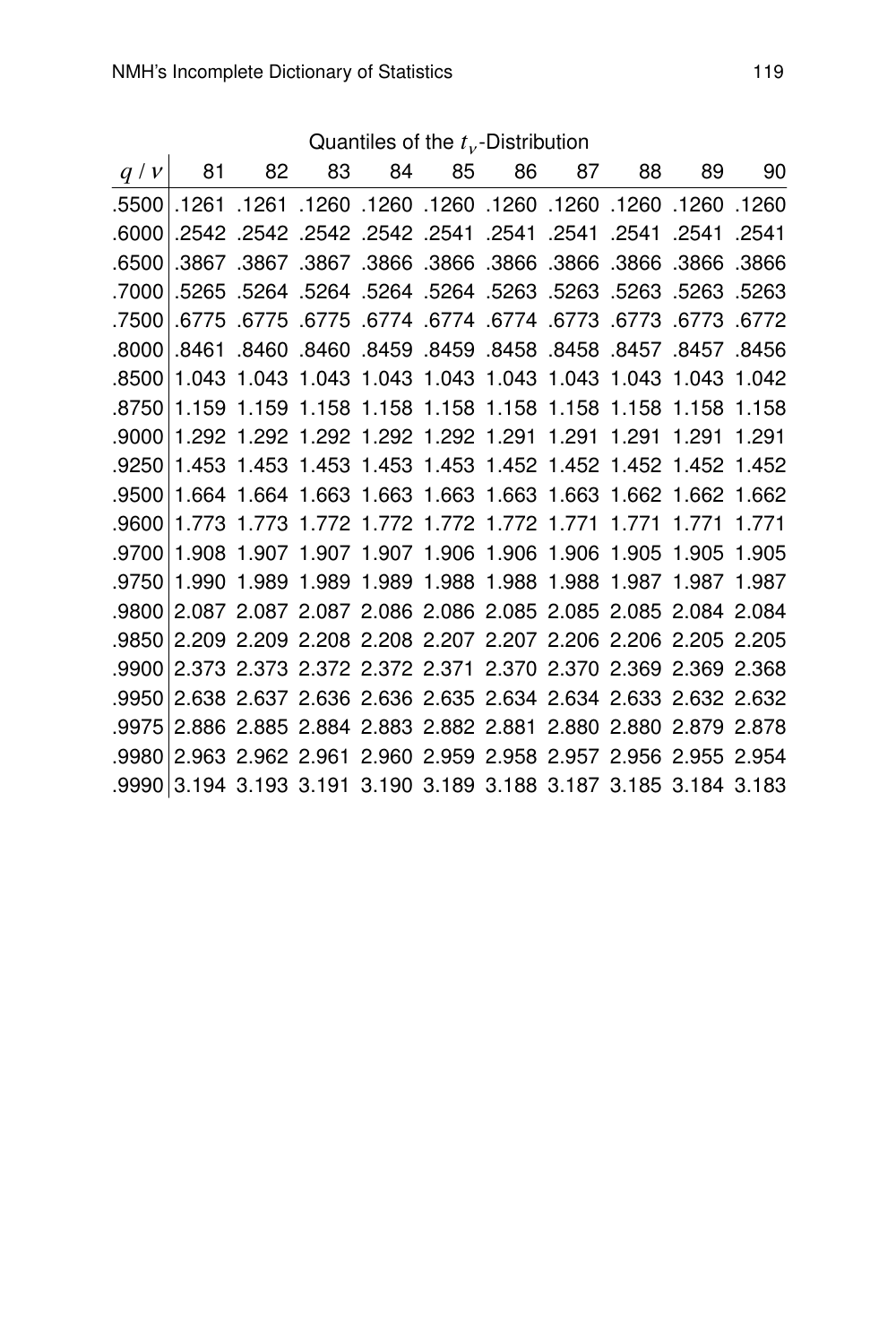Quantiles of the  $t_v$ -Distribution

| q/v     |       |  |  | 81 82 83 84 85 86 87                                              | 88 | 89    | 90    |
|---------|-------|--|--|-------------------------------------------------------------------|----|-------|-------|
|         |       |  |  | 1260. 1260. 1260. 1260. 1260. 1260. 1260. 1260. 1261. 1261. 5500. |    |       |       |
| .6000   |       |  |  | 2541. 2541. 2541. 2541. 2541. 2541. 2542. 2542. 2542. 2542. 2542. |    |       |       |
| .6500   |       |  |  | .3866. 3866. 3866. 3866. 3866. 3867. 3867. 3867.                  |    | .3866 | .3866 |
|         |       |  |  | .7000 5263. 5263. 5263. 5263. 5264. 5264. 5264. 5264. 5265. 7000. |    |       |       |
|         |       |  |  | 6772. 6773. 6773. 6773. 6774. 6774. 6774. 6775. 6775. 6775. 6775. |    |       |       |
| .8000   | .8461 |  |  | 8450. 8457. 8457. 8458. 8458. 8458. 8459. 8460. 8460.             |    |       |       |
| .8500 l |       |  |  | 1.043 1.043 1.043 1.043 1.043 1.043 1.043 1.043 1.043 1.042       |    |       |       |
|         |       |  |  | .8750 1.159 1.159 1.158 1.158 1.158 1.158 1.158 1.158 1.158 1.158 |    |       |       |
|         |       |  |  | .9000 1.292 1.292 1.292 1.292 1.292 1.291 1.291 1.291 1.291 1.291 |    |       |       |
| .9250   |       |  |  | 1.453 1.453 1.453 1.453 1.453 1.452 1.452 1.452 1.452 1.452       |    |       |       |
|         |       |  |  | .9500 1.664 1.664 1.663 1.663 1.663 1.663 1.663 1.662 1.662 1.662 |    |       |       |
| .9600   |       |  |  | 1.773 1.773 1.772 1.772 1.772 1.772 1.771 1.771 1.771 1.771       |    |       |       |
| .9700   |       |  |  | 1.908 1.907 1.907 1.907 1.906 1.906 1.906 1.905 1.905 1.905       |    |       |       |
|         |       |  |  | .9750 1.990 1.989 1.989 1.989 1.988 1.988 1.988 1.987 1.987 1.987 |    |       |       |
|         |       |  |  | .9800 2.087 2.087 2.087 2.086 2.086 2.085 2.085 2.085 2.084 2.084 |    |       |       |
|         |       |  |  | .9850 2.209 2.209 2.208 2.208 2.207 2.207 2.206 2.206 2.205 2.205 |    |       |       |
|         |       |  |  | .9900 2.373 2.373 2.372 2.372 2.371 2.370 2.370 2.369 2.369 2.368 |    |       |       |
|         |       |  |  | .9950 2.638 2.637 2.636 2.636 2.635 2.634 2.634 2.633 2.632 2.632 |    |       |       |
| .9975   |       |  |  | 2.886 2.885 2.884 2.883 2.882 2.881 2.880 2.880 2.879 2.878       |    |       |       |
|         |       |  |  | .9980 2.963 2.962 2.961 2.960 2.959 2.958 2.957 2.956 2.955 2.954 |    |       |       |
|         |       |  |  | .9990 3.194 3.193 3.191 3.190 3.189 3.188 3.187 3.185 3.184 3.183 |    |       |       |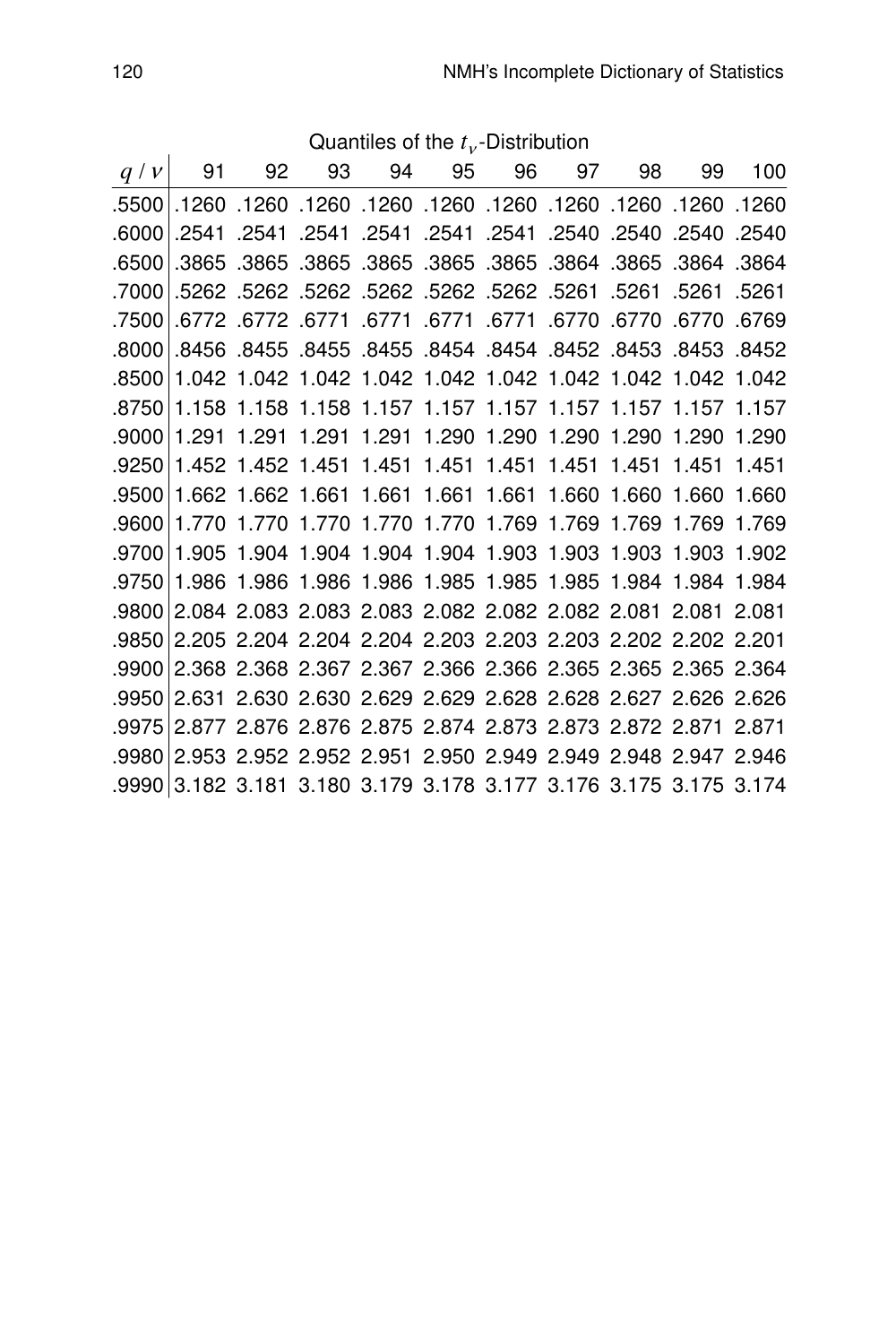| q/v   | 91 | 92 | 93 | 94 | 95 | 96                                                                | 97 | 98    | 99          | 100   |
|-------|----|----|----|----|----|-------------------------------------------------------------------|----|-------|-------------|-------|
| .5500 |    |    |    |    |    | .1260 1260. 1260 1260 1260 1260. 1260 1260. 1260. 1260. 1260      |    |       |             |       |
| .6000 |    |    |    |    |    | .2540 2540. 2541. 2541. 2541. 2541. 2541. 2541.                   |    |       | .2540.2540  |       |
| .6500 |    |    |    |    |    | .3865 .3865 .3865 .3865 .3865 .3865 .3864 .3865                   |    |       | .3864 .3864 |       |
| .7000 |    |    |    |    |    | .5261 .5261 .5261 .5261 .5262 .5262 .5262 .5262 .5262 .5262. 5262 |    |       |             |       |
| .7500 |    |    |    |    |    | .6770 .6770 .6771 .6771 .6771 .6771 .6772 .6772 .6772             |    |       | .6770       | .6769 |
| .8000 |    |    |    |    |    | 8452 8453 8453 8454 8454 8454 8452 8453 8455 8455 8455.           |    |       |             |       |
| .8500 |    |    |    |    |    | 1.042 1.042 1.042 1.042 1.042 1.042 1.042 1.042 1.042 1.042       |    |       |             |       |
| .8750 |    |    |    |    |    | 1.158 1.158 1.158 1.157 1.157 1.157 1.157 1.157 1.157 1.157       |    |       |             |       |
| .9000 |    |    |    |    |    | 1.291 1.291 1.291 1.291 1.290 1.290 1.290 1.290 1.290 1.290       |    |       |             |       |
| .9250 |    |    |    |    |    | 1.452 1.452 1.451 1.451 1.451 1.451 1.451 1.451                   |    |       | 1.451 1.451 |       |
| .9500 |    |    |    |    |    | 1.662 1.662 1.661 1.661 1.661 1.661 1.660 1.660                   |    |       | 1.660 1.660 |       |
| .9600 |    |    |    |    |    | 1.770 1.770 1.770 1.770 1.770 1.769 1.769                         |    | 1.769 | 1.769       | 1.769 |
| .9700 |    |    |    |    |    | 1.905 1.904 1.904 1.904 1.904 1.903 1.903 1.903 1.903 1.902       |    |       |             |       |
| .9750 |    |    |    |    |    | 1.986 1.986 1.986 1.986 1.985 1.985 1.985 1.984 1.984 1.984       |    |       |             |       |
| .9800 |    |    |    |    |    | 2.084 2.083 2.083 2.083 2.082 2.082 2.082 2.081 2.081 2.081       |    |       |             |       |
| .9850 |    |    |    |    |    | 2.205 2.204 2.204 2.204 2.203 2.203 2.203 2.202 2.202 2.201       |    |       |             |       |
| .9900 |    |    |    |    |    | 2.368 2.368 2.367 2.367 2.366 2.366 2.365 2.365 2.365 2.364       |    |       |             |       |
| .9950 |    |    |    |    |    | 2.631 2.630 2.630 2.629 2.629 2.628 2.628 2.627 2.626 2.626       |    |       |             |       |
| .9975 |    |    |    |    |    | 2.877 2.876 2.876 2.875 2.874 2.873 2.873 2.872 2.871 2.871       |    |       |             |       |
| .9980 |    |    |    |    |    | 2.953 2.952 2.952 2.951 2.950 2.949 2.949 2.948 2.947 2.946       |    |       |             |       |
| .9990 |    |    |    |    |    | 3.182 3.181 3.180 3.179 3.178 3.177 3.176 3.175 3.175 3.174       |    |       |             |       |

Quantiles of the  $t_v$ -Distribution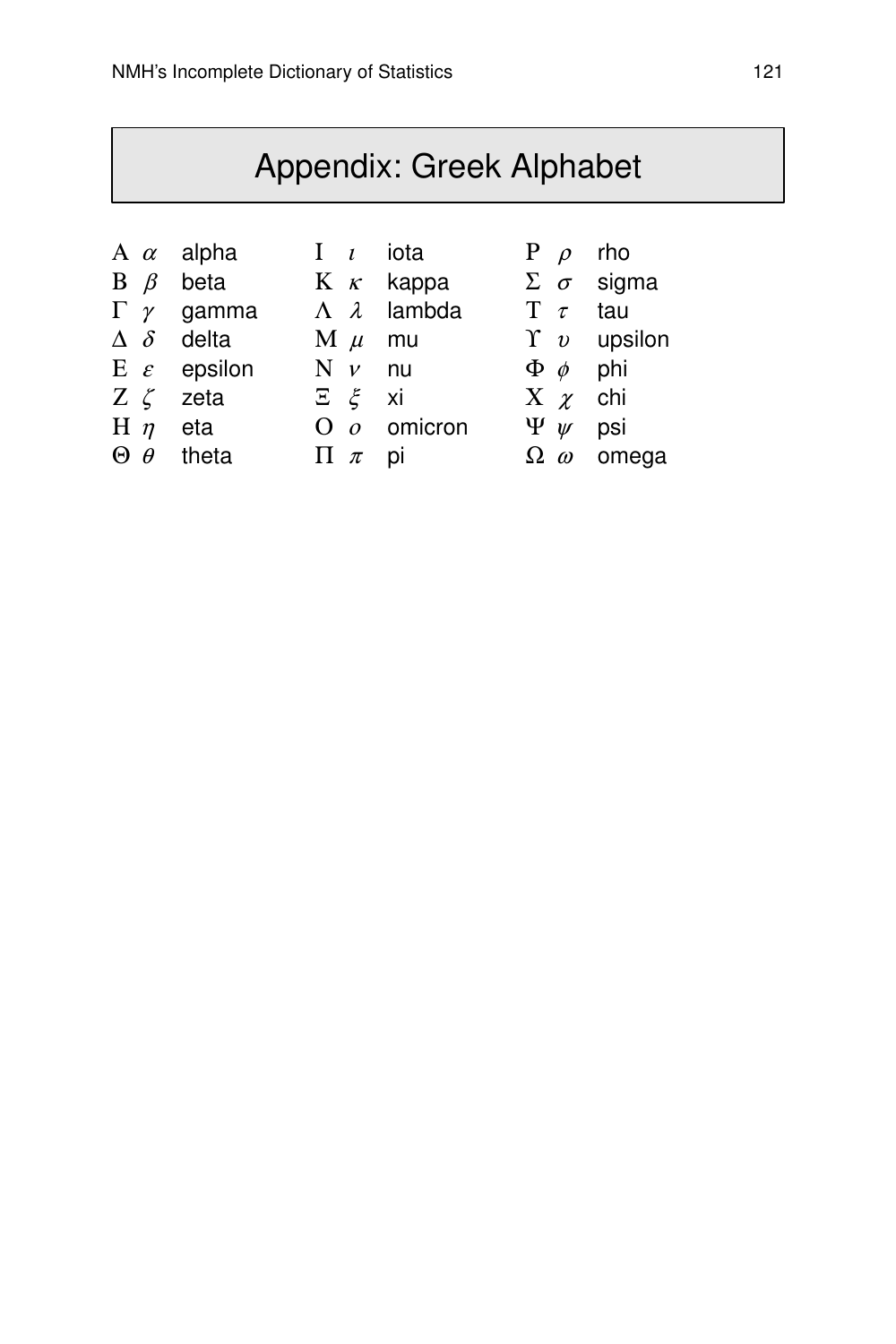## Appendix: Greek Alphabet

- $A \alpha$  alpha I *i* iota P  $\rho$  rho
	-
- 
- 
- 
- 
- 
- 
- Ε ε epsilon  $N$  v nu  $\Phi$  φ phi
- $Z \zeta$  zeta  $\Sigma \xi$  xi  $X \chi$  chi
- H η eta  $\overline{O}$  *o* omicron  $\Psi$   $\psi$  psi<br>  $\overline{O}$  *θ* theta  $\overline{H}$  π pi  $\Omega$  *ω* ome
	-
- 
- B  $β$  beta K  $κ$  kappa Σ  $σ$  sigma
- Γ  $γ$  gamma  $Λ$   $λ$  lambda  $T$   $τ$  tau
- $\Delta \delta$  delta  $M \mu$  mu  $\gamma$  v upsilon
	-
	-
	-
- Θ θ theta Π π pi  $\Omega$  ω omega